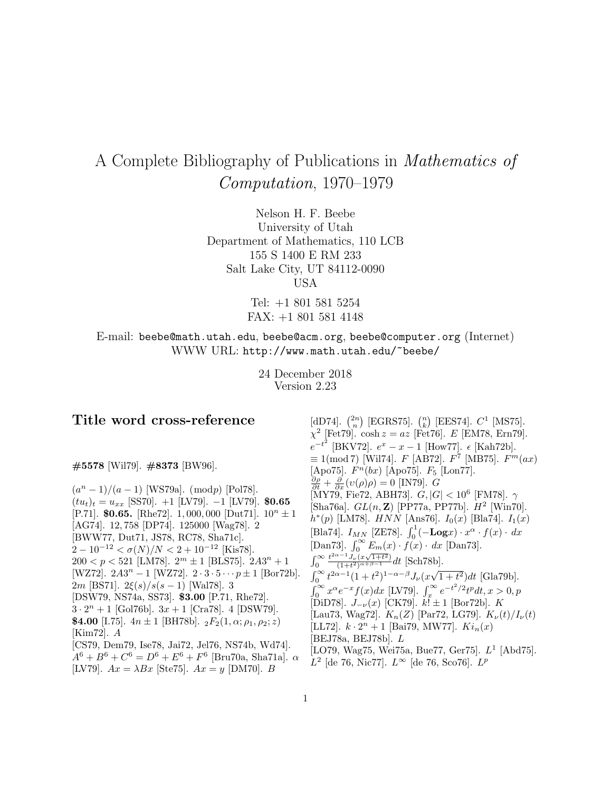# A Complete Bibliography of Publications in Mathematics of Computation, 1970–1979

Nelson H. F. Beebe University of Utah Department of Mathematics, 110 LCB 155 S 1400 E RM 233 Salt Lake City, UT 84112-0090 USA

> Tel: +1 801 581 5254 FAX: +1 801 581 4148

E-mail: beebe@math.utah.edu, beebe@acm.org, beebe@computer.org (Internet) WWW URL: http://www.math.utah.edu/~beebe/

> 24 December 2018 Version 2.23

## **Title word cross-reference**

**#5578** [Wil79]. **#8373** [BW96].

 $(a<sup>n</sup> - 1)/(a - 1)$  [WS79a]. (modp) [Pol78].  $(tu_t)_t = u_{xx}$  [SS70]. +1 [LV79]. -1 [LV79]. **\$0.65** [P.71]. **\$0.65.** [Rhe72]. 1,000,000 [Dut71].  $10^n \pm 1$ [AG74]. 12, 758 [DP74]. 125000 [Wag78]. 2 [BWW77, Dut71, JS78, RC78, Sha71c].  $2-10^{-12} < \sigma(N)/N < 2+10^{-12}$  [Kis78].  $200 < p < 521$  [LM78].  $2<sup>m</sup> \pm 1$  [BLS75].  $2A3<sup>n</sup> + 1$ [WZ72].  $2A3^n - 1$  [WZ72].  $2 \cdot 3 \cdot 5 \cdots p \pm 1$  [Bor72b]. 2m [BS71]. 2 $\xi(s)/s(s-1)$  [Wal78]. 3 [DSW79, NS74a, SS73]. **\$3.00** [P.71, Rhe72].  $3 \cdot 2^n + 1$  [Gol76b].  $3x + 1$  [Cra78]. 4 [DSW79]. **\$4.00** [I.75].  $4n \pm 1$  [BH78b].  ${}_2F_2(1, \alpha; \rho_1, \rho_2; z)$ [Kim72]. A [CS79, Dem79, Ise78, Jai72, Jel76, NS74b, Wd74].  $A^6 + B^6 + C^6 = D^6 + E^6 + F^6$  [Bru70a, Sha71a].  $\alpha$ [LV79].  $Ax = \lambda Bx$  [Ste75].  $Ax = y$  [DM70]. B

[dD74].  $\binom{2n}{n}$  [EGRS75].  $\binom{n}{k}$  [EES74].  $C^1$  [MS75].  $\chi^2$  [Fet79]. cosh  $z = az$  [Fet76]. E [EM78, Ern79].  $e^{-t^2}$  [BKV72].  $e^x - x - 1$  [How77].  $\epsilon$  [Kah72b].  $\equiv 1 \pmod{7}$  [Wil74]. F [AB72]. F<sup>7</sup> [MB75]. F<sup>{m}</sup> (ax) [Apo75].  $F<sup>n</sup>(bx)$  [Apo75].  $F<sub>5</sub>$  [Lon77].  $\frac{\partial \rho}{\partial t} + \frac{\partial}{\partial x}(v(\rho)\rho) = 0$  [IN79]. *G*  $[\rm \check{M}Y7\check{9},\rm \check{Fe}72,\rm \AA BH73].$   $G,|G|< 10^6\rm \;[\rm \check{FM}78].$   $\gamma$ [Sha76a].  $GL(n, \mathbb{Z})$  [PP77a, PP77b].  $H^2$  [Win70].  $h^*(p)$  [LM78].  $HNN$  [Ans76].  $I_0(x)$  [Bla74].  $I_1(x)$ [Bla74].  $I_{MN}$  [ZE78].  $\int_0^1 (-\mathbf{Log} x) \cdot x^{\alpha} \cdot f(x) \cdot dx$ [Dan73].  $\int_0^\infty E_m(x) \cdot f(x) \cdot dx$  [Dan73].  $\int_0^\infty$  $\frac{t^{2\alpha-1}J_{\nu}(x\sqrt{1+t^2})}{(1+t^2)^{\alpha+\beta-1}}dt$  [Sch78b].  $\int_0^\infty t^{2\alpha-1}(1+t^2)^{1-\alpha-\beta}J_\nu(x\sqrt{1+t^2})dt$  [Gla79b].  $\int_0^\infty x^{\alpha} e^{-x} f(x) dx$  [LV79].  $\int_x^\infty e^{-t^2/2} t^p dt, x > 0, p$  $[\text{DiD78}]$ .  $J_{-\nu}(x)$   $[\text{CK79}]$ .  $k$ !  $\pm 1$   $[\text{Bor72b}]$ . K [Lau73, Wag72].  $K_n(Z)$  [Par72, LG79].  $K_{\nu}(t)/I_{\nu}(t)$ [LL72].  $k \cdot 2^n + 1$  [Bai79, MW77].  $Ki_n(x)$ [BEJ78a, BEJ78b]. L [LO79, Wag75, Wei75a, Bue77, Ger75].  $L^1$  [Abd75].  $L^2$  [de 76, Nic77].  $L^∞$  [de 76, Sco76].  $L^p$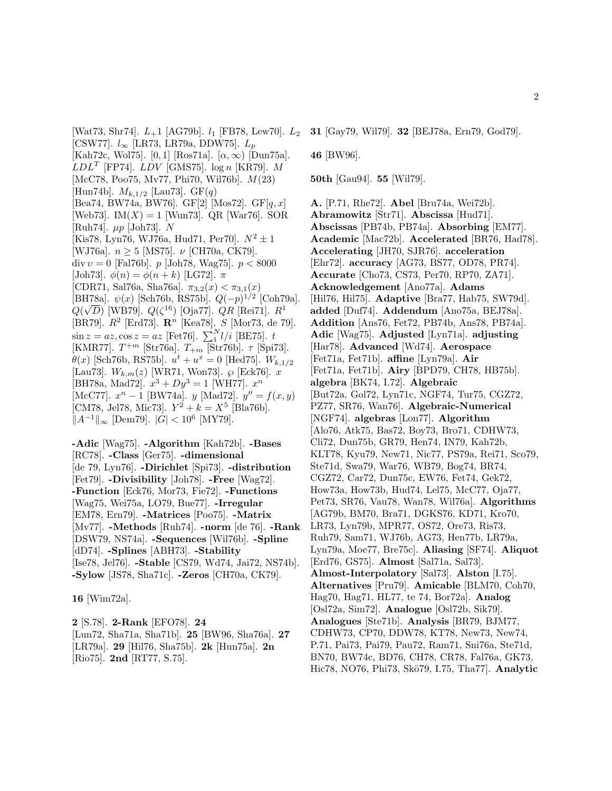[Wat73, Shr74].  $L_{+}1$  [AG79b].  $l_1$  [FB78, Lew70].  $L_2$ [CSW77].  $l_{\infty}$  [LR73, LR79a, DDW75].  $L_p$ [Kah72c, Wol75]. [0, 1] [Ros71a].  $[\alpha, \infty)$  [Dun75a].  $LDL<sup>T</sup>$  [FP74].  $LDV$  [GMS75].  $log n$  [KR79]. M [McC78, Poo75, Mv77, Phi70, Wil76b]. M(23) [Hun74b].  $M_{k,1/2}$  [Lau73]. GF(q) [Bea74, BW74a, BW76]. GF[2] [Mos72]. GF[ $q, x$ ] [Web73]. IM $(X) = 1$  [Wun73]. QR [War76]. SOR [Ruh74]. µp [Joh73]. N [Kis78, Lyn76, WJ76a, Hud71, Per70].  $N^2 \pm 1$ [WJ76a].  $n \geq 5$  [MS75].  $\nu$  [CH70a, CK79]. div  $v = 0$  [Fal76b]. p [Joh78, Wag75]. p < 8000 [Joh73].  $\phi(n) = \phi(n+k)$  [LG72].  $\pi$ [CDR71, Sal76a, Sha76a].  $\pi_{3,2}(x) < \pi_{3,1}(x)$ [BH78a].  $\psi(x)$  [Sch76b, RS75b].  $Q(-p)^{1/2}$  [Coh79a].  $Q(\sqrt{D})$  [WB79].  $Q(\zeta^{16})$  [Oja77].  $QR$  [Rei71].  $R^1$ [BR79].  $R^2$  [Erd73]. **R**<sup>n</sup> [Kea78]. S [Mor73, de 79].  $\sin z = az, \cos z = az$  [Fet76].  $\sum_{1}^{N} l/i$  [BE75]. t [KMR77].  $T^{+m}$  [Str76a].  $T_{+m}$  [Str76b].  $\tau$  [Spi73].  $\theta(x)$  [Sch76b, RS75b].  $u^t + u^x = 0$  [Hed75].  $W_{k,1/2}$ [Lau73].  $W_{k,m}(z)$  [WR71, Won73].  $\wp$  [Eck76]. x [BH78a, Mad72].  $x^3 + Dy^3 = 1$  [WH77].  $x^n$ [McC77].  $x^n - 1$  [BW74a].  $y$  [Mad72].  $y'' = f(x, y)$ [CM78, Jel78, Mic73].  $Y^2 + k = X^5$  [Bla76b].  $||A^{-1}||_{\infty}$  [Dem79].  $|G| < 10^{6}$  [MY79].

**-Adic** [Wag75]. **-Algorithm** [Kah72b]. **-Bases** [RC78]. **-Class** [Ger75]. **-dimensional** [de 79, Lyn76]. **-Dirichlet** [Spi73]. **-distribution** [Fet79]. **-Divisibility** [Joh78]. **-Free** [Wag72]. **-Function** [Eck76, Mor73, Fie72]. **-Functions** [Wag75, Wei75a, LO79, Bue77]. **-Irregular** [EM78, Ern79]. **-Matrices** [Poo75]. **-Matrix** [Mv77]. **-Methods** [Ruh74]. **-norm** [de 76]. **-Rank** [DSW79, NS74a]. **-Sequences** [Wil76b]. **-Spline** [dD74]. **-Splines** [ABH73]. **-Stability** [Ise78, Jel76]. **-Stable** [CS79, Wd74, Jai72, NS74b]. **-Sylow** [JS78, Sha71c]. **-Zeros** [CH70a, CK79].

**16** [Wim72a].

**2** [S.78]. **2-Rank** [EFO78]. **24** [Lun72, Sha71a, Sha71b]. **25** [BW96, Sha76a]. **27** [LR79a]. **29** [Hil76, Sha75b]. **2k** [Hun75a]. **2n** [Rio75]. **2nd** [RT77, S.75].

**46** [BW96].

**50th** [Gau94]. **55** [Wil79].

**A.** [P.71, Rhe72]. **Abel** [Bru74a, Wei72b]. **Abramowitz** [Str71]. **Abscissa** [Hud71]. **Abscissas** [PB74b, PB74a]. **Absorbing** [EM77]. **Academic** [Mac72b]. **Accelerated** [BR76, Had78]. **Accelerating** [JH70, SJR76]. **acceleration** [Ehr72]. **accuracy** [AG73, BS77, OD78, PR74]. **Accurate** [Cho73, CS73, Per70, RP70, ZA71]. **Acknowledgement** [Ano77a]. **Adams** [Hil76, Hil75]. **Adaptive** [Bra77, Hab75, SW79d]. **added** [Duf74]. **Addendum** [Ano75a, BEJ78a]. **Addition** [Ans76, Fet72, PB74b, Ans78, PB74a]. **Adic** [Wag75]. **Adjusted** [Lyn71a]. **adjusting** [Har78]. **Advanced** [Wd74]. **Aerospace** [Fet71a, Fet71b]. **affine** [Lyn79a]. **Air** [Fet71a, Fet71b]. **Airy** [BPD79, CH78, HB75b]. **algebra** [BK74, I.72]. **Algebraic** [But72a, Gol72, Lyn71c, NGF74, Tur75, CGZ72, PZ77, SR76, Wan76]. **Algebraic-Numerical** [NGF74]. **algebras** [Lon77]. **Algorithm** [Alo76, Atk75, Bas72, Boy73, Bro71, CDHW73, Cli72, Dun75b, GR79, Hen74, IN79, Kah72b, KLT78, Kyu79, New71, Nic77, PS79a, Rei71, Sco79, Ste71d, Swa79, War76, WB79, Bog74, BR74, CGZ72, Car72, Dun75c, EW76, Fet74, Gek72, How73a, How73b, Hud74, Lel75, McC77, Oja77, Pet73, SR76, Vau78, Wan78, Wil76a]. **Algorithms** [AG79b, BM70, Bra71, DGKS76, KD71, Kro70, LR73, Lyn79b, MPR77, OS72, Ore73, Ris73, Ruh79, Sam71, WJ76b, AG73, Hen77b, LR79a, Lyn79a, Moe77, Bre75c]. **Aliasing** [SF74]. **Aliquot** [Erd76, GS75]. **Almost** [Sal71a, Sal73]. **Almost-Interpolatory** [Sal73]. **Alston** [I.75]. **Alternatives** [Pru79]. **Amicable** [BLM70, Coh70, Hag70, Hag71, HL77, te 74, Bor72a]. **Analog** [Osl72a, Sim72]. **Analogue** [Osl72b, Sik79]. **Analogues** [Ste71b]. **Analysis** [BR79, BJM77, CDHW73, CP70, DDW78, KT78, New73, New74, P.71, Pai73, Pai79, Pau72, Ram71, Sni76a, Ste71d, BN70, BW74c, BD76, CH78, CR78, Fal76a, GK73, Hic78, NO76, Phi73, Skö79, I.75, Tha77]. **Analytic**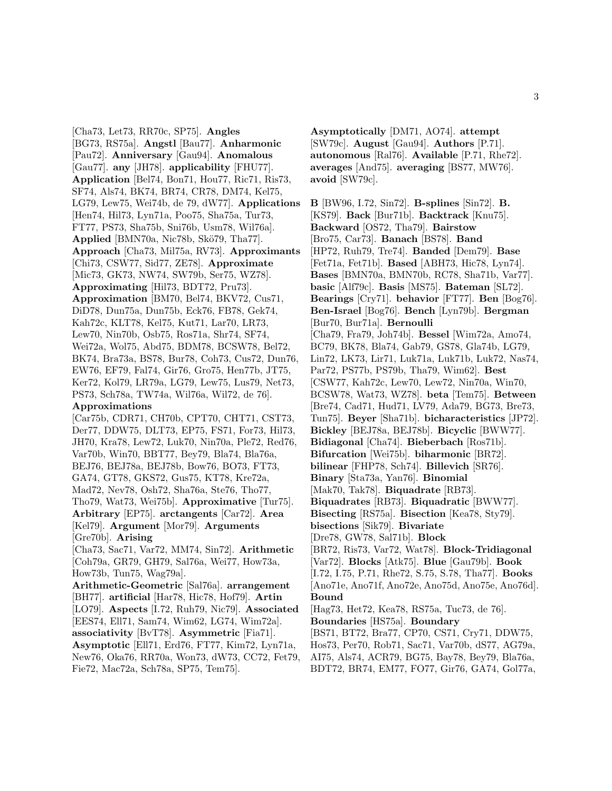[Cha73, Let73, RR70c, SP75]. **Angles** [BG73, RS75a]. **Angstl** [Bau77]. **Anharmonic** [Pau72]. **Anniversary** [Gau94]. **Anomalous** [Gau77]. **any** [JH78]. **applicability** [FHU77]. **Application** [Bel74, Bon71, Hou77, Ric71, Ris73, SF74, Als74, BK74, BR74, CR78, DM74, Kel75, LG79, Lew75, Wei74b, de 79, dW77]. **Applications** [Hen74, Hil73, Lyn71a, Poo75, Sha75a, Tur73, FT77, PS73, Sha75b, Sni76b, Usm78, Wil76a]. **Applied** [BMN70a, Nic78b, Skö79, Tha77]. **Approach** [Cha73, Mil75a, RV73]. **Approximants** [Chi73, CSW77, Sid77, ZE78]. **Approximate** [Mic73, GK73, NW74, SW79b, Ser75, WZ78]. **Approximating** [Hil73, BDT72, Pru73]. **Approximation** [BM70, Bel74, BKV72, Cus71, DiD78, Dun75a, Dun75b, Eck76, FB78, Gek74, Kah72c, KLT78, Kel75, Kut71, Lar70, LR73, Lew70, Nin70b, Osb75, Ros71a, Shr74, SF74, Wei72a, Wol75, Abd75, BDM78, BCSW78, Bel72, BK74, Bra73a, BS78, Bur78, Coh73, Cus72, Dun76, EW76, EF79, Fal74, Gir76, Gro75, Hen77b, JT75, Ker72, Kol79, LR79a, LG79, Lew75, Lus79, Net73, PS73, Sch78a, TW74a, Wil76a, Wil72, de 76]. **Approximations**

[Car75b, CDR71, CH70b, CPT70, CHT71, CST73, Der77, DDW75, DLT73, EP75, FS71, For73, Hil73, JH70, Kra78, Lew72, Luk70, Nin70a, Ple72, Red76, Var70b, Win70, BBT77, Bey79, Bla74, Bla76a, BEJ76, BEJ78a, BEJ78b, Bow76, BO73, FT73, GA74, GT78, GKS72, Gus75, KT78, Kre72a, Mad72, Nev78, Osh72, Sha76a, Ste76, Tho77, Tho79, Wat73, Wei75b]. **Approximative** [Tur75]. **Arbitrary** [EP75]. **arctangents** [Car72]. **Area** [Kel79]. **Argument** [Mor79]. **Arguments** [Gre70b]. **Arising** [Cha73, Sac71, Var72, MM74, Sin72]. **Arithmetic** [Coh79a, GR79, GH79, Sal76a, Wei77, How73a, How73b, Tun75, Wag79a].

**Arithmetic-Geometric** [Sal76a]. **arrangement** [BH77]. **artificial** [Har78, Hic78, Hof79]. **Artin** [LO79]. **Aspects** [I.72, Ruh79, Nic79]. **Associated** [EES74, Ell71, Sam74, Wim62, LG74, Wim72a]. **associativity** [BvT78]. **Asymmetric** [Fia71]. **Asymptotic** [Ell71, Erd76, FT77, Kim72, Lyn71a, New76, Oka76, RR70a, Won73, dW73, CC72, Fet79,

Fie72, Mac72a, Sch78a, SP75, Tem75].

**Asymptotically** [DM71, AO74]. **attempt** [SW79c]. **August** [Gau94]. **Authors** [P.71]. **autonomous** [Ral76]. **Available** [P.71, Rhe72]. **averages** [And75]. **averaging** [BS77, MW76]. **avoid** [SW79c].

**B** [BW96, I.72, Sin72]. **B-splines** [Sin72]. **B.** [KS79]. **Back** [Bur71b]. **Backtrack** [Knu75]. **Backward** [OS72, Tha79]. **Bairstow** [Bro75, Car73]. **Banach** [BS78]. **Band** [HP72, Ruh79, Tre74]. **Banded** [Dem79]. **Base** [Fet71a, Fet71b]. **Based** [ABH73, Hic78, Lyn74]. **Bases** [BMN70a, BMN70b, RC78, Sha71b, Var77]. **basic** [Alf79c]. **Basis** [MS75]. **Bateman** [SL72]. **Bearings** [Cry71]. **behavior** [FT77]. **Ben** [Bog76]. **Ben-Israel** [Bog76]. **Bench** [Lyn79b]. **Bergman** [Bur70, Bur71a]. **Bernoulli** [Cha79, Fra79, Joh74b]. **Bessel** [Wim72a, Amo74, BC79, BK78, Bla74, Gab79, GS78, Gla74b, LG79, Lin72, LK73, Lir71, Luk71a, Luk71b, Luk72, Nas74, Par72, PS77b, PS79b, Tha79, Wim62]. **Best** [CSW77, Kah72c, Lew70, Lew72, Nin70a, Win70, BCSW78, Wat73, WZ78]. **beta** [Tem75]. **Between** [Bre74, Cad71, Hud71, LV79, Ada79, BG73, Bre73, Tun75]. **Beyer** [Sha71b]. **bicharacteristics** [JP72]. **Bickley** [BEJ78a, BEJ78b]. **Bicyclic** [BWW77]. **Bidiagonal** [Cha74]. **Bieberbach** [Ros71b]. **Bifurcation** [Wei75b]. **biharmonic** [BR72]. **bilinear** [FHP78, Sch74]. **Billevich** [SR76]. **Binary** [Sta73a, Yan76]. **Binomial** [Mak70, Tak78]. **Biquadrate** [RB73]. **Biquadrates** [RB73]. **Biquadratic** [BWW77]. **Bisecting** [RS75a]. **Bisection** [Kea78, Sty79]. **bisections** [Sik79]. **Bivariate** [Dre78, GW78, Sal71b]. **Block** [BR72, Ris73, Var72, Wat78]. **Block-Tridiagonal** [Var72]. **Blocks** [Atk75]. **Blue** [Gau79b]. **Book** [I.72, I.75, P.71, Rhe72, S.75, S.78, Tha77]. **Books** [Ano71e, Ano71f, Ano72e, Ano75d, Ano75e, Ano76d]. **Bound** [Hag73, Het72, Kea78, RS75a, Tuc73, de 76]. **Boundaries** [HS75a]. **Boundary** [BS71, BT72, Bra77, CP70, CS71, Cry71, DDW75, Hos73, Per70, Rob71, Sac71, Var70b, dS77, AG79a,

AI75, Als74, ACR79, BG75, Bay78, Bey79, Bla76a,

BDT72, BR74, EM77, FO77, Gir76, GA74, Gol77a,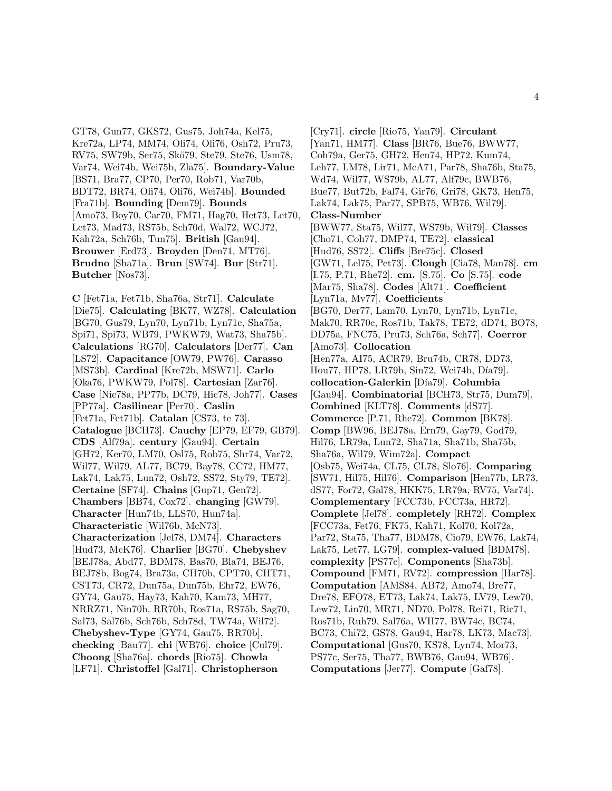GT78, Gun77, GKS72, Gus75, Joh74a, Kel75, Kre72a, LP74, MM74, Oli74, Oli76, Osh72, Pru73, RV75, SW79b, Ser75, Skö79, Ste79, Ste76, Usm78, Var74, Wei74b, Wei75b, Zla75]. **Boundary-Value** [BS71, Bra77, CP70, Per70, Rob71, Var70b, BDT72, BR74, Oli74, Oli76, Wei74b]. **Bounded** [Fra71b]. **Bounding** [Dem79]. **Bounds** [Amo73, Boy70, Car70, FM71, Hag70, Het73, Let70, Let73, Mad73, RS75b, Sch70d, Wal72, WCJ72, Kah72a, Sch76b, Tun75]. **British** [Gau94]. **Brouwer** [Erd73]. **Broyden** [Den71, MT76]. **Brudno** [Sha71a]. **Brun** [SW74]. **Bur** [Str71]. **Butcher** [Nos73].

**C** [Fet71a, Fet71b, Sha76a, Str71]. **Calculate** [Die75]. **Calculating** [BK77, WZ78]. **Calculation** [BG70, Gus79, Lyn70, Lyn71b, Lyn71c, Sha75a, Spi71, Spi73, WB79, PWKW79, Wat73, Sha75b]. **Calculations** [RG70]. **Calculators** [Der77]. **Can** [LS72]. **Capacitance** [OW79, PW76]. **Carasso** [MS73b]. **Cardinal** [Kre72b, MSW71]. **Carlo** [Oka76, PWKW79, Pol78]. **Cartesian** [Zar76]. **Case** [Nic78a, PP77b, DC79, Hic78, Joh77]. **Cases** [PP77a]. **Casilinear** [Per70]. **Caslin** [Fet71a, Fet71b]. **Catalan** [CS73, te 73]. **Catalogue** [BCH73]. **Cauchy** [EP79, EF79, GB79]. **CDS** [Alf79a]. **century** [Gau94]. **Certain** [GH72, Ker70, LM70, Osl75, Rob75, Shr74, Var72, Wil77, Wil79, AL77, BC79, Bay78, CC72, HM77, Lak74, Lak75, Lun72, Osh72, SS72, Sty79, TE72]. **Certaine** [SF74]. **Chains** [Gup71, Gen72]. **Chambers** [BB74, Cox72]. **changing** [GW79]. **Character** [Hun74b, LLS70, Hun74a]. **Characteristic** [Wil76b, McN73]. **Characterization** [Jel78, DM74]. **Characters** [Hud73, McK76]. **Charlier** [BG70]. **Chebyshev** [BEJ78a, Abd77, BDM78, Bas70, Bla74, BEJ76, BEJ78b, Bog74, Bra73a, CH70b, CPT70, CHT71, CST73, CR72, Dun75a, Dun75b, Ehr72, EW76, GY74, Gau75, Hay73, Kah70, Kam73, MH77, NRRZ71, Nin70b, RR70b, Ros71a, RS75b, Sag70, Sal73, Sal76b, Sch76b, Sch78d, TW74a, Wil72]. **Chebyshev-Type** [GY74, Gau75, RR70b]. **checking** [Bau77]. **chi** [WB76]. **choice** [Cul79]. **Choong** [Sha76a]. **chords** [Rio75]. **Chowla** [LF71]. **Christoffel** [Gal71]. **Christopherson**

[Cry71]. **circle** [Rio75, Yan79]. **Circulant** [Yan71, HM77]. **Class** [BR76, Bue76, BWW77, Coh79a, Ger75, GH72, Hen74, HP72, Kum74, Leh77, LM78, Lir71, McA71, Par78, Sha76b, Sta75, Wd74, Wil77, WS79b, AL77, Alf79c, BWB76, Bue77, But72b, Fal74, Gir76, Gri78, GK73, Hen75, Lak74, Lak75, Par77, SPB75, WB76, Wil79]. **Class-Number** [BWW77, Sta75, Wil77, WS79b, Wil79]. **Classes** [Cho71, Coh77, DMP74, TE72]. **classical** [Hud76, SS72]. **Cliffs** [Bre75c]. **Closed** [GW71, Lel75, Pet73]. **Clough** [Cia78, Man78]. **cm** [I.75, P.71, Rhe72]. **cm.** [S.75]. **Co** [S.75]. **code** [Mar75, Sha78]. **Codes** [Alt71]. **Coefficient** [Lyn71a, Mv77]. **Coefficients** [BG70, Der77, Lam70, Lyn70, Lyn71b, Lyn71c, Mak70, RR70c, Ros71b, Tak78, TE72, dD74, BO78, DD75a, FNC75, Pru73, Sch76a, Sch77]. **Coerror** [Amo73]. **Collocation** [Hen77a, AI75, ACR79, Bru74b, CR78, DD73, Hou77, HP78, LR79b, Sin72, Wei74b, Día79. **collocation-Galerkin** [D´ıa79]. **Columbia** [Gau94]. **Combinatorial** [BCH73, Str75, Dum79]. **Combined** [KLT78]. **Comments** [dS77]. **Commerce** [P.71, Rhe72]. **Common** [BK78]. **Comp** [BW96, BEJ78a, Ern79, Gay79, God79, Hil76, LR79a, Lun72, Sha71a, Sha71b, Sha75b, Sha76a, Wil79, Wim72a]. **Compact** [Osb75, Wei74a, CL75, CL78, Slo76]. **Comparing** [SW71, Hil75, Hil76]. **Comparison** [Hen77b, LR73, dS77, For72, Gal78, HKK75, LR79a, RV75, Var74]. **Complementary** [FCC73b, FCC73a, HR72]. **Complete** [Jel78]. **completely** [RH72]. **Complex** [FCC73a, Fet76, FK75, Kah71, Kol70, Kol72a, Par72, Sta75, Tha77, BDM78, Cio79, EW76, Lak74, Lak75, Let77, LG79]. **complex-valued** [BDM78]. **complexity** [PS77c]. **Components** [Sha73b]. **Compound** [FM71, RV72]. **compression** [Har78]. **Computation** [AMS84, AB72, Amo74, Bre77, Dre78, EFO78, ET73, Lak74, Lak75, LV79, Lew70, Lew72, Lin70, MR71, ND70, Pol78, Rei71, Ric71, Ros71b, Ruh79, Sal76a, WH77, BW74c, BC74, BC73, Chi72, GS78, Gau94, Har78, LK73, Mac73]. **Computational** [Gus70, KS78, Lyn74, Mor73, PS77c, Ser75, Tha77, BWB76, Gau94, WB76]. **Computations** [Jer77]. **Compute** [Gaf78].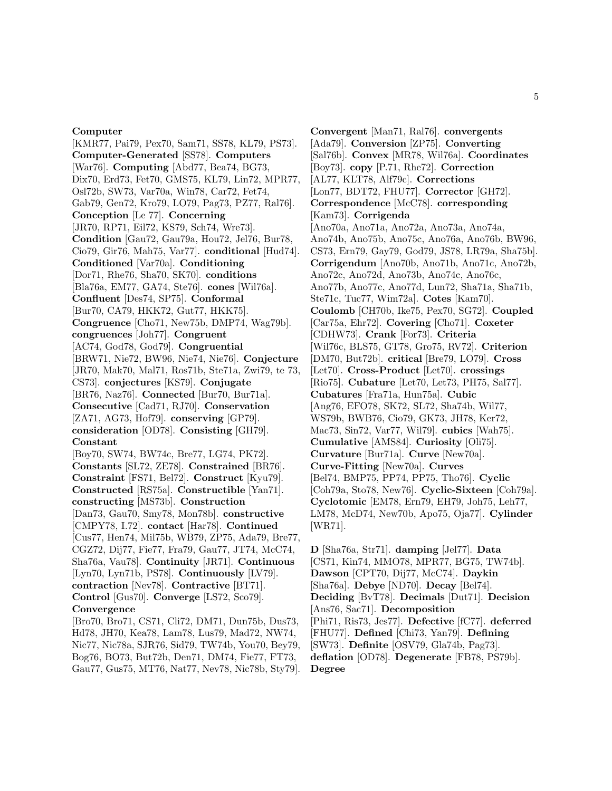#### **Computer**

[KMR77, Pai79, Pex70, Sam71, SS78, KL79, PS73]. **Computer-Generated** [SS78]. **Computers** [War76]. **Computing** [Abd77, Bea74, BG73, Dix70, Erd73, Fet70, GMS75, KL79, Lin72, MPR77, Osl72b, SW73, Var70a, Win78, Car72, Fet74, Gab79, Gen72, Kro79, LO79, Pag73, PZ77, Ral76]. **Conception** [Le 77]. **Concerning** [JR70, RP71, Eil72, KS79, Sch74, Wre73]. **Condition** [Gau72, Gau79a, Hou72, Jel76, Bur78, Cio79, Gir76, Mah75, Var77]. **conditional** [Hud74]. **Conditioned** [Var70a]. **Conditioning** [Dor71, Rhe76, Sha70, SK70]. **conditions** [Bla76a, EM77, GA74, Ste76]. **cones** [Wil76a]. **Confluent** [Des74, SP75]. **Conformal** [Bur70, CA79, HKK72, Gut77, HKK75]. **Congruence** [Cho71, New75b, DMP74, Wag79b]. **congruences** [Joh77]. **Congruent** [AC74, God78, God79]. **Congruential** [BRW71, Nie72, BW96, Nie74, Nie76]. **Conjecture** [JR70, Mak70, Mal71, Ros71b, Ste71a, Zwi79, te 73, CS73]. **conjectures** [KS79]. **Conjugate** [BR76, Naz76]. **Connected** [Bur70, Bur71a]. **Consecutive** [Cad71, RJ70]. **Conservation** [ZA71, AG73, Hof79]. **conserving** [GP79]. **consideration** [OD78]. **Consisting** [GH79]. **Constant** [Boy70, SW74, BW74c, Bre77, LG74, PK72]. **Constants** [SL72, ZE78]. **Constrained** [BR76]. **Constraint** [FS71, Bel72]. **Construct** [Kyu79]. **Constructed** [RS75a]. **Constructible** [Yan71]. **constructing** [MS73b]. **Construction**

[Dan73, Gau70, Smy78, Mon78b]. **constructive** [CMPY78, I.72]. **contact** [Har78]. **Continued** [Cus77, Hen74, Mil75b, WB79, ZP75, Ada79, Bre77, CGZ72, Dij77, Fie77, Fra79, Gau77, JT74, McC74, Sha76a, Vau78]. **Continuity** [JR71]. **Continuous** [Lyn70, Lyn71b, PS78]. **Continuously** [LV79]. **contraction** [Nev78]. **Contractive** [BT71]. **Control** [Gus70]. **Converge** [LS72, Sco79]. **Convergence**

[Bro70, Bro71, CS71, Cli72, DM71, Dun75b, Dus73, Hd78, JH70, Kea78, Lam78, Lus79, Mad72, NW74, Nic77, Nic78a, SJR76, Sid79, TW74b, You70, Bey79, Bog76, BO73, But72b, Den71, DM74, Fie77, FT73, Gau77, Gus75, MT76, Nat77, Nev78, Nic78b, Sty79].

**Convergent** [Man71, Ral76]. **convergents** [Ada79]. **Conversion** [ZP75]. **Converting** [Sal76b]. **Convex** [MR78, Wil76a]. **Coordinates** [Boy73]. **copy** [P.71, Rhe72]. **Correction** [AL77, KLT78, Alf79c]. **Corrections** [Lon77, BDT72, FHU77]. **Corrector** [GH72]. **Correspondence** [McC78]. **corresponding** [Kam73]. **Corrigenda** [Ano70a, Ano71a, Ano72a, Ano73a, Ano74a, Ano74b, Ano75b, Ano75c, Ano76a, Ano76b, BW96, CS73, Ern79, Gay79, God79, JS78, LR79a, Sha75b]. **Corrigendum** [Ano70b, Ano71b, Ano71c, Ano72b, Ano72c, Ano72d, Ano73b, Ano74c, Ano76c, Ano77b, Ano77c, Ano77d, Lun72, Sha71a, Sha71b, Ste71c, Tuc77, Wim72a]. **Cotes** [Kam70]. **Coulomb** [CH70b, Ike75, Pex70, SG72]. **Coupled** [Car75a, Ehr72]. **Covering** [Cho71]. **Coxeter** [CDHW73]. **Crank** [For73]. **Criteria** [Wil76c, BLS75, GT78, Gro75, RV72]. **Criterion** [DM70, But72b]. **critical** [Bre79, LO79]. **Cross** [Let70]. **Cross-Product** [Let70]. **crossings** [Rio75]. **Cubature** [Let70, Let73, PH75, Sal77]. **Cubatures** [Fra71a, Hun75a]. **Cubic** [Ang76, EFO78, SK72, SL72, Sha74b, Wil77, WS79b, BWB76, Cio79, GK73, JH78, Ker72, Mac73, Sin72, Var77, Wil79]. **cubics** [Wah75]. **Cumulative** [AMS84]. **Curiosity** [Oli75]. **Curvature** [Bur71a]. **Curve** [New70a]. **Curve-Fitting** [New70a]. **Curves** [Bel74, BMP75, PP74, PP75, Tho76]. **Cyclic** [Coh79a, Sto78, New76]. **Cyclic-Sixteen** [Coh79a]. **Cyclotomic** [EM78, Ern79, EH79, Joh75, Leh77, LM78, McD74, New70b, Apo75, Oja77]. **Cylinder** [WR71].

**D** [Sha76a, Str71]. **damping** [Jel77]. **Data** [CS71, Kin74, MMO78, MPR77, BG75, TW74b]. **Dawson** [CPT70, Dij77, McC74]. **Daykin** [Sha76a]. **Debye** [ND70]. **Decay** [Bel74]. **Deciding** [BvT78]. **Decimals** [Dut71]. **Decision** [Ans76, Sac71]. **Decomposition** [Phi71, Ris73, Jes77]. **Defective** [fC77]. **deferred** [FHU77]. **Defined** [Chi73, Yan79]. **Defining** [SW73]. **Definite** [OSV79, Gla74b, Pag73]. **deflation** [OD78]. **Degenerate** [FB78, PS79b]. **Degree**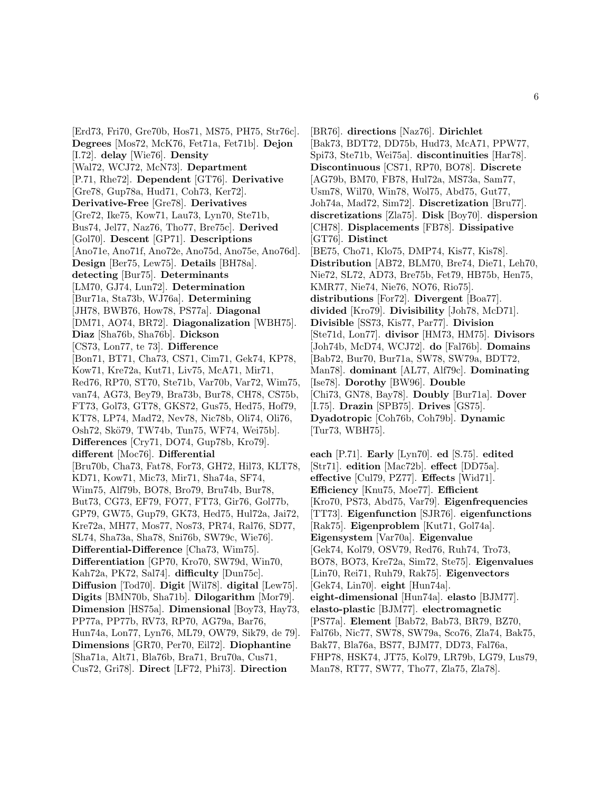[Erd73, Fri70, Gre70b, Hos71, MS75, PH75, Str76c]. **Degrees** [Mos72, McK76, Fet71a, Fet71b]. **Dejon** [I.72]. **delay** [Wie76]. **Density** [Wal72, WCJ72, McN73]. **Department** [P.71, Rhe72]. **Dependent** [GT76]. **Derivative** [Gre78, Gup78a, Hud71, Coh73, Ker72]. **Derivative-Free** [Gre78]. **Derivatives** [Gre72, Ike75, Kow71, Lau73, Lyn70, Ste71b, Bus74, Jel77, Naz76, Tho77, Bre75c]. **Derived** [Gol70]. **Descent** [GP71]. **Descriptions** [Ano71e, Ano71f, Ano72e, Ano75d, Ano75e, Ano76d]. **Design** [Ber75, Lew75]. **Details** [BH78a]. **detecting** [Bur75]. **Determinants** [LM70, GJ74, Lun72]. **Determination** [Bur71a, Sta73b, WJ76a]. **Determining** [JH78, BWB76, How78, PS77a]. **Diagonal** [DM71, AO74, BR72]. **Diagonalization** [WBH75]. **Diaz** [Sha76b, Sha76b]. **Dickson** [CS73, Lon77, te 73]. **Difference** [Bon71, BT71, Cha73, CS71, Cim71, Gek74, KP78, Kow71, Kre72a, Kut71, Liv75, McA71, Mir71, Red76, RP70, ST70, Ste71b, Var70b, Var72, Wim75, van74, AG73, Bey79, Bra73b, Bur78, CH78, CS75b, FT73, Gol73, GT78, GKS72, Gus75, Hed75, Hof79, KT78, LP74, Mad72, Nev78, Nic78b, Oli74, Oli76, Osh72, Skö79, TW74b, Tun75, WF74, Wei75b]. **Differences** [Cry71, DO74, Gup78b, Kro79]. **different** [Moc76]. **Differential** [Bru70b, Cha73, Fat78, For73, GH72, Hil73, KLT78, KD71, Kow71, Mic73, Mir71, Sha74a, SF74, Wim75, Alf79b, BO78, Bro79, Bru74b, Bur78, But73, CG73, EF79, FO77, FT73, Gir76, Gol77b, GP79, GW75, Gup79, GK73, Hed75, Hul72a, Jai72, Kre72a, MH77, Mos77, Nos73, PR74, Ral76, SD77, SL74, Sha73a, Sha78, Sni76b, SW79c, Wie76]. **Differential-Difference** [Cha73, Wim75]. **Differentiation** [GP70, Kro70, SW79d, Win70, Kah72a, PK72, Sal74]. **difficulty** [Dun75c]. **Diffusion** [Tod70]. **Digit** [Wil78]. **digital** [Lew75]. **Digits** [BMN70b, Sha71b]. **Dilogarithm** [Mor79]. **Dimension** [HS75a]. **Dimensional** [Boy73, Hay73, PP77a, PP77b, RV73, RP70, AG79a, Bar76, Hun74a, Lon77, Lyn76, ML79, OW79, Sik79, de 79]. **Dimensions** [GR70, Per70, Eil72]. **Diophantine** [Sha71a, Alt71, Bla76b, Bra71, Bru70a, Cus71, Cus72, Gri78]. **Direct** [LF72, Phi73]. **Direction**

[BR76]. **directions** [Naz76]. **Dirichlet** [Bak73, BDT72, DD75b, Hud73, McA71, PPW77, Spi73, Ste71b, Wei75a]. **discontinuities** [Har78]. **Discontinuous** [CS71, RP70, BO78]. **Discrete** [AG79b, BM70, FB78, Hul72a, MS73a, Sam77, Usm78, Wil70, Win78, Wol75, Abd75, Gut77, Joh74a, Mad72, Sim72]. **Discretization** [Bru77]. **discretizations** [Zla75]. **Disk** [Boy70]. **dispersion** [CH78]. **Displacements** [FB78]. **Dissipative** [GT76]. **Distinct** [BE75, Cho71, Klo75, DMP74, Kis77, Kis78]. **Distribution** [AB72, BLM70, Bre74, Die71, Leh70, Nie72, SL72, AD73, Bre75b, Fet79, HB75b, Hen75, KMR77, Nie74, Nie76, NO76, Rio75]. **distributions** [For72]. **Divergent** [Boa77]. **divided** [Kro79]. **Divisibility** [Joh78, McD71]. **Divisible** [SS73, Kis77, Par77]. **Division** [Ste71d, Lon77]. **divisor** [HM73, HM75]. **Divisors** [Joh74b, McD74, WCJ72]. **do** [Fal76b]. **Domains** [Bab72, Bur70, Bur71a, SW78, SW79a, BDT72, Man78]. **dominant** [AL77, Alf79c]. **Dominating** [Ise78]. **Dorothy** [BW96]. **Double** [Chi73, GN78, Bay78]. **Doubly** [Bur71a]. **Dover** [I.75]. **Drazin** [SPB75]. **Drives** [GS75]. **Dyadotropic** [Coh76b, Coh79b]. **Dynamic** [Tur73, WBH75].

**each** [P.71]. **Early** [Lyn70]. **ed** [S.75]. **edited** [Str71]. **edition** [Mac72b]. **effect** [DD75a]. **effective** [Cul79, PZ77]. **Effects** [Wid71]. **Efficiency** [Knu75, Moe77]. **Efficient** [Kro70, PS73, Abd75, Var79]. **Eigenfrequencies** [TT73]. **Eigenfunction** [SJR76]. **eigenfunctions** [Rak75]. **Eigenproblem** [Kut71, Gol74a]. **Eigensystem** [Var70a]. **Eigenvalue** [Gek74, Kol79, OSV79, Red76, Ruh74, Tro73, BO78, BO73, Kre72a, Sim72, Ste75]. **Eigenvalues** [Lin70, Rei71, Ruh79, Rak75]. **Eigenvectors** [Gek74, Lin70]. **eight** [Hun74a]. **eight-dimensional** [Hun74a]. **elasto** [BJM77]. **elasto-plastic** [BJM77]. **electromagnetic** [PS77a]. **Element** [Bab72, Bab73, BR79, BZ70, Fal76b, Nic77, SW78, SW79a, Sco76, Zla74, Bak75, Bak77, Bla76a, BS77, BJM77, DD73, Fal76a, FHP78, HSK74, JT75, Kol79, LR79b, LG79, Lus79, Man78, RT77, SW77, Tho77, Zla75, Zla78].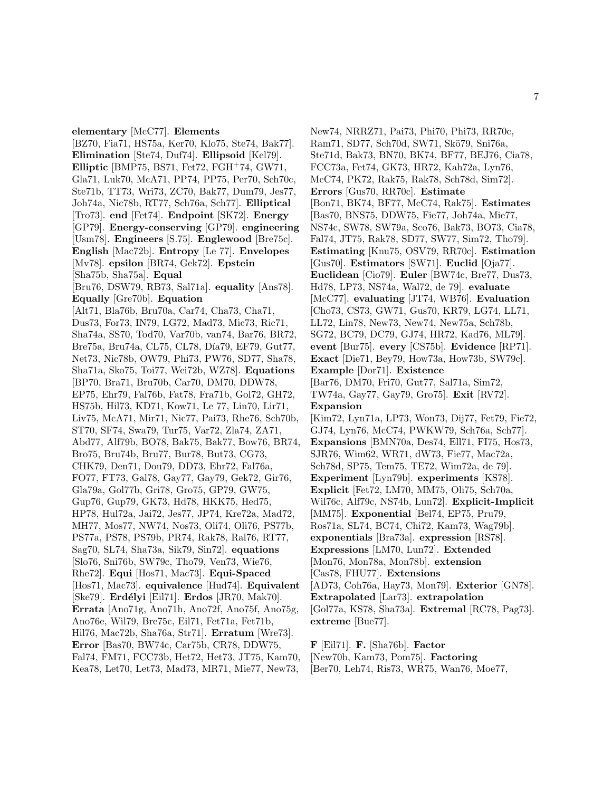**Elimination** [Ste74, Duf74]. **Ellipsoid** [Kel79]. **Elliptic** [BMP75, BS71, Fet72, FGH<sup>+</sup>74, GW71, Gla71, Luk70, McA71, PP74, PP75, Per70, Sch70c, Ste71b, TT73, Wri73, ZC70, Bak77, Dum79, Jes77, Joh74a, Nic78b, RT77, Sch76a, Sch77]. **Elliptical** [Tro73]. **end** [Fet74]. **Endpoint** [SK72]. **Energy** [GP79]. **Energy-conserving** [GP79]. **engineering** [Usm78]. **Engineers** [S.75]. **Englewood** [Bre75c]. **English** [Mac72b]. **Entropy** [Le 77]. **Envelopes** [Mv78]. **epsilon** [BR74, Gek72]. **Epstein** [Sha75b, Sha75a]. **Equal** [Bru76, DSW79, RB73, Sal71a]. **equality** [Ans78]. **Equally** [Gre70b]. **Equation** [Alt71, Bla76b, Bru70a, Car74, Cha73, Cha71, Dus73, For73, IN79, LG72, Mad73, Mic73, Ric71, Sha74a, SS70, Tod70, Var70b, van74, Bar76, BR72, Bre75a, Bru74a, CL75, CL78, Día79, EF79, Gut77, Net73, Nic78b, OW79, Phi73, PW76, SD77, Sha78, Sha71a, Sko75, Toi77, Wei72b, WZ78]. **Equations** [BP70, Bra71, Bru70b, Car70, DM70, DDW78, EP75, Ehr79, Fal76b, Fat78, Fra71b, Gol72, GH72, HS75b, Hil73, KD71, Kow71, Le 77, Lin70, Lir71, Liv75, McA71, Mir71, Nic77, Pai73, Rhe76, Sch70b, ST70, SF74, Swa79, Tur75, Var72, Zla74, ZA71, Abd77, Alf79b, BO78, Bak75, Bak77, Bow76, BR74, Bro75, Bru74b, Bru77, Bur78, But73, CG73, CHK79, Den71, Dou79, DD73, Ehr72, Fal76a, FO77, FT73, Gal78, Gay77, Gay79, Gek72, Gir76, Gla79a, Gol77b, Gri78, Gro75, GP79, GW75, Gup76, Gup79, GK73, Hd78, HKK75, Hed75, HP78, Hul72a, Jai72, Jes77, JP74, Kre72a, Mad72, MH77, Mos77, NW74, Nos73, Oli74, Oli76, PS77b, PS77a, PS78, PS79b, PR74, Rak78, Ral76, RT77, Sag70, SL74, Sha73a, Sik79, Sin72]. **equations** [Slo76, Sni76b, SW79c, Tho79, Ven73, Wie76, Rhe72]. **Equi** [Hos71, Mac73]. **Equi-Spaced** [Hos71, Mac73]. **equivalence** [Hud74]. **Equivalent** [Ske79]. **Erd´elyi** [Eil71]. **Erdos** [JR70, Mak70]. **Errata** [Ano71g, Ano71h, Ano72f, Ano75f, Ano75g, Ano76e, Wil79, Bre75c, Eil71, Fet71a, Fet71b, Hil76, Mac72b, Sha76a, Str71]. **Erratum** [Wre73]. **Error** [Bas70, BW74c, Car75b, CR78, DDW75, Fal74, FM71, FCC73b, Het72, Het73, JT75, Kam70, Kea78, Let70, Let73, Mad73, MR71, Mie77, New73,

**elementary** [McC77]. **Elements**

[BZ70, Fia71, HS75a, Ker70, Klo75, Ste74, Bak77].

New74, NRRZ71, Pai73, Phi70, Phi73, RR70c, Ram71, SD77, Sch70d, SW71, Skö79, Sni76a, Ste71d, Bak73, BN70, BK74, BF77, BEJ76, Cia78, FCC73a, Fet74, GK73, HR72, Kah72a, Lyn76, McC74, PK72, Rak75, Rak78, Sch78d, Sim72]. **Errors** [Gus70, RR70c]. **Estimate** [Bon71, BK74, BF77, McC74, Rak75]. **Estimates** [Bas70, BNS75, DDW75, Fie77, Joh74a, Mie77, NS74c, SW78, SW79a, Sco76, Bak73, BO73, Cia78, Fal74, JT75, Rak78, SD77, SW77, Sim72, Tho79]. **Estimating** [Knu75, OSV79, RR70c]. **Estimation** [Gus70]. **Estimators** [SW71]. **Euclid** [Oja77]. **Euclidean** [Cio79]. **Euler** [BW74c, Bre77, Dus73, Hd78, LP73, NS74a, Wal72, de 79]. **evaluate** [McC77]. **evaluating** [JT74, WB76]. **Evaluation** [Cho73, CS73, GW71, Gus70, KR79, LG74, LL71, LL72, Lin78, New73, New74, New75a, Sch78b, SG72, BC79, DC79, GJ74, HR72, Kad76, ML79]. **event** [Bur75]. **every** [CS75b]. **Evidence** [RP71]. **Exact** [Die71, Bey79, How73a, How73b, SW79c]. **Example** [Dor71]. **Existence** [Bar76, DM70, Fri70, Gut77, Sal71a, Sim72, TW74a, Gay77, Gay79, Gro75]. **Exit** [RV72]. **Expansion** [Kim72, Lyn71a, LP73, Won73, Dij77, Fet79, Fie72, GJ74, Lyn76, McC74, PWKW79, Sch76a, Sch77]. **Expansions** [BMN70a, Des74, Ell71, FI75, Hos73, SJR76, Wim62, WR71, dW73, Fie77, Mac72a, Sch78d, SP75, Tem75, TE72, Wim72a, de 79]. **Experiment** [Lyn79b]. **experiments** [KS78]. **Explicit** [Fet72, LM70, MM75, Oli75, Sch70a, Wil76c, Alf79c, NS74b, Lun72]. **Explicit-Implicit** [MM75]. **Exponential** [Bel74, EP75, Pru79, Ros71a, SL74, BC74, Chi72, Kam73, Wag79b]. **exponentials** [Bra73a]. **expression** [RS78]. **Expressions** [LM70, Lun72]. **Extended** [Mon76, Mon78a, Mon78b]. **extension** [Cas78, FHU77]. **Extensions** [AD73, Coh76a, Hay73, Mon79]. **Exterior** [GN78]. **Extrapolated** [Lar73]. **extrapolation** [Gol77a, KS78, Sha73a]. **Extremal** [RC78, Pag73]. **extreme** [Bue77].

**F** [Eil71]. **F.** [Sha76b]. **Factor** [New70b, Kam73, Pom75]. **Factoring** [Ber70, Leh74, Ris73, WR75, Wan76, Moe77,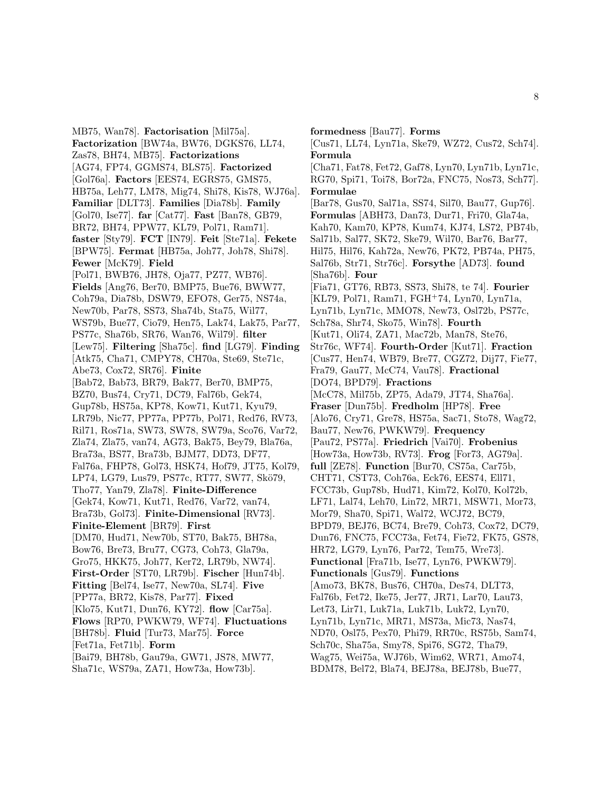MB75, Wan78]. **Factorisation** [Mil75a]. **Factorization** [BW74a, BW76, DGKS76, LL74, Zas78, BH74, MB75]. **Factorizations** [AG74, FP74, GGMS74, BLS75]. **Factorized** [Gol76a]. **Factors** [EES74, EGRS75, GMS75, HB75a, Leh77, LM78, Mig74, Shi78, Kis78, WJ76a]. **Familiar** [DLT73]. **Families** [Dia78b]. **Family** [Gol70, Ise77]. **far** [Cat77]. **Fast** [Ban78, GB79, BR72, BH74, PPW77, KL79, Pol71, Ram71]. **faster** [Sty79]. **FCT** [IN79]. **Feit** [Ste71a]. **Fekete** [BPW75]. **Fermat** [HB75a, Joh77, Joh78, Shi78]. **Fewer** [McK79]. **Field** [Pol71, BWB76, JH78, Oja77, PZ77, WB76]. **Fields** [Ang76, Ber70, BMP75, Bue76, BWW77, Coh79a, Dia78b, DSW79, EFO78, Ger75, NS74a, New70b, Par78, SS73, Sha74b, Sta75, Wil77, WS79b, Bue77, Cio79, Hen75, Lak74, Lak75, Par77, PS77c, Sha76b, SR76, Wan76, Wil79]. **filter** [Lew75]. **Filtering** [Sha75c]. **find** [LG79]. **Finding** [Atk75, Cha71, CMPY78, CH70a, Ste69, Ste71c, Abe73, Cox72, SR76]. **Finite** [Bab72, Bab73, BR79, Bak77, Ber70, BMP75, BZ70, Bus74, Cry71, DC79, Fal76b, Gek74, Gup78b, HS75a, KP78, Kow71, Kut71, Kyu79, LR79b, Nic77, PP77a, PP77b, Pol71, Red76, RV73, Ril71, Ros71a, SW73, SW78, SW79a, Sco76, Var72, Zla74, Zla75, van74, AG73, Bak75, Bey79, Bla76a, Bra73a, BS77, Bra73b, BJM77, DD73, DF77, Fal76a, FHP78, Gol73, HSK74, Hof79, JT75, Kol79, LP74, LG79, Lus79, PS77c, RT77, SW77, Skö79, Tho77, Yan79, Zla78]. **Finite-Difference** [Gek74, Kow71, Kut71, Red76, Var72, van74, Bra73b, Gol73]. **Finite-Dimensional** [RV73]. **Finite-Element** [BR79]. **First** [DM70, Hud71, New70b, ST70, Bak75, BH78a, Bow76, Bre73, Bru77, CG73, Coh73, Gla79a, Gro75, HKK75, Joh77, Ker72, LR79b, NW74]. **First-Order** [ST70, LR79b]. **Fischer** [Hun74b]. **Fitting** [Bel74, Ise77, New70a, SL74]. **Five** [PP77a, BR72, Kis78, Par77]. **Fixed** [Klo75, Kut71, Dun76, KY72]. **flow** [Car75a]. **Flows** [RP70, PWKW79, WF74]. **Fluctuations** [BH78b]. **Fluid** [Tur73, Mar75]. **Force** [Fet71a, Fet71b]. **Form** [Bai79, BH78b, Gau79a, GW71, JS78, MW77, Sha71c, WS79a, ZA71, How73a, How73b].

**formedness** [Bau77]. **Forms** [Cus71, LL74, Lyn71a, Ske79, WZ72, Cus72, Sch74]. **Formula** [Cha71, Fat78, Fet72, Gaf78, Lyn70, Lyn71b, Lyn71c, RG70, Spi71, Toi78, Bor72a, FNC75, Nos73, Sch77]. **Formulae** [Bar78, Gus70, Sal71a, SS74, Sil70, Bau77, Gup76]. **Formulas** [ABH73, Dan73, Dur71, Fri70, Gla74a, Kah70, Kam70, KP78, Kum74, KJ74, LS72, PB74b, Sal71b, Sal77, SK72, Ske79, Wil70, Bar76, Bar77, Hil75, Hil76, Kah72a, New76, PK72, PB74a, PH75, Sal76b, Str71, Str76c]. **Forsythe** [AD73]. **found** [Sha76b]. **Four** [Fia71, GT76, RB73, SS73, Shi78, te 74]. **Fourier** [KL79, Pol71, Ram71, FGH<sup>+</sup>74, Lyn70, Lyn71a, Lyn71b, Lyn71c, MMO78, New73, Osl72b, PS77c, Sch78a, Shr74, Sko75, Win78]. **Fourth** [Kut71, Oli74, ZA71, Mac72b, Man78, Ste76, Str76c, WF74]. **Fourth-Order** [Kut71]. **Fraction** [Cus77, Hen74, WB79, Bre77, CGZ72, Dij77, Fie77, Fra79, Gau77, McC74, Vau78]. **Fractional** [DO74, BPD79]. **Fractions** [McC78, Mil75b, ZP75, Ada79, JT74, Sha76a]. **Fraser** [Dun75b]. **Fredholm** [HP78]. **Free** [Alo76, Cry71, Gre78, HS75a, Sac71, Sto78, Wag72, Bau77, New76, PWKW79]. **Frequency** [Pau72, PS77a]. **Friedrich** [Vai70]. **Frobenius** [How73a, How73b, RV73]. **Frog** [For73, AG79a]. **full** [ZE78]. **Function** [Bur70, CS75a, Car75b, CHT71, CST73, Coh76a, Eck76, EES74, Ell71, FCC73b, Gup78b, Hud71, Kim72, Kol70, Kol72b, LF71, Lal74, Leh70, Lin72, MR71, MSW71, Mor73, Mor79, Sha70, Spi71, Wal72, WCJ72, BC79, BPD79, BEJ76, BC74, Bre79, Coh73, Cox72, DC79, Dun76, FNC75, FCC73a, Fet74, Fie72, FK75, GS78, HR72, LG79, Lyn76, Par72, Tem75, Wre73]. **Functional** [Fra71b, Ise77, Lyn76, PWKW79]. **Functionals** [Gus79]. **Functions** [Amo73, BK78, Bus76, CH70a, Des74, DLT73, Fal76b, Fet72, Ike75, Jer77, JR71, Lar70, Lau73, Let73, Lir71, Luk71a, Luk71b, Luk72, Lyn70, Lyn71b, Lyn71c, MR71, MS73a, Mic73, Nas74, ND70, Osl75, Pex70, Phi79, RR70c, RS75b, Sam74, Sch70c, Sha75a, Smy78, Spi76, SG72, Tha79, Wag75, Wei75a, WJ76b, Wim62, WR71, Amo74, BDM78, Bel72, Bla74, BEJ78a, BEJ78b, Bue77,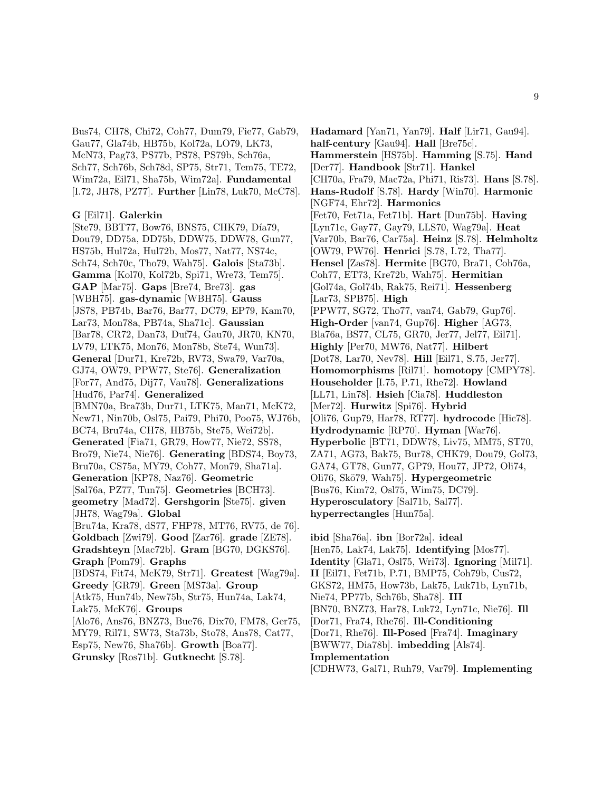Bus74, CH78, Chi72, Coh77, Dum79, Fie77, Gab79, Gau77, Gla74b, HB75b, Kol72a, LO79, LK73, McN73, Pag73, PS77b, PS78, PS79b, Sch76a, Sch77, Sch76b, Sch78d, SP75, Str71, Tem75, TE72, Wim72a, Eil71, Sha75b, Wim72a]. **Fundamental** [I.72, JH78, PZ77]. **Further** [Lin78, Luk70, McC78].

#### **G** [Eil71]. **Galerkin**

[Ste79, BBT77, Bow76, BNS75, CHK79, Día79, Dou79, DD75a, DD75b, DDW75, DDW78, Gun77, HS75b, Hul72a, Hul72b, Mos77, Nat77, NS74c, Sch74, Sch70c, Tho79, Wah75]. **Galois** [Sta73b]. **Gamma** [Kol70, Kol72b, Spi71, Wre73, Tem75]. **GAP** [Mar75]. **Gaps** [Bre74, Bre73]. **gas** [WBH75]. **gas-dynamic** [WBH75]. **Gauss** [JS78, PB74b, Bar76, Bar77, DC79, EP79, Kam70, Lar73, Mon78a, PB74a, Sha71c]. **Gaussian** [Bar78, CR72, Dan73, Duf74, Gau70, JR70, KN70, LV79, LTK75, Mon76, Mon78b, Ste74, Wun73]. **General** [Dur71, Kre72b, RV73, Swa79, Var70a, GJ74, OW79, PPW77, Ste76]. **Generalization** [For77, And75, Dij77, Vau78]. **Generalizations** [Hud76, Par74]. **Generalized** [BMN70a, Bra73b, Dur71, LTK75, Man71, McK72, New71, Nin70b, Osl75, Pai79, Phi70, Poo75, WJ76b, BC74, Bru74a, CH78, HB75b, Ste75, Wei72b]. **Generated** [Fia71, GR79, How77, Nie72, SS78, Bro79, Nie74, Nie76]. **Generating** [BDS74, Boy73, Bru70a, CS75a, MY79, Coh77, Mon79, Sha71a]. **Generation** [KP78, Naz76]. **Geometric** [Sal76a, PZ77, Tun75]. **Geometries** [BCH73]. **geometry** [Mad72]. **Gershgorin** [Ste75]. **given** [JH78, Wag79a]. **Global** [Bru74a, Kra78, dS77, FHP78, MT76, RV75, de 76]. **Goldbach** [Zwi79]. **Good** [Zar76]. **grade** [ZE78]. **Gradshteyn** [Mac72b]. **Gram** [BG70, DGKS76]. **Graph** [Pom79]. **Graphs** [BDS74, Fit74, McK79, Str71]. **Greatest** [Wag79a]. **Greedy** [GR79]. **Green** [MS73a]. **Group** [Atk75, Hun74b, New75b, Str75, Hun74a, Lak74, Lak75, McK76]. **Groups** [Alo76, Ans76, BNZ73, Bue76, Dix70, FM78, Ger75, MY79, Ril71, SW73, Sta73b, Sto78, Ans78, Cat77, Esp75, New76, Sha76b]. **Growth** [Boa77]. **Grunsky** [Ros71b]. **Gutknecht** [S.78].

**Hadamard** [Yan71, Yan79]. **Half** [Lir71, Gau94]. **half-century** [Gau94]. **Hall** [Bre75c]. **Hammerstein** [HS75b]. **Hamming** [S.75]. **Hand** [Der77]. **Handbook** [Str71]. **Hankel** [CH70a, Fra79, Mac72a, Phi71, Ris73]. **Hans** [S.78]. **Hans-Rudolf** [S.78]. **Hardy** [Win70]. **Harmonic** [NGF74, Ehr72]. **Harmonics** [Fet70, Fet71a, Fet71b]. **Hart** [Dun75b]. **Having** [Lyn71c, Gay77, Gay79, LLS70, Wag79a]. **Heat** [Var70b, Bar76, Car75a]. **Heinz** [S.78]. **Helmholtz** [OW79, PW76]. **Henrici** [S.78, I.72, Tha77]. **Hensel** [Zas78]. **Hermite** [BG70, Bra71, Coh76a, Coh77, ET73, Kre72b, Wah75]. **Hermitian** [Gol74a, Gol74b, Rak75, Rei71]. **Hessenberg** [Lar73, SPB75]. **High** [PPW77, SG72, Tho77, van74, Gab79, Gup76]. **High-Order** [van74, Gup76]. **Higher** [AG73, Bla76a, BS77, CL75, GR70, Jer77, Jel77, Eil71]. **Highly** [Per70, MW76, Nat77]. **Hilbert** [Dot78, Lar70, Nev78]. **Hill** [Eil71, S.75, Jer77]. **Homomorphisms** [Ril71]. **homotopy** [CMPY78]. **Householder** [I.75, P.71, Rhe72]. **Howland** [LL71, Lin78]. **Hsieh** [Cia78]. **Huddleston** [Mer72]. **Hurwitz** [Spi76]. **Hybrid** [Oli76, Gup79, Har78, RT77]. **hydrocode** [Hic78]. **Hydrodynamic** [RP70]. **Hyman** [War76]. **Hyperbolic** [BT71, DDW78, Liv75, MM75, ST70, ZA71, AG73, Bak75, Bur78, CHK79, Dou79, Gol73, GA74, GT78, Gun77, GP79, Hou77, JP72, Oli74, Oli76, Skö79, Wah75]. **Hypergeometric** [Bus76, Kim72, Osl75, Wim75, DC79]. **Hyperosculatory** [Sal71b, Sal77]. **hyperrectangles** [Hun75a].

**ibid** [Sha76a]. **ibn** [Bor72a]. **ideal** [Hen75, Lak74, Lak75]. **Identifying** [Mos77]. **Identity** [Gla71, Osl75, Wri73]. **Ignoring** [Mil71]. **II** [Eil71, Fet71b, P.71, BMP75, Coh79b, Cus72, GKS72, HM75, How73b, Lak75, Luk71b, Lyn71b, Nie74, PP77b, Sch76b, Sha78]. **III** [BN70, BNZ73, Har78, Luk72, Lyn71c, Nie76]. **Ill** [Dor71, Fra74, Rhe76]. **Ill-Conditioning** [Dor71, Rhe76]. **Ill-Posed** [Fra74]. **Imaginary** [BWW77, Dia78b]. **imbedding** [Als74]. **Implementation** [CDHW73, Gal71, Ruh79, Var79]. **Implementing**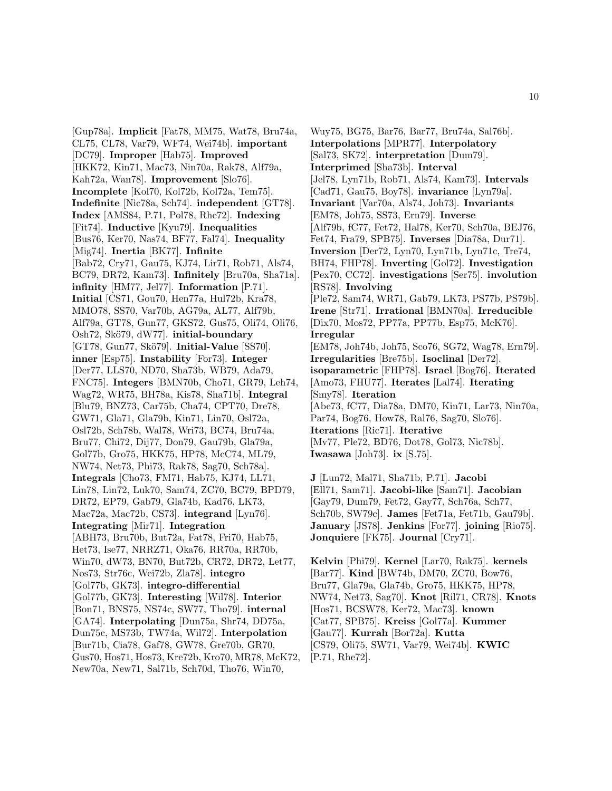[Gup78a]. **Implicit** [Fat78, MM75, Wat78, Bru74a, CL75, CL78, Var79, WF74, Wei74b]. **important** [DC79]. **Improper** [Hab75]. **Improved** [HKK72, Kin71, Mac73, Nin70a, Rak78, Alf79a, Kah72a, Wan78]. **Improvement** [Slo76]. **Incomplete** [Kol70, Kol72b, Kol72a, Tem75]. **Indefinite** [Nic78a, Sch74]. **independent** [GT78]. **Index** [AMS84, P.71, Pol78, Rhe72]. **Indexing** [Fit74]. **Inductive** [Kyu79]. **Inequalities** [Bus76, Ker70, Nas74, BF77, Fal74]. **Inequality** [Mig74]. **Inertia** [BK77]. **Infinite** [Bab72, Cry71, Gau75, KJ74, Lir71, Rob71, Als74, BC79, DR72, Kam73]. **Infinitely** [Bru70a, Sha71a]. **infinity** [HM77, Jel77]. **Information** [P.71]. **Initial** [CS71, Gou70, Hen77a, Hul72b, Kra78, MMO78, SS70, Var70b, AG79a, AL77, Alf79b, Alf79a, GT78, Gun77, GKS72, Gus75, Oli74, Oli76, Osh72, Skö79, dW77]. **initial-boundary** [GT78, Gun77, Skö79]. **Initial-Value** [SS70]. **inner** [Esp75]. **Instability** [For73]. **Integer** [Der77, LLS70, ND70, Sha73b, WB79, Ada79, FNC75]. **Integers** [BMN70b, Cho71, GR79, Leh74, Wag72, WR75, BH78a, Kis78, Sha71b]. **Integral** [Blu79, BNZ73, Car75b, Cha74, CPT70, Dre78, GW71, Gla71, Gla79b, Kin71, Lin70, Osl72a, Osl72b, Sch78b, Wal78, Wri73, BC74, Bru74a, Bru77, Chi72, Dij77, Don79, Gau79b, Gla79a, Gol77b, Gro75, HKK75, HP78, McC74, ML79, NW74, Net73, Phi73, Rak78, Sag70, Sch78a]. **Integrals** [Cho73, FM71, Hab75, KJ74, LL71, Lin78, Lin72, Luk70, Sam74, ZC70, BC79, BPD79, DR72, EP79, Gab79, Gla74b, Kad76, LK73, Mac72a, Mac72b, CS73]. **integrand** [Lyn76]. **Integrating** [Mir71]. **Integration** [ABH73, Bru70b, But72a, Fat78, Fri70, Hab75, Het73, Ise77, NRRZ71, Oka76, RR70a, RR70b, Win70, dW73, BN70, But72b, CR72, DR72, Let77, Nos73, Str76c, Wei72b, Zla78]. **integro** [Gol77b, GK73]. **integro-differential** [Gol77b, GK73]. **Interesting** [Wil78]. **Interior** [Bon71, BNS75, NS74c, SW77, Tho79]. **internal** [GA74]. **Interpolating** [Dun75a, Shr74, DD75a, Dun75c, MS73b, TW74a, Wil72]. **Interpolation** [Bur71b, Cia78, Gaf78, GW78, Gre70b, GR70, Gus70, Hos71, Hos73, Kre72b, Kro70, MR78, McK72, New70a, New71, Sal71b, Sch70d, Tho76, Win70,

Wuy75, BG75, Bar76, Bar77, Bru74a, Sal76b]. **Interpolations** [MPR77]. **Interpolatory** [Sal73, SK72]. **interpretation** [Dum79]. **Interprimed** [Sha73b]. **Interval** [Jel78, Lyn71b, Rob71, Als74, Kam73]. **Intervals** [Cad71, Gau75, Boy78]. **invariance** [Lyn79a]. **Invariant** [Var70a, Als74, Joh73]. **Invariants** [EM78, Joh75, SS73, Ern79]. **Inverse** [Alf79b, fC77, Fet72, Hal78, Ker70, Sch70a, BEJ76, Fet74, Fra79, SPB75]. **Inverses** [Dia78a, Dur71]. **Inversion** [Der72, Lyn70, Lyn71b, Lyn71c, Tre74, BH74, FHP78]. **Inverting** [Gol72]. **Investigation** [Pex70, CC72]. **investigations** [Ser75]. **involution** [RS78]. **Involving** [Ple72, Sam74, WR71, Gab79, LK73, PS77b, PS79b]. **Irene** [Str71]. **Irrational** [BMN70a]. **Irreducible** [Dix70, Mos72, PP77a, PP77b, Esp75, McK76]. **Irregular** [EM78, Joh74b, Joh75, Sco76, SG72, Wag78, Ern79]. **Irregularities** [Bre75b]. **Isoclinal** [Der72]. **isoparametric** [FHP78]. **Israel** [Bog76]. **Iterated** [Amo73, FHU77]. **Iterates** [Lal74]. **Iterating** [Smy78]. **Iteration** [Abe73, fC77, Dia78a, DM70, Kin71, Lar73, Nin70a, Par74, Bog76, How78, Ral76, Sag70, Slo76]. **Iterations** [Ric71]. **Iterative** [Mv77, Ple72, BD76, Dot78, Gol73, Nic78b]. **Iwasawa** [Joh73]. **ix** [S.75].

**J** [Lun72, Mal71, Sha71b, P.71]. **Jacobi** [Ell71, Sam71]. **Jacobi-like** [Sam71]. **Jacobian** [Gay79, Dum79, Fet72, Gay77, Sch76a, Sch77, Sch70b, SW79c]. **James** [Fet71a, Fet71b, Gau79b]. **January** [JS78]. **Jenkins** [For77]. **joining** [Rio75]. **Jonquiere** [FK75]. **Journal** [Cry71].

**Kelvin** [Phi79]. **Kernel** [Lar70, Rak75]. **kernels** [Bar77]. **Kind** [BW74b, DM70, ZC70, Bow76, Bru77, Gla79a, Gla74b, Gro75, HKK75, HP78, NW74, Net73, Sag70]. **Knot** [Ril71, CR78]. **Knots** [Hos71, BCSW78, Ker72, Mac73]. **known** [Cat77, SPB75]. **Kreiss** [Gol77a]. **Kummer** [Gau77]. **Kurrah** [Bor72a]. **Kutta** [CS79, Oli75, SW71, Var79, Wei74b]. **KWIC** [P.71, Rhe72].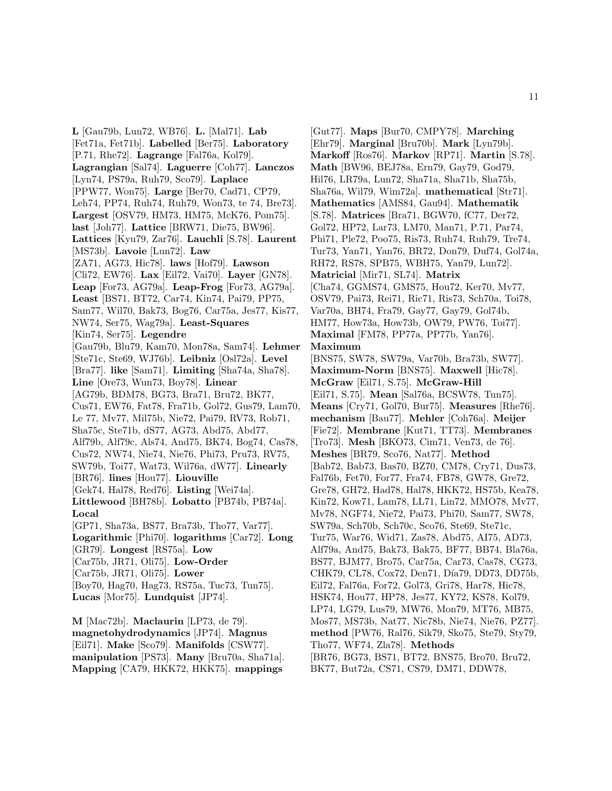**L** [Gau79b, Lun72, WB76]. **L.** [Mal71]. **Lab** [Fet71a, Fet71b]. **Labelled** [Ber75]. **Laboratory** [P.71, Rhe72]. **Lagrange** [Fal76a, Kol79]. **Lagrangian** [Sal74]. **Laguerre** [Coh77]. **Lanczos** [Lyn74, PS79a, Ruh79, Sco79]. **Laplace** [PPW77, Won75]. **Large** [Ber70, Cad71, CP79, Leh74, PP74, Ruh74, Ruh79, Won73, te 74, Bre73]. **Largest** [OSV79, HM73, HM75, McK76, Pom75]. **last** [Joh77]. **Lattice** [BRW71, Die75, BW96]. **Lattices** [Kyu79, Zar76]. **Lauchli** [S.78]. **Laurent** [MS73b]. **Lavoie** [Lun72]. **Law** [ZA71, AG73, Hic78]. **laws** [Hof79]. **Lawson** [Cli72, EW76]. **Lax** [Eil72, Vai70]. **Layer** [GN78]. **Leap** [For73, AG79a]. **Leap-Frog** [For73, AG79a]. **Least** [BS71, BT72, Car74, Kin74, Pai79, PP75, Sam77, Wil70, Bak73, Bog76, Car75a, Jes77, Kis77, NW74, Ser75, Wag79a]. **Least-Squares** [Kin74, Ser75]. **Legendre** [Gau79b, Blu79, Kam70, Mon78a, Sam74]. **Lehmer** [Ste71c, Ste69, WJ76b]. **Leibniz** [Osl72a]. **Level** [Bra77]. **like** [Sam71]. **Limiting** [Sha74a, Sha78]. **Line** [Ore73, Wun73, Boy78]. **Linear** [AG79b, BDM78, BG73, Bra71, Bru72, BK77, Cus71, EW76, Fat78, Fra71b, Gol72, Gus79, Lam70, Le 77, Mv77, Mil75b, Nie72, Pai79, RV73, Rob71, Sha75c, Ste71b, dS77, AG73, Abd75, Abd77, Alf79b, Alf79c, Als74, And75, BK74, Bog74, Cas78, Cus72, NW74, Nie74, Nie76, Phi73, Pru73, RV75, SW79b, Toi77, Wat73, Wil76a, dW77]. **Linearly** [BR76]. **lines** [Hou77]. **Liouville** [Gek74, Hal78, Red76]. **Listing** [Wei74a]. **Littlewood** [BH78b]. **Lobatto** [PB74b, PB74a]. **Local** [GP71, Sha73a, BS77, Bra73b, Tho77, Var77]. **Logarithmic** [Phi70]. **logarithms** [Car72]. **Long** [GR79]. **Longest** [RS75a]. **Low** [Car75b, JR71, Oli75]. **Low-Order** [Car75b, JR71, Oli75]. **Lower** [Boy70, Hag70, Hag73, RS75a, Tuc73, Tun75]. **Lucas** [Mor75]. **Lundquist** [JP74]. **M** [Mac72b]. **Maclaurin** [LP73, de 79].

**magnetohydrodynamics** [JP74]. **Magnus** [Eil71]. **Make** [Sco79]. **Manifolds** [CSW77]. **manipulation** [PS73]. **Many** [Bru70a, Sha71a]. **Mapping** [CA79, HKK72, HKK75]. **mappings**

[Gut77]. **Maps** [Bur70, CMPY78]. **Marching** [Ehr79]. **Marginal** [Bru70b]. **Mark** [Lyn79b]. **Markoff** [Ros76]. **Markov** [RP71]. **Martin** [S.78]. **Math** [BW96, BEJ78a, Ern79, Gay79, God79, Hil76, LR79a, Lun72, Sha71a, Sha71b, Sha75b, Sha76a, Wil79, Wim72a]. **mathematical** [Str71]. **Mathematics** [AMS84, Gau94]. **Mathematik** [S.78]. **Matrices** [Bra71, BGW70, fC77, Der72, Gol72, HP72, Lar73, LM70, Man71, P.71, Par74, Phi71, Ple72, Poo75, Ris73, Ruh74, Ruh79, Tre74, Tur73, Yan71, Yan76, BR72, Don79, Duf74, Gol74a, RH72, RS78, SPB75, WBH75, Yan79, Lun72]. **Matricial** [Mir71, SL74]. **Matrix** [Cha74, GGMS74, GMS75, Hou72, Ker70, Mv77, OSV79, Pai73, Rei71, Ric71, Ris73, Sch70a, Toi78, Var70a, BH74, Fra79, Gay77, Gay79, Gol74b, HM77, How73a, How73b, OW79, PW76, Toi77]. **Maximal** [FM78, PP77a, PP77b, Yan76]. **Maximum** [BNS75, SW78, SW79a, Var70b, Bra73b, SW77]. **Maximum-Norm** [BNS75]. **Maxwell** [Hic78]. **McGraw** [Eil71, S.75]. **McGraw-Hill** [Eil71, S.75]. **Mean** [Sal76a, BCSW78, Tun75]. **Means** [Cry71, Gol70, Bur75]. **Measures** [Rhe76]. **mechanism** [Bau77]. **Mehler** [Coh76a]. **Meijer** [Fie72]. **Membrane** [Kut71, TT73]. **Membranes** [Tro73]. **Mesh** [BKO73, Cim71, Ven73, de 76]. **Meshes** [BR79, Sco76, Nat77]. **Method** [Bab72, Bab73, Bas70, BZ70, CM78, Cry71, Dus73, Fal76b, Fet70, For77, Fra74, FB78, GW78, Gre72, Gre78, GH72, Had78, Hal78, HKK72, HS75b, Kea78, Kin72, Kow71, Lam78, LL71, Lin72, MMO78, Mv77, Mv78, NGF74, Nie72, Pai73, Phi70, Sam77, SW78, SW79a, Sch70b, Sch70c, Sco76, Ste69, Ste71c, Tur75, War76, Wid71, Zas78, Abd75, AI75, AD73, Alf79a, And75, Bak73, Bak75, BF77, BB74, Bla76a, BS77, BJM77, Bro75, Car75a, Car73, Cas78, CG73, CHK79, CL78, Cox72, Den71, Día79, DD73, DD75b, Eil72, Fal76a, For72, Gol73, Gri78, Har78, Hic78, HSK74, Hou77, HP78, Jes77, KY72, KS78, Kol79, LP74, LG79, Lus79, MW76, Mon79, MT76, MB75, Mos77, MS73b, Nat77, Nic78b, Nie74, Nie76, PZ77]. **method** [PW76, Ral76, Sik79, Sko75, Ste79, Sty79, Tho77, WF74, Zla78]. **Methods** [BR76, BG73, BS71, BT72, BNS75, Bro70, Bru72, BK77, But72a, CS71, CS79, DM71, DDW78,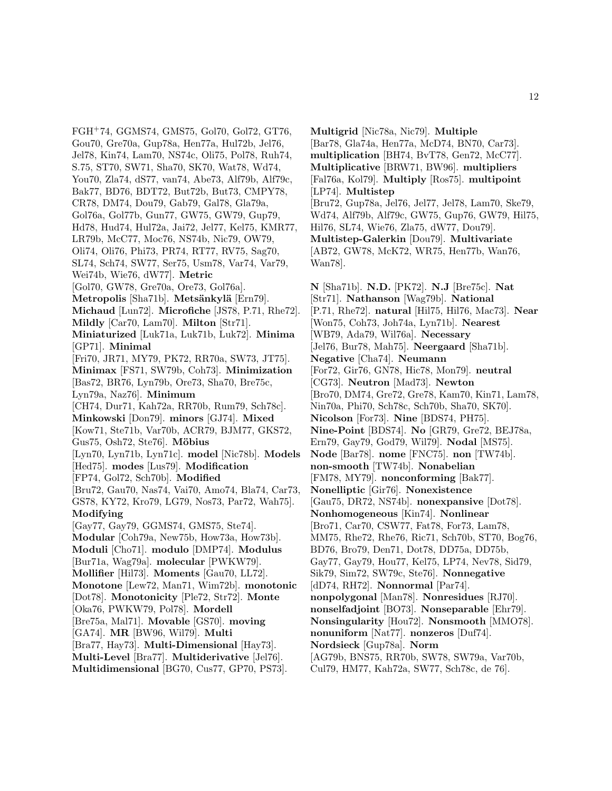FGH<sup>+</sup>74, GGMS74, GMS75, Gol70, Gol72, GT76, Gou70, Gre70a, Gup78a, Hen77a, Hul72b, Jel76, Jel78, Kin74, Lam70, NS74c, Oli75, Pol78, Ruh74, S.75, ST70, SW71, Sha70, SK70, Wat78, Wd74, You70, Zla74, dS77, van74, Abe73, Alf79b, Alf79c, Bak77, BD76, BDT72, But72b, But73, CMPY78, CR78, DM74, Dou79, Gab79, Gal78, Gla79a, Gol76a, Gol77b, Gun77, GW75, GW79, Gup79, Hd78, Hud74, Hul72a, Jai72, Jel77, Kel75, KMR77, LR79b, McC77, Moc76, NS74b, Nic79, OW79, Oli74, Oli76, Phi73, PR74, RT77, RV75, Sag70, SL74, Sch74, SW77, Ser75, Usm78, Var74, Var79, Wei74b, Wie76, dW77]. **Metric** [Gol70, GW78, Gre70a, Ore73, Gol76a]. **Metropolis** [Sha71b]. **Metsänkylä** [Ern79]. **Michaud** [Lun72]. **Microfiche** [JS78, P.71, Rhe72]. **Mildly** [Car70, Lam70]. **Milton** [Str71]. **Miniaturized** [Luk71a, Luk71b, Luk72]. **Minima** [GP71]. **Minimal** [Fri70, JR71, MY79, PK72, RR70a, SW73, JT75]. **Minimax** [FS71, SW79b, Coh73]. **Minimization** [Bas72, BR76, Lyn79b, Ore73, Sha70, Bre75c, Lyn79a, Naz76]. **Minimum** [CH74, Dur71, Kah72a, RR70b, Rum79, Sch78c]. **Minkowski** [Don79]. **minors** [GJ74]. **Mixed** [Kow71, Ste71b, Var70b, ACR79, BJM77, GKS72, Gus75, Osh72, Ste76. Möbius [Lyn70, Lyn71b, Lyn71c]. **model** [Nic78b]. **Models** [Hed75]. **modes** [Lus79]. **Modification** [FP74, Gol72, Sch70b]. **Modified** [Bru72, Gau70, Nas74, Vai70, Amo74, Bla74, Car73, GS78, KY72, Kro79, LG79, Nos73, Par72, Wah75]. **Modifying** [Gay77, Gay79, GGMS74, GMS75, Ste74]. **Modular** [Coh79a, New75b, How73a, How73b]. **Moduli** [Cho71]. **modulo** [DMP74]. **Modulus** [Bur71a, Wag79a]. **molecular** [PWKW79]. **Mollifier** [Hil73]. **Moments** [Gau70, LL72]. **Monotone** [Lew72, Man71, Wim72b]. **monotonic** [Dot78]. **Monotonicity** [Ple72, Str72]. **Monte** [Oka76, PWKW79, Pol78]. **Mordell** [Bre75a, Mal71]. **Movable** [GS70]. **moving** [GA74]. **MR** [BW96, Wil79]. **Multi** [Bra77, Hay73]. **Multi-Dimensional** [Hay73]. **Multi-Level** [Bra77]. **Multiderivative** [Jel76].

**Multidimensional** [BG70, Cus77, GP70, PS73].

**Multigrid** [Nic78a, Nic79]. **Multiple** [Bar78, Gla74a, Hen77a, McD74, BN70, Car73]. **multiplication** [BH74, BvT78, Gen72, McC77]. **Multiplicative** [BRW71, BW96]. **multipliers** [Fal76a, Kol79]. **Multiply** [Ros75]. **multipoint** [LP74]. **Multistep** [Bru72, Gup78a, Jel76, Jel77, Jel78, Lam70, Ske79, Wd74, Alf79b, Alf79c, GW75, Gup76, GW79, Hil75, Hil76, SL74, Wie76, Zla75, dW77, Dou79]. **Multistep-Galerkin** [Dou79]. **Multivariate**

[AB72, GW78, McK72, WR75, Hen77b, Wan76, Wan78].

**N** [Sha71b]. **N.D.** [PK72]. **N.J** [Bre75c]. **Nat** [Str71]. **Nathanson** [Wag79b]. **National** [P.71, Rhe72]. **natural** [Hil75, Hil76, Mac73]. **Near** [Won75, Coh73, Joh74a, Lyn71b]. **Nearest** [WB79, Ada79, Wil76a]. **Necessary** [Jel76, Bur78, Mah75]. **Neergaard** [Sha71b]. **Negative** [Cha74]. **Neumann** [For72, Gir76, GN78, Hic78, Mon79]. **neutral** [CG73]. **Neutron** [Mad73]. **Newton** [Bro70, DM74, Gre72, Gre78, Kam70, Kin71, Lam78, Nin70a, Phi70, Sch78c, Sch70b, Sha70, SK70]. **Nicolson** [For73]. **Nine** [BDS74, PH75]. **Nine-Point** [BDS74]. **No** [GR79, Gre72, BEJ78a, Ern79, Gay79, God79, Wil79]. **Nodal** [MS75]. **Node** [Bar78]. **nome** [FNC75]. **non** [TW74b]. **non-smooth** [TW74b]. **Nonabelian** [FM78, MY79]. **nonconforming** [Bak77]. **Nonelliptic** [Gir76]. **Nonexistence** [Gau75, DR72, NS74b]. **nonexpansive** [Dot78]. **Nonhomogeneous** [Kin74]. **Nonlinear** [Bro71, Car70, CSW77, Fat78, For73, Lam78, MM75, Rhe72, Rhe76, Ric71, Sch70b, ST70, Bog76, BD76, Bro79, Den71, Dot78, DD75a, DD75b, Gay77, Gay79, Hou77, Kel75, LP74, Nev78, Sid79, Sik79, Sim72, SW79c, Ste76]. **Nonnegative** [dD74, RH72]. **Nonnormal** [Par74]. **nonpolygonal** [Man78]. **Nonresidues** [RJ70]. **nonselfadjoint** [BO73]. **Nonseparable** [Ehr79]. **Nonsingularity** [Hou72]. **Nonsmooth** [MMO78]. **nonuniform** [Nat77]. **nonzeros** [Duf74]. **Nordsieck** [Gup78a]. **Norm** [AG79b, BNS75, RR70b, SW78, SW79a, Var70b, Cul79, HM77, Kah72a, SW77, Sch78c, de 76].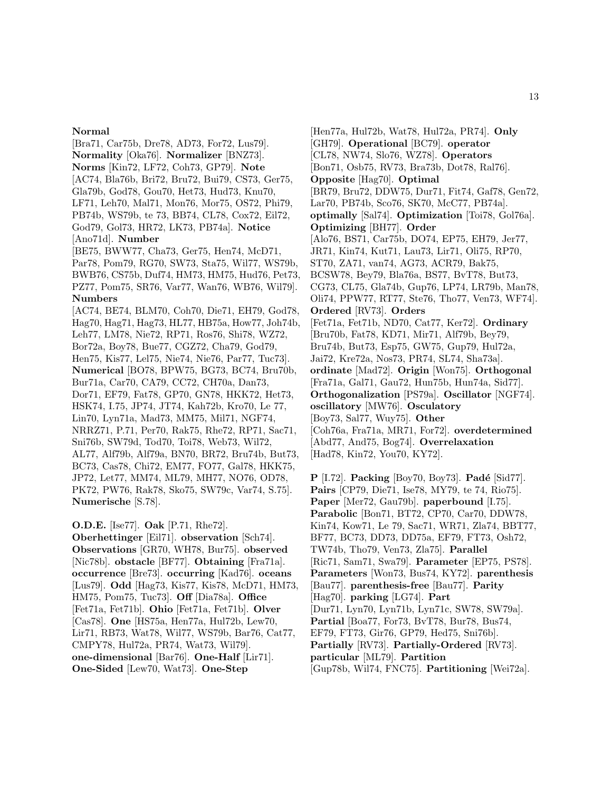#### **Normal**

[Bra71, Car75b, Dre78, AD73, For72, Lus79]. **Normality** [Oka76]. **Normalizer** [BNZ73]. **Norms** [Kin72, LF72, Coh73, GP79]. **Note** [AC74, Bla76b, Bri72, Bru72, Bui79, CS73, Ger75, Gla79b, God78, Gou70, Het73, Hud73, Knu70, LF71, Leh70, Mal71, Mon76, Mor75, OS72, Phi79, PB74b, WS79b, te 73, BB74, CL78, Cox72, Eil72, God79, Gol73, HR72, LK73, PB74a]. **Notice** [Ano71d]. **Number** [BE75, BWW77, Cha73, Ger75, Hen74, McD71, Par78, Pom79, RG70, SW73, Sta75, Wil77, WS79b, BWB76, CS75b, Duf74, HM73, HM75, Hud76, Pet73, PZ77, Pom75, SR76, Var77, Wan76, WB76, Wil79]. **Numbers** [AC74, BE74, BLM70, Coh70, Die71, EH79, God78, Hag70, Hag71, Hag73, HL77, HB75a, How77, Joh74b, Leh77, LM78, Nie72, RP71, Ros76, Shi78, WZ72, Bor72a, Boy78, Bue77, CGZ72, Cha79, God79, Hen75, Kis77, Lel75, Nie74, Nie76, Par77, Tuc73]. **Numerical** [BO78, BPW75, BG73, BC74, Bru70b, Bur71a, Car70, CA79, CC72, CH70a, Dan73, Dor71, EF79, Fat78, GP70, GN78, HKK72, Het73, HSK74, I.75, JP74, JT74, Kah72b, Kro70, Le 77, Lin70, Lyn71a, Mad73, MM75, Mil71, NGF74, NRRZ71, P.71, Per70, Rak75, Rhe72, RP71, Sac71, Sni76b, SW79d, Tod70, Toi78, Web73, Wil72, AL77, Alf79b, Alf79a, BN70, BR72, Bru74b, But73, BC73, Cas78, Chi72, EM77, FO77, Gal78, HKK75, JP72, Let77, MM74, ML79, MH77, NO76, OD78, PK72, PW76, Rak78, Sko75, SW79c, Var74, S.75]. **Numerische** [S.78].

**O.D.E.** [Ise77]. **Oak** [P.71, Rhe72].

**Oberhettinger** [Eil71]. **observation** [Sch74]. **Observations** [GR70, WH78, Bur75]. **observed** [Nic78b]. **obstacle** [BF77]. **Obtaining** [Fra71a]. **occurrence** [Bre73]. **occurring** [Kad76]. **oceans** [Lus79]. **Odd** [Hag73, Kis77, Kis78, McD71, HM73, HM75, Pom75, Tuc73]. **Off** [Dia78a]. **Office** [Fet71a, Fet71b]. **Ohio** [Fet71a, Fet71b]. **Olver** [Cas78]. **One** [HS75a, Hen77a, Hul72b, Lew70, Lir71, RB73, Wat78, Wil77, WS79b, Bar76, Cat77, CMPY78, Hul72a, PR74, Wat73, Wil79]. **one-dimensional** [Bar76]. **One-Half** [Lir71]. **One-Sided** [Lew70, Wat73]. **One-Step**

[Hen77a, Hul72b, Wat78, Hul72a, PR74]. **Only** [GH79]. **Operational** [BC79]. **operator** [CL78, NW74, Slo76, WZ78]. **Operators** [Bon71, Osb75, RV73, Bra73b, Dot78, Ral76]. **Opposite** [Hag70]. **Optimal** [BR79, Bru72, DDW75, Dur71, Fit74, Gaf78, Gen72, Lar70, PB74b, Sco76, SK70, McC77, PB74a]. **optimally** [Sal74]. **Optimization** [Toi78, Gol76a]. **Optimizing** [BH77]. **Order** [Alo76, BS71, Car75b, DO74, EP75, EH79, Jer77, JR71, Kin74, Kut71, Lau73, Lir71, Oli75, RP70, ST70, ZA71, van74, AG73, ACR79, Bak75, BCSW78, Bey79, Bla76a, BS77, BvT78, But73, CG73, CL75, Gla74b, Gup76, LP74, LR79b, Man78, Oli74, PPW77, RT77, Ste76, Tho77, Ven73, WF74]. **Ordered** [RV73]. **Orders** [Fet71a, Fet71b, ND70, Cat77, Ker72]. **Ordinary** [Bru70b, Fat78, KD71, Mir71, Alf79b, Bey79, Bru74b, But73, Esp75, GW75, Gup79, Hul72a, Jai72, Kre72a, Nos73, PR74, SL74, Sha73a]. **ordinate** [Mad72]. **Origin** [Won75]. **Orthogonal** [Fra71a, Gal71, Gau72, Hun75b, Hun74a, Sid77]. **Orthogonalization** [PS79a]. **Oscillator** [NGF74]. **oscillatory** [MW76]. **Osculatory** [Boy73, Sal77, Wuy75]. **Other** [Coh76a, Fra71a, MR71, For72]. **overdetermined** [Abd77, And75, Bog74]. **Overrelaxation** [Had78, Kin72, You70, KY72].

**P** [I.72]. **Packing** [Boy70, Boy73]. **Padé** [Sid77]. **Pairs** [CP79, Die71, Ise78, MY79, te 74, Rio75]. **Paper** [Mer72, Gau79b]. **paperbound** [I.75]. **Parabolic** [Bon71, BT72, CP70, Car70, DDW78, Kin74, Kow71, Le 79, Sac71, WR71, Zla74, BBT77, BF77, BC73, DD73, DD75a, EF79, FT73, Osh72, TW74b, Tho79, Ven73, Zla75]. **Parallel** [Ric71, Sam71, Swa79]. **Parameter** [EP75, PS78]. **Parameters** [Won73, Bus74, KY72]. **parenthesis** [Bau77]. **parenthesis-free** [Bau77]. **Parity** [Hag70]. **parking** [LG74]. **Part** [Dur71, Lyn70, Lyn71b, Lyn71c, SW78, SW79a]. **Partial** [Boa77, For73, BvT78, Bur78, Bus74, EF79, FT73, Gir76, GP79, Hed75, Sni76b]. **Partially** [RV73]. **Partially-Ordered** [RV73]. **particular** [ML79]. **Partition** [Gup78b, Wil74, FNC75]. **Partitioning** [Wei72a].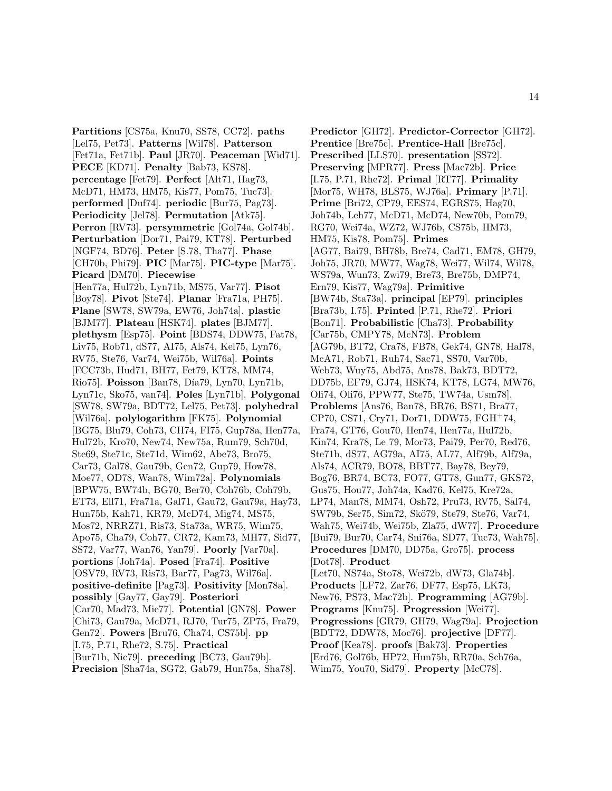**Partitions** [CS75a, Knu70, SS78, CC72]. **paths** [Lel75, Pet73]. **Patterns** [Wil78]. **Patterson** [Fet71a, Fet71b]. **Paul** [JR70]. **Peaceman** [Wid71]. **PECE** [KD71]. **Penalty** [Bab73, KS78]. **percentage** [Fet79]. **Perfect** [Alt71, Hag73, McD71, HM73, HM75, Kis77, Pom75, Tuc73]. **performed** [Duf74]. **periodic** [Bur75, Pag73]. **Periodicity** [Jel78]. **Permutation** [Atk75]. **Perron** [RV73]. **persymmetric** [Gol74a, Gol74b]. **Perturbation** [Dor71, Pai79, KT78]. **Perturbed** [NGF74, BD76]. **Peter** [S.78, Tha77]. **Phase** [CH70b, Phi79]. **PIC** [Mar75]. **PIC-type** [Mar75]. **Picard** [DM70]. **Piecewise** [Hen77a, Hul72b, Lyn71b, MS75, Var77]. **Pisot** [Boy78]. **Pivot** [Ste74]. **Planar** [Fra71a, PH75]. **Plane** [SW78, SW79a, EW76, Joh74a]. **plastic** [BJM77]. **Plateau** [HSK74]. **plates** [BJM77]. **plethysm** [Esp75]. **Point** [BDS74, DDW75, Fat78, Liv75, Rob71, dS77, AI75, Als74, Kel75, Lyn76, RV75, Ste76, Var74, Wei75b, Wil76a]. **Points** [FCC73b, Hud71, BH77, Fet79, KT78, MM74, Rio75]. **Poisson** [Ban78, Día79, Lyn70, Lyn71b, Lyn71c, Sko75, van74]. **Poles** [Lyn71b]. **Polygonal** [SW78, SW79a, BDT72, Lel75, Pet73]. **polyhedral** [Wil76a]. **polylogarithm** [FK75]. **Polynomial** [BG75, Blu79, Coh73, CH74, FI75, Gup78a, Hen77a, Hul72b, Kro70, New74, New75a, Rum79, Sch70d, Ste69, Ste71c, Ste71d, Wim62, Abe73, Bro75, Car73, Gal78, Gau79b, Gen72, Gup79, How78, Moe77, OD78, Wan78, Wim72a]. **Polynomials** [BPW75, BW74b, BG70, Ber70, Coh76b, Coh79b, ET73, Ell71, Fra71a, Gal71, Gau72, Gau79a, Hay73, Hun75b, Kah71, KR79, McD74, Mig74, MS75, Mos72, NRRZ71, Ris73, Sta73a, WR75, Wim75, Apo75, Cha79, Coh77, CR72, Kam73, MH77, Sid77, SS72, Var77, Wan76, Yan79]. **Poorly** [Var70a]. **portions** [Joh74a]. **Posed** [Fra74]. **Positive** [OSV79, RV73, Ris73, Bar77, Pag73, Wil76a]. **positive-definite** [Pag73]. **Positivity** [Mon78a]. **possibly** [Gay77, Gay79]. **Posteriori** [Car70, Mad73, Mie77]. **Potential** [GN78]. **Power** [Chi73, Gau79a, McD71, RJ70, Tur75, ZP75, Fra79, Gen72]. **Powers** [Bru76, Cha74, CS75b]. **pp** [I.75, P.71, Rhe72, S.75]. **Practical** [Bur71b, Nic79]. **preceding** [BC73, Gau79b]. **Precision** [Sha74a, SG72, Gab79, Hun75a, Sha78].

**Predictor** [GH72]. **Predictor-Corrector** [GH72]. **Prentice** [Bre75c]. **Prentice-Hall** [Bre75c]. **Prescribed** [LLS70]. **presentation** [SS72]. **Preserving** [MPR77]. **Press** [Mac72b]. **Price** [I.75, P.71, Rhe72]. **Primal** [RT77]. **Primality** [Mor75, WH78, BLS75, WJ76a]. **Primary** [P.71]. **Prime** [Bri72, CP79, EES74, EGRS75, Hag70, Joh74b, Leh77, McD71, McD74, New70b, Pom79, RG70, Wei74a, WZ72, WJ76b, CS75b, HM73, HM75, Kis78, Pom75]. **Primes** [AG77, Bai79, BH78b, Bre74, Cad71, EM78, GH79, Joh75, JR70, MW77, Wag78, Wei77, Wil74, Wil78, WS79a, Wun73, Zwi79, Bre73, Bre75b, DMP74, Ern79, Kis77, Wag79a]. **Primitive** [BW74b, Sta73a]. **principal** [EP79]. **principles** [Bra73b, I.75]. **Printed** [P.71, Rhe72]. **Priori** [Bon71]. **Probabilistic** [Cha73]. **Probability** [Car75b, CMPY78, McN73]. **Problem** [AG79b, BT72, Cra78, FB78, Gek74, GN78, Hal78, McA71, Rob71, Ruh74, Sac71, SS70, Var70b, Web73, Wuy75, Abd75, Ans78, Bak73, BDT72, DD75b, EF79, GJ74, HSK74, KT78, LG74, MW76, Oli74, Oli76, PPW77, Ste75, TW74a, Usm78]. **Problems** [Ans76, Ban78, BR76, BS71, Bra77, CP70, CS71, Cry71, Dor71, DDW75, FGH<sup>+</sup>74, Fra74, GT76, Gou70, Hen74, Hen77a, Hul72b, Kin74, Kra78, Le 79, Mor73, Pai79, Per70, Red76, Ste71b, dS77, AG79a, AI75, AL77, Alf79b, Alf79a, Als74, ACR79, BO78, BBT77, Bay78, Bey79, Bog76, BR74, BC73, FO77, GT78, Gun77, GKS72, Gus75, Hou77, Joh74a, Kad76, Kel75, Kre72a, LP74, Man78, MM74, Osh72, Pru73, RV75, Sal74, SW79b, Ser75, Sim72, Skö79, Ste79, Ste76, Var74, Wah75, Wei74b, Wei75b, Zla75, dW77]. **Procedure** [Bui79, Bur70, Car74, Sni76a, SD77, Tuc73, Wah75]. **Procedures** [DM70, DD75a, Gro75]. **process** [Dot78]. **Product** [Let70, NS74a, Sto78, Wei72b, dW73, Gla74b]. **Products** [LF72, Zar76, DF77, Esp75, LK73, New76, PS73, Mac72b]. **Programming** [AG79b]. **Programs** [Knu75]. **Progression** [Wei77]. **Progressions** [GR79, GH79, Wag79a]. **Projection** [BDT72, DDW78, Moc76]. **projective** [DF77]. **Proof** [Kea78]. **proofs** [Bak73]. **Properties** [Erd76, Gol76b, HP72, Hun75b, RR70a, Sch76a,

Wim75, You70, Sid79]. **Property** [McC78].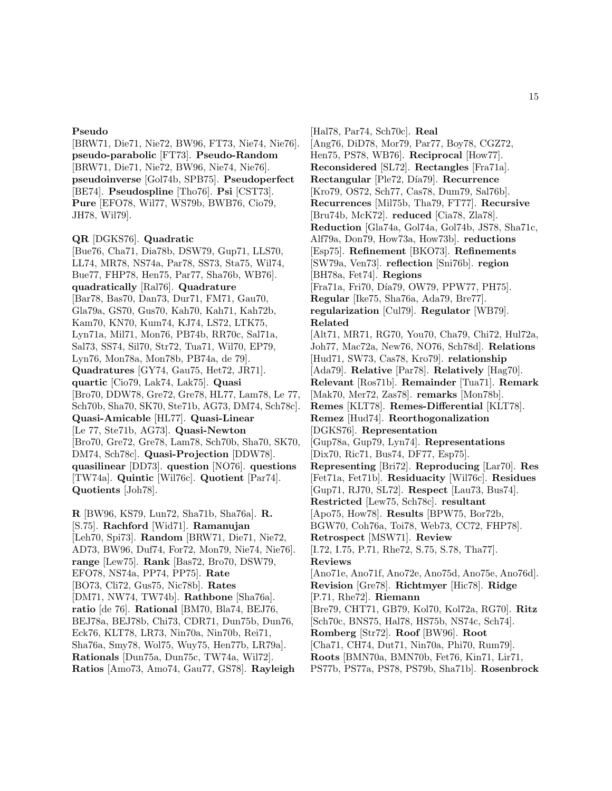#### **Pseudo**

[BRW71, Die71, Nie72, BW96, FT73, Nie74, Nie76]. **pseudo-parabolic** [FT73]. **Pseudo-Random** [BRW71, Die71, Nie72, BW96, Nie74, Nie76]. **pseudoinverse** [Gol74b, SPB75]. **Pseudoperfect** [BE74]. **Pseudospline** [Tho76]. **Psi** [CST73]. **Pure** [EFO78, Wil77, WS79b, BWB76, Cio79, JH78, Wil79].

#### **QR** [DGKS76]. **Quadratic**

[Bue76, Cha71, Dia78b, DSW79, Gup71, LLS70, LL74, MR78, NS74a, Par78, SS73, Sta75, Wil74, Bue77, FHP78, Hen75, Par77, Sha76b, WB76]. **quadratically** [Ral76]. **Quadrature** [Bar78, Bas70, Dan73, Dur71, FM71, Gau70, Gla79a, GS70, Gus70, Kah70, Kah71, Kah72b, Kam70, KN70, Kum74, KJ74, LS72, LTK75, Lyn71a, Mil71, Mon76, PB74b, RR70c, Sal71a, Sal73, SS74, Sil70, Str72, Tua71, Wil70, EP79, Lyn76, Mon78a, Mon78b, PB74a, de 79]. **Quadratures** [GY74, Gau75, Het72, JR71]. **quartic** [Cio79, Lak74, Lak75]. **Quasi** [Bro70, DDW78, Gre72, Gre78, HL77, Lam78, Le 77, Sch70b, Sha70, SK70, Ste71b, AG73, DM74, Sch78c]. **Quasi-Amicable** [HL77]. **Quasi-Linear** [Le 77, Ste71b, AG73]. **Quasi-Newton** [Bro70, Gre72, Gre78, Lam78, Sch70b, Sha70, SK70, DM74, Sch78c]. **Quasi-Projection** [DDW78]. **quasilinear** [DD73]. **question** [NO76]. **questions** [TW74a]. **Quintic** [Wil76c]. **Quotient** [Par74]. **Quotients** [Joh78].

**R** [BW96, KS79, Lun72, Sha71b, Sha76a]. **R.** [S.75]. **Rachford** [Wid71]. **Ramanujan** [Leh70, Spi73]. **Random** [BRW71, Die71, Nie72, AD73, BW96, Duf74, For72, Mon79, Nie74, Nie76]. **range** [Lew75]. **Rank** [Bas72, Bro70, DSW79, EFO78, NS74a, PP74, PP75]. **Rate** [BO73, Cli72, Gus75, Nic78b]. **Rates** [DM71, NW74, TW74b]. **Rathbone** [Sha76a]. **ratio** [de 76]. **Rational** [BM70, Bla74, BEJ76, BEJ78a, BEJ78b, Chi73, CDR71, Dun75b, Dun76, Eck76, KLT78, LR73, Nin70a, Nin70b, Rei71, Sha76a, Smy78, Wol75, Wuy75, Hen77b, LR79a]. **Rationals** [Dun75a, Dun75c, TW74a, Wil72]. **Ratios** [Amo73, Amo74, Gau77, GS78]. **Rayleigh**

[Hal78, Par74, Sch70c]. **Real** [Ang76, DiD78, Mor79, Par77, Boy78, CGZ72, Hen75, PS78, WB76]. **Reciprocal** [How77]. **Reconsidered** [SL72]. **Rectangles** [Fra71a]. **Rectangular** [Ple72, Día79]. **Recurrence** [Kro79, OS72, Sch77, Cas78, Dum79, Sal76b]. **Recurrences** [Mil75b, Tha79, FT77]. **Recursive** [Bru74b, McK72]. **reduced** [Cia78, Zla78]. **Reduction** [Gla74a, Gol74a, Gol74b, JS78, Sha71c, Alf79a, Don79, How73a, How73b]. **reductions** [Esp75]. **Refinement** [BKO73]. **Refinements** [SW79a, Ven73]. **reflection** [Sni76b]. **region** [BH78a, Fet74]. **Regions** [Fra71a, Fri70, Día79, OW79, PPW77, PH75]. **Regular** [Ike75, Sha76a, Ada79, Bre77]. **regularization** [Cul79]. **Regulator** [WB79]. **Related** [Alt71, MR71, RG70, You70, Cha79, Chi72, Hul72a, Joh77, Mac72a, New76, NO76, Sch78d]. **Relations** [Hud71, SW73, Cas78, Kro79]. **relationship** [Ada79]. **Relative** [Par78]. **Relatively** [Hag70]. **Relevant** [Ros71b]. **Remainder** [Tua71]. **Remark** [Mak70, Mer72, Zas78]. **remarks** [Mon78b]. **Remes** [KLT78]. **Remes-Differential** [KLT78]. **Remez** [Hud74]. **Reorthogonalization** [DGKS76]. **Representation** [Gup78a, Gup79, Lyn74]. **Representations** [Dix70, Ric71, Bus74, DF77, Esp75]. **Representing** [Bri72]. **Reproducing** [Lar70]. **Res** [Fet71a, Fet71b]. **Residuacity** [Wil76c]. **Residues** [Gup71, RJ70, SL72]. **Respect** [Lau73, Bus74]. **Restricted** [Lew75, Sch78c]. **resultant** [Apo75, How78]. **Results** [BPW75, Bor72b, BGW70, Coh76a, Toi78, Web73, CC72, FHP78]. **Retrospect** [MSW71]. **Review** [I.72, I.75, P.71, Rhe72, S.75, S.78, Tha77]. **Reviews** [Ano71e, Ano71f, Ano72e, Ano75d, Ano75e, Ano76d]. **Revision** [Gre78]. **Richtmyer** [Hic78]. **Ridge** [P.71, Rhe72]. **Riemann** [Bre79, CHT71, GB79, Kol70, Kol72a, RG70]. **Ritz** [Sch70c, BNS75, Hal78, HS75b, NS74c, Sch74]. **Romberg** [Str72]. **Roof** [BW96]. **Root** [Cha71, CH74, Dut71, Nin70a, Phi70, Rum79]. **Roots** [BMN70a, BMN70b, Fet76, Kin71, Lir71, PS77b, PS77a, PS78, PS79b, Sha71b]. **Rosenbrock**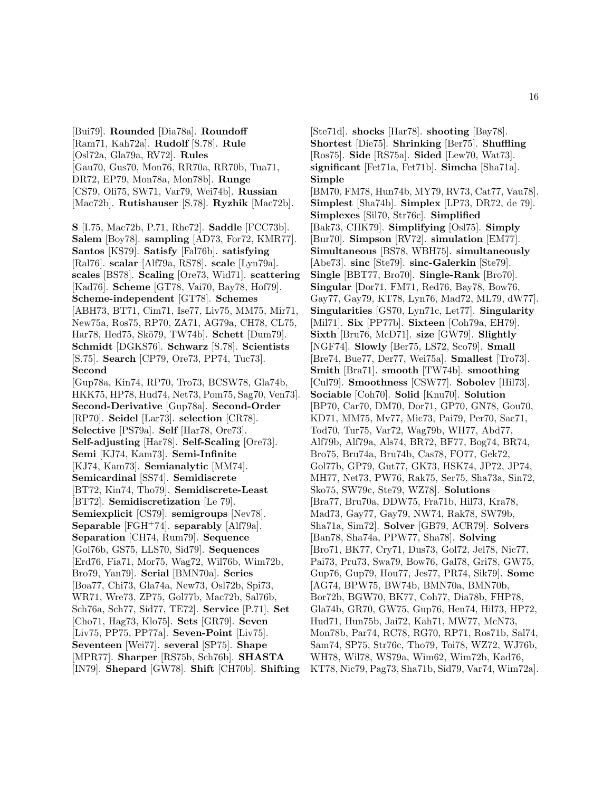[Bui79]. **Rounded** [Dia78a]. **Roundoff** [Ram71, Kah72a]. **Rudolf** [S.78]. **Rule** [Osl72a, Gla79a, RV72]. **Rules** [Gau70, Gus70, Mon76, RR70a, RR70b, Tua71, DR72, EP79, Mon78a, Mon78b]. **Runge** [CS79, Oli75, SW71, Var79, Wei74b]. **Russian** [Mac72b]. **Rutishauser** [S.78]. **Ryzhik** [Mac72b].

**S** [I.75, Mac72b, P.71, Rhe72]. **Saddle** [FCC73b]. **Salem** [Boy78]. **sampling** [AD73, For72, KMR77]. **Santos** [KS79]. **Satisfy** [Fal76b]. **satisfying** [Ral76]. **scalar** [Alf79a, RS78]. **scale** [Lyn79a]. **scales** [BS78]. **Scaling** [Ore73, Wid71]. **scattering** [Kad76]. **Scheme** [GT78, Vai70, Bay78, Hof79]. **Scheme-independent** [GT78]. **Schemes** [ABH73, BT71, Cim71, Ise77, Liv75, MM75, Mir71, New75a, Ros75, RP70, ZA71, AG79a, CH78, CL75, Har78, Hed75, Skö79, TW74b]. **Schett** [Dum79]. **Schmidt** [DGKS76]. **Schwarz** [S.78]. **Scientists** [S.75]. **Search** [CP79, Ore73, PP74, Tuc73]. **Second**

[Gup78a, Kin74, RP70, Tro73, BCSW78, Gla74b, HKK75, HP78, Hud74, Net73, Pom75, Sag70, Ven73]. **Second-Derivative** [Gup78a]. **Second-Order** [RP70]. **Seidel** [Lar73]. **selection** [CR78]. **Selective** [PS79a]. **Self** [Har78, Ore73]. **Self-adjusting** [Har78]. **Self-Scaling** [Ore73]. **Semi** [KJ74, Kam73]. **Semi-Infinite** [KJ74, Kam73]. **Semianalytic** [MM74]. **Semicardinal** [SS74]. **Semidiscrete** [BT72, Kin74, Tho79]. **Semidiscrete-Least** [BT72]. **Semidiscretization** [Le 79]. **Semiexplicit** [CS79]. **semigroups** [Nev78]. **Separable** [FGH<sup>+</sup>74]. **separably** [Alf79a]. **Separation** [CH74, Rum79]. **Sequence** [Gol76b, GS75, LLS70, Sid79]. **Sequences** [Erd76, Fia71, Mor75, Wag72, Wil76b, Wim72b, Bro79, Yan79]. **Serial** [BMN70a]. **Series** [Boa77, Chi73, Gla74a, New73, Osl72b, Spi73, WR71, Wre73, ZP75, Gol77b, Mac72b, Sal76b, Sch76a, Sch77, Sid77, TE72]. **Service** [P.71]. **Set** [Cho71, Hag73, Klo75]. **Sets** [GR79]. **Seven** [Liv75, PP75, PP77a]. **Seven-Point** [Liv75]. **Seventeen** [Wei77]. **several** [SP75]. **Shape** [MPR77]. **Sharper** [RS75b, Sch76b]. **SHASTA** [IN79]. **Shepard** [GW78]. **Shift** [CH70b]. **Shifting**

[Ste71d]. **shocks** [Har78]. **shooting** [Bay78]. **Shortest** [Die75]. **Shrinking** [Ber75]. **Shuffling** [Ros75]. **Side** [RS75a]. **Sided** [Lew70, Wat73]. **significant** [Fet71a, Fet71b]. **Simcha** [Sha71a]. **Simple**

[BM70, FM78, Hun74b, MY79, RV73, Cat77, Vau78]. **Simplest** [Sha74b]. **Simplex** [LP73, DR72, de 79]. **Simplexes** [Sil70, Str76c]. **Simplified** [Bak73, CHK79]. **Simplifying** [Osl75]. **Simply** [Bur70]. **Simpson** [RV72]. **simulation** [EM77]. **Simultaneous** [BS78, WBH75]. **simultaneously** [Abe73]. **sinc** [Ste79]. **sinc-Galerkin** [Ste79]. **Single** [BBT77, Bro70]. **Single-Rank** [Bro70]. **Singular** [Dor71, FM71, Red76, Bay78, Bow76, Gay77, Gay79, KT78, Lyn76, Mad72, ML79, dW77]. **Singularities** [GS70, Lyn71c, Let77]. **Singularity** [Mil71]. **Six** [PP77b]. **Sixteen** [Coh79a, EH79]. **Sixth** [Bru76, McD71]. **size** [GW79]. **Slightly** [NGF74]. **Slowly** [Ber75, LS72, Sco79]. **Small** [Bre74, Bue77, Der77, Wei75a]. **Smallest** [Tro73]. **Smith** [Bra71]. **smooth** [TW74b]. **smoothing** [Cul79]. **Smoothness** [CSW77]. **Sobolev** [Hil73]. **Sociable** [Coh70]. **Solid** [Knu70]. **Solution** [BP70, Car70, DM70, Dor71, GP70, GN78, Gou70, KD71, MM75, Mv77, Mic73, Pai79, Per70, Sac71, Tod70, Tur75, Var72, Wag79b, WH77, Abd77, Alf79b, Alf79a, Als74, BR72, BF77, Bog74, BR74, Bro75, Bru74a, Bru74b, Cas78, FO77, Gek72, Gol77b, GP79, Gut77, GK73, HSK74, JP72, JP74, MH77, Net73, PW76, Rak75, Ser75, Sha73a, Sin72, Sko75, SW79c, Ste79, WZ78]. **Solutions** [Bra77, Bru70a, DDW75, Fra71b, Hil73, Kra78, Mad73, Gay77, Gay79, NW74, Rak78, SW79b, Sha71a, Sim72]. **Solver** [GB79, ACR79]. **Solvers** [Ban78, Sha74a, PPW77, Sha78]. **Solving** [Bro71, BK77, Cry71, Dus73, Gol72, Jel78, Nic77, Pai73, Pru73, Swa79, Bow76, Gal78, Gri78, GW75, Gup76, Gup79, Hou77, Jes77, PR74, Sik79]. **Some** [AG74, BPW75, BW74b, BMN70a, BMN70b, Bor72b, BGW70, BK77, Coh77, Dia78b, FHP78, Gla74b, GR70, GW75, Gup76, Hen74, Hil73, HP72, Hud71, Hun75b, Jai72, Kah71, MW77, McN73, Mon78b, Par74, RC78, RG70, RP71, Ros71b, Sal74, Sam74, SP75, Str76c, Tho79, Toi78, WZ72, WJ76b, WH78, Wil78, WS79a, Wim62, Wim72b, Kad76, KT78, Nic79, Pag73, Sha71b, Sid79, Var74, Wim72a].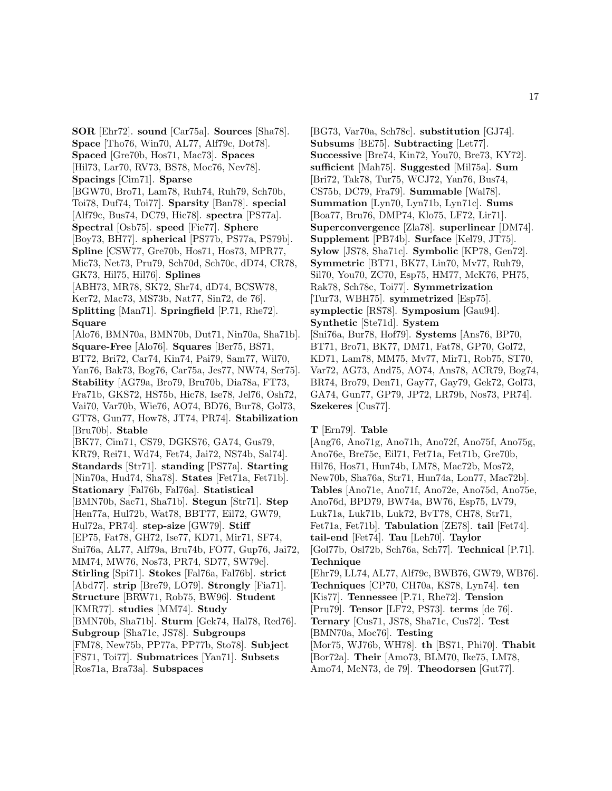**SOR** [Ehr72]. **sound** [Car75a]. **Sources** [Sha78]. **Space** [Tho76, Win70, AL77, Alf79c, Dot78]. **Spaced** [Gre70b, Hos71, Mac73]. **Spaces** [Hil73, Lar70, RV73, BS78, Moc76, Nev78]. **Spacings** [Cim71]. **Sparse** [BGW70, Bro71, Lam78, Ruh74, Ruh79, Sch70b, Toi78, Duf74, Toi77]. **Sparsity** [Ban78]. **special** [Alf79c, Bus74, DC79, Hic78]. **spectra** [PS77a]. **Spectral** [Osb75]. **speed** [Fie77]. **Sphere** [Boy73, BH77]. **spherical** [PS77b, PS77a, PS79b]. **Spline** [CSW77, Gre70b, Hos71, Hos73, MPR77, Mic73, Net73, Pru79, Sch70d, Sch70c, dD74, CR78, GK73, Hil75, Hil76]. **Splines** [ABH73, MR78, SK72, Shr74, dD74, BCSW78, Ker72, Mac73, MS73b, Nat77, Sin72, de 76]. **Splitting** [Man71]. **Springfield** [P.71, Rhe72]. **Square** [Alo76, BMN70a, BMN70b, Dut71, Nin70a, Sha71b]. **Square-Free** [Alo76]. **Squares** [Ber75, BS71, BT72, Bri72, Car74, Kin74, Pai79, Sam77, Wil70, Yan76, Bak73, Bog76, Car75a, Jes77, NW74, Ser75]. **Stability** [AG79a, Bro79, Bru70b, Dia78a, FT73, Fra71b, GKS72, HS75b, Hic78, Ise78, Jel76, Osh72, Vai70, Var70b, Wie76, AO74, BD76, Bur78, Gol73, GT78, Gun77, How78, JT74, PR74]. **Stabilization** [Bru70b]. **Stable** [BK77, Cim71, CS79, DGKS76, GA74, Gus79, KR79, Rei71, Wd74, Fet74, Jai72, NS74b, Sal74]. **Standards** [Str71]. **standing** [PS77a]. **Starting** [Nin70a, Hud74, Sha78]. **States** [Fet71a, Fet71b]. **Stationary** [Fal76b, Fal76a]. **Statistical** [BMN70b, Sac71, Sha71b]. **Stegun** [Str71]. **Step** [Hen77a, Hul72b, Wat78, BBT77, Eil72, GW79, Hul72a, PR74]. **step-size** [GW79]. **Stiff** [EP75, Fat78, GH72, Ise77, KD71, Mir71, SF74, Sni76a, AL77, Alf79a, Bru74b, FO77, Gup76, Jai72, MM74, MW76, Nos73, PR74, SD77, SW79c]. **Stirling** [Spi71]. **Stokes** [Fal76a, Fal76b]. **strict** [Abd77]. **strip** [Bre79, LO79]. **Strongly** [Fia71]. **Structure** [BRW71, Rob75, BW96]. **Student** [KMR77]. **studies** [MM74]. **Study** [BMN70b, Sha71b]. **Sturm** [Gek74, Hal78, Red76]. **Subgroup** [Sha71c, JS78]. **Subgroups** [FM78, New75b, PP77a, PP77b, Sto78]. **Subject** [FS71, Toi77]. **Submatrices** [Yan71]. **Subsets** [Ros71a, Bra73a]. **Subspaces**

[BG73, Var70a, Sch78c]. **substitution** [GJ74]. **Subsums** [BE75]. **Subtracting** [Let77]. **Successive** [Bre74, Kin72, You70, Bre73, KY72]. **sufficient** [Mah75]. **Suggested** [Mil75a]. **Sum** [Bri72, Tak78, Tur75, WCJ72, Yan76, Bus74, CS75b, DC79, Fra79]. **Summable** [Wal78]. **Summation** [Lyn70, Lyn71b, Lyn71c]. **Sums** [Boa77, Bru76, DMP74, Klo75, LF72, Lir71]. **Superconvergence** [Zla78]. **superlinear** [DM74]. **Supplement** [PB74b]. **Surface** [Kel79, JT75]. **Sylow** [JS78, Sha71c]. **Symbolic** [KP78, Gen72]. **Symmetric** [BT71, BK77, Lin70, Mv77, Ruh79, Sil70, You70, ZC70, Esp75, HM77, McK76, PH75, Rak78, Sch78c, Toi77]. **Symmetrization** [Tur73, WBH75]. **symmetrized** [Esp75]. **symplectic** [RS78]. **Symposium** [Gau94]. **Synthetic** [Ste71d]. **System** [Sni76a, Bur78, Hof79]. **Systems** [Ans76, BP70, BT71, Bro71, BK77, DM71, Fat78, GP70, Gol72, KD71, Lam78, MM75, Mv77, Mir71, Rob75, ST70, Var72, AG73, And75, AO74, Ans78, ACR79, Bog74, BR74, Bro79, Den71, Gay77, Gay79, Gek72, Gol73, GA74, Gun77, GP79, JP72, LR79b, Nos73, PR74]. **Szekeres** [Cus77].

#### **T** [Ern79]. **Table**

[Ang76, Ano71g, Ano71h, Ano72f, Ano75f, Ano75g, Ano76e, Bre75c, Eil71, Fet71a, Fet71b, Gre70b, Hil76, Hos71, Hun74b, LM78, Mac72b, Mos72, New70b, Sha76a, Str71, Hun74a, Lon77, Mac72b]. **Tables** [Ano71e, Ano71f, Ano72e, Ano75d, Ano75e, Ano76d, BPD79, BW74a, BW76, Esp75, LV79, Luk71a, Luk71b, Luk72, BvT78, CH78, Str71, Fet71a, Fet71b]. **Tabulation** [ZE78]. **tail** [Fet74]. **tail-end** [Fet74]. **Tau** [Leh70]. **Taylor** [Gol77b, Osl72b, Sch76a, Sch77]. **Technical** [P.71]. **Technique** [Ehr79, LL74, AL77, Alf79c, BWB76, GW79, WB76]. **Techniques** [CP70, CH70a, KS78, Lyn74]. **ten** [Kis77]. **Tennessee** [P.71, Rhe72]. **Tension** [Pru79]. **Tensor** [LF72, PS73]. **terms** [de 76]. **Ternary** [Cus71, JS78, Sha71c, Cus72]. **Test** [BMN70a, Moc76]. **Testing** [Mor75, WJ76b, WH78]. **th** [BS71, Phi70]. **Thabit** [Bor72a]. **Their** [Amo73, BLM70, Ike75, LM78, Amo74, McN73, de 79]. **Theodorsen** [Gut77].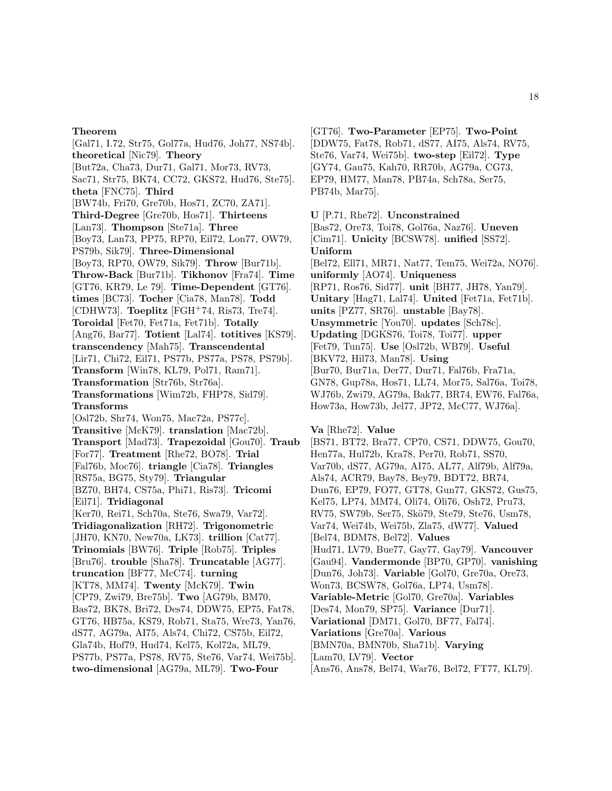[Gal71, I.72, Str75, Gol77a, Hud76, Joh77, NS74b]. **theoretical** [Nic79]. **Theory** [But72a, Cha73, Dur71, Gal71, Mor73, RV73, Sac71, Str75, BK74, CC72, GKS72, Hud76, Ste75]. **theta** [FNC75]. **Third** [BW74b, Fri70, Gre70b, Hos71, ZC70, ZA71]. **Third-Degree** [Gre70b, Hos71]. **Thirteens** [Lan73]. **Thompson** [Ste71a]. **Three** [Boy73, Lan73, PP75, RP70, Eil72, Lon77, OW79, PS79b, Sik79]. **Three-Dimensional** [Boy73, RP70, OW79, Sik79]. **Throw** [Bur71b]. **Throw-Back** [Bur71b]. **Tikhonov** [Fra74]. **Time** [GT76, KR79, Le 79]. **Time-Dependent** [GT76]. **times** [BC73]. **Tocher** [Cia78, Man78]. **Todd** [CDHW73]. **Toeplitz** [FGH<sup>+</sup>74, Ris73, Tre74]. **Toroidal** [Fet70, Fet71a, Fet71b]. **Totally** [Ang76, Bar77]. **Totient** [Lal74]. **totitives** [KS79]. **transcendency** [Mah75]. **Transcendental** [Lir71, Chi72, Eil71, PS77b, PS77a, PS78, PS79b]. **Transform** [Win78, KL79, Pol71, Ram71]. **Transformation** [Str76b, Str76a]. **Transformations** [Wim72b, FHP78, Sid79]. **Transforms** [Osl72b, Shr74, Won75, Mac72a, PS77c]. **Transitive** [McK79]. **translation** [Mac72b]. **Transport** [Mad73]. **Trapezoidal** [Gou70]. **Traub** [For77]. **Treatment** [Rhe72, BO78]. **Trial** [Fal76b, Moc76]. **triangle** [Cia78]. **Triangles** [RS75a, BG75, Sty79]. **Triangular** [BZ70, BH74, CS75a, Phi71, Ris73]. **Tricomi** [Eil71]. **Tridiagonal** [Ker70, Rei71, Sch70a, Ste76, Swa79, Var72]. **Tridiagonalization** [RH72]. **Trigonometric** [JH70, KN70, New70a, LK73]. **trillion** [Cat77]. **Trinomials** [BW76]. **Triple** [Rob75]. **Triples** [Bru76]. **trouble** [Sha78]. **Truncatable** [AG77]. **truncation** [BF77, McC74]. **turning** [KT78, MM74]. **Twenty** [McK79]. **Twin** [CP79, Zwi79, Bre75b]. **Two** [AG79b, BM70, Bas72, BK78, Bri72, Des74, DDW75, EP75, Fat78, GT76, HB75a, KS79, Rob71, Sta75, Wre73, Yan76, dS77, AG79a, AI75, Als74, Chi72, CS75b, Eil72, Gla74b, Hof79, Hud74, Kel75, Kol72a, ML79, PS77b, PS77a, PS78, RV75, Ste76, Var74, Wei75b]. **two-dimensional** [AG79a, ML79]. **Two-Four**

[GT76]. **Two-Parameter** [EP75]. **Two-Point** [DDW75, Fat78, Rob71, dS77, AI75, Als74, RV75, Ste76, Var74, Wei75b]. **two-step** [Eil72]. **Type** [GY74, Gau75, Kah70, RR70b, AG79a, CG73, EP79, HM77, Man78, PB74a, Sch78a, Ser75, PB74b, Mar75].

**U** [P.71, Rhe72]. **Unconstrained**

[Bas72, Ore73, Toi78, Gol76a, Naz76]. **Uneven** [Cim71]. **Unicity** [BCSW78]. **unified** [SS72]. **Uniform** [Bel72, Ell71, MR71, Nat77, Tem75, Wei72a, NO76]. **uniformly** [AO74]. **Uniqueness** [RP71, Ros76, Sid77]. **unit** [BH77, JH78, Yan79]. **Unitary** [Hag71, Lal74]. **United** [Fet71a, Fet71b]. **units** [PZ77, SR76]. **unstable** [Bay78]. **Unsymmetric** [You70]. **updates** [Sch78c]. **Updating** [DGKS76, Toi78, Toi77]. **upper** [Fet79, Tun75]. **Use** [Osl72b, WB79]. **Useful** [BKV72, Hil73, Man78]. **Using** [Bur70, Bur71a, Der77, Dur71, Fal76b, Fra71a, GN78, Gup78a, Hos71, LL74, Mor75, Sal76a, Toi78, WJ76b, Zwi79, AG79a, Bak77, BR74, EW76, Fal76a, How73a, How73b, Jel77, JP72, McC77, WJ76a].

**Va** [Rhe72]. **Value**

[BS71, BT72, Bra77, CP70, CS71, DDW75, Gou70, Hen77a, Hul72b, Kra78, Per70, Rob71, SS70, Var70b, dS77, AG79a, AI75, AL77, Alf79b, Alf79a, Als74, ACR79, Bay78, Bey79, BDT72, BR74, Dun76, EP79, FO77, GT78, Gun77, GKS72, Gus75, Kel75, LP74, MM74, Oli74, Oli76, Osh72, Pru73, RV75, SW79b, Ser75, Skö79, Ste79, Ste76, Usm78, Var74, Wei74b, Wei75b, Zla75, dW77]. **Valued** [Bel74, BDM78, Bel72]. **Values** [Hud71, LV79, Bue77, Gay77, Gay79]. **Vancouver** [Gau94]. **Vandermonde** [BP70, GP70]. **vanishing** [Dun76, Joh73]. **Variable** [Gol70, Gre70a, Ore73, Won73, BCSW78, Gol76a, LP74, Usm78]. **Variable-Metric** [Gol70, Gre70a]. **Variables** [Des74, Mon79, SP75]. **Variance** [Dur71]. **Variational** [DM71, Gol70, BF77, Fal74]. **Variations** [Gre70a]. **Various** [BMN70a, BMN70b, Sha71b]. **Varying** [Lam70, LV79]. **Vector**

[Ans76, Ans78, Bel74, War76, Bel72, FT77, KL79].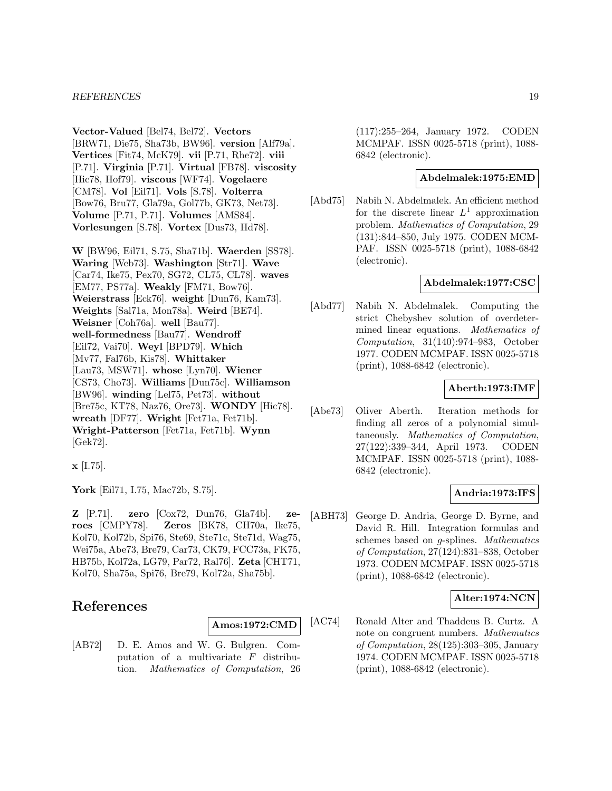#### *REFERENCES* 19

**Vector-Valued** [Bel74, Bel72]. **Vectors** [BRW71, Die75, Sha73b, BW96]. **version** [Alf79a]. **Vertices** [Fit74, McK79]. **vii** [P.71, Rhe72]. **viii** [P.71]. **Virginia** [P.71]. **Virtual** [FB78]. **viscosity** [Hic78, Hof79]. **viscous** [WF74]. **Vogelaere** [CM78]. **Vol** [Eil71]. **Vols** [S.78]. **Volterra** [Bow76, Bru77, Gla79a, Gol77b, GK73, Net73]. **Volume** [P.71, P.71]. **Volumes** [AMS84]. **Vorlesungen** [S.78]. **Vortex** [Dus73, Hd78].

**W** [BW96, Eil71, S.75, Sha71b]. **Waerden** [SS78]. **Waring** [Web73]. **Washington** [Str71]. **Wave** [Car74, Ike75, Pex70, SG72, CL75, CL78]. **waves** [EM77, PS77a]. **Weakly** [FM71, Bow76]. **Weierstrass** [Eck76]. **weight** [Dun76, Kam73]. **Weights** [Sal71a, Mon78a]. **Weird** [BE74]. **Weisner** [Coh76a]. **well** [Bau77]. **well-formedness** [Bau77]. **Wendroff** [Eil72, Vai70]. **Weyl** [BPD79]. **Which** [Mv77, Fal76b, Kis78]. **Whittaker** [Lau73, MSW71]. **whose** [Lyn70]. **Wiener** [CS73, Cho73]. **Williams** [Dun75c]. **Williamson** [BW96]. **winding** [Lel75, Pet73]. **without** [Bre75c, KT78, Naz76, Ore73]. **WONDY** [Hic78]. **wreath** [DF77]. **Wright** [Fet71a, Fet71b]. **Wright-Patterson** [Fet71a, Fet71b]. **Wynn** [Gek72].

**x** [I.75].

**York** [Eil71, I.75, Mac72b, S.75].

**Z** [P.71]. **zero** [Cox72, Dun76, Gla74b]. **zeroes** [CMPY78]. **Zeros** [BK78, CH70a, Ike75, Kol70, Kol72b, Spi76, Ste69, Ste71c, Ste71d, Wag75, Wei75a, Abe73, Bre79, Car73, CK79, FCC73a, FK75, HB75b, Kol72a, LG79, Par72, Ral76]. **Zeta** [CHT71, Kol70, Sha75a, Spi76, Bre79, Kol72a, Sha75b].

## **References**

**Amos:1972:CMD**

[AB72] D. E. Amos and W. G. Bulgren. Computation of a multivariate F distribution. Mathematics of Computation, 26

(117):255–264, January 1972. CODEN MCMPAF. ISSN 0025-5718 (print), 1088- 6842 (electronic).

#### **Abdelmalek:1975:EMD**

[Abd75] Nabih N. Abdelmalek. An efficient method for the discrete linear  $L^1$  approximation problem. Mathematics of Computation, 29 (131):844–850, July 1975. CODEN MCM-PAF. ISSN 0025-5718 (print), 1088-6842 (electronic).

#### **Abdelmalek:1977:CSC**

[Abd77] Nabih N. Abdelmalek. Computing the strict Chebyshev solution of overdetermined linear equations. Mathematics of Computation, 31(140):974–983, October 1977. CODEN MCMPAF. ISSN 0025-5718 (print), 1088-6842 (electronic).

#### **Aberth:1973:IMF**

[Abe73] Oliver Aberth. Iteration methods for finding all zeros of a polynomial simultaneously. Mathematics of Computation, 27(122):339–344, April 1973. CODEN MCMPAF. ISSN 0025-5718 (print), 1088- 6842 (electronic).

#### **Andria:1973:IFS**

[ABH73] George D. Andria, George D. Byrne, and David R. Hill. Integration formulas and schemes based on g-splines. Mathematics of Computation, 27(124):831–838, October 1973. CODEN MCMPAF. ISSN 0025-5718 (print), 1088-6842 (electronic).

## **Alter:1974:NCN**

[AC74] Ronald Alter and Thaddeus B. Curtz. A note on congruent numbers. Mathematics of Computation, 28(125):303–305, January 1974. CODEN MCMPAF. ISSN 0025-5718 (print), 1088-6842 (electronic).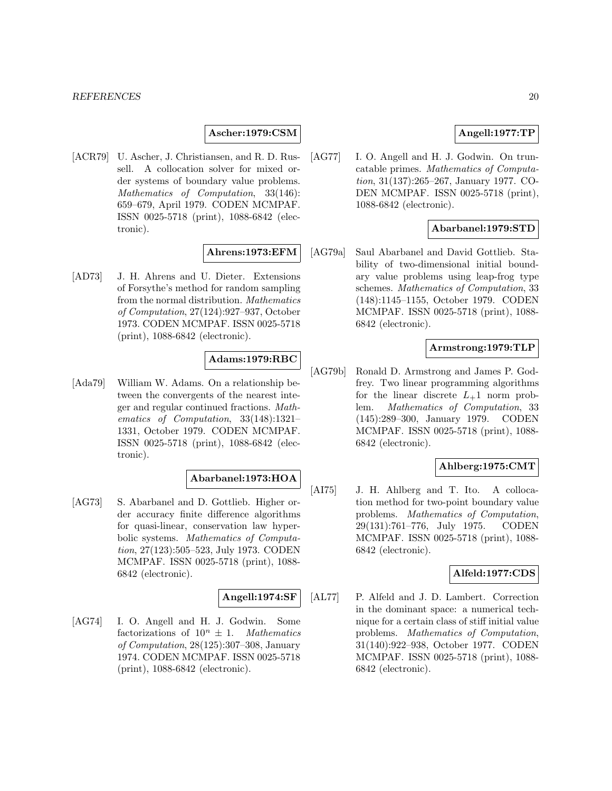#### **Ascher:1979:CSM**

[ACR79] U. Ascher, J. Christiansen, and R. D. Russell. A collocation solver for mixed order systems of boundary value problems. Mathematics of Computation, 33(146): 659–679, April 1979. CODEN MCMPAF. ISSN 0025-5718 (print), 1088-6842 (electronic).

#### **Ahrens:1973:EFM**

[AD73] J. H. Ahrens and U. Dieter. Extensions of Forsythe's method for random sampling from the normal distribution. Mathematics of Computation, 27(124):927–937, October 1973. CODEN MCMPAF. ISSN 0025-5718 (print), 1088-6842 (electronic).

#### **Adams:1979:RBC**

[Ada79] William W. Adams. On a relationship between the convergents of the nearest integer and regular continued fractions. Mathematics of Computation, 33(148):1321– 1331, October 1979. CODEN MCMPAF. ISSN 0025-5718 (print), 1088-6842 (electronic).

## **Abarbanel:1973:HOA**

[AG73] S. Abarbanel and D. Gottlieb. Higher order accuracy finite difference algorithms for quasi-linear, conservation law hyperbolic systems. Mathematics of Computation, 27(123):505–523, July 1973. CODEN MCMPAF. ISSN 0025-5718 (print), 1088- 6842 (electronic).

#### **Angell:1974:SF**

[AG74] I. O. Angell and H. J. Godwin. Some factorizations of  $10^n \pm 1$ . Mathematics of Computation, 28(125):307–308, January 1974. CODEN MCMPAF. ISSN 0025-5718 (print), 1088-6842 (electronic).

## **Angell:1977:TP**

[AG77] I. O. Angell and H. J. Godwin. On truncatable primes. Mathematics of Computation, 31(137):265–267, January 1977. CO-DEN MCMPAF. ISSN 0025-5718 (print), 1088-6842 (electronic).

#### **Abarbanel:1979:STD**

[AG79a] Saul Abarbanel and David Gottlieb. Stability of two-dimensional initial boundary value problems using leap-frog type schemes. Mathematics of Computation, 33 (148):1145–1155, October 1979. CODEN MCMPAF. ISSN 0025-5718 (print), 1088- 6842 (electronic).

#### **Armstrong:1979:TLP**

[AG79b] Ronald D. Armstrong and James P. Godfrey. Two linear programming algorithms for the linear discrete  $L_{+}1$  norm problem. Mathematics of Computation, 33 (145):289–300, January 1979. CODEN MCMPAF. ISSN 0025-5718 (print), 1088- 6842 (electronic).

## **Ahlberg:1975:CMT**

[AI75] J. H. Ahlberg and T. Ito. A collocation method for two-point boundary value problems. Mathematics of Computation, 29(131):761–776, July 1975. CODEN MCMPAF. ISSN 0025-5718 (print), 1088- 6842 (electronic).

## **Alfeld:1977:CDS**

[AL77] P. Alfeld and J. D. Lambert. Correction in the dominant space: a numerical technique for a certain class of stiff initial value problems. Mathematics of Computation, 31(140):922–938, October 1977. CODEN MCMPAF. ISSN 0025-5718 (print), 1088- 6842 (electronic).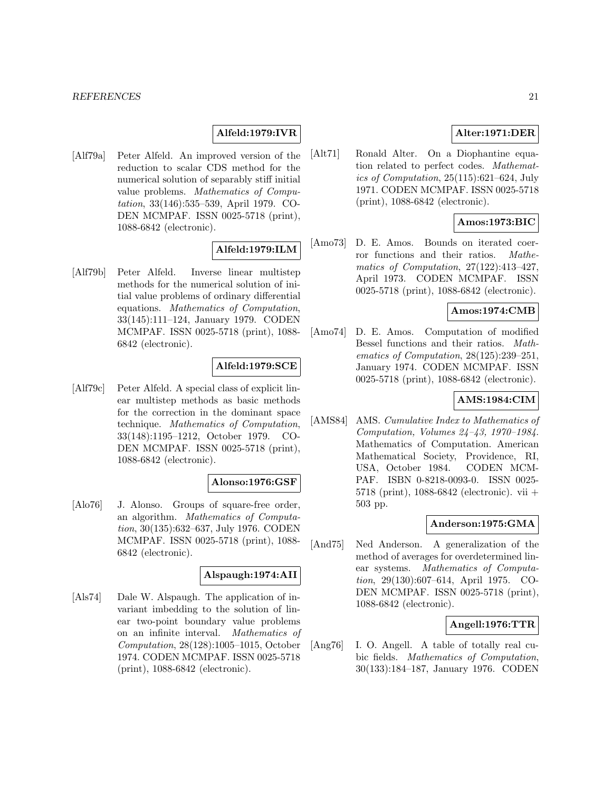## **Alfeld:1979:IVR**

[Alf79a] Peter Alfeld. An improved version of the reduction to scalar CDS method for the numerical solution of separably stiff initial value problems. Mathematics of Computation, 33(146):535–539, April 1979. CO-DEN MCMPAF. ISSN 0025-5718 (print), 1088-6842 (electronic).

## **Alfeld:1979:ILM**

[Alf79b] Peter Alfeld. Inverse linear multistep methods for the numerical solution of initial value problems of ordinary differential equations. Mathematics of Computation, 33(145):111–124, January 1979. CODEN MCMPAF. ISSN 0025-5718 (print), 1088- 6842 (electronic).

## **Alfeld:1979:SCE**

[Alf79c] Peter Alfeld. A special class of explicit linear multistep methods as basic methods for the correction in the dominant space technique. Mathematics of Computation, 33(148):1195–1212, October 1979. CO-DEN MCMPAF. ISSN 0025-5718 (print), 1088-6842 (electronic).

#### **Alonso:1976:GSF**

[Alo76] J. Alonso. Groups of square-free order, an algorithm. Mathematics of Computation, 30(135):632–637, July 1976. CODEN MCMPAF. ISSN 0025-5718 (print), 1088- 6842 (electronic).

#### **Alspaugh:1974:AII**

[Als74] Dale W. Alspaugh. The application of invariant imbedding to the solution of linear two-point boundary value problems on an infinite interval. Mathematics of Computation, 28(128):1005–1015, October 1974. CODEN MCMPAF. ISSN 0025-5718 (print), 1088-6842 (electronic).

## **Alter:1971:DER**

[Alt71] Ronald Alter. On a Diophantine equation related to perfect codes. Mathematics of Computation, 25(115):621–624, July 1971. CODEN MCMPAF. ISSN 0025-5718 (print), 1088-6842 (electronic).

## **Amos:1973:BIC**

[Amo73] D. E. Amos. Bounds on iterated coerror functions and their ratios. Mathematics of Computation, 27(122):413–427, April 1973. CODEN MCMPAF. ISSN 0025-5718 (print), 1088-6842 (electronic).

#### **Amos:1974:CMB**

[Amo74] D. E. Amos. Computation of modified Bessel functions and their ratios. Mathematics of Computation, 28(125):239–251, January 1974. CODEN MCMPAF. ISSN 0025-5718 (print), 1088-6842 (electronic).

## **AMS:1984:CIM**

[AMS84] AMS. Cumulative Index to Mathematics of Computation, Volumes 24–43, 1970–1984. Mathematics of Computation. American Mathematical Society, Providence, RI, USA, October 1984. CODEN MCM-PAF. ISBN 0-8218-0093-0. ISSN 0025- 5718 (print), 1088-6842 (electronic). vii + 503 pp.

#### **Anderson:1975:GMA**

[And75] Ned Anderson. A generalization of the method of averages for overdetermined linear systems. Mathematics of Computation, 29(130):607–614, April 1975. CO-DEN MCMPAF. ISSN 0025-5718 (print), 1088-6842 (electronic).

#### **Angell:1976:TTR**

[Ang76] I. O. Angell. A table of totally real cubic fields. Mathematics of Computation, 30(133):184–187, January 1976. CODEN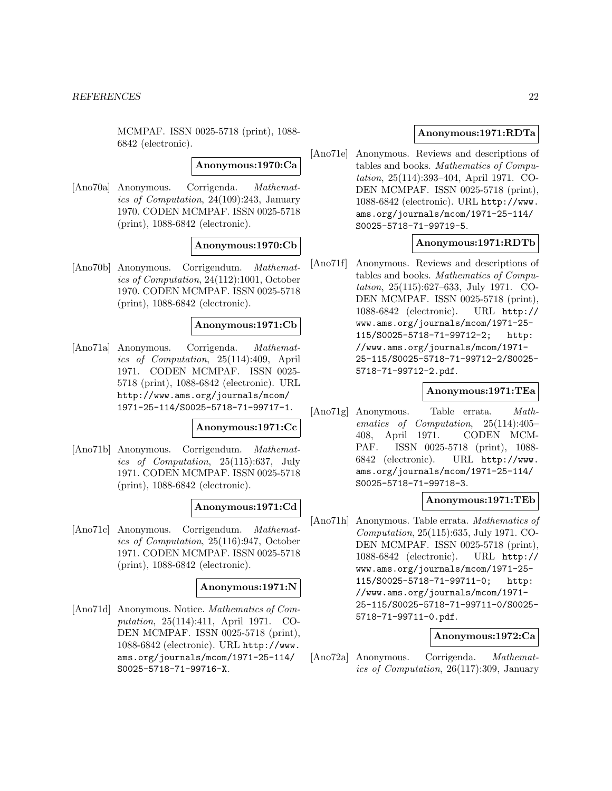MCMPAF. ISSN 0025-5718 (print), 1088- 6842 (electronic).

#### **Anonymous:1970:Ca**

[Ano70a] Anonymous. Corrigenda. Mathematics of Computation, 24(109):243, January 1970. CODEN MCMPAF. ISSN 0025-5718 (print), 1088-6842 (electronic).

#### **Anonymous:1970:Cb**

[Ano70b] Anonymous. Corrigendum. Mathematics of Computation, 24(112):1001, October 1970. CODEN MCMPAF. ISSN 0025-5718 (print), 1088-6842 (electronic).

#### **Anonymous:1971:Cb**

[Ano71a] Anonymous. Corrigenda. Mathematics of Computation, 25(114):409, April 1971. CODEN MCMPAF. ISSN 0025- 5718 (print), 1088-6842 (electronic). URL http://www.ams.org/journals/mcom/ 1971-25-114/S0025-5718-71-99717-1.

#### **Anonymous:1971:Cc**

[Ano71b] Anonymous. Corrigendum. Mathematics of Computation, 25(115):637, July 1971. CODEN MCMPAF. ISSN 0025-5718 (print), 1088-6842 (electronic).

#### **Anonymous:1971:Cd**

[Ano71c] Anonymous. Corrigendum. Mathematics of Computation, 25(116):947, October 1971. CODEN MCMPAF. ISSN 0025-5718 (print), 1088-6842 (electronic).

#### **Anonymous:1971:N**

[Ano71d] Anonymous. Notice. Mathematics of Computation, 25(114):411, April 1971. CO-DEN MCMPAF. ISSN 0025-5718 (print), 1088-6842 (electronic). URL http://www. ams.org/journals/mcom/1971-25-114/ S0025-5718-71-99716-X.

#### **Anonymous:1971:RDTa**

[Ano71e] Anonymous. Reviews and descriptions of tables and books. Mathematics of Computation, 25(114):393–404, April 1971. CO-DEN MCMPAF. ISSN 0025-5718 (print), 1088-6842 (electronic). URL http://www. ams.org/journals/mcom/1971-25-114/ S0025-5718-71-99719-5.

#### **Anonymous:1971:RDTb**

[Ano71f] Anonymous. Reviews and descriptions of tables and books. Mathematics of Computation, 25(115):627–633, July 1971. CO-DEN MCMPAF. ISSN 0025-5718 (print), 1088-6842 (electronic). URL http:// www.ams.org/journals/mcom/1971-25- 115/S0025-5718-71-99712-2; http: //www.ams.org/journals/mcom/1971- 25-115/S0025-5718-71-99712-2/S0025- 5718-71-99712-2.pdf.

#### **Anonymous:1971:TEa**

[Ano71g] Anonymous. Table errata. Mathematics of Computation, 25(114):405– 408, April 1971. CODEN MCM-PAF. ISSN 0025-5718 (print), 1088- 6842 (electronic). URL http://www. ams.org/journals/mcom/1971-25-114/ S0025-5718-71-99718-3.

#### **Anonymous:1971:TEb**

[Ano71h] Anonymous. Table errata. Mathematics of Computation, 25(115):635, July 1971. CO-DEN MCMPAF. ISSN 0025-5718 (print), 1088-6842 (electronic). URL http:// www.ams.org/journals/mcom/1971-25- 115/S0025-5718-71-99711-0; http: //www.ams.org/journals/mcom/1971- 25-115/S0025-5718-71-99711-0/S0025- 5718-71-99711-0.pdf.

#### **Anonymous:1972:Ca**

[Ano72a] Anonymous. Corrigenda. Mathematics of Computation, 26(117):309, January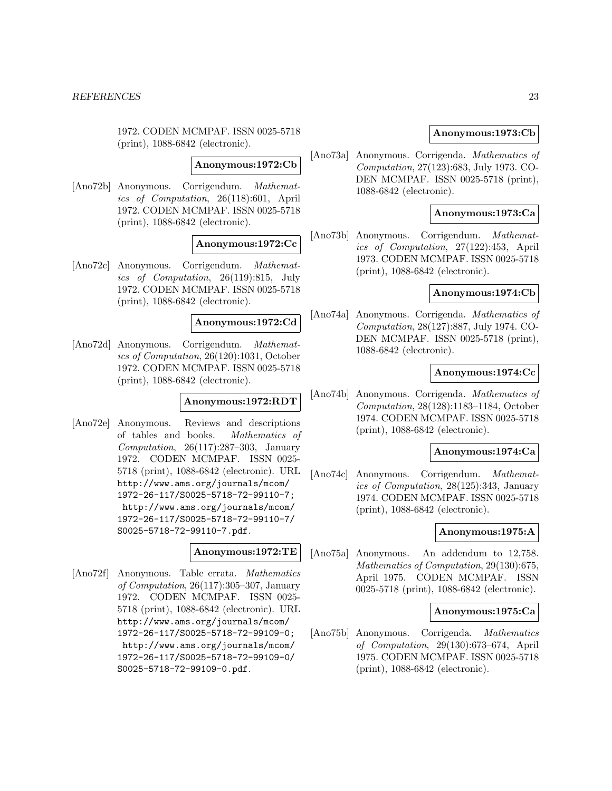1972. CODEN MCMPAF. ISSN 0025-5718 (print), 1088-6842 (electronic).

#### **Anonymous:1972:Cb**

[Ano72b] Anonymous. Corrigendum. Mathematics of Computation, 26(118):601, April 1972. CODEN MCMPAF. ISSN 0025-5718 (print), 1088-6842 (electronic).

#### **Anonymous:1972:Cc**

[Ano72c] Anonymous. Corrigendum. Mathematics of Computation, 26(119):815, July 1972. CODEN MCMPAF. ISSN 0025-5718 (print), 1088-6842 (electronic).

#### **Anonymous:1972:Cd**

[Ano72d] Anonymous. Corrigendum. Mathematics of Computation, 26(120):1031, October 1972. CODEN MCMPAF. ISSN 0025-5718 (print), 1088-6842 (electronic).

#### **Anonymous:1972:RDT**

[Ano72e] Anonymous. Reviews and descriptions of tables and books. Mathematics of Computation, 26(117):287–303, January 1972. CODEN MCMPAF. ISSN 0025- 5718 (print), 1088-6842 (electronic). URL http://www.ams.org/journals/mcom/ 1972-26-117/S0025-5718-72-99110-7; http://www.ams.org/journals/mcom/ 1972-26-117/S0025-5718-72-99110-7/ S0025-5718-72-99110-7.pdf.

## **Anonymous:1972:TE**

[Ano72f] Anonymous. Table errata. Mathematics of Computation, 26(117):305–307, January 1972. CODEN MCMPAF. ISSN 0025- 5718 (print), 1088-6842 (electronic). URL http://www.ams.org/journals/mcom/ 1972-26-117/S0025-5718-72-99109-0; http://www.ams.org/journals/mcom/ 1972-26-117/S0025-5718-72-99109-0/ S0025-5718-72-99109-0.pdf.

#### **Anonymous:1973:Cb**

[Ano73a] Anonymous. Corrigenda. Mathematics of Computation, 27(123):683, July 1973. CO-DEN MCMPAF. ISSN 0025-5718 (print), 1088-6842 (electronic).

## **Anonymous:1973:Ca**

[Ano73b] Anonymous. Corrigendum. Mathematics of Computation, 27(122):453, April 1973. CODEN MCMPAF. ISSN 0025-5718 (print), 1088-6842 (electronic).

### **Anonymous:1974:Cb**

[Ano74a] Anonymous. Corrigenda. Mathematics of Computation, 28(127):887, July 1974. CO-DEN MCMPAF. ISSN 0025-5718 (print), 1088-6842 (electronic).

#### **Anonymous:1974:Cc**

[Ano74b] Anonymous. Corrigenda. Mathematics of Computation, 28(128):1183–1184, October 1974. CODEN MCMPAF. ISSN 0025-5718 (print), 1088-6842 (electronic).

#### **Anonymous:1974:Ca**

[Ano74c] Anonymous. Corrigendum. Mathematics of Computation, 28(125):343, January 1974. CODEN MCMPAF. ISSN 0025-5718 (print), 1088-6842 (electronic).

#### **Anonymous:1975:A**

[Ano75a] Anonymous. An addendum to 12,758. Mathematics of Computation, 29(130):675, April 1975. CODEN MCMPAF. ISSN 0025-5718 (print), 1088-6842 (electronic).

#### **Anonymous:1975:Ca**

[Ano75b] Anonymous. Corrigenda. Mathematics of Computation, 29(130):673–674, April 1975. CODEN MCMPAF. ISSN 0025-5718 (print), 1088-6842 (electronic).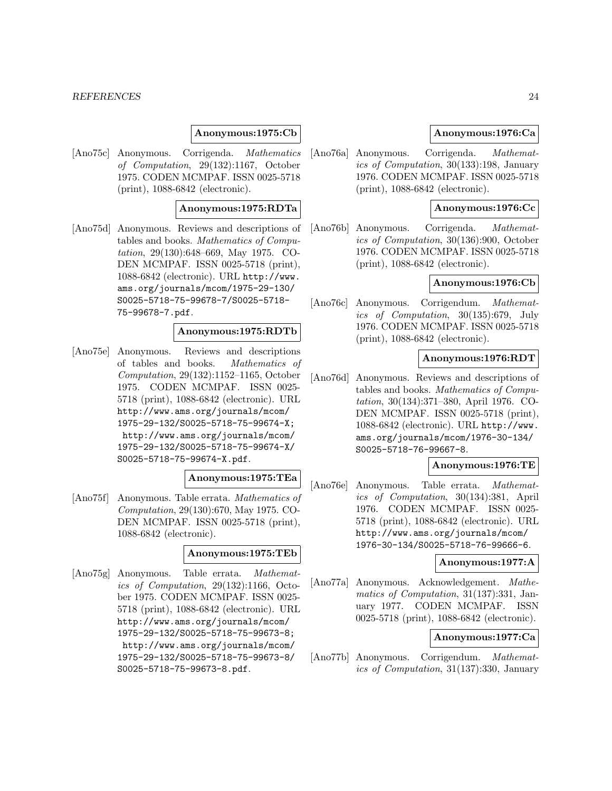#### *REFERENCES* 24

#### **Anonymous:1975:Cb**

[Ano75c] Anonymous. Corrigenda. Mathematics of Computation, 29(132):1167, October 1975. CODEN MCMPAF. ISSN 0025-5718 (print), 1088-6842 (electronic).

#### **Anonymous:1975:RDTa**

[Ano75d] Anonymous. Reviews and descriptions of tables and books. Mathematics of Computation, 29(130):648–669, May 1975. CO-DEN MCMPAF. ISSN 0025-5718 (print), 1088-6842 (electronic). URL http://www. ams.org/journals/mcom/1975-29-130/ S0025-5718-75-99678-7/S0025-5718- 75-99678-7.pdf.

#### **Anonymous:1975:RDTb**

[Ano75e] Anonymous. Reviews and descriptions of tables and books. Mathematics of Computation, 29(132):1152–1165, October 1975. CODEN MCMPAF. ISSN 0025- 5718 (print), 1088-6842 (electronic). URL http://www.ams.org/journals/mcom/ 1975-29-132/S0025-5718-75-99674-X; http://www.ams.org/journals/mcom/ 1975-29-132/S0025-5718-75-99674-X/ S0025-5718-75-99674-X.pdf.

## **Anonymous:1975:TEa**

[Ano75f] Anonymous. Table errata. Mathematics of Computation, 29(130):670, May 1975. CO-DEN MCMPAF. ISSN 0025-5718 (print), 1088-6842 (electronic).

#### **Anonymous:1975:TEb**

[Ano75g] Anonymous. Table errata. Mathematics of Computation, 29(132):1166, October 1975. CODEN MCMPAF. ISSN 0025- 5718 (print), 1088-6842 (electronic). URL http://www.ams.org/journals/mcom/ 1975-29-132/S0025-5718-75-99673-8; http://www.ams.org/journals/mcom/ 1975-29-132/S0025-5718-75-99673-8/ S0025-5718-75-99673-8.pdf.

#### **Anonymous:1976:Ca**

[Ano76a] Anonymous. Corrigenda. Mathematics of Computation, 30(133):198, January 1976. CODEN MCMPAF. ISSN 0025-5718 (print), 1088-6842 (electronic).

## **Anonymous:1976:Cc**

[Ano76b] Anonymous. Corrigenda. Mathematics of Computation, 30(136):900, October 1976. CODEN MCMPAF. ISSN 0025-5718 (print), 1088-6842 (electronic).

#### **Anonymous:1976:Cb**

[Ano76c] Anonymous. Corrigendum. Mathematics of Computation, 30(135):679, July 1976. CODEN MCMPAF. ISSN 0025-5718 (print), 1088-6842 (electronic).

#### **Anonymous:1976:RDT**

[Ano76d] Anonymous. Reviews and descriptions of tables and books. Mathematics of Computation, 30(134):371–380, April 1976. CO-DEN MCMPAF. ISSN 0025-5718 (print), 1088-6842 (electronic). URL http://www. ams.org/journals/mcom/1976-30-134/ S0025-5718-76-99667-8.

### **Anonymous:1976:TE**

[Ano76e] Anonymous. Table errata. Mathematics of Computation, 30(134):381, April 1976. CODEN MCMPAF. ISSN 0025- 5718 (print), 1088-6842 (electronic). URL http://www.ams.org/journals/mcom/ 1976-30-134/S0025-5718-76-99666-6.

#### **Anonymous:1977:A**

[Ano77a] Anonymous. Acknowledgement. Mathematics of Computation, 31(137):331, January 1977. CODEN MCMPAF. ISSN 0025-5718 (print), 1088-6842 (electronic).

#### **Anonymous:1977:Ca**

[Ano77b] Anonymous. Corrigendum. Mathematics of Computation, 31(137):330, January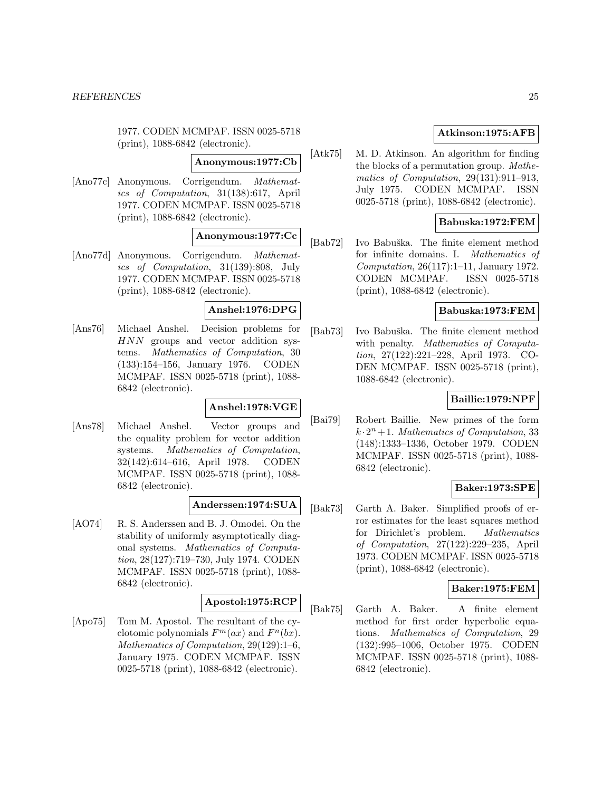1977. CODEN MCMPAF. ISSN 0025-5718 (print), 1088-6842 (electronic).

#### **Anonymous:1977:Cb**

[Ano77c] Anonymous. Corrigendum. Mathematics of Computation, 31(138):617, April 1977. CODEN MCMPAF. ISSN 0025-5718 (print), 1088-6842 (electronic).

## **Anonymous:1977:Cc**

[Ano77d] Anonymous. Corrigendum. Mathematics of Computation, 31(139):808, July 1977. CODEN MCMPAF. ISSN 0025-5718 (print), 1088-6842 (electronic).

#### **Anshel:1976:DPG**

[Ans76] Michael Anshel. Decision problems for HNN groups and vector addition systems. Mathematics of Computation, 30 (133):154–156, January 1976. CODEN MCMPAF. ISSN 0025-5718 (print), 1088- 6842 (electronic).

## **Anshel:1978:VGE**

[Ans78] Michael Anshel. Vector groups and the equality problem for vector addition systems. Mathematics of Computation, 32(142):614–616, April 1978. CODEN MCMPAF. ISSN 0025-5718 (print), 1088- 6842 (electronic).

#### **Anderssen:1974:SUA**

[AO74] R. S. Anderssen and B. J. Omodei. On the stability of uniformly asymptotically diagonal systems. Mathematics of Computation, 28(127):719–730, July 1974. CODEN MCMPAF. ISSN 0025-5718 (print), 1088- 6842 (electronic).

#### **Apostol:1975:RCP**

[Apo75] Tom M. Apostol. The resultant of the cyclotomic polynomials  $F<sup>m</sup>(ax)$  and  $F<sup>n</sup>(bx)$ . Mathematics of Computation, 29(129):1–6, January 1975. CODEN MCMPAF. ISSN 0025-5718 (print), 1088-6842 (electronic).

## **Atkinson:1975:AFB**

[Atk75] M. D. Atkinson. An algorithm for finding the blocks of a permutation group. Mathematics of Computation, 29(131):911–913, July 1975. CODEN MCMPAF. ISSN 0025-5718 (print), 1088-6842 (electronic).

## **Babuska:1972:FEM**

[Bab72] Ivo Babuška. The finite element method for infinite domains. I. Mathematics of Computation, 26(117):1–11, January 1972. CODEN MCMPAF. ISSN 0025-5718 (print), 1088-6842 (electronic).

#### **Babuska:1973:FEM**

[Bab73] Ivo Babuška. The finite element method with penalty. Mathematics of Computation, 27(122):221–228, April 1973. CO-DEN MCMPAF. ISSN 0025-5718 (print), 1088-6842 (electronic).

#### **Baillie:1979:NPF**

[Bai79] Robert Baillie. New primes of the form  $k \cdot 2^n + 1$ . Mathematics of Computation, 33 (148):1333–1336, October 1979. CODEN MCMPAF. ISSN 0025-5718 (print), 1088- 6842 (electronic).

#### **Baker:1973:SPE**

[Bak73] Garth A. Baker. Simplified proofs of error estimates for the least squares method for Dirichlet's problem. Mathematics of Computation, 27(122):229–235, April 1973. CODEN MCMPAF. ISSN 0025-5718 (print), 1088-6842 (electronic).

## **Baker:1975:FEM**

[Bak75] Garth A. Baker. A finite element method for first order hyperbolic equations. Mathematics of Computation, 29 (132):995–1006, October 1975. CODEN MCMPAF. ISSN 0025-5718 (print), 1088- 6842 (electronic).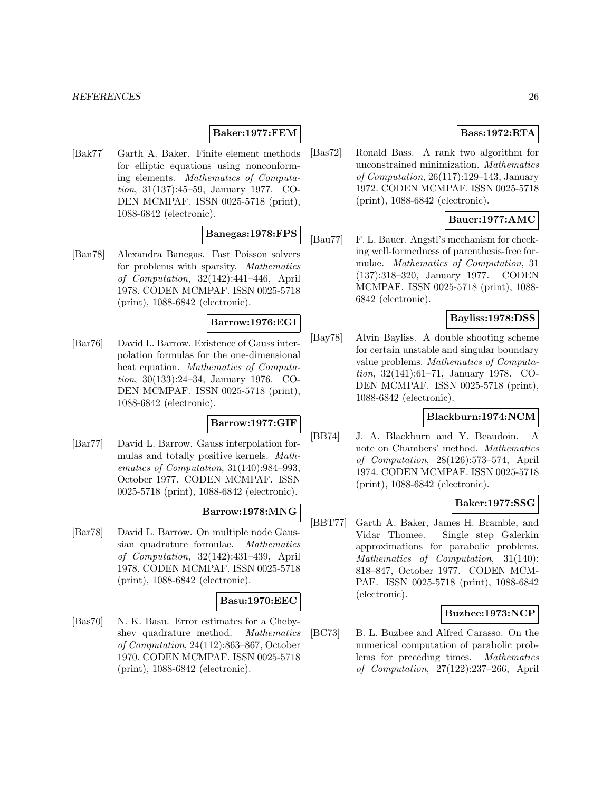#### **Baker:1977:FEM**

[Bak77] Garth A. Baker. Finite element methods for elliptic equations using nonconforming elements. Mathematics of Computation, 31(137):45–59, January 1977. CO-DEN MCMPAF. ISSN 0025-5718 (print), 1088-6842 (electronic).

## **Banegas:1978:FPS**

[Ban78] Alexandra Banegas. Fast Poisson solvers for problems with sparsity. Mathematics of Computation, 32(142):441–446, April 1978. CODEN MCMPAF. ISSN 0025-5718 (print), 1088-6842 (electronic).

#### **Barrow:1976:EGI**

[Bar76] David L. Barrow. Existence of Gauss interpolation formulas for the one-dimensional heat equation. Mathematics of Computation, 30(133):24–34, January 1976. CO-DEN MCMPAF. ISSN 0025-5718 (print), 1088-6842 (electronic).

## **Barrow:1977:GIF**

[Bar77] David L. Barrow. Gauss interpolation formulas and totally positive kernels. Mathematics of Computation, 31(140):984–993, October 1977. CODEN MCMPAF. ISSN 0025-5718 (print), 1088-6842 (electronic).

#### **Barrow:1978:MNG**

[Bar78] David L. Barrow. On multiple node Gaussian quadrature formulae. Mathematics of Computation, 32(142):431–439, April 1978. CODEN MCMPAF. ISSN 0025-5718 (print), 1088-6842 (electronic).

#### **Basu:1970:EEC**

[Bas70] N. K. Basu. Error estimates for a Chebyshev quadrature method. Mathematics of Computation, 24(112):863–867, October 1970. CODEN MCMPAF. ISSN 0025-5718 (print), 1088-6842 (electronic).

## **Bass:1972:RTA**

[Bas72] Ronald Bass. A rank two algorithm for unconstrained minimization. Mathematics of Computation, 26(117):129–143, January 1972. CODEN MCMPAF. ISSN 0025-5718 (print), 1088-6842 (electronic).

## **Bauer:1977:AMC**

[Bau77] F. L. Bauer. Angstl's mechanism for checking well-formedness of parenthesis-free formulae. Mathematics of Computation, 31 (137):318–320, January 1977. CODEN MCMPAF. ISSN 0025-5718 (print), 1088- 6842 (electronic).

## **Bayliss:1978:DSS**

[Bay78] Alvin Bayliss. A double shooting scheme for certain unstable and singular boundary value problems. Mathematics of Computation, 32(141):61–71, January 1978. CO-DEN MCMPAF. ISSN 0025-5718 (print), 1088-6842 (electronic).

## **Blackburn:1974:NCM**

[BB74] J. A. Blackburn and Y. Beaudoin. A note on Chambers' method. Mathematics of Computation, 28(126):573–574, April 1974. CODEN MCMPAF. ISSN 0025-5718 (print), 1088-6842 (electronic).

#### **Baker:1977:SSG**

[BBT77] Garth A. Baker, James H. Bramble, and Vidar Thomee. Single step Galerkin approximations for parabolic problems. Mathematics of Computation, 31(140): 818–847, October 1977. CODEN MCM-PAF. ISSN 0025-5718 (print), 1088-6842 (electronic).

#### **Buzbee:1973:NCP**

[BC73] B. L. Buzbee and Alfred Carasso. On the numerical computation of parabolic problems for preceding times. Mathematics of Computation, 27(122):237–266, April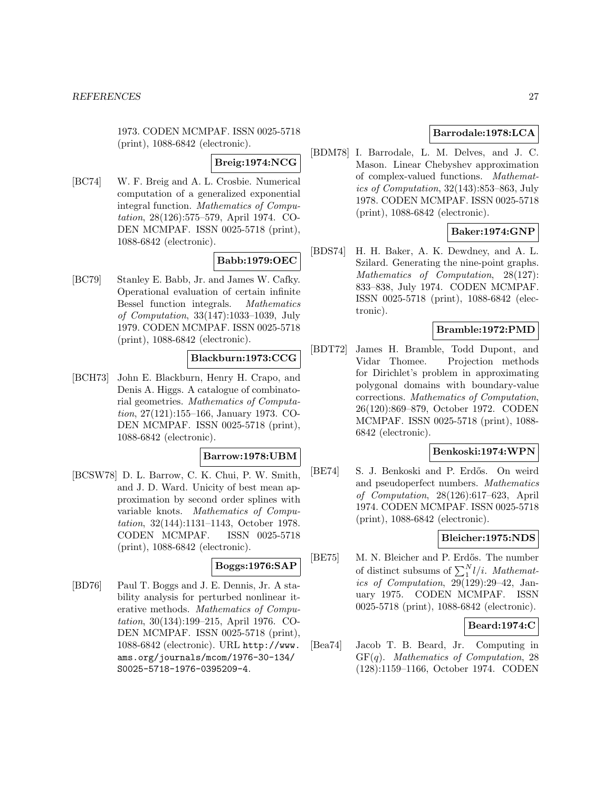1973. CODEN MCMPAF. ISSN 0025-5718 (print), 1088-6842 (electronic).

#### **Breig:1974:NCG**

[BC74] W. F. Breig and A. L. Crosbie. Numerical computation of a generalized exponential integral function. Mathematics of Computation, 28(126):575–579, April 1974. CO-DEN MCMPAF. ISSN 0025-5718 (print), 1088-6842 (electronic).

## **Babb:1979:OEC**

[BC79] Stanley E. Babb, Jr. and James W. Cafky. Operational evaluation of certain infinite Bessel function integrals. Mathematics of Computation, 33(147):1033–1039, July 1979. CODEN MCMPAF. ISSN 0025-5718 (print), 1088-6842 (electronic).

## **Blackburn:1973:CCG**

[BCH73] John E. Blackburn, Henry H. Crapo, and Denis A. Higgs. A catalogue of combinatorial geometries. Mathematics of Computation, 27(121):155–166, January 1973. CO-DEN MCMPAF. ISSN 0025-5718 (print), 1088-6842 (electronic).

#### **Barrow:1978:UBM**

[BCSW78] D. L. Barrow, C. K. Chui, P. W. Smith, and J. D. Ward. Unicity of best mean approximation by second order splines with variable knots. Mathematics of Computation, 32(144):1131–1143, October 1978. CODEN MCMPAF. ISSN 0025-5718 (print), 1088-6842 (electronic).

## **Boggs:1976:SAP**

[BD76] Paul T. Boggs and J. E. Dennis, Jr. A stability analysis for perturbed nonlinear iterative methods. Mathematics of Computation, 30(134):199–215, April 1976. CO-DEN MCMPAF. ISSN 0025-5718 (print), 1088-6842 (electronic). URL http://www. ams.org/journals/mcom/1976-30-134/ S0025-5718-1976-0395209-4.

## **Barrodale:1978:LCA**

[BDM78] I. Barrodale, L. M. Delves, and J. C. Mason. Linear Chebyshev approximation of complex-valued functions. Mathematics of Computation, 32(143):853–863, July 1978. CODEN MCMPAF. ISSN 0025-5718 (print), 1088-6842 (electronic).

#### **Baker:1974:GNP**

[BDS74] H. H. Baker, A. K. Dewdney, and A. L. Szilard. Generating the nine-point graphs. Mathematics of Computation, 28(127): 833–838, July 1974. CODEN MCMPAF. ISSN 0025-5718 (print), 1088-6842 (electronic).

## **Bramble:1972:PMD**

[BDT72] James H. Bramble, Todd Dupont, and Vidar Thomee. Projection methods for Dirichlet's problem in approximating polygonal domains with boundary-value corrections. Mathematics of Computation, 26(120):869–879, October 1972. CODEN MCMPAF. ISSN 0025-5718 (print), 1088- 6842 (electronic).

#### **Benkoski:1974:WPN**

[BE74] S. J. Benkoski and P. Erdős. On weird and pseudoperfect numbers. Mathematics of Computation, 28(126):617–623, April 1974. CODEN MCMPAF. ISSN 0025-5718 (print), 1088-6842 (electronic).

#### **Bleicher:1975:NDS**

[BE75] M. N. Bleicher and P. Erdős. The number of distinct subsums of  $\sum_{1}^{N}l/i$ . *Mathemat*ics of Computation,  $29(129):29-42$ , January 1975. CODEN MCMPAF. ISSN 0025-5718 (print), 1088-6842 (electronic).

## **Beard:1974:C**

[Bea74] Jacob T. B. Beard, Jr. Computing in  $GF(q)$ . Mathematics of Computation, 28 (128):1159–1166, October 1974. CODEN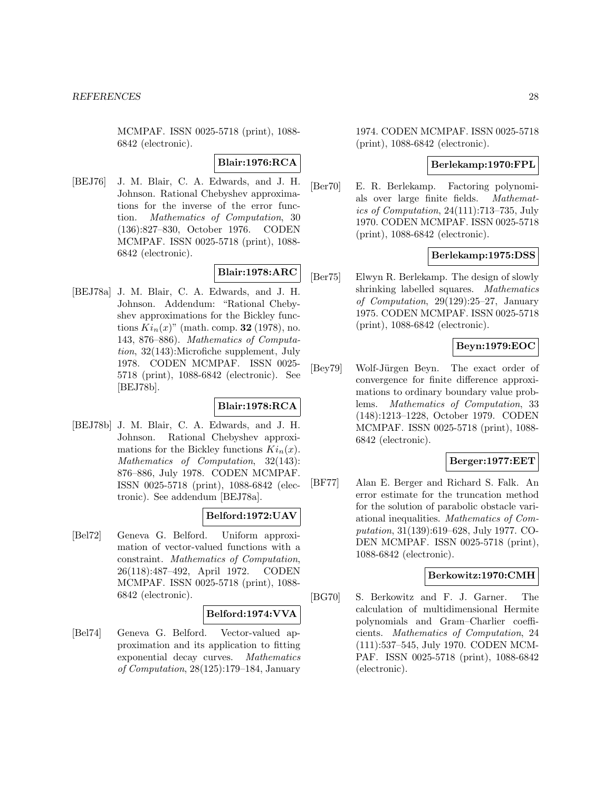MCMPAF. ISSN 0025-5718 (print), 1088- 6842 (electronic).

#### **Blair:1976:RCA**

[BEJ76] J. M. Blair, C. A. Edwards, and J. H. Johnson. Rational Chebyshev approximations for the inverse of the error function. Mathematics of Computation, 30 (136):827–830, October 1976. CODEN MCMPAF. ISSN 0025-5718 (print), 1088- 6842 (electronic).

## **Blair:1978:ARC**

[BEJ78a] J. M. Blair, C. A. Edwards, and J. H. Johnson. Addendum: "Rational Chebyshev approximations for the Bickley functions  $Ki_n(x)$ " (math. comp. **32** (1978), no. 143, 876–886). Mathematics of Computation, 32(143):Microfiche supplement, July 1978. CODEN MCMPAF. ISSN 0025- 5718 (print), 1088-6842 (electronic). See [BEJ78b].

## **Blair:1978:RCA**

[BEJ78b] J. M. Blair, C. A. Edwards, and J. H. Johnson. Rational Chebyshev approximations for the Bickley functions  $Ki_n(x)$ . Mathematics of Computation, 32(143): 876–886, July 1978. CODEN MCMPAF. ISSN 0025-5718 (print), 1088-6842 (electronic). See addendum [BEJ78a].

#### **Belford:1972:UAV**

[Bel72] Geneva G. Belford. Uniform approximation of vector-valued functions with a constraint. Mathematics of Computation, 26(118):487–492, April 1972. CODEN MCMPAF. ISSN 0025-5718 (print), 1088- 6842 (electronic).

#### **Belford:1974:VVA**

[Bel74] Geneva G. Belford. Vector-valued approximation and its application to fitting exponential decay curves. Mathematics of Computation, 28(125):179–184, January

1974. CODEN MCMPAF. ISSN 0025-5718 (print), 1088-6842 (electronic).

## **Berlekamp:1970:FPL**

[Ber70] E. R. Berlekamp. Factoring polynomials over large finite fields. Mathematics of Computation, 24(111):713–735, July 1970. CODEN MCMPAF. ISSN 0025-5718 (print), 1088-6842 (electronic).

#### **Berlekamp:1975:DSS**

[Ber75] Elwyn R. Berlekamp. The design of slowly shrinking labelled squares. Mathematics of Computation, 29(129):25–27, January 1975. CODEN MCMPAF. ISSN 0025-5718 (print), 1088-6842 (electronic).

## **Beyn:1979:EOC**

[Bey79] Wolf-Jürgen Beyn. The exact order of convergence for finite difference approximations to ordinary boundary value problems. Mathematics of Computation, 33 (148):1213–1228, October 1979. CODEN MCMPAF. ISSN 0025-5718 (print), 1088- 6842 (electronic).

#### **Berger:1977:EET**

[BF77] Alan E. Berger and Richard S. Falk. An error estimate for the truncation method for the solution of parabolic obstacle variational inequalities. Mathematics of Computation, 31(139):619–628, July 1977. CO-DEN MCMPAF. ISSN 0025-5718 (print), 1088-6842 (electronic).

## **Berkowitz:1970:CMH**

[BG70] S. Berkowitz and F. J. Garner. The calculation of multidimensional Hermite polynomials and Gram–Charlier coefficients. Mathematics of Computation, 24 (111):537–545, July 1970. CODEN MCM-PAF. ISSN 0025-5718 (print), 1088-6842 (electronic).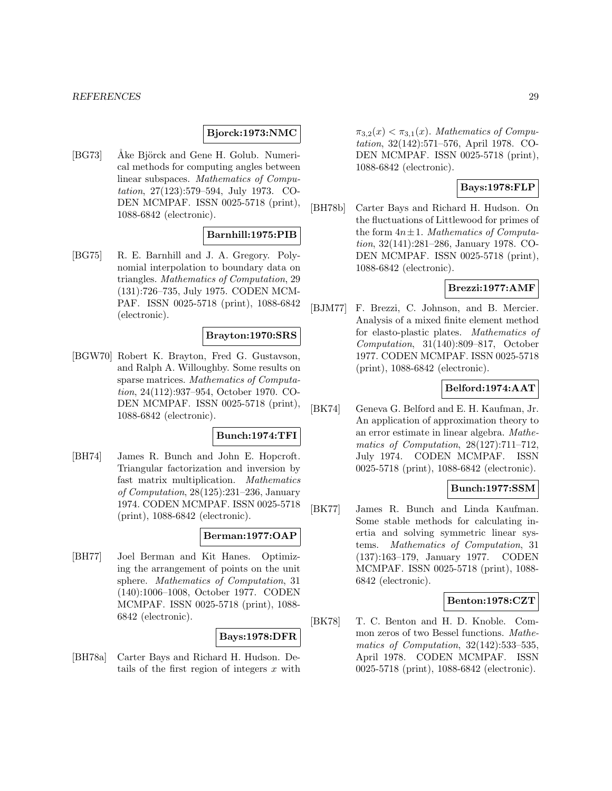#### **Bjorck:1973:NMC**

[BG73] • Åke Björck and Gene H. Golub. Numerical methods for computing angles between linear subspaces. Mathematics of Computation, 27(123):579–594, July 1973. CO-DEN MCMPAF. ISSN 0025-5718 (print), 1088-6842 (electronic).

## **Barnhill:1975:PIB**

[BG75] R. E. Barnhill and J. A. Gregory. Polynomial interpolation to boundary data on triangles. Mathematics of Computation, 29 (131):726–735, July 1975. CODEN MCM-PAF. ISSN 0025-5718 (print), 1088-6842 (electronic).

#### **Brayton:1970:SRS**

[BGW70] Robert K. Brayton, Fred G. Gustavson, and Ralph A. Willoughby. Some results on sparse matrices. Mathematics of Computation, 24(112):937–954, October 1970. CO-DEN MCMPAF. ISSN 0025-5718 (print), 1088-6842 (electronic).

## **Bunch:1974:TFI**

[BH74] James R. Bunch and John E. Hopcroft. Triangular factorization and inversion by fast matrix multiplication. Mathematics of Computation, 28(125):231–236, January 1974. CODEN MCMPAF. ISSN 0025-5718 (print), 1088-6842 (electronic).

#### **Berman:1977:OAP**

[BH77] Joel Berman and Kit Hanes. Optimizing the arrangement of points on the unit sphere. Mathematics of Computation, 31 (140):1006–1008, October 1977. CODEN MCMPAF. ISSN 0025-5718 (print), 1088- 6842 (electronic).

#### **Bays:1978:DFR**

[BH78a] Carter Bays and Richard H. Hudson. Details of the first region of integers  $x$  with  $\pi_{3,2}(x) < \pi_{3,1}(x)$ . Mathematics of Computation, 32(142):571–576, April 1978. CO-DEN MCMPAF. ISSN 0025-5718 (print), 1088-6842 (electronic).

#### **Bays:1978:FLP**

[BH78b] Carter Bays and Richard H. Hudson. On the fluctuations of Littlewood for primes of the form  $4n \pm 1$ . Mathematics of Computation, 32(141):281–286, January 1978. CO-DEN MCMPAF. ISSN 0025-5718 (print), 1088-6842 (electronic).

#### **Brezzi:1977:AMF**

[BJM77] F. Brezzi, C. Johnson, and B. Mercier. Analysis of a mixed finite element method for elasto-plastic plates. Mathematics of Computation, 31(140):809–817, October 1977. CODEN MCMPAF. ISSN 0025-5718 (print), 1088-6842 (electronic).

## **Belford:1974:AAT**

[BK74] Geneva G. Belford and E. H. Kaufman, Jr. An application of approximation theory to an error estimate in linear algebra. Mathematics of Computation, 28(127):711–712, July 1974. CODEN MCMPAF. ISSN 0025-5718 (print), 1088-6842 (electronic).

## **Bunch:1977:SSM**

[BK77] James R. Bunch and Linda Kaufman. Some stable methods for calculating inertia and solving symmetric linear systems. Mathematics of Computation, 31 (137):163–179, January 1977. CODEN MCMPAF. ISSN 0025-5718 (print), 1088- 6842 (electronic).

#### **Benton:1978:CZT**

[BK78] T. C. Benton and H. D. Knoble. Common zeros of two Bessel functions. Mathematics of Computation, 32(142):533–535, April 1978. CODEN MCMPAF. ISSN 0025-5718 (print), 1088-6842 (electronic).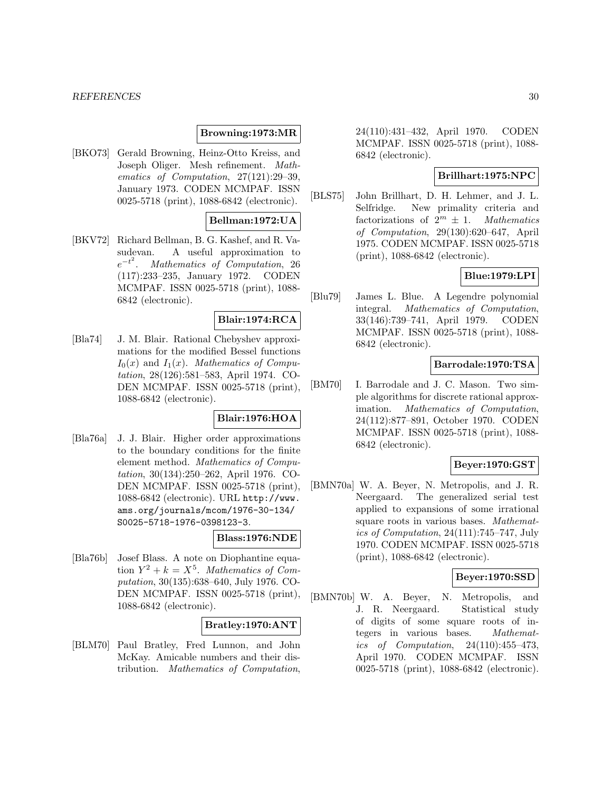#### *REFERENCES* 30

#### **Browning:1973:MR**

[BKO73] Gerald Browning, Heinz-Otto Kreiss, and Joseph Oliger. Mesh refinement. Mathematics of Computation, 27(121):29–39, January 1973. CODEN MCMPAF. ISSN 0025-5718 (print), 1088-6842 (electronic).

#### **Bellman:1972:UA**

[BKV72] Richard Bellman, B. G. Kashef, and R. Vasudevan. A useful approximation to  $e^{-t^2}$ . Mathematics of Computation, 26 (117):233–235, January 1972. CODEN MCMPAF. ISSN 0025-5718 (print), 1088- 6842 (electronic).

#### **Blair:1974:RCA**

[Bla74] J. M. Blair. Rational Chebyshev approximations for the modified Bessel functions  $I_0(x)$  and  $I_1(x)$ . Mathematics of Computation, 28(126):581–583, April 1974. CO-DEN MCMPAF. ISSN 0025-5718 (print), 1088-6842 (electronic).

#### **Blair:1976:HOA**

[Bla76a] J. J. Blair. Higher order approximations to the boundary conditions for the finite element method. Mathematics of Computation, 30(134):250–262, April 1976. CO-DEN MCMPAF. ISSN 0025-5718 (print), 1088-6842 (electronic). URL http://www. ams.org/journals/mcom/1976-30-134/ S0025-5718-1976-0398123-3.

#### **Blass:1976:NDE**

[Bla76b] Josef Blass. A note on Diophantine equation  $Y^2 + k = X^5$ . Mathematics of Computation, 30(135):638–640, July 1976. CO-DEN MCMPAF. ISSN 0025-5718 (print), 1088-6842 (electronic).

#### **Bratley:1970:ANT**

[BLM70] Paul Bratley, Fred Lunnon, and John McKay. Amicable numbers and their distribution. Mathematics of Computation,

24(110):431–432, April 1970. CODEN MCMPAF. ISSN 0025-5718 (print), 1088- 6842 (electronic).

#### **Brillhart:1975:NPC**

[BLS75] John Brillhart, D. H. Lehmer, and J. L. Selfridge. New primality criteria and factorizations of  $2^m \pm 1$ . Mathematics of Computation, 29(130):620–647, April 1975. CODEN MCMPAF. ISSN 0025-5718 (print), 1088-6842 (electronic).

## **Blue:1979:LPI**

[Blu79] James L. Blue. A Legendre polynomial integral. Mathematics of Computation, 33(146):739–741, April 1979. CODEN MCMPAF. ISSN 0025-5718 (print), 1088- 6842 (electronic).

## **Barrodale:1970:TSA**

[BM70] I. Barrodale and J. C. Mason. Two simple algorithms for discrete rational approximation. Mathematics of Computation, 24(112):877–891, October 1970. CODEN MCMPAF. ISSN 0025-5718 (print), 1088- 6842 (electronic).

### **Beyer:1970:GST**

[BMN70a] W. A. Beyer, N. Metropolis, and J. R. Neergaard. The generalized serial test applied to expansions of some irrational square roots in various bases. Mathematics of Computation, 24(111):745–747, July 1970. CODEN MCMPAF. ISSN 0025-5718 (print), 1088-6842 (electronic).

## **Beyer:1970:SSD**

[BMN70b] W. A. Beyer, N. Metropolis, and J. R. Neergaard. Statistical study of digits of some square roots of integers in various bases. Mathematics of Computation,  $24(110):455-473$ , April 1970. CODEN MCMPAF. ISSN 0025-5718 (print), 1088-6842 (electronic).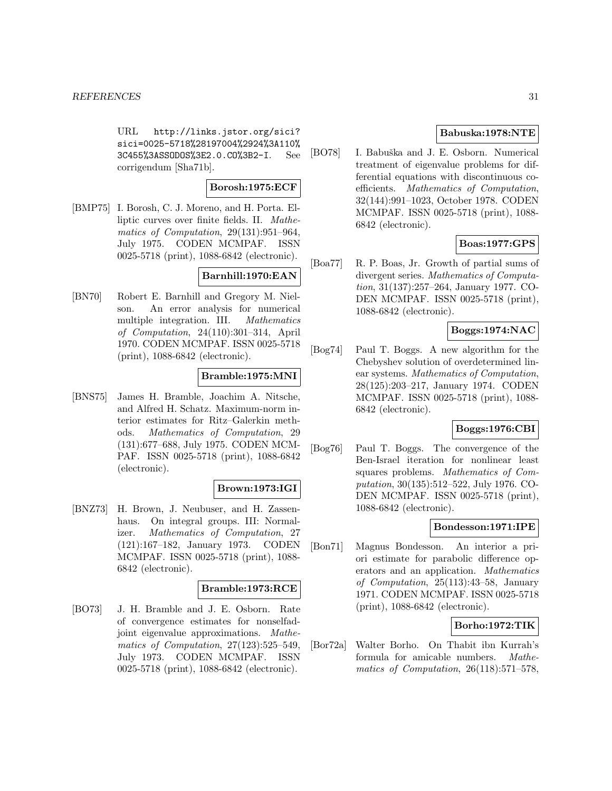URL http://links.jstor.org/sici? sici=0025-5718%28197004%2924%3A110% 3C455%3ASSODOS%3E2.0.CO%3B2-I. See corrigendum [Sha71b].

#### **Borosh:1975:ECF**

[BMP75] I. Borosh, C. J. Moreno, and H. Porta. Elliptic curves over finite fields. II. Mathematics of Computation, 29(131):951–964, July 1975. CODEN MCMPAF. ISSN 0025-5718 (print), 1088-6842 (electronic).

#### **Barnhill:1970:EAN**

[BN70] Robert E. Barnhill and Gregory M. Nielson. An error analysis for numerical multiple integration. III. Mathematics of Computation, 24(110):301–314, April 1970. CODEN MCMPAF. ISSN 0025-5718 (print), 1088-6842 (electronic).

#### **Bramble:1975:MNI**

[BNS75] James H. Bramble, Joachim A. Nitsche, and Alfred H. Schatz. Maximum-norm interior estimates for Ritz–Galerkin methods. Mathematics of Computation, 29 (131):677–688, July 1975. CODEN MCM-PAF. ISSN 0025-5718 (print), 1088-6842 (electronic).

#### **Brown:1973:IGI**

[BNZ73] H. Brown, J. Neubuser, and H. Zassenhaus. On integral groups. III: Normalizer. Mathematics of Computation, 27 (121):167–182, January 1973. CODEN MCMPAF. ISSN 0025-5718 (print), 1088- 6842 (electronic).

#### **Bramble:1973:RCE**

[BO73] J. H. Bramble and J. E. Osborn. Rate of convergence estimates for nonselfadjoint eigenvalue approximations. Mathematics of Computation, 27(123):525–549, July 1973. CODEN MCMPAF. ISSN 0025-5718 (print), 1088-6842 (electronic).

## **Babuska:1978:NTE**

[BO78] I. Babuška and J. E. Osborn. Numerical treatment of eigenvalue problems for differential equations with discontinuous coefficients. Mathematics of Computation, 32(144):991–1023, October 1978. CODEN MCMPAF. ISSN 0025-5718 (print), 1088- 6842 (electronic).

#### **Boas:1977:GPS**

[Boa77] R. P. Boas, Jr. Growth of partial sums of divergent series. Mathematics of Computation, 31(137):257–264, January 1977. CO-DEN MCMPAF. ISSN 0025-5718 (print), 1088-6842 (electronic).

## **Boggs:1974:NAC**

[Bog74] Paul T. Boggs. A new algorithm for the Chebyshev solution of overdetermined linear systems. Mathematics of Computation, 28(125):203–217, January 1974. CODEN MCMPAF. ISSN 0025-5718 (print), 1088- 6842 (electronic).

## **Boggs:1976:CBI**

[Bog76] Paul T. Boggs. The convergence of the Ben-Israel iteration for nonlinear least squares problems. Mathematics of Computation, 30(135):512–522, July 1976. CO-DEN MCMPAF. ISSN 0025-5718 (print), 1088-6842 (electronic).

### **Bondesson:1971:IPE**

[Bon71] Magnus Bondesson. An interior a priori estimate for parabolic difference operators and an application. Mathematics of Computation, 25(113):43–58, January 1971. CODEN MCMPAF. ISSN 0025-5718 (print), 1088-6842 (electronic).

## **Borho:1972:TIK**

[Bor72a] Walter Borho. On Thabit ibn Kurrah's formula for amicable numbers. Mathematics of Computation, 26(118):571–578,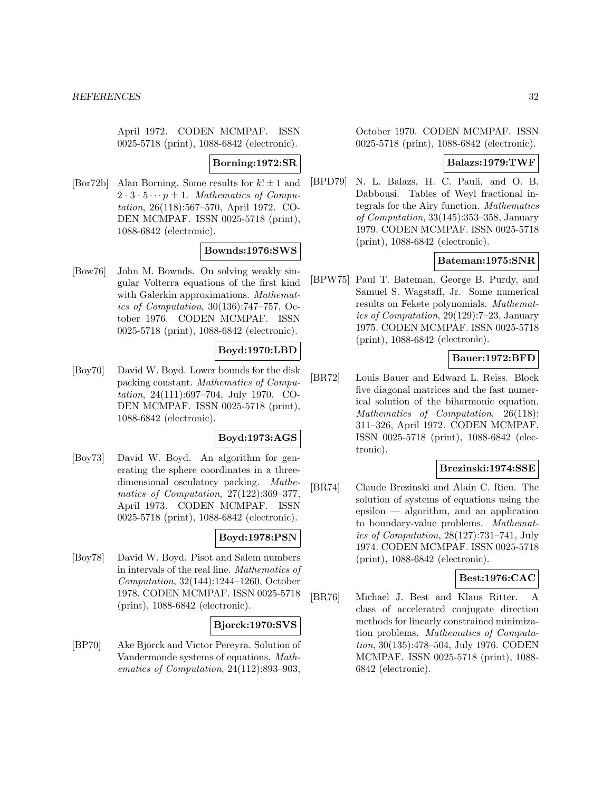April 1972. CODEN MCMPAF. ISSN 0025-5718 (print), 1088-6842 (electronic).

#### **Borning:1972:SR**

[Bor72b] Alan Borning. Some results for  $k! \pm 1$  and  $2 \cdot 3 \cdot 5 \cdots p \pm 1$ . Mathematics of Computation, 26(118):567–570, April 1972. CO-DEN MCMPAF. ISSN 0025-5718 (print), 1088-6842 (electronic).

#### **Bownds:1976:SWS**

[Bow76] John M. Bownds. On solving weakly singular Volterra equations of the first kind with Galerkin approximations. Mathematics of Computation, 30(136):747–757, October 1976. CODEN MCMPAF. ISSN 0025-5718 (print), 1088-6842 (electronic).

#### **Boyd:1970:LBD**

[Boy70] David W. Boyd. Lower bounds for the disk packing constant. Mathematics of Computation, 24(111):697–704, July 1970. CO-DEN MCMPAF. ISSN 0025-5718 (print), 1088-6842 (electronic).

#### **Boyd:1973:AGS**

[Boy73] David W. Boyd. An algorithm for generating the sphere coordinates in a threedimensional osculatory packing. Mathematics of Computation, 27(122):369–377, April 1973. CODEN MCMPAF. ISSN 0025-5718 (print), 1088-6842 (electronic).

#### **Boyd:1978:PSN**

[Boy78] David W. Boyd. Pisot and Salem numbers in intervals of the real line. Mathematics of Computation, 32(144):1244–1260, October 1978. CODEN MCMPAF. ISSN 0025-5718 (print), 1088-6842 (electronic).

### **Bjorck:1970:SVS**

[BP70] Ake Björck and Victor Pereyra. Solution of Vandermonde systems of equations. Mathematics of Computation, 24(112):893–903,

October 1970. CODEN MCMPAF. ISSN 0025-5718 (print), 1088-6842 (electronic).

## **Balazs:1979:TWF**

[BPD79] N. L. Balazs, H. C. Pauli, and O. B. Dabbousi. Tables of Weyl fractional integrals for the Airy function. Mathematics of Computation, 33(145):353–358, January 1979. CODEN MCMPAF. ISSN 0025-5718 (print), 1088-6842 (electronic).

#### **Bateman:1975:SNR**

[BPW75] Paul T. Bateman, George B. Purdy, and Samuel S. Wagstaff, Jr. Some numerical results on Fekete polynomials. Mathematics of Computation, 29(129):7–23, January 1975. CODEN MCMPAF. ISSN 0025-5718 (print), 1088-6842 (electronic).

#### **Bauer:1972:BFD**

[BR72] Louis Bauer and Edward L. Reiss. Block five diagonal matrices and the fast numerical solution of the biharmonic equation. Mathematics of Computation, 26(118): 311–326, April 1972. CODEN MCMPAF. ISSN 0025-5718 (print), 1088-6842 (electronic).

## **Brezinski:1974:SSE**

[BR74] Claude Brezinski and Alain C. Rieu. The solution of systems of equations using the epsilon — algorithm, and an application to boundary-value problems. Mathematics of Computation, 28(127):731–741, July 1974. CODEN MCMPAF. ISSN 0025-5718 (print), 1088-6842 (electronic).

## **Best:1976:CAC**

[BR76] Michael J. Best and Klaus Ritter. A class of accelerated conjugate direction methods for linearly constrained minimization problems. Mathematics of Computation, 30(135):478–504, July 1976. CODEN MCMPAF. ISSN 0025-5718 (print), 1088- 6842 (electronic).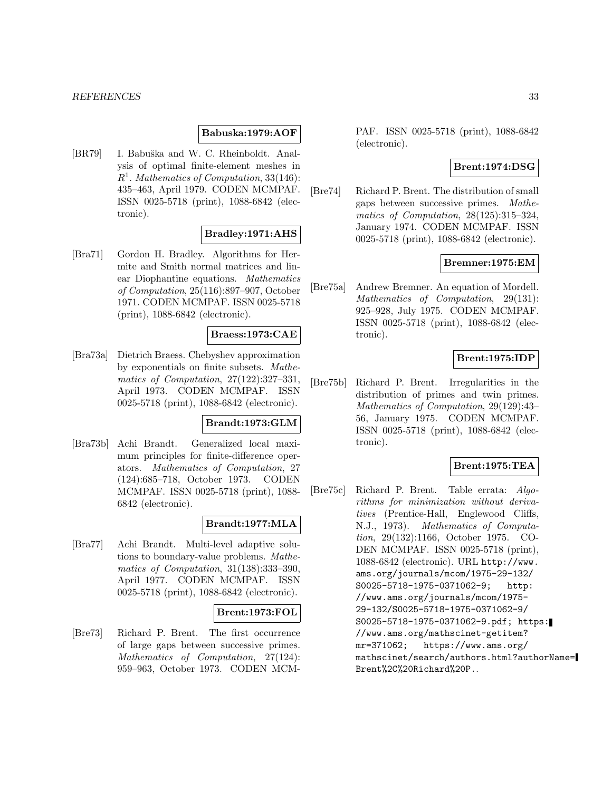#### *REFERENCES* 33

#### **Babuska:1979:AOF**

[BR79] I. Babuška and W. C. Rheinboldt. Analysis of optimal finite-element meshes in  $R<sup>1</sup>$ . Mathematics of Computation, 33(146): 435–463, April 1979. CODEN MCMPAF. ISSN 0025-5718 (print), 1088-6842 (electronic).

#### **Bradley:1971:AHS**

[Bra71] Gordon H. Bradley. Algorithms for Hermite and Smith normal matrices and linear Diophantine equations. Mathematics of Computation, 25(116):897–907, October 1971. CODEN MCMPAF. ISSN 0025-5718 (print), 1088-6842 (electronic).

#### **Braess:1973:CAE**

[Bra73a] Dietrich Braess. Chebyshev approximation by exponentials on finite subsets. Mathematics of Computation, 27(122):327–331, April 1973. CODEN MCMPAF. ISSN 0025-5718 (print), 1088-6842 (electronic).

#### **Brandt:1973:GLM**

[Bra73b] Achi Brandt. Generalized local maximum principles for finite-difference operators. Mathematics of Computation, 27 (124):685–718, October 1973. CODEN MCMPAF. ISSN 0025-5718 (print), 1088- 6842 (electronic).

#### **Brandt:1977:MLA**

[Bra77] Achi Brandt. Multi-level adaptive solutions to boundary-value problems. Mathematics of Computation, 31(138):333–390, April 1977. CODEN MCMPAF. ISSN 0025-5718 (print), 1088-6842 (electronic).

#### **Brent:1973:FOL**

[Bre73] Richard P. Brent. The first occurrence of large gaps between successive primes. Mathematics of Computation, 27(124): 959–963, October 1973. CODEN MCM- PAF. ISSN 0025-5718 (print), 1088-6842 (electronic).

## **Brent:1974:DSG**

[Bre74] Richard P. Brent. The distribution of small gaps between successive primes. Mathematics of Computation, 28(125):315–324, January 1974. CODEN MCMPAF. ISSN 0025-5718 (print), 1088-6842 (electronic).

## **Bremner:1975:EM**

[Bre75a] Andrew Bremner. An equation of Mordell. Mathematics of Computation, 29(131): 925–928, July 1975. CODEN MCMPAF. ISSN 0025-5718 (print), 1088-6842 (electronic).

#### **Brent:1975:IDP**

[Bre75b] Richard P. Brent. Irregularities in the distribution of primes and twin primes. Mathematics of Computation, 29(129):43– 56, January 1975. CODEN MCMPAF. ISSN 0025-5718 (print), 1088-6842 (electronic).

## **Brent:1975:TEA**

[Bre75c] Richard P. Brent. Table errata: Algorithms for minimization without derivatives (Prentice-Hall, Englewood Cliffs, N.J., 1973). Mathematics of Computation, 29(132):1166, October 1975. CO-DEN MCMPAF. ISSN 0025-5718 (print), 1088-6842 (electronic). URL http://www. ams.org/journals/mcom/1975-29-132/ S0025-5718-1975-0371062-9; http: //www.ams.org/journals/mcom/1975- 29-132/S0025-5718-1975-0371062-9/ S0025-5718-1975-0371062-9.pdf; https: //www.ams.org/mathscinet-getitem? mr=371062; https://www.ams.org/ mathscinet/search/authors.html?authorName= Brent%2C%20Richard%20P..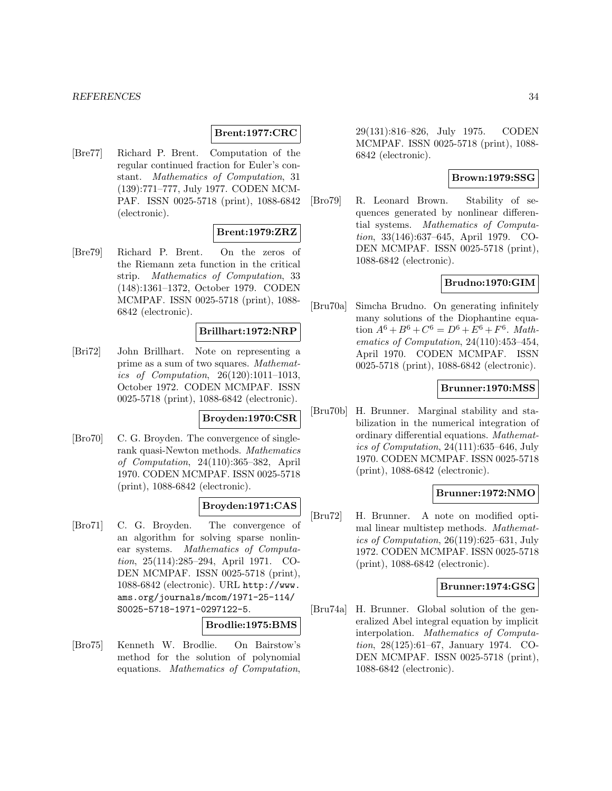#### **Brent:1977:CRC**

[Bre77] Richard P. Brent. Computation of the regular continued fraction for Euler's constant. Mathematics of Computation, 31 (139):771–777, July 1977. CODEN MCM-PAF. ISSN 0025-5718 (print), 1088-6842 (electronic).

#### **Brent:1979:ZRZ**

[Bre79] Richard P. Brent. On the zeros of the Riemann zeta function in the critical strip. Mathematics of Computation, 33 (148):1361–1372, October 1979. CODEN MCMPAF. ISSN 0025-5718 (print), 1088- 6842 (electronic).

#### **Brillhart:1972:NRP**

[Bri72] John Brillhart. Note on representing a prime as a sum of two squares. Mathematics of Computation, 26(120):1011–1013, October 1972. CODEN MCMPAF. ISSN 0025-5718 (print), 1088-6842 (electronic).

#### **Broyden:1970:CSR**

[Bro70] C. G. Broyden. The convergence of singlerank quasi-Newton methods. Mathematics of Computation, 24(110):365–382, April 1970. CODEN MCMPAF. ISSN 0025-5718 (print), 1088-6842 (electronic).

## **Broyden:1971:CAS**

[Bro71] C. G. Broyden. The convergence of an algorithm for solving sparse nonlinear systems. Mathematics of Computation, 25(114):285–294, April 1971. CO-DEN MCMPAF. ISSN 0025-5718 (print), 1088-6842 (electronic). URL http://www. ams.org/journals/mcom/1971-25-114/ S0025-5718-1971-0297122-5.

### **Brodlie:1975:BMS**

[Bro75] Kenneth W. Brodlie. On Bairstow's method for the solution of polynomial equations. Mathematics of Computation,

29(131):816–826, July 1975. CODEN MCMPAF. ISSN 0025-5718 (print), 1088- 6842 (electronic).

#### **Brown:1979:SSG**

[Bro79] R. Leonard Brown. Stability of sequences generated by nonlinear differential systems. Mathematics of Computation, 33(146):637–645, April 1979. CO-DEN MCMPAF. ISSN 0025-5718 (print), 1088-6842 (electronic).

## **Brudno:1970:GIM**

[Bru70a] Simcha Brudno. On generating infinitely many solutions of the Diophantine equation  $A^6 + B^6 + C^6 = D^6 + E^6 + F^6$ . *Math*ematics of Computation, 24(110):453–454, April 1970. CODEN MCMPAF. ISSN 0025-5718 (print), 1088-6842 (electronic).

#### **Brunner:1970:MSS**

[Bru70b] H. Brunner. Marginal stability and stabilization in the numerical integration of ordinary differential equations. Mathematics of Computation, 24(111):635–646, July 1970. CODEN MCMPAF. ISSN 0025-5718 (print), 1088-6842 (electronic).

#### **Brunner:1972:NMO**

[Bru72] H. Brunner. A note on modified optimal linear multistep methods. Mathematics of Computation, 26(119):625–631, July 1972. CODEN MCMPAF. ISSN 0025-5718 (print), 1088-6842 (electronic).

#### **Brunner:1974:GSG**

[Bru74a] H. Brunner. Global solution of the generalized Abel integral equation by implicit interpolation. Mathematics of Computation, 28(125):61–67, January 1974. CO-DEN MCMPAF. ISSN 0025-5718 (print), 1088-6842 (electronic).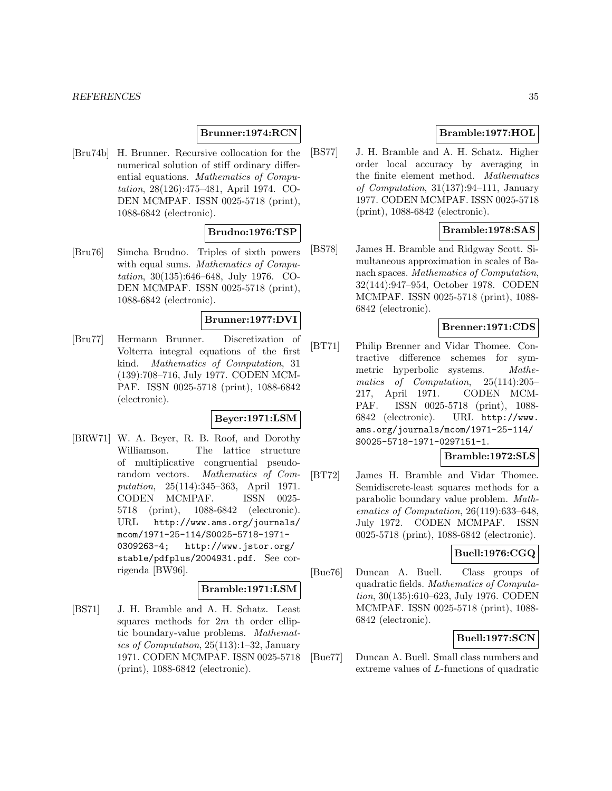## **Brunner:1974:RCN**

[Bru74b] H. Brunner. Recursive collocation for the numerical solution of stiff ordinary differential equations. Mathematics of Computation, 28(126):475–481, April 1974. CO-DEN MCMPAF. ISSN 0025-5718 (print), 1088-6842 (electronic).

#### **Brudno:1976:TSP**

[Bru76] Simcha Brudno. Triples of sixth powers with equal sums. Mathematics of Computation, 30(135):646–648, July 1976. CO-DEN MCMPAF. ISSN 0025-5718 (print), 1088-6842 (electronic).

#### **Brunner:1977:DVI**

[Bru77] Hermann Brunner. Discretization of Volterra integral equations of the first kind. Mathematics of Computation, 31 (139):708–716, July 1977. CODEN MCM-PAF. ISSN 0025-5718 (print), 1088-6842 (electronic).

#### **Beyer:1971:LSM**

[BRW71] W. A. Beyer, R. B. Roof, and Dorothy Williamson. The lattice structure of multiplicative congruential pseudorandom vectors. Mathematics of Computation, 25(114):345–363, April 1971. CODEN MCMPAF. ISSN 0025- 5718 (print), 1088-6842 (electronic). URL http://www.ams.org/journals/ mcom/1971-25-114/S0025-5718-1971- 0309263-4; http://www.jstor.org/ stable/pdfplus/2004931.pdf. See corrigenda [BW96].

#### **Bramble:1971:LSM**

[BS71] J. H. Bramble and A. H. Schatz. Least squares methods for  $2m$  th order elliptic boundary-value problems. Mathematics of Computation, 25(113):1–32, January 1971. CODEN MCMPAF. ISSN 0025-5718 (print), 1088-6842 (electronic).

## **Bramble:1977:HOL**

[BS77] J. H. Bramble and A. H. Schatz. Higher order local accuracy by averaging in the finite element method. Mathematics of Computation, 31(137):94–111, January 1977. CODEN MCMPAF. ISSN 0025-5718 (print), 1088-6842 (electronic).

## **Bramble:1978:SAS**

[BS78] James H. Bramble and Ridgway Scott. Simultaneous approximation in scales of Banach spaces. Mathematics of Computation, 32(144):947–954, October 1978. CODEN MCMPAF. ISSN 0025-5718 (print), 1088- 6842 (electronic).

## **Brenner:1971:CDS**

[BT71] Philip Brenner and Vidar Thomee. Contractive difference schemes for symmetric hyperbolic systems. Mathematics of Computation, 25(114):205– 217, April 1971. CODEN MCM-PAF. ISSN 0025-5718 (print), 1088- 6842 (electronic). URL http://www. ams.org/journals/mcom/1971-25-114/ S0025-5718-1971-0297151-1.

#### **Bramble:1972:SLS**

[BT72] James H. Bramble and Vidar Thomee. Semidiscrete-least squares methods for a parabolic boundary value problem. Mathematics of Computation, 26(119):633–648, July 1972. CODEN MCMPAF. ISSN 0025-5718 (print), 1088-6842 (electronic).

## **Buell:1976:CGQ**

[Bue76] Duncan A. Buell. Class groups of quadratic fields. Mathematics of Computation, 30(135):610–623, July 1976. CODEN MCMPAF. ISSN 0025-5718 (print), 1088- 6842 (electronic).

### **Buell:1977:SCN**

[Bue77] Duncan A. Buell. Small class numbers and extreme values of L-functions of quadratic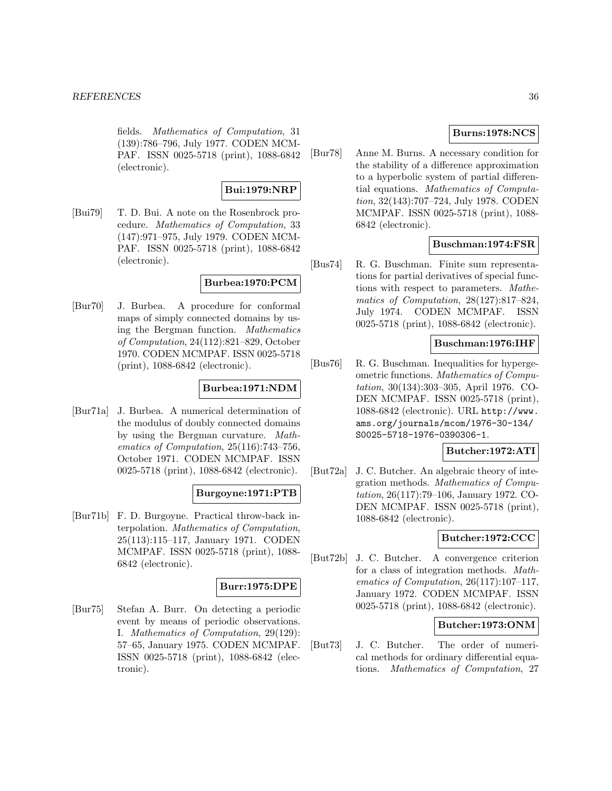fields. Mathematics of Computation, 31 (139):786–796, July 1977. CODEN MCM-PAF. ISSN 0025-5718 (print), 1088-6842 (electronic).

## **Bui:1979:NRP**

[Bui79] T. D. Bui. A note on the Rosenbrock procedure. Mathematics of Computation, 33 (147):971–975, July 1979. CODEN MCM-PAF. ISSN 0025-5718 (print), 1088-6842 (electronic).

## **Burbea:1970:PCM**

[Bur70] J. Burbea. A procedure for conformal maps of simply connected domains by using the Bergman function. Mathematics of Computation, 24(112):821–829, October 1970. CODEN MCMPAF. ISSN 0025-5718 (print), 1088-6842 (electronic).

## **Burbea:1971:NDM**

[Bur71a] J. Burbea. A numerical determination of the modulus of doubly connected domains by using the Bergman curvature. Mathematics of Computation, 25(116):743–756, October 1971. CODEN MCMPAF. ISSN 0025-5718 (print), 1088-6842 (electronic).

#### **Burgoyne:1971:PTB**

[Bur71b] F. D. Burgoyne. Practical throw-back interpolation. Mathematics of Computation, 25(113):115–117, January 1971. CODEN MCMPAF. ISSN 0025-5718 (print), 1088- 6842 (electronic).

#### **Burr:1975:DPE**

[Bur75] Stefan A. Burr. On detecting a periodic event by means of periodic observations. I. Mathematics of Computation, 29(129): 57–65, January 1975. CODEN MCMPAF. ISSN 0025-5718 (print), 1088-6842 (electronic).

## **Burns:1978:NCS**

[Bur78] Anne M. Burns. A necessary condition for the stability of a difference approximation to a hyperbolic system of partial differential equations. Mathematics of Computation, 32(143):707–724, July 1978. CODEN MCMPAF. ISSN 0025-5718 (print), 1088- 6842 (electronic).

#### **Buschman:1974:FSR**

[Bus74] R. G. Buschman. Finite sum representations for partial derivatives of special functions with respect to parameters. Mathematics of Computation, 28(127):817–824, July 1974. CODEN MCMPAF. ISSN 0025-5718 (print), 1088-6842 (electronic).

#### **Buschman:1976:IHF**

[Bus76] R. G. Buschman. Inequalities for hypergeometric functions. Mathematics of Computation, 30(134):303–305, April 1976. CO-DEN MCMPAF. ISSN 0025-5718 (print), 1088-6842 (electronic). URL http://www. ams.org/journals/mcom/1976-30-134/ S0025-5718-1976-0390306-1.

## **Butcher:1972:ATI**

[But72a] J. C. Butcher. An algebraic theory of integration methods. Mathematics of Computation, 26(117):79–106, January 1972. CO-DEN MCMPAF. ISSN 0025-5718 (print), 1088-6842 (electronic).

#### **Butcher:1972:CCC**

[But72b] J. C. Butcher. A convergence criterion for a class of integration methods. Mathematics of Computation, 26(117):107–117, January 1972. CODEN MCMPAF. ISSN 0025-5718 (print), 1088-6842 (electronic).

## **Butcher:1973:ONM**

[But73] J. C. Butcher. The order of numerical methods for ordinary differential equations. Mathematics of Computation, 27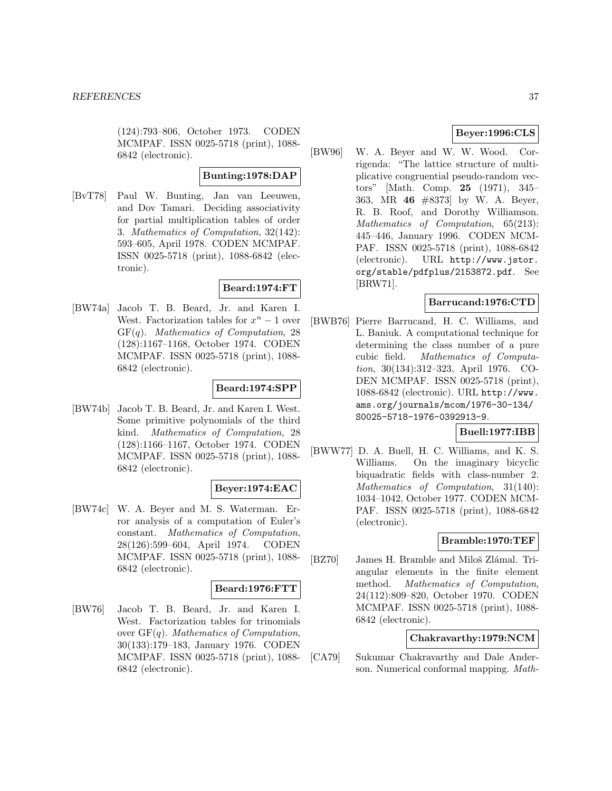(124):793–806, October 1973. CODEN MCMPAF. ISSN 0025-5718 (print), 1088- 6842 (electronic).

#### **Bunting:1978:DAP**

[BvT78] Paul W. Bunting, Jan van Leeuwen, and Dov Tamari. Deciding associativity for partial multiplication tables of order 3. Mathematics of Computation, 32(142): 593–605, April 1978. CODEN MCMPAF. ISSN 0025-5718 (print), 1088-6842 (electronic).

## **Beard:1974:FT**

[BW74a] Jacob T. B. Beard, Jr. and Karen I. West. Factorization tables for  $x^n - 1$  over  $GF(q)$ . Mathematics of Computation, 28 (128):1167–1168, October 1974. CODEN MCMPAF. ISSN 0025-5718 (print), 1088- 6842 (electronic).

## **Beard:1974:SPP**

[BW74b] Jacob T. B. Beard, Jr. and Karen I. West. Some primitive polynomials of the third kind. Mathematics of Computation, 28 (128):1166–1167, October 1974. CODEN MCMPAF. ISSN 0025-5718 (print), 1088- 6842 (electronic).

## **Beyer:1974:EAC**

[BW74c] W. A. Beyer and M. S. Waterman. Error analysis of a computation of Euler's constant. Mathematics of Computation, 28(126):599–604, April 1974. CODEN MCMPAF. ISSN 0025-5718 (print), 1088- 6842 (electronic).

#### **Beard:1976:FTT**

[BW76] Jacob T. B. Beard, Jr. and Karen I. West. Factorization tables for trinomials over  $GF(q)$ . Mathematics of Computation, 30(133):179–183, January 1976. CODEN MCMPAF. ISSN 0025-5718 (print), 1088- 6842 (electronic).

# **Beyer:1996:CLS**

[BW96] W. A. Beyer and W. W. Wood. Corrigenda: "The lattice structure of multiplicative congruential pseudo-random vectors" [Math. Comp. **25** (1971), 345– 363, MR **46** #8373] by W. A. Beyer, R. B. Roof, and Dorothy Williamson. Mathematics of Computation, 65(213): 445–446, January 1996. CODEN MCM-PAF. ISSN 0025-5718 (print), 1088-6842 (electronic). URL http://www.jstor. org/stable/pdfplus/2153872.pdf. See [BRW71].

## **Barrucand:1976:CTD**

[BWB76] Pierre Barrucand, H. C. Williams, and L. Baniuk. A computational technique for determining the class number of a pure cubic field. Mathematics of Computation, 30(134):312–323, April 1976. CO-DEN MCMPAF. ISSN 0025-5718 (print), 1088-6842 (electronic). URL http://www. ams.org/journals/mcom/1976-30-134/ S0025-5718-1976-0392913-9.

## **Buell:1977:IBB**

[BWW77] D. A. Buell, H. C. Williams, and K. S. Williams. On the imaginary bicyclic biquadratic fields with class-number 2. Mathematics of Computation, 31(140): 1034–1042, October 1977. CODEN MCM-PAF. ISSN 0025-5718 (print), 1088-6842 (electronic).

## **Bramble:1970:TEF**

[BZ70] James H. Bramble and Miloš Zlámal. Triangular elements in the finite element method. Mathematics of Computation, 24(112):809–820, October 1970. CODEN MCMPAF. ISSN 0025-5718 (print), 1088- 6842 (electronic).

#### **Chakravarthy:1979:NCM**

[CA79] Sukumar Chakravarthy and Dale Anderson. Numerical conformal mapping. Math-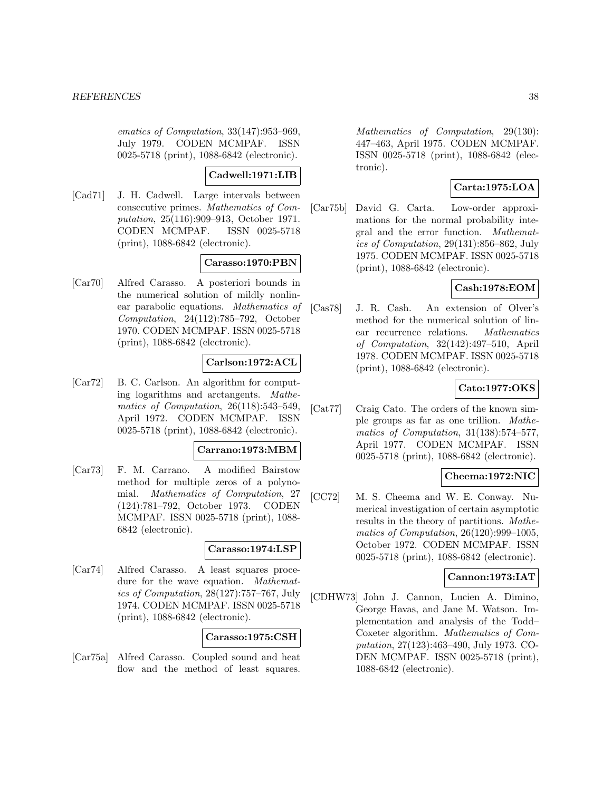ematics of Computation, 33(147):953–969, July 1979. CODEN MCMPAF. ISSN 0025-5718 (print), 1088-6842 (electronic).

#### **Cadwell:1971:LIB**

[Cad71] J. H. Cadwell. Large intervals between consecutive primes. Mathematics of Computation, 25(116):909–913, October 1971. CODEN MCMPAF. ISSN 0025-5718 (print), 1088-6842 (electronic).

## **Carasso:1970:PBN**

[Car70] Alfred Carasso. A posteriori bounds in the numerical solution of mildly nonlinear parabolic equations. Mathematics of Computation, 24(112):785–792, October 1970. CODEN MCMPAF. ISSN 0025-5718 (print), 1088-6842 (electronic).

# **Carlson:1972:ACL**

[Car72] B. C. Carlson. An algorithm for computing logarithms and arctangents. Mathematics of Computation, 26(118):543–549, April 1972. CODEN MCMPAF. ISSN 0025-5718 (print), 1088-6842 (electronic).

#### **Carrano:1973:MBM**

[Car73] F. M. Carrano. A modified Bairstow method for multiple zeros of a polynomial. Mathematics of Computation, 27 (124):781–792, October 1973. CODEN MCMPAF. ISSN 0025-5718 (print), 1088- 6842 (electronic).

## **Carasso:1974:LSP**

[Car74] Alfred Carasso. A least squares procedure for the wave equation. Mathematics of Computation, 28(127):757–767, July 1974. CODEN MCMPAF. ISSN 0025-5718 (print), 1088-6842 (electronic).

#### **Carasso:1975:CSH**

[Car75a] Alfred Carasso. Coupled sound and heat flow and the method of least squares.

Mathematics of Computation, 29(130): 447–463, April 1975. CODEN MCMPAF. ISSN 0025-5718 (print), 1088-6842 (electronic).

# **Carta:1975:LOA**

[Car75b] David G. Carta. Low-order approximations for the normal probability integral and the error function. Mathematics of Computation, 29(131):856–862, July 1975. CODEN MCMPAF. ISSN 0025-5718 (print), 1088-6842 (electronic).

# **Cash:1978:EOM**

[Cas78] J. R. Cash. An extension of Olver's method for the numerical solution of linear recurrence relations. Mathematics of Computation, 32(142):497–510, April 1978. CODEN MCMPAF. ISSN 0025-5718 (print), 1088-6842 (electronic).

## **Cato:1977:OKS**

[Cat77] Craig Cato. The orders of the known simple groups as far as one trillion. Mathematics of Computation, 31(138):574–577, April 1977. CODEN MCMPAF. ISSN 0025-5718 (print), 1088-6842 (electronic).

# **Cheema:1972:NIC**

[CC72] M. S. Cheema and W. E. Conway. Numerical investigation of certain asymptotic results in the theory of partitions. Mathematics of Computation, 26(120):999–1005, October 1972. CODEN MCMPAF. ISSN 0025-5718 (print), 1088-6842 (electronic).

## **Cannon:1973:IAT**

[CDHW73] John J. Cannon, Lucien A. Dimino, George Havas, and Jane M. Watson. Implementation and analysis of the Todd– Coxeter algorithm. Mathematics of Computation, 27(123):463–490, July 1973. CO-DEN MCMPAF. ISSN 0025-5718 (print), 1088-6842 (electronic).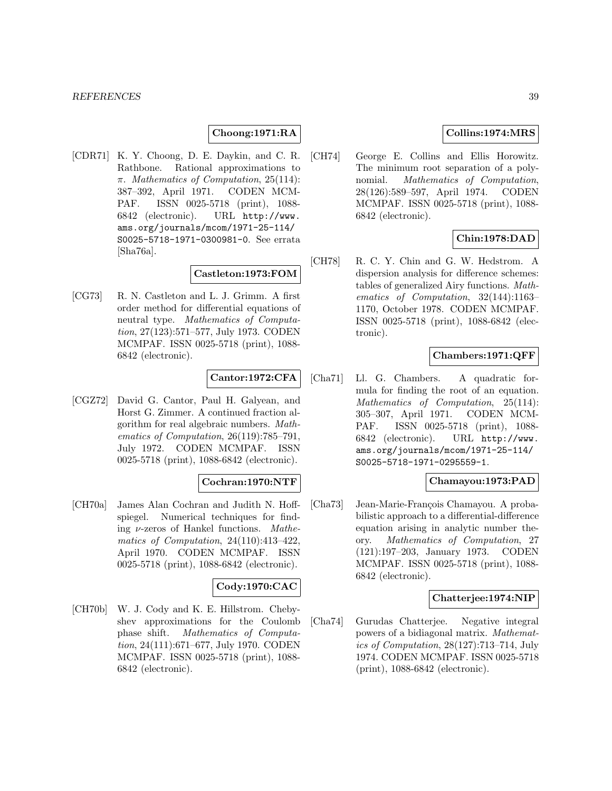## **Choong:1971:RA**

[CDR71] K. Y. Choong, D. E. Daykin, and C. R. Rathbone. Rational approximations to π. Mathematics of Computation, 25(114): 387–392, April 1971. CODEN MCM-PAF. ISSN 0025-5718 (print), 1088- 6842 (electronic). URL http://www. ams.org/journals/mcom/1971-25-114/ S0025-5718-1971-0300981-0. See errata [Sha76a].

## **Castleton:1973:FOM**

[CG73] R. N. Castleton and L. J. Grimm. A first order method for differential equations of neutral type. Mathematics of Computation, 27(123):571–577, July 1973. CODEN MCMPAF. ISSN 0025-5718 (print), 1088- 6842 (electronic).

## **Cantor:1972:CFA**

[CGZ72] David G. Cantor, Paul H. Galyean, and Horst G. Zimmer. A continued fraction algorithm for real algebraic numbers. Mathematics of Computation, 26(119):785–791, July 1972. CODEN MCMPAF. ISSN 0025-5718 (print), 1088-6842 (electronic).

## **Cochran:1970:NTF**

[CH70a] James Alan Cochran and Judith N. Hoffspiegel. Numerical techniques for finding  $\nu$ -zeros of Hankel functions. *Mathe*matics of Computation, 24(110):413–422, April 1970. CODEN MCMPAF. ISSN 0025-5718 (print), 1088-6842 (electronic).

## **Cody:1970:CAC**

[CH70b] W. J. Cody and K. E. Hillstrom. Chebyshev approximations for the Coulomb phase shift. Mathematics of Computation, 24(111):671–677, July 1970. CODEN MCMPAF. ISSN 0025-5718 (print), 1088- 6842 (electronic).

## **Collins:1974:MRS**

[CH74] George E. Collins and Ellis Horowitz. The minimum root separation of a polynomial. Mathematics of Computation, 28(126):589–597, April 1974. CODEN MCMPAF. ISSN 0025-5718 (print), 1088- 6842 (electronic).

# **Chin:1978:DAD**

[CH78] R. C. Y. Chin and G. W. Hedstrom. A dispersion analysis for difference schemes: tables of generalized Airy functions. Mathematics of Computation, 32(144):1163– 1170, October 1978. CODEN MCMPAF. ISSN 0025-5718 (print), 1088-6842 (electronic).

## **Chambers:1971:QFF**

[Cha71] Ll. G. Chambers. A quadratic formula for finding the root of an equation. Mathematics of Computation, 25(114): 305–307, April 1971. CODEN MCM-PAF. ISSN 0025-5718 (print), 1088- 6842 (electronic). URL http://www. ams.org/journals/mcom/1971-25-114/ S0025-5718-1971-0295559-1.

#### **Chamayou:1973:PAD**

[Cha73] Jean-Marie-François Chamayou. A probabilistic approach to a differential-difference equation arising in analytic number theory. Mathematics of Computation, 27 (121):197–203, January 1973. CODEN MCMPAF. ISSN 0025-5718 (print), 1088- 6842 (electronic).

## **Chatterjee:1974:NIP**

[Cha74] Gurudas Chatterjee. Negative integral powers of a bidiagonal matrix. Mathematics of Computation, 28(127):713–714, July 1974. CODEN MCMPAF. ISSN 0025-5718 (print), 1088-6842 (electronic).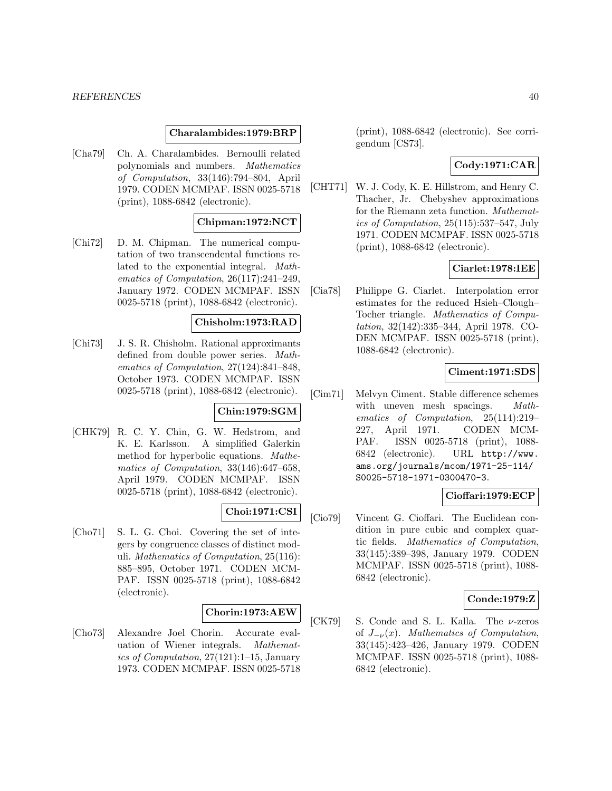#### **Charalambides:1979:BRP**

[Cha79] Ch. A. Charalambides. Bernoulli related polynomials and numbers. Mathematics of Computation, 33(146):794–804, April 1979. CODEN MCMPAF. ISSN 0025-5718 (print), 1088-6842 (electronic).

#### **Chipman:1972:NCT**

[Chi72] D. M. Chipman. The numerical computation of two transcendental functions related to the exponential integral. Mathematics of Computation, 26(117):241–249, January 1972. CODEN MCMPAF. ISSN 0025-5718 (print), 1088-6842 (electronic).

#### **Chisholm:1973:RAD**

[Chi73] J. S. R. Chisholm. Rational approximants defined from double power series. Mathematics of Computation, 27(124):841–848, October 1973. CODEN MCMPAF. ISSN 0025-5718 (print), 1088-6842 (electronic).

#### **Chin:1979:SGM**

[CHK79] R. C. Y. Chin, G. W. Hedstrom, and K. E. Karlsson. A simplified Galerkin method for hyperbolic equations. Mathematics of Computation, 33(146):647–658, April 1979. CODEN MCMPAF. ISSN 0025-5718 (print), 1088-6842 (electronic).

## **Choi:1971:CSI**

[Cho71] S. L. G. Choi. Covering the set of integers by congruence classes of distinct moduli. Mathematics of Computation, 25(116): 885–895, October 1971. CODEN MCM-PAF. ISSN 0025-5718 (print), 1088-6842 (electronic).

## **Chorin:1973:AEW**

[Cho73] Alexandre Joel Chorin. Accurate evaluation of Wiener integrals. Mathematics of Computation, 27(121):1–15, January 1973. CODEN MCMPAF. ISSN 0025-5718

(print), 1088-6842 (electronic). See corrigendum [CS73].

# **Cody:1971:CAR**

[CHT71] W. J. Cody, K. E. Hillstrom, and Henry C. Thacher, Jr. Chebyshev approximations for the Riemann zeta function. Mathematics of Computation, 25(115):537–547, July 1971. CODEN MCMPAF. ISSN 0025-5718 (print), 1088-6842 (electronic).

## **Ciarlet:1978:IEE**

[Cia78] Philippe G. Ciarlet. Interpolation error estimates for the reduced Hsieh–Clough– Tocher triangle. Mathematics of Computation, 32(142):335–344, April 1978. CO-DEN MCMPAF. ISSN 0025-5718 (print), 1088-6842 (electronic).

#### **Ciment:1971:SDS**

[Cim71] Melvyn Ciment. Stable difference schemes with uneven mesh spacings. Mathematics of Computation, 25(114):219– 227, April 1971. CODEN MCM-PAF. ISSN 0025-5718 (print), 1088- 6842 (electronic). URL http://www. ams.org/journals/mcom/1971-25-114/ S0025-5718-1971-0300470-3.

## **Cioffari:1979:ECP**

[Cio79] Vincent G. Cioffari. The Euclidean condition in pure cubic and complex quartic fields. Mathematics of Computation, 33(145):389–398, January 1979. CODEN MCMPAF. ISSN 0025-5718 (print), 1088- 6842 (electronic).

## **Conde:1979:Z**

[CK79] S. Conde and S. L. Kalla. The  $\nu$ -zeros of  $J_{-\nu}(x)$ . Mathematics of Computation, 33(145):423–426, January 1979. CODEN MCMPAF. ISSN 0025-5718 (print), 1088- 6842 (electronic).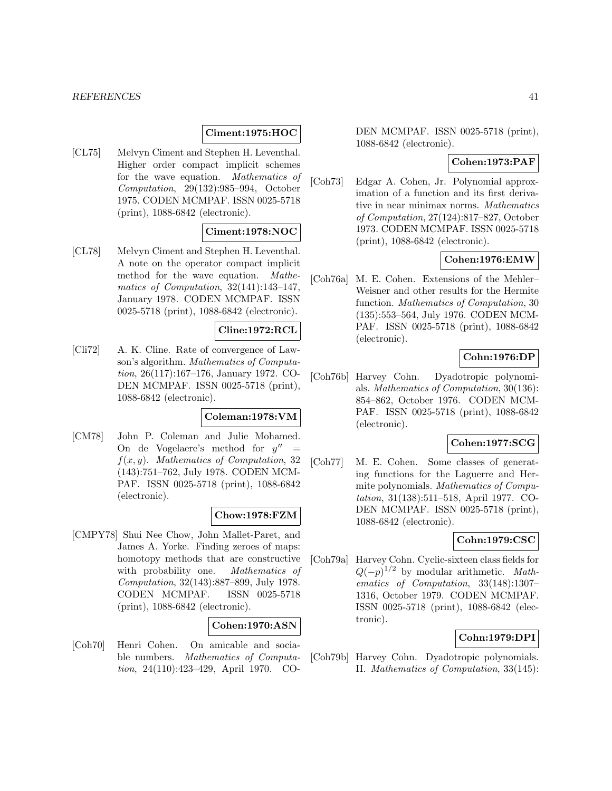#### *REFERENCES* 41

#### **Ciment:1975:HOC**

[CL75] Melvyn Ciment and Stephen H. Leventhal. Higher order compact implicit schemes for the wave equation. Mathematics of Computation, 29(132):985–994, October 1975. CODEN MCMPAF. ISSN 0025-5718 (print), 1088-6842 (electronic).

#### **Ciment:1978:NOC**

[CL78] Melvyn Ciment and Stephen H. Leventhal. A note on the operator compact implicit method for the wave equation. Mathematics of Computation, 32(141):143–147, January 1978. CODEN MCMPAF. ISSN 0025-5718 (print), 1088-6842 (electronic).

## **Cline:1972:RCL**

[Cli72] A. K. Cline. Rate of convergence of Lawson's algorithm. Mathematics of Computation, 26(117):167–176, January 1972. CO-DEN MCMPAF. ISSN 0025-5718 (print), 1088-6842 (electronic).

#### **Coleman:1978:VM**

[CM78] John P. Coleman and Julie Mohamed. On de Vogelaere's method for  $y'' =$  $f(x, y)$ . Mathematics of Computation, 32 (143):751–762, July 1978. CODEN MCM-PAF. ISSN 0025-5718 (print), 1088-6842 (electronic).

#### **Chow:1978:FZM**

[CMPY78] Shui Nee Chow, John Mallet-Paret, and James A. Yorke. Finding zeroes of maps: homotopy methods that are constructive with probability one. Mathematics of Computation, 32(143):887–899, July 1978. CODEN MCMPAF. ISSN 0025-5718 (print), 1088-6842 (electronic).

#### **Cohen:1970:ASN**

[Coh70] Henri Cohen. On amicable and sociable numbers. Mathematics of Computation, 24(110):423–429, April 1970. CO- DEN MCMPAF. ISSN 0025-5718 (print), 1088-6842 (electronic).

## **Cohen:1973:PAF**

[Coh73] Edgar A. Cohen, Jr. Polynomial approximation of a function and its first derivative in near minimax norms. Mathematics of Computation, 27(124):817–827, October 1973. CODEN MCMPAF. ISSN 0025-5718 (print), 1088-6842 (electronic).

## **Cohen:1976:EMW**

[Coh76a] M. E. Cohen. Extensions of the Mehler– Weisner and other results for the Hermite function. Mathematics of Computation, 30 (135):553–564, July 1976. CODEN MCM-PAF. ISSN 0025-5718 (print), 1088-6842 (electronic).

#### **Cohn:1976:DP**

[Coh76b] Harvey Cohn. Dyadotropic polynomials. Mathematics of Computation, 30(136): 854–862, October 1976. CODEN MCM-PAF. ISSN 0025-5718 (print), 1088-6842 (electronic).

#### **Cohen:1977:SCG**

[Coh77] M. E. Cohen. Some classes of generating functions for the Laguerre and Hermite polynomials. Mathematics of Computation, 31(138):511–518, April 1977. CO-DEN MCMPAF. ISSN 0025-5718 (print), 1088-6842 (electronic).

## **Cohn:1979:CSC**

[Coh79a] Harvey Cohn. Cyclic-sixteen class fields for  $Q(-p)^{1/2}$  by modular arithmetic. Mathematics of Computation, 33(148):1307– 1316, October 1979. CODEN MCMPAF. ISSN 0025-5718 (print), 1088-6842 (electronic).

## **Cohn:1979:DPI**

[Coh79b] Harvey Cohn. Dyadotropic polynomials. II. Mathematics of Computation, 33(145):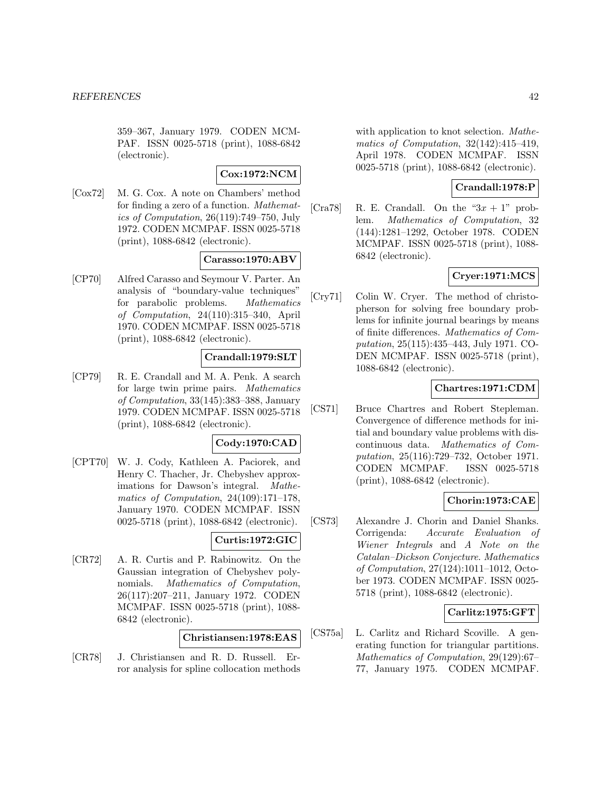359–367, January 1979. CODEN MCM-PAF. ISSN 0025-5718 (print), 1088-6842 (electronic).

## **Cox:1972:NCM**

[Cox72] M. G. Cox. A note on Chambers' method for finding a zero of a function. Mathematics of Computation, 26(119):749–750, July 1972. CODEN MCMPAF. ISSN 0025-5718 (print), 1088-6842 (electronic).

## **Carasso:1970:ABV**

[CP70] Alfred Carasso and Seymour V. Parter. An analysis of "boundary-value techniques" for parabolic problems. Mathematics of Computation, 24(110):315–340, April 1970. CODEN MCMPAF. ISSN 0025-5718 (print), 1088-6842 (electronic).

#### **Crandall:1979:SLT**

[CP79] R. E. Crandall and M. A. Penk. A search for large twin prime pairs. Mathematics of Computation, 33(145):383–388, January 1979. CODEN MCMPAF. ISSN 0025-5718 (print), 1088-6842 (electronic).

#### **Cody:1970:CAD**

[CPT70] W. J. Cody, Kathleen A. Paciorek, and Henry C. Thacher, Jr. Chebyshev approximations for Dawson's integral. Mathematics of Computation, 24(109):171–178, January 1970. CODEN MCMPAF. ISSN 0025-5718 (print), 1088-6842 (electronic).

## **Curtis:1972:GIC**

[CR72] A. R. Curtis and P. Rabinowitz. On the Gaussian integration of Chebyshev polynomials. Mathematics of Computation, 26(117):207–211, January 1972. CODEN MCMPAF. ISSN 0025-5718 (print), 1088- 6842 (electronic).

## **Christiansen:1978:EAS**

[CR78] J. Christiansen and R. D. Russell. Error analysis for spline collocation methods

with application to knot selection. Mathematics of Computation, 32(142):415–419, April 1978. CODEN MCMPAF. ISSN 0025-5718 (print), 1088-6842 (electronic).

## **Crandall:1978:P**

[Cra78] R. E. Crandall. On the " $3x + 1$ " problem. Mathematics of Computation, 32 (144):1281–1292, October 1978. CODEN MCMPAF. ISSN 0025-5718 (print), 1088- 6842 (electronic).

# **Cryer:1971:MCS**

[Cry71] Colin W. Cryer. The method of christopherson for solving free boundary problems for infinite journal bearings by means of finite differences. Mathematics of Computation, 25(115):435–443, July 1971. CO-DEN MCMPAF. ISSN 0025-5718 (print), 1088-6842 (electronic).

#### **Chartres:1971:CDM**

[CS71] Bruce Chartres and Robert Stepleman. Convergence of difference methods for initial and boundary value problems with discontinuous data. Mathematics of Computation, 25(116):729–732, October 1971. CODEN MCMPAF. ISSN 0025-5718 (print), 1088-6842 (electronic).

## **Chorin:1973:CAE**

[CS73] Alexandre J. Chorin and Daniel Shanks. Corrigenda: Accurate Evaluation of Wiener Integrals and A Note on the Catalan–Dickson Conjecture. Mathematics of Computation, 27(124):1011–1012, October 1973. CODEN MCMPAF. ISSN 0025- 5718 (print), 1088-6842 (electronic).

## **Carlitz:1975:GFT**

[CS75a] L. Carlitz and Richard Scoville. A generating function for triangular partitions. Mathematics of Computation, 29(129):67– 77, January 1975. CODEN MCMPAF.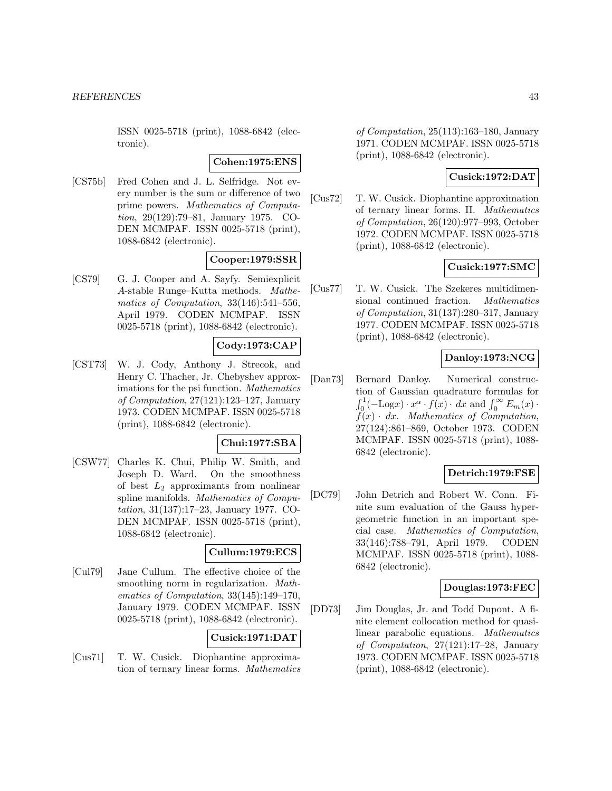ISSN 0025-5718 (print), 1088-6842 (electronic).

## **Cohen:1975:ENS**

[CS75b] Fred Cohen and J. L. Selfridge. Not every number is the sum or difference of two prime powers. Mathematics of Computation, 29(129):79–81, January 1975. CO-DEN MCMPAF. ISSN 0025-5718 (print), 1088-6842 (electronic).

# **Cooper:1979:SSR**

[CS79] G. J. Cooper and A. Sayfy. Semiexplicit A-stable Runge–Kutta methods. Mathematics of Computation, 33(146):541–556, April 1979. CODEN MCMPAF. ISSN 0025-5718 (print), 1088-6842 (electronic).

# **Cody:1973:CAP**

[CST73] W. J. Cody, Anthony J. Strecok, and Henry C. Thacher, Jr. Chebyshev approximations for the psi function. Mathematics of Computation, 27(121):123–127, January 1973. CODEN MCMPAF. ISSN 0025-5718 (print), 1088-6842 (electronic).

## **Chui:1977:SBA**

[CSW77] Charles K. Chui, Philip W. Smith, and Joseph D. Ward. On the smoothness of best  $L_2$  approximants from nonlinear spline manifolds. Mathematics of Computation, 31(137):17–23, January 1977. CO-DEN MCMPAF. ISSN 0025-5718 (print), 1088-6842 (electronic).

## **Cullum:1979:ECS**

[Cul79] Jane Cullum. The effective choice of the smoothing norm in regularization. Mathematics of Computation, 33(145):149–170, January 1979. CODEN MCMPAF. ISSN 0025-5718 (print), 1088-6842 (electronic).

# **Cusick:1971:DAT**

[Cus71] T. W. Cusick. Diophantine approximation of ternary linear forms. Mathematics

of Computation, 25(113):163–180, January 1971. CODEN MCMPAF. ISSN 0025-5718 (print), 1088-6842 (electronic).

## **Cusick:1972:DAT**

[Cus72] T. W. Cusick. Diophantine approximation of ternary linear forms. II. Mathematics of Computation, 26(120):977–993, October 1972. CODEN MCMPAF. ISSN 0025-5718 (print), 1088-6842 (electronic).

## **Cusick:1977:SMC**

[Cus77] T. W. Cusick. The Szekeres multidimensional continued fraction. Mathematics of Computation, 31(137):280–317, January 1977. CODEN MCMPAF. ISSN 0025-5718 (print), 1088-6842 (electronic).

#### **Danloy:1973:NCG**

[Dan73] Bernard Danloy. Numerical construction of Gaussian quadrature formulas for  $\int_0^1 (-\text{Log} x) \cdot x^{\alpha} \cdot f(x) \cdot dx$  and  $\int_0^{\infty} E_m(x) \cdot$  $f(x)$  · dx. Mathematics of Computation, 27(124):861–869, October 1973. CODEN MCMPAF. ISSN 0025-5718 (print), 1088- 6842 (electronic).

## **Detrich:1979:FSE**

[DC79] John Detrich and Robert W. Conn. Finite sum evaluation of the Gauss hypergeometric function in an important special case. Mathematics of Computation, 33(146):788–791, April 1979. CODEN MCMPAF. ISSN 0025-5718 (print), 1088- 6842 (electronic).

#### **Douglas:1973:FEC**

[DD73] Jim Douglas, Jr. and Todd Dupont. A finite element collocation method for quasilinear parabolic equations. Mathematics of Computation, 27(121):17–28, January 1973. CODEN MCMPAF. ISSN 0025-5718 (print), 1088-6842 (electronic).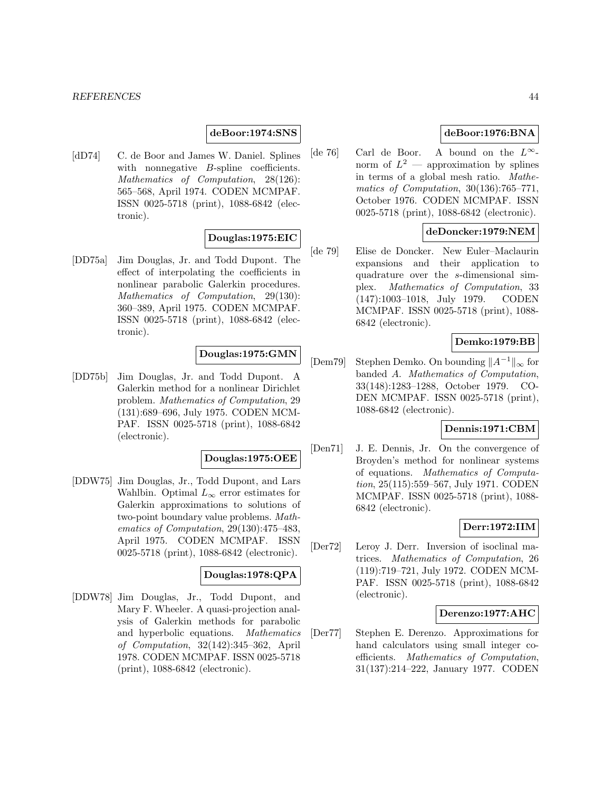## **deBoor:1974:SNS**

[dD74] C. de Boor and James W. Daniel. Splines with nonnegative *B*-spline coefficients. Mathematics of Computation, 28(126): 565–568, April 1974. CODEN MCMPAF. ISSN 0025-5718 (print), 1088-6842 (electronic).

## **Douglas:1975:EIC**

[DD75a] Jim Douglas, Jr. and Todd Dupont. The effect of interpolating the coefficients in nonlinear parabolic Galerkin procedures. Mathematics of Computation, 29(130): 360–389, April 1975. CODEN MCMPAF. ISSN 0025-5718 (print), 1088-6842 (electronic).

# **Douglas:1975:GMN**

[DD75b] Jim Douglas, Jr. and Todd Dupont. A Galerkin method for a nonlinear Dirichlet problem. Mathematics of Computation, 29 (131):689–696, July 1975. CODEN MCM-PAF. ISSN 0025-5718 (print), 1088-6842 (electronic).

#### **Douglas:1975:OEE**

[DDW75] Jim Douglas, Jr., Todd Dupont, and Lars Wahlbin. Optimal  $L_{\infty}$  error estimates for Galerkin approximations to solutions of two-point boundary value problems. Mathematics of Computation, 29(130):475–483, April 1975. CODEN MCMPAF. ISSN 0025-5718 (print), 1088-6842 (electronic).

## **Douglas:1978:QPA**

[DDW78] Jim Douglas, Jr., Todd Dupont, and Mary F. Wheeler. A quasi-projection analysis of Galerkin methods for parabolic and hyperbolic equations. Mathematics of Computation, 32(142):345–362, April 1978. CODEN MCMPAF. ISSN 0025-5718 (print), 1088-6842 (electronic).

# **deBoor:1976:BNA**

[de 76] Carl de Boor. A bound on the  $L^{\infty}$ norm of  $L^2$  — approximation by splines in terms of a global mesh ratio. Mathematics of Computation, 30(136):765–771, October 1976. CODEN MCMPAF. ISSN 0025-5718 (print), 1088-6842 (electronic).

## **deDoncker:1979:NEM**

[de 79] Elise de Doncker. New Euler–Maclaurin expansions and their application to quadrature over the s-dimensional simplex. Mathematics of Computation, 33 (147):1003–1018, July 1979. CODEN MCMPAF. ISSN 0025-5718 (print), 1088- 6842 (electronic).

## **Demko:1979:BB**

[Dem79] Stephen Demko. On bounding  $||A^{-1}||_{\infty}$  for banded A. Mathematics of Computation, 33(148):1283–1288, October 1979. CO-DEN MCMPAF. ISSN 0025-5718 (print), 1088-6842 (electronic).

## **Dennis:1971:CBM**

[Den71] J. E. Dennis, Jr. On the convergence of Broyden's method for nonlinear systems of equations. Mathematics of Computation, 25(115):559–567, July 1971. CODEN MCMPAF. ISSN 0025-5718 (print), 1088- 6842 (electronic).

# **Derr:1972:IIM**

[Der72] Leroy J. Derr. Inversion of isoclinal matrices. Mathematics of Computation, 26 (119):719–721, July 1972. CODEN MCM-PAF. ISSN 0025-5718 (print), 1088-6842 (electronic).

## **Derenzo:1977:AHC**

[Der77] Stephen E. Derenzo. Approximations for hand calculators using small integer coefficients. Mathematics of Computation, 31(137):214–222, January 1977. CODEN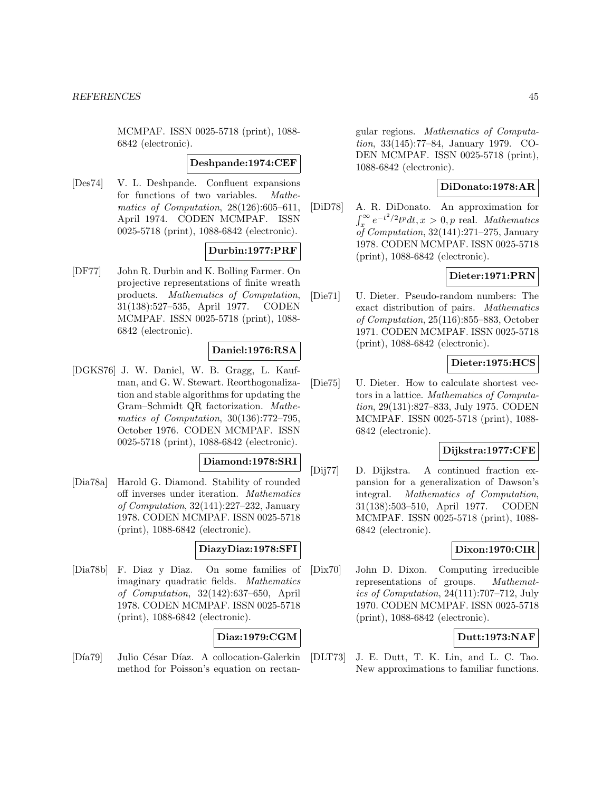MCMPAF. ISSN 0025-5718 (print), 1088- 6842 (electronic).

## **Deshpande:1974:CEF**

[Des74] V. L. Deshpande. Confluent expansions for functions of two variables. Mathematics of Computation, 28(126):605–611, April 1974. CODEN MCMPAF. ISSN 0025-5718 (print), 1088-6842 (electronic).

# **Durbin:1977:PRF**

[DF77] John R. Durbin and K. Bolling Farmer. On projective representations of finite wreath products. Mathematics of Computation, 31(138):527–535, April 1977. CODEN MCMPAF. ISSN 0025-5718 (print), 1088- 6842 (electronic).

## **Daniel:1976:RSA**

[DGKS76] J. W. Daniel, W. B. Gragg, L. Kaufman, and G. W. Stewart. Reorthogonalization and stable algorithms for updating the Gram–Schmidt QR factorization. Mathematics of Computation, 30(136):772–795, October 1976. CODEN MCMPAF. ISSN 0025-5718 (print), 1088-6842 (electronic).

#### **Diamond:1978:SRI**

[Dia78a] Harold G. Diamond. Stability of rounded off inverses under iteration. Mathematics of Computation, 32(141):227–232, January 1978. CODEN MCMPAF. ISSN 0025-5718 (print), 1088-6842 (electronic).

## **DiazyDiaz:1978:SFI**

[Dia78b] F. Diaz y Diaz. On some families of imaginary quadratic fields. Mathematics of Computation, 32(142):637–650, April 1978. CODEN MCMPAF. ISSN 0025-5718 (print), 1088-6842 (electronic).

## **Diaz:1979:CGM**

[Día79] Julio César Díaz. A collocation-Galerkin method for Poisson's equation on rectangular regions. Mathematics of Computation, 33(145):77–84, January 1979. CO-DEN MCMPAF. ISSN 0025-5718 (print), 1088-6842 (electronic).

## **DiDonato:1978:AR**

[DiD78] A. R. DiDonato. An approximation for  $\int_x^{\infty} e^{-t^2/2}t^p dt, x > 0, p$  real. *Mathematics* of Computation,  $32(141):271-275$ , January 1978. CODEN MCMPAF. ISSN 0025-5718 (print), 1088-6842 (electronic).

# **Dieter:1971:PRN**

[Die71] U. Dieter. Pseudo-random numbers: The exact distribution of pairs. Mathematics of Computation, 25(116):855–883, October 1971. CODEN MCMPAF. ISSN 0025-5718 (print), 1088-6842 (electronic).

# **Dieter:1975:HCS**

[Die75] U. Dieter. How to calculate shortest vectors in a lattice. Mathematics of Computation, 29(131):827–833, July 1975. CODEN MCMPAF. ISSN 0025-5718 (print), 1088- 6842 (electronic).

## **Dijkstra:1977:CFE**

[Dij77] D. Dijkstra. A continued fraction expansion for a generalization of Dawson's integral. Mathematics of Computation, 31(138):503–510, April 1977. CODEN MCMPAF. ISSN 0025-5718 (print), 1088- 6842 (electronic).

## **Dixon:1970:CIR**

[Dix70] John D. Dixon. Computing irreducible representations of groups. Mathematics of Computation, 24(111):707–712, July 1970. CODEN MCMPAF. ISSN 0025-5718 (print), 1088-6842 (electronic).

## **Dutt:1973:NAF**

[DLT73] J. E. Dutt, T. K. Lin, and L. C. Tao. New approximations to familiar functions.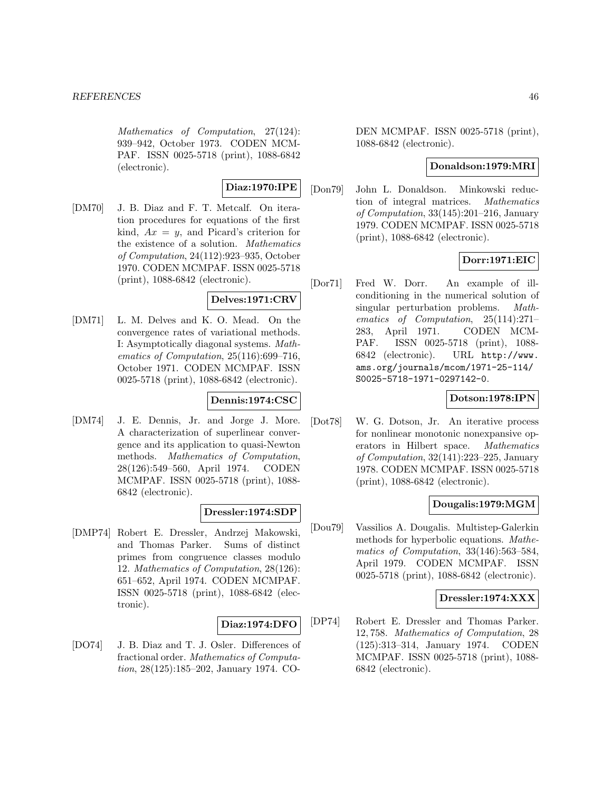Mathematics of Computation, 27(124): 939–942, October 1973. CODEN MCM-PAF. ISSN 0025-5718 (print), 1088-6842 (electronic).

## **Diaz:1970:IPE**

[DM70] J. B. Diaz and F. T. Metcalf. On iteration procedures for equations of the first kind,  $Ax = y$ , and Picard's criterion for the existence of a solution. Mathematics of Computation, 24(112):923–935, October 1970. CODEN MCMPAF. ISSN 0025-5718 (print), 1088-6842 (electronic).

## **Delves:1971:CRV**

[DM71] L. M. Delves and K. O. Mead. On the convergence rates of variational methods. I: Asymptotically diagonal systems. Mathematics of Computation, 25(116):699–716, October 1971. CODEN MCMPAF. ISSN 0025-5718 (print), 1088-6842 (electronic).

#### **Dennis:1974:CSC**

[DM74] J. E. Dennis, Jr. and Jorge J. More. A characterization of superlinear convergence and its application to quasi-Newton methods. Mathematics of Computation, 28(126):549–560, April 1974. CODEN MCMPAF. ISSN 0025-5718 (print), 1088- 6842 (electronic).

## **Dressler:1974:SDP**

[DMP74] Robert E. Dressler, Andrzej Makowski, and Thomas Parker. Sums of distinct primes from congruence classes modulo 12. Mathematics of Computation, 28(126): 651–652, April 1974. CODEN MCMPAF. ISSN 0025-5718 (print), 1088-6842 (electronic).

## **Diaz:1974:DFO**

[DO74] J. B. Diaz and T. J. Osler. Differences of fractional order. Mathematics of Computation, 28(125):185–202, January 1974. CO-

DEN MCMPAF. ISSN 0025-5718 (print), 1088-6842 (electronic).

## **Donaldson:1979:MRI**

[Don79] John L. Donaldson. Minkowski reduction of integral matrices. Mathematics of Computation, 33(145):201–216, January 1979. CODEN MCMPAF. ISSN 0025-5718 (print), 1088-6842 (electronic).

## **Dorr:1971:EIC**

[Dor71] Fred W. Dorr. An example of illconditioning in the numerical solution of singular perturbation problems. Mathematics of Computation, 25(114):271– 283, April 1971. CODEN MCM-PAF. ISSN 0025-5718 (print), 1088- 6842 (electronic). URL http://www. ams.org/journals/mcom/1971-25-114/ S0025-5718-1971-0297142-0.

## **Dotson:1978:IPN**

[Dot78] W. G. Dotson, Jr. An iterative process for nonlinear monotonic nonexpansive operators in Hilbert space. Mathematics of Computation, 32(141):223–225, January 1978. CODEN MCMPAF. ISSN 0025-5718 (print), 1088-6842 (electronic).

## **Dougalis:1979:MGM**

[Dou79] Vassilios A. Dougalis. Multistep-Galerkin methods for hyperbolic equations. Mathematics of Computation, 33(146):563–584, April 1979. CODEN MCMPAF. ISSN 0025-5718 (print), 1088-6842 (electronic).

## **Dressler:1974:XXX**

[DP74] Robert E. Dressler and Thomas Parker. 12, 758. Mathematics of Computation, 28 (125):313–314, January 1974. CODEN MCMPAF. ISSN 0025-5718 (print), 1088- 6842 (electronic).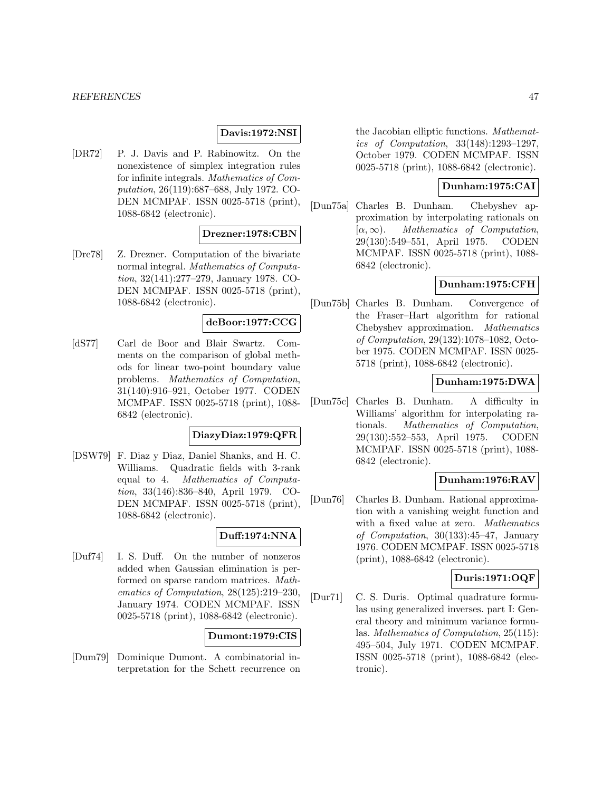## **Davis:1972:NSI**

[DR72] P. J. Davis and P. Rabinowitz. On the nonexistence of simplex integration rules for infinite integrals. Mathematics of Computation, 26(119):687–688, July 1972. CO-DEN MCMPAF. ISSN 0025-5718 (print), 1088-6842 (electronic).

# **Drezner:1978:CBN**

[Dre78] Z. Drezner. Computation of the bivariate normal integral. Mathematics of Computation, 32(141):277–279, January 1978. CO-DEN MCMPAF. ISSN 0025-5718 (print), 1088-6842 (electronic).

#### **deBoor:1977:CCG**

[dS77] Carl de Boor and Blair Swartz. Comments on the comparison of global methods for linear two-point boundary value problems. Mathematics of Computation, 31(140):916–921, October 1977. CODEN MCMPAF. ISSN 0025-5718 (print), 1088- 6842 (electronic).

## **DiazyDiaz:1979:QFR**

[DSW79] F. Diaz y Diaz, Daniel Shanks, and H. C. Williams. Quadratic fields with 3-rank equal to 4. Mathematics of Computation, 33(146):836–840, April 1979. CO-DEN MCMPAF. ISSN 0025-5718 (print), 1088-6842 (electronic).

## **Duff:1974:NNA**

[Duf74] I. S. Duff. On the number of nonzeros added when Gaussian elimination is performed on sparse random matrices. Mathematics of Computation, 28(125):219–230, January 1974. CODEN MCMPAF. ISSN 0025-5718 (print), 1088-6842 (electronic).

## **Dumont:1979:CIS**

[Dum79] Dominique Dumont. A combinatorial interpretation for the Schett recurrence on

the Jacobian elliptic functions. Mathematics of Computation, 33(148):1293–1297, October 1979. CODEN MCMPAF. ISSN 0025-5718 (print), 1088-6842 (electronic).

#### **Dunham:1975:CAI**

[Dun75a] Charles B. Dunham. Chebyshev approximation by interpolating rationals on  $[\alpha, \infty)$ . *Mathematics of Computation*,<br>29(130):549–551, April 1975. CODEN 29(130):549-551, April 1975. MCMPAF. ISSN 0025-5718 (print), 1088- 6842 (electronic).

## **Dunham:1975:CFH**

[Dun75b] Charles B. Dunham. Convergence of the Fraser–Hart algorithm for rational Chebyshev approximation. Mathematics of Computation, 29(132):1078–1082, October 1975. CODEN MCMPAF. ISSN 0025- 5718 (print), 1088-6842 (electronic).

## **Dunham:1975:DWA**

[Dun75c] Charles B. Dunham. A difficulty in Williams' algorithm for interpolating rationals. Mathematics of Computation, 29(130):552–553, April 1975. CODEN MCMPAF. ISSN 0025-5718 (print), 1088- 6842 (electronic).

## **Dunham:1976:RAV**

[Dun76] Charles B. Dunham. Rational approximation with a vanishing weight function and with a fixed value at zero. Mathematics of Computation, 30(133):45–47, January 1976. CODEN MCMPAF. ISSN 0025-5718 (print), 1088-6842 (electronic).

## **Duris:1971:OQF**

[Dur71] C. S. Duris. Optimal quadrature formulas using generalized inverses. part I: General theory and minimum variance formulas. Mathematics of Computation, 25(115): 495–504, July 1971. CODEN MCMPAF. ISSN 0025-5718 (print), 1088-6842 (electronic).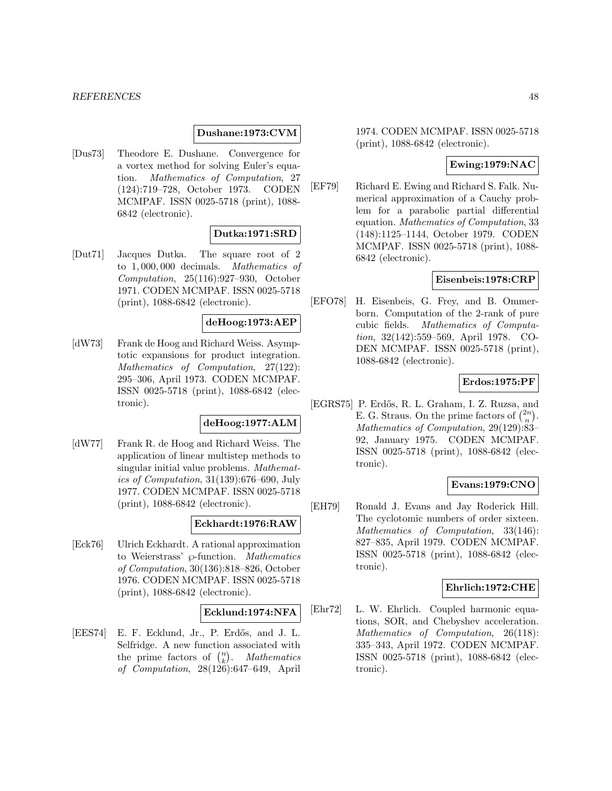#### *REFERENCES* 48

#### **Dushane:1973:CVM**

[Dus73] Theodore E. Dushane. Convergence for a vortex method for solving Euler's equation. Mathematics of Computation, 27 (124):719–728, October 1973. CODEN MCMPAF. ISSN 0025-5718 (print), 1088- 6842 (electronic).

# **Dutka:1971:SRD**

[Dut71] Jacques Dutka. The square root of 2 to 1, 000, 000 decimals. Mathematics of Computation, 25(116):927–930, October 1971. CODEN MCMPAF. ISSN 0025-5718 (print), 1088-6842 (electronic).

#### **deHoog:1973:AEP**

[dW73] Frank de Hoog and Richard Weiss. Asymptotic expansions for product integration. Mathematics of Computation, 27(122): 295–306, April 1973. CODEN MCMPAF. ISSN 0025-5718 (print), 1088-6842 (electronic).

#### **deHoog:1977:ALM**

[dW77] Frank R. de Hoog and Richard Weiss. The application of linear multistep methods to singular initial value problems. Mathematics of Computation, 31(139):676–690, July 1977. CODEN MCMPAF. ISSN 0025-5718 (print), 1088-6842 (electronic).

#### **Eckhardt:1976:RAW**

[Eck76] Ulrich Eckhardt. A rational approximation to Weierstrass'  $\wp$ -function. Mathematics of Computation, 30(136):818–826, October 1976. CODEN MCMPAF. ISSN 0025-5718 (print), 1088-6842 (electronic).

#### **Ecklund:1974:NFA**

[EES74] E. F. Ecklund, Jr., P. Erdős, and J. L. Selfridge. A new function associated with the prime factors of  $\binom{n}{k}$ . Mathematics of Computation, 28(126):647–649, April

1974. CODEN MCMPAF. ISSN 0025-5718 (print), 1088-6842 (electronic).

## **Ewing:1979:NAC**

[EF79] Richard E. Ewing and Richard S. Falk. Numerical approximation of a Cauchy problem for a parabolic partial differential equation. Mathematics of Computation, 33 (148):1125–1144, October 1979. CODEN MCMPAF. ISSN 0025-5718 (print), 1088- 6842 (electronic).

## **Eisenbeis:1978:CRP**

[EFO78] H. Eisenbeis, G. Frey, and B. Ommerborn. Computation of the 2-rank of pure cubic fields. Mathematics of Computation, 32(142):559–569, April 1978. CO-DEN MCMPAF. ISSN 0025-5718 (print), 1088-6842 (electronic).

#### **Erdos:1975:PF**

[EGRS75] P. Erd˝os, R. L. Graham, I. Z. Ruzsa, and E. G. Straus. On the prime factors of  $\binom{2n}{n}$ . Mathematics of Computation, 29(129):83– 92, January 1975. CODEN MCMPAF. ISSN 0025-5718 (print), 1088-6842 (electronic).

## **Evans:1979:CNO**

[EH79] Ronald J. Evans and Jay Roderick Hill. The cyclotomic numbers of order sixteen. Mathematics of Computation, 33(146): 827–835, April 1979. CODEN MCMPAF. ISSN 0025-5718 (print), 1088-6842 (electronic).

## **Ehrlich:1972:CHE**

[Ehr72] L. W. Ehrlich. Coupled harmonic equations, SOR, and Chebyshev acceleration. Mathematics of Computation, 26(118): 335–343, April 1972. CODEN MCMPAF. ISSN 0025-5718 (print), 1088-6842 (electronic).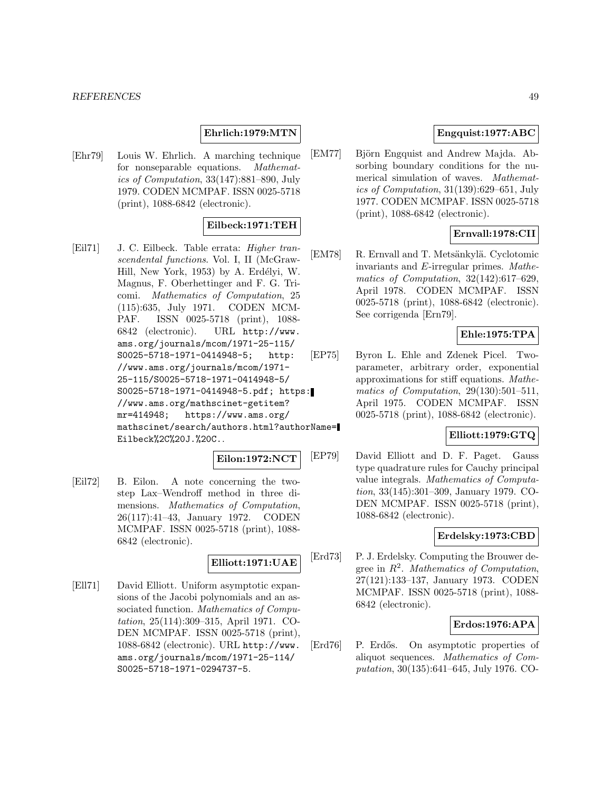## **Ehrlich:1979:MTN**

[Ehr79] Louis W. Ehrlich. A marching technique for nonseparable equations. Mathematics of Computation, 33(147):881–890, July 1979. CODEN MCMPAF. ISSN 0025-5718 (print), 1088-6842 (electronic).

## **Eilbeck:1971:TEH**

[Eil71] J. C. Eilbeck. Table errata: Higher transcendental functions. Vol. I, II (McGraw-Hill, New York, 1953) by A. Erdélyi, W. Magnus, F. Oberhettinger and F. G. Tricomi. Mathematics of Computation, 25 (115):635, July 1971. CODEN MCM-PAF. ISSN 0025-5718 (print), 1088- 6842 (electronic). URL http://www. ams.org/journals/mcom/1971-25-115/ S0025-5718-1971-0414948-5; http: //www.ams.org/journals/mcom/1971- 25-115/S0025-5718-1971-0414948-5/ S0025-5718-1971-0414948-5.pdf; https: //www.ams.org/mathscinet-getitem? mr=414948; https://www.ams.org/ mathscinet/search/authors.html?authorName= Eilbeck%2C%20J.%20C..

#### **Eilon:1972:NCT**

[Eil72] B. Eilon. A note concerning the twostep Lax–Wendroff method in three dimensions. Mathematics of Computation, 26(117):41–43, January 1972. CODEN MCMPAF. ISSN 0025-5718 (print), 1088- 6842 (electronic).

## **Elliott:1971:UAE**

[Ell71] David Elliott. Uniform asymptotic expansions of the Jacobi polynomials and an associated function. Mathematics of Computation, 25(114):309–315, April 1971. CO-DEN MCMPAF. ISSN 0025-5718 (print), 1088-6842 (electronic). URL http://www. ams.org/journals/mcom/1971-25-114/ S0025-5718-1971-0294737-5.

## **Engquist:1977:ABC**

[EM77] Björn Engquist and Andrew Majda. Absorbing boundary conditions for the numerical simulation of waves. Mathematics of Computation, 31(139):629–651, July 1977. CODEN MCMPAF. ISSN 0025-5718 (print), 1088-6842 (electronic).

# **Ernvall:1978:CII**

[EM78] R. Ernvall and T. Metsänkylä. Cyclotomic invariants and E-irregular primes. Mathematics of Computation, 32(142):617–629, April 1978. CODEN MCMPAF. ISSN 0025-5718 (print), 1088-6842 (electronic). See corrigenda [Ern79].

## **Ehle:1975:TPA**

[EP75] Byron L. Ehle and Zdenek Picel. Twoparameter, arbitrary order, exponential approximations for stiff equations. Mathematics of Computation, 29(130):501–511, April 1975. CODEN MCMPAF. ISSN 0025-5718 (print), 1088-6842 (electronic).

## **Elliott:1979:GTQ**

[EP79] David Elliott and D. F. Paget. Gauss type quadrature rules for Cauchy principal value integrals. Mathematics of Computation, 33(145):301–309, January 1979. CO-DEN MCMPAF. ISSN 0025-5718 (print), 1088-6842 (electronic).

## **Erdelsky:1973:CBD**

[Erd73] P. J. Erdelsky. Computing the Brouwer degree in  $R^2$ . Mathematics of Computation, 27(121):133–137, January 1973. CODEN MCMPAF. ISSN 0025-5718 (print), 1088- 6842 (electronic).

## **Erdos:1976:APA**

[Erd76] P. Erdős. On asymptotic properties of aliquot sequences. Mathematics of Computation, 30(135):641–645, July 1976. CO-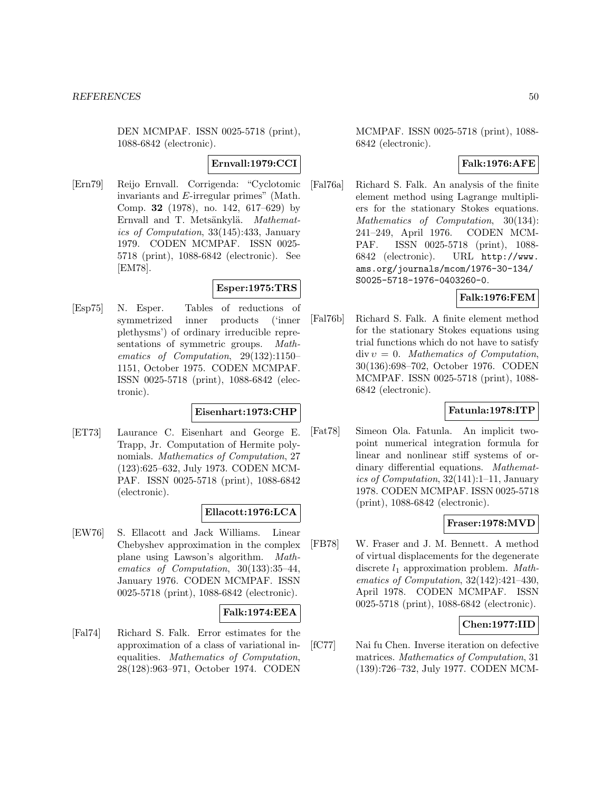DEN MCMPAF. ISSN 0025-5718 (print), 1088-6842 (electronic).

# **Ernvall:1979:CCI**

[Ern79] Reijo Ernvall. Corrigenda: "Cyclotomic invariants and E-irregular primes" (Math. Comp. **32** (1978), no. 142, 617–629) by Ernvall and T. Metsänkylä. Mathematics of Computation, 33(145):433, January 1979. CODEN MCMPAF. ISSN 0025- 5718 (print), 1088-6842 (electronic). See [EM78].

## **Esper:1975:TRS**

[Esp75] N. Esper. Tables of reductions of symmetrized inner products ('inner plethysms') of ordinary irreducible representations of symmetric groups. Mathematics of Computation, 29(132):1150– 1151, October 1975. CODEN MCMPAF. ISSN 0025-5718 (print), 1088-6842 (electronic).

# **Eisenhart:1973:CHP**

[ET73] Laurance C. Eisenhart and George E. Trapp, Jr. Computation of Hermite polynomials. Mathematics of Computation, 27 (123):625–632, July 1973. CODEN MCM-PAF. ISSN 0025-5718 (print), 1088-6842 (electronic).

## **Ellacott:1976:LCA**

[EW76] S. Ellacott and Jack Williams. Linear Chebyshev approximation in the complex plane using Lawson's algorithm. Mathematics of Computation, 30(133):35–44, January 1976. CODEN MCMPAF. ISSN 0025-5718 (print), 1088-6842 (electronic).

# **Falk:1974:EEA**

[Fal74] Richard S. Falk. Error estimates for the approximation of a class of variational inequalities. Mathematics of Computation, 28(128):963–971, October 1974. CODEN MCMPAF. ISSN 0025-5718 (print), 1088- 6842 (electronic).

# **Falk:1976:AFE**

[Fal76a] Richard S. Falk. An analysis of the finite element method using Lagrange multipliers for the stationary Stokes equations. Mathematics of Computation, 30(134): 241–249, April 1976. CODEN MCM-PAF. ISSN 0025-5718 (print), 1088- 6842 (electronic). URL http://www. ams.org/journals/mcom/1976-30-134/ S0025-5718-1976-0403260-0.

## **Falk:1976:FEM**

[Fal76b] Richard S. Falk. A finite element method for the stationary Stokes equations using trial functions which do not have to satisfy  $div v = 0$ . Mathematics of Computation, 30(136):698–702, October 1976. CODEN MCMPAF. ISSN 0025-5718 (print), 1088- 6842 (electronic).

## **Fatunla:1978:ITP**

[Fat78] Simeon Ola. Fatunla. An implicit twopoint numerical integration formula for linear and nonlinear stiff systems of ordinary differential equations. Mathematics of Computation, 32(141):1–11, January 1978. CODEN MCMPAF. ISSN 0025-5718 (print), 1088-6842 (electronic).

## **Fraser:1978:MVD**

[FB78] W. Fraser and J. M. Bennett. A method of virtual displacements for the degenerate discrete  $l_1$  approximation problem. Mathematics of Computation, 32(142):421–430, April 1978. CODEN MCMPAF. ISSN 0025-5718 (print), 1088-6842 (electronic).

## **Chen:1977:IID**

[fC77] Nai fu Chen. Inverse iteration on defective matrices. Mathematics of Computation, 31 (139):726–732, July 1977. CODEN MCM-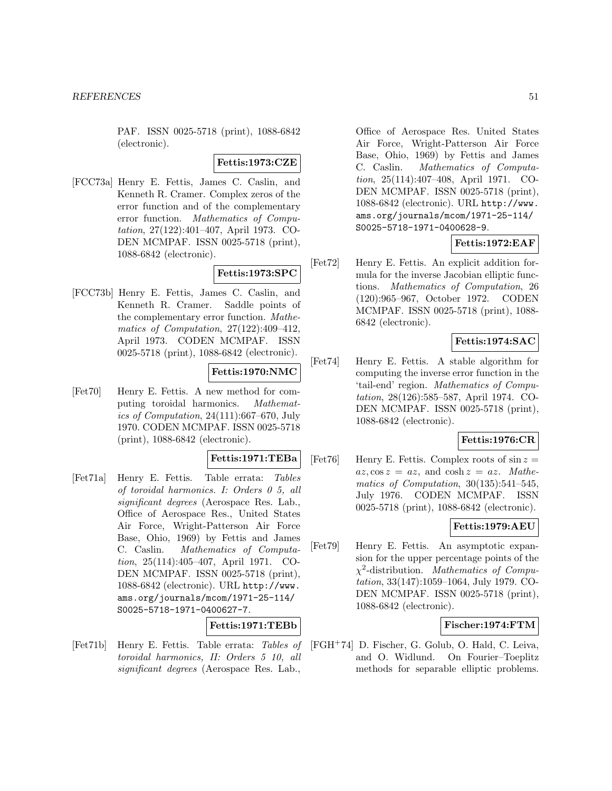PAF. ISSN 0025-5718 (print), 1088-6842 (electronic).

## **Fettis:1973:CZE**

[FCC73a] Henry E. Fettis, James C. Caslin, and Kenneth R. Cramer. Complex zeros of the error function and of the complementary error function. Mathematics of Computation, 27(122):401–407, April 1973. CO-DEN MCMPAF. ISSN 0025-5718 (print), 1088-6842 (electronic).

# **Fettis:1973:SPC**

[FCC73b] Henry E. Fettis, James C. Caslin, and Kenneth R. Cramer. Saddle points of the complementary error function. Mathematics of Computation, 27(122):409–412, April 1973. CODEN MCMPAF. ISSN 0025-5718 (print), 1088-6842 (electronic).

## **Fettis:1970:NMC**

[Fet70] Henry E. Fettis. A new method for computing toroidal harmonics. Mathematics of Computation, 24(111):667–670, July 1970. CODEN MCMPAF. ISSN 0025-5718 (print), 1088-6842 (electronic).

#### **Fettis:1971:TEBa**

[Fet71a] Henry E. Fettis. Table errata: Tables of toroidal harmonics. I: Orders 0 5, all significant degrees (Aerospace Res. Lab., Office of Aerospace Res., United States Air Force, Wright-Patterson Air Force Base, Ohio, 1969) by Fettis and James C. Caslin. Mathematics of Computation, 25(114):405–407, April 1971. CO-DEN MCMPAF. ISSN 0025-5718 (print), 1088-6842 (electronic). URL http://www. ams.org/journals/mcom/1971-25-114/ S0025-5718-1971-0400627-7.

# **Fettis:1971:TEBb**

[Fet71b] Henry E. Fettis. Table errata: Tables of toroidal harmonics, II: Orders 5 10, all significant degrees (Aerospace Res. Lab.,

Office of Aerospace Res. United States Air Force, Wright-Patterson Air Force Base, Ohio, 1969) by Fettis and James C. Caslin. Mathematics of Computation, 25(114):407–408, April 1971. CO-DEN MCMPAF. ISSN 0025-5718 (print), 1088-6842 (electronic). URL http://www. ams.org/journals/mcom/1971-25-114/ S0025-5718-1971-0400628-9.

## **Fettis:1972:EAF**

[Fet72] Henry E. Fettis. An explicit addition formula for the inverse Jacobian elliptic functions. Mathematics of Computation, 26 (120):965–967, October 1972. CODEN MCMPAF. ISSN 0025-5718 (print), 1088- 6842 (electronic).

## **Fettis:1974:SAC**

[Fet74] Henry E. Fettis. A stable algorithm for computing the inverse error function in the 'tail-end' region. Mathematics of Computation, 28(126):585–587, April 1974. CO-DEN MCMPAF. ISSN 0025-5718 (print), 1088-6842 (electronic).

## **Fettis:1976:CR**

 $[{\rm Fet76}]$  Henry E. Fettis. Complex roots of  $\sin z =$  $az, \cos z = az$ , and  $\cosh z = az$ . Mathematics of Computation, 30(135):541–545, July 1976. CODEN MCMPAF. ISSN 0025-5718 (print), 1088-6842 (electronic).

# **Fettis:1979:AEU**

[Fet79] Henry E. Fettis. An asymptotic expansion for the upper percentage points of the  $\chi^2$ -distribution. Mathematics of Computation, 33(147):1059–1064, July 1979. CO-DEN MCMPAF. ISSN 0025-5718 (print), 1088-6842 (electronic).

# **Fischer:1974:FTM**

[FGH<sup>+</sup>74] D. Fischer, G. Golub, O. Hald, C. Leiva, and O. Widlund. On Fourier–Toeplitz methods for separable elliptic problems.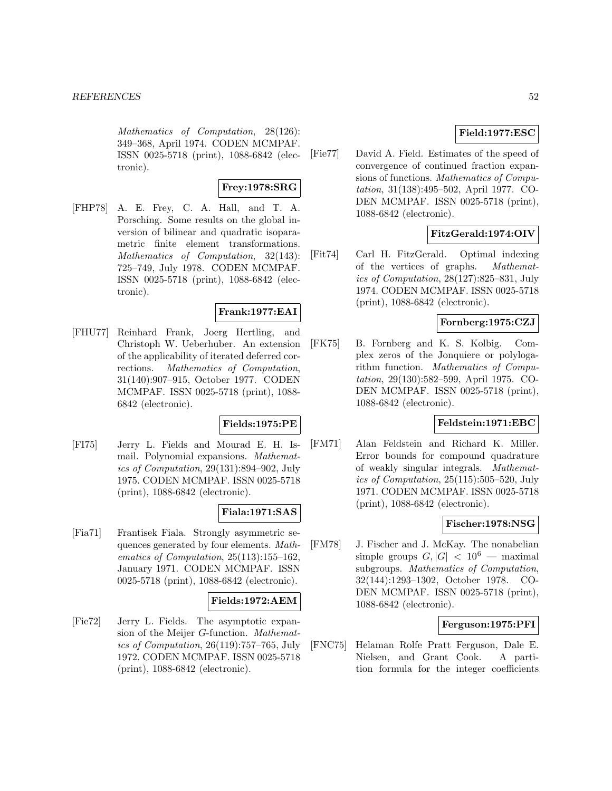Mathematics of Computation, 28(126): 349–368, April 1974. CODEN MCMPAF. ISSN 0025-5718 (print), 1088-6842 (electronic).

## **Frey:1978:SRG**

[FHP78] A. E. Frey, C. A. Hall, and T. A. Porsching. Some results on the global inversion of bilinear and quadratic isoparametric finite element transformations. Mathematics of Computation, 32(143): 725–749, July 1978. CODEN MCMPAF. ISSN 0025-5718 (print), 1088-6842 (electronic).

# **Frank:1977:EAI**

[FHU77] Reinhard Frank, Joerg Hertling, and Christoph W. Ueberhuber. An extension of the applicability of iterated deferred corrections. Mathematics of Computation, 31(140):907–915, October 1977. CODEN MCMPAF. ISSN 0025-5718 (print), 1088- 6842 (electronic).

## **Fields:1975:PE**

[FI75] Jerry L. Fields and Mourad E. H. Ismail. Polynomial expansions. Mathematics of Computation, 29(131):894–902, July 1975. CODEN MCMPAF. ISSN 0025-5718 (print), 1088-6842 (electronic).

## **Fiala:1971:SAS**

[Fia71] Frantisek Fiala. Strongly asymmetric sequences generated by four elements. Mathematics of Computation, 25(113):155–162, January 1971. CODEN MCMPAF. ISSN 0025-5718 (print), 1088-6842 (electronic).

#### **Fields:1972:AEM**

[Fie72] Jerry L. Fields. The asymptotic expansion of the Meijer G-function. Mathematics of Computation, 26(119):757–765, July 1972. CODEN MCMPAF. ISSN 0025-5718 (print), 1088-6842 (electronic).

# **Field:1977:ESC**

[Fie77] David A. Field. Estimates of the speed of convergence of continued fraction expansions of functions. Mathematics of Computation, 31(138):495–502, April 1977. CO-DEN MCMPAF. ISSN 0025-5718 (print), 1088-6842 (electronic).

# **FitzGerald:1974:OIV**

[Fit74] Carl H. FitzGerald. Optimal indexing of the vertices of graphs. Mathematics of Computation, 28(127):825–831, July 1974. CODEN MCMPAF. ISSN 0025-5718 (print), 1088-6842 (electronic).

## **Fornberg:1975:CZJ**

[FK75] B. Fornberg and K. S. Kolbig. Complex zeros of the Jonquiere or polylogarithm function. Mathematics of Computation, 29(130):582–599, April 1975. CO-DEN MCMPAF. ISSN 0025-5718 (print), 1088-6842 (electronic).

# **Feldstein:1971:EBC**

[FM71] Alan Feldstein and Richard K. Miller. Error bounds for compound quadrature of weakly singular integrals. Mathematics of Computation, 25(115):505–520, July 1971. CODEN MCMPAF. ISSN 0025-5718 (print), 1088-6842 (electronic).

## **Fischer:1978:NSG**

[FM78] J. Fischer and J. McKay. The nonabelian simple groups  $G, |G| < 10^6$  — maximal subgroups. Mathematics of Computation, 32(144):1293–1302, October 1978. CO-DEN MCMPAF. ISSN 0025-5718 (print), 1088-6842 (electronic).

#### **Ferguson:1975:PFI**

[FNC75] Helaman Rolfe Pratt Ferguson, Dale E. Nielsen, and Grant Cook. A partition formula for the integer coefficients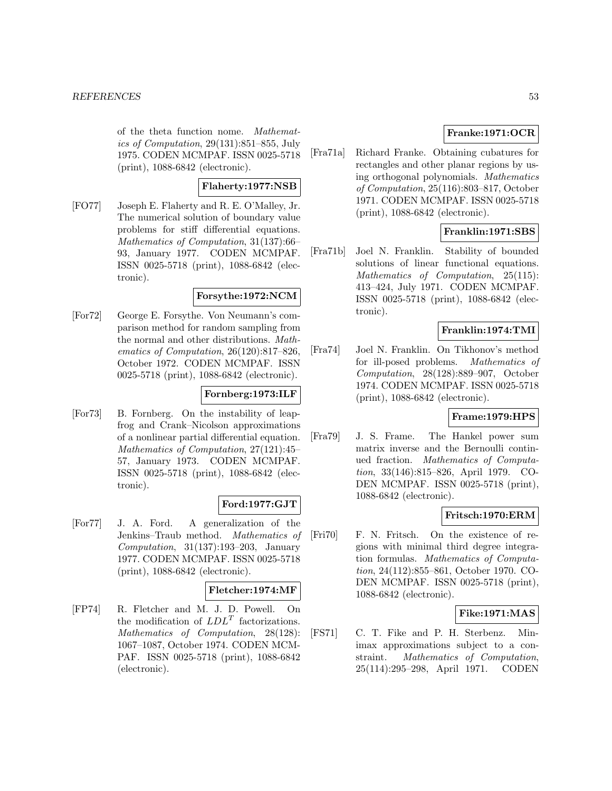of the theta function nome. Mathematics of Computation, 29(131):851–855, July 1975. CODEN MCMPAF. ISSN 0025-5718 (print), 1088-6842 (electronic).

## **Flaherty:1977:NSB**

[FO77] Joseph E. Flaherty and R. E. O'Malley, Jr. The numerical solution of boundary value problems for stiff differential equations. Mathematics of Computation, 31(137):66– 93, January 1977. CODEN MCMPAF. ISSN 0025-5718 (print), 1088-6842 (electronic).

## **Forsythe:1972:NCM**

[For72] George E. Forsythe. Von Neumann's comparison method for random sampling from the normal and other distributions. Mathematics of Computation, 26(120):817–826, October 1972. CODEN MCMPAF. ISSN 0025-5718 (print), 1088-6842 (electronic).

## **Fornberg:1973:ILF**

[For73] B. Fornberg. On the instability of leapfrog and Crank–Nicolson approximations of a nonlinear partial differential equation. Mathematics of Computation, 27(121):45– 57, January 1973. CODEN MCMPAF. ISSN 0025-5718 (print), 1088-6842 (electronic).

## **Ford:1977:GJT**

[For77] J. A. Ford. A generalization of the Jenkins–Traub method. Mathematics of Computation, 31(137):193–203, January 1977. CODEN MCMPAF. ISSN 0025-5718 (print), 1088-6842 (electronic).

#### **Fletcher:1974:MF**

[FP74] R. Fletcher and M. J. D. Powell. On the modification of  $LDL<sup>T</sup>$  factorizations. Mathematics of Computation, 28(128): 1067–1087, October 1974. CODEN MCM-PAF. ISSN 0025-5718 (print), 1088-6842 (electronic).

## **Franke:1971:OCR**

[Fra71a] Richard Franke. Obtaining cubatures for rectangles and other planar regions by using orthogonal polynomials. Mathematics of Computation, 25(116):803–817, October 1971. CODEN MCMPAF. ISSN 0025-5718 (print), 1088-6842 (electronic).

## **Franklin:1971:SBS**

[Fra71b] Joel N. Franklin. Stability of bounded solutions of linear functional equations. Mathematics of Computation, 25(115): 413–424, July 1971. CODEN MCMPAF. ISSN 0025-5718 (print), 1088-6842 (electronic).

# **Franklin:1974:TMI**

[Fra74] Joel N. Franklin. On Tikhonov's method for ill-posed problems. Mathematics of Computation, 28(128):889–907, October 1974. CODEN MCMPAF. ISSN 0025-5718 (print), 1088-6842 (electronic).

## **Frame:1979:HPS**

[Fra79] J. S. Frame. The Hankel power sum matrix inverse and the Bernoulli continued fraction. Mathematics of Computation, 33(146):815–826, April 1979. CO-DEN MCMPAF. ISSN 0025-5718 (print), 1088-6842 (electronic).

#### **Fritsch:1970:ERM**

[Fri70] F. N. Fritsch. On the existence of regions with minimal third degree integration formulas. Mathematics of Computation, 24(112):855–861, October 1970. CO-DEN MCMPAF. ISSN 0025-5718 (print), 1088-6842 (electronic).

## **Fike:1971:MAS**

[FS71] C. T. Fike and P. H. Sterbenz. Minimax approximations subject to a constraint. Mathematics of Computation, 25(114):295–298, April 1971. CODEN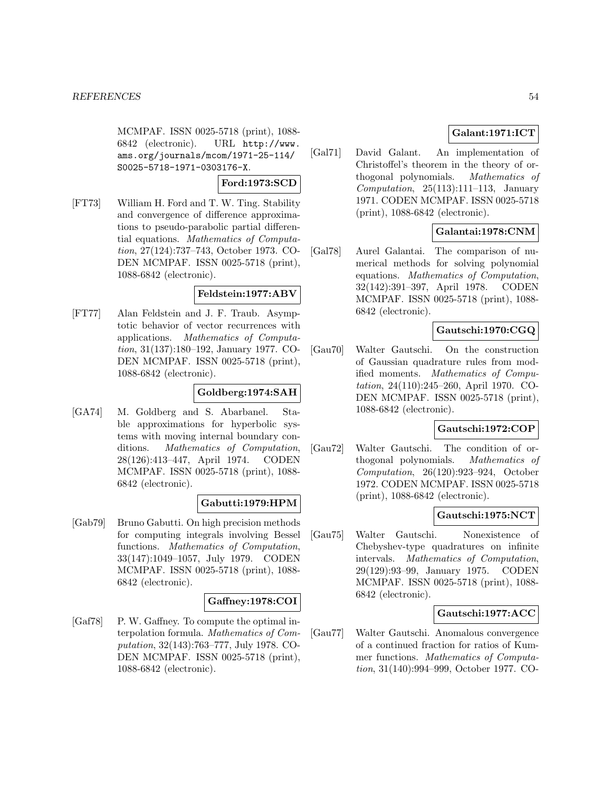MCMPAF. ISSN 0025-5718 (print), 1088- 6842 (electronic). URL http://www. ams.org/journals/mcom/1971-25-114/ S0025-5718-1971-0303176-X.

#### **Ford:1973:SCD**

[FT73] William H. Ford and T. W. Ting. Stability and convergence of difference approximations to pseudo-parabolic partial differential equations. Mathematics of Computation, 27(124):737–743, October 1973. CO-DEN MCMPAF. ISSN 0025-5718 (print), 1088-6842 (electronic).

#### **Feldstein:1977:ABV**

[FT77] Alan Feldstein and J. F. Traub. Asymptotic behavior of vector recurrences with applications. Mathematics of Computation, 31(137):180–192, January 1977. CO-DEN MCMPAF. ISSN 0025-5718 (print), 1088-6842 (electronic).

## **Goldberg:1974:SAH**

[GA74] M. Goldberg and S. Abarbanel. Stable approximations for hyperbolic systems with moving internal boundary conditions. Mathematics of Computation, 28(126):413–447, April 1974. CODEN MCMPAF. ISSN 0025-5718 (print), 1088- 6842 (electronic).

## **Gabutti:1979:HPM**

[Gab79] Bruno Gabutti. On high precision methods for computing integrals involving Bessel functions. Mathematics of Computation, 33(147):1049–1057, July 1979. CODEN MCMPAF. ISSN 0025-5718 (print), 1088- 6842 (electronic).

## **Gaffney:1978:COI**

[Gaf78] P. W. Gaffney. To compute the optimal interpolation formula. Mathematics of Computation, 32(143):763–777, July 1978. CO-DEN MCMPAF. ISSN 0025-5718 (print), 1088-6842 (electronic).

# **Galant:1971:ICT**

[Gal71] David Galant. An implementation of Christoffel's theorem in the theory of orthogonal polynomials. Mathematics of Computation,  $25(113):111-113$ , January 1971. CODEN MCMPAF. ISSN 0025-5718 (print), 1088-6842 (electronic).

## **Galantai:1978:CNM**

[Gal78] Aurel Galantai. The comparison of numerical methods for solving polynomial equations. Mathematics of Computation, 32(142):391–397, April 1978. CODEN MCMPAF. ISSN 0025-5718 (print), 1088- 6842 (electronic).

# **Gautschi:1970:CGQ**

[Gau70] Walter Gautschi. On the construction of Gaussian quadrature rules from modified moments. Mathematics of Computation, 24(110):245–260, April 1970. CO-DEN MCMPAF. ISSN 0025-5718 (print), 1088-6842 (electronic).

#### **Gautschi:1972:COP**

[Gau72] Walter Gautschi. The condition of orthogonal polynomials. Mathematics of Computation, 26(120):923–924, October 1972. CODEN MCMPAF. ISSN 0025-5718 (print), 1088-6842 (electronic).

## **Gautschi:1975:NCT**

[Gau75] Walter Gautschi. Nonexistence of Chebyshev-type quadratures on infinite intervals. Mathematics of Computation, 29(129):93–99, January 1975. CODEN MCMPAF. ISSN 0025-5718 (print), 1088- 6842 (electronic).

## **Gautschi:1977:ACC**

[Gau77] Walter Gautschi. Anomalous convergence of a continued fraction for ratios of Kummer functions. Mathematics of Computation, 31(140):994–999, October 1977. CO-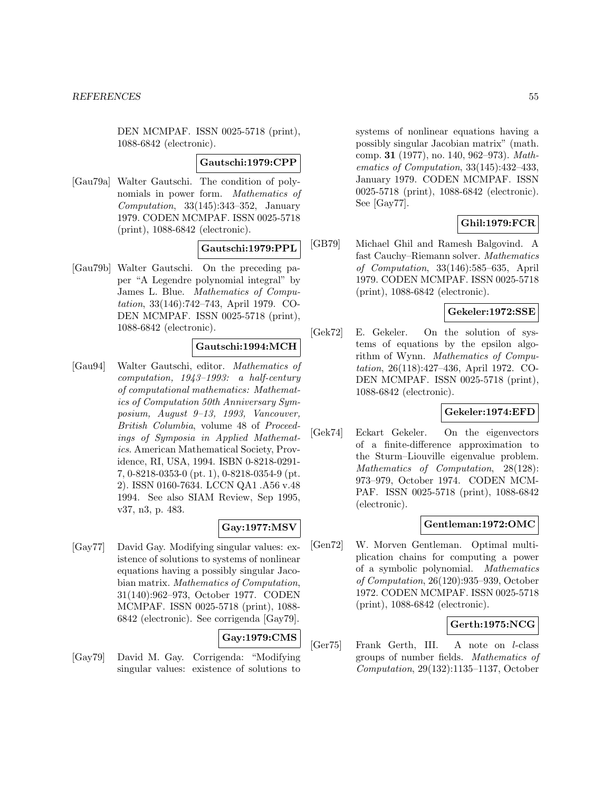DEN MCMPAF. ISSN 0025-5718 (print), 1088-6842 (electronic).

#### **Gautschi:1979:CPP**

[Gau79a] Walter Gautschi. The condition of polynomials in power form. Mathematics of Computation, 33(145):343–352, January 1979. CODEN MCMPAF. ISSN 0025-5718 (print), 1088-6842 (electronic).

## **Gautschi:1979:PPL**

[Gau79b] Walter Gautschi. On the preceding paper "A Legendre polynomial integral" by James L. Blue. Mathematics of Computation, 33(146):742–743, April 1979. CO-DEN MCMPAF. ISSN 0025-5718 (print), 1088-6842 (electronic).

# **Gautschi:1994:MCH**

[Gau94] Walter Gautschi, editor. Mathematics of computation, 1943–1993: a half-century of computational mathematics: Mathematics of Computation 50th Anniversary Symposium, August 9–13, 1993, Vancouver, British Columbia, volume 48 of Proceedings of Symposia in Applied Mathematics. American Mathematical Society, Providence, RI, USA, 1994. ISBN 0-8218-0291- 7, 0-8218-0353-0 (pt. 1), 0-8218-0354-9 (pt. 2). ISSN 0160-7634. LCCN QA1 .A56 v.48 1994. See also SIAM Review, Sep 1995, v37, n3, p. 483.

#### **Gay:1977:MSV**

[Gay77] David Gay. Modifying singular values: existence of solutions to systems of nonlinear equations having a possibly singular Jacobian matrix. Mathematics of Computation, 31(140):962–973, October 1977. CODEN MCMPAF. ISSN 0025-5718 (print), 1088- 6842 (electronic). See corrigenda [Gay79].

# **Gay:1979:CMS**

[Gay79] David M. Gay. Corrigenda: "Modifying singular values: existence of solutions to systems of nonlinear equations having a possibly singular Jacobian matrix" (math. comp. **31** (1977), no. 140, 962–973). Mathematics of Computation, 33(145):432–433, January 1979. CODEN MCMPAF. ISSN 0025-5718 (print), 1088-6842 (electronic). See [Gay77].

## **Ghil:1979:FCR**

[GB79] Michael Ghil and Ramesh Balgovind. A fast Cauchy–Riemann solver. Mathematics of Computation, 33(146):585–635, April 1979. CODEN MCMPAF. ISSN 0025-5718 (print), 1088-6842 (electronic).

# **Gekeler:1972:SSE**

[Gek72] E. Gekeler. On the solution of systems of equations by the epsilon algorithm of Wynn. Mathematics of Computation, 26(118):427–436, April 1972. CO-DEN MCMPAF. ISSN 0025-5718 (print), 1088-6842 (electronic).

## **Gekeler:1974:EFD**

[Gek74] Eckart Gekeler. On the eigenvectors of a finite-difference approximation to the Sturm–Liouville eigenvalue problem. Mathematics of Computation, 28(128): 973–979, October 1974. CODEN MCM-PAF. ISSN 0025-5718 (print), 1088-6842 (electronic).

#### **Gentleman:1972:OMC**

[Gen72] W. Morven Gentleman. Optimal multiplication chains for computing a power of a symbolic polynomial. Mathematics of Computation, 26(120):935–939, October 1972. CODEN MCMPAF. ISSN 0025-5718 (print), 1088-6842 (electronic).

## **Gerth:1975:NCG**

[Ger75] Frank Gerth, III. A note on l-class groups of number fields. Mathematics of Computation, 29(132):1135–1137, October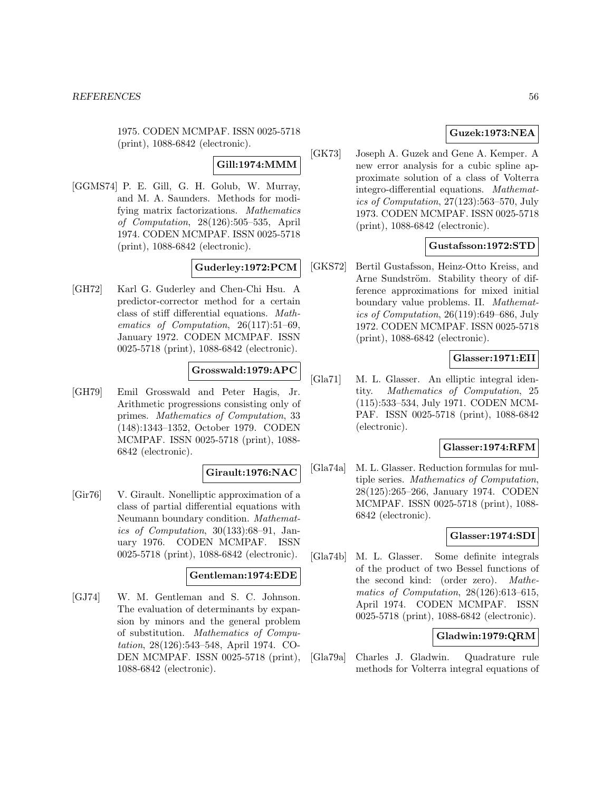1975. CODEN MCMPAF. ISSN 0025-5718 (print), 1088-6842 (electronic).

## **Gill:1974:MMM**

[GGMS74] P. E. Gill, G. H. Golub, W. Murray, and M. A. Saunders. Methods for modifying matrix factorizations. Mathematics of Computation, 28(126):505–535, April 1974. CODEN MCMPAF. ISSN 0025-5718 (print), 1088-6842 (electronic).

## **Guderley:1972:PCM**

[GH72] Karl G. Guderley and Chen-Chi Hsu. A predictor-corrector method for a certain class of stiff differential equations. Mathematics of Computation, 26(117):51–69, January 1972. CODEN MCMPAF. ISSN 0025-5718 (print), 1088-6842 (electronic).

# **Grosswald:1979:APC**

[GH79] Emil Grosswald and Peter Hagis, Jr. Arithmetic progressions consisting only of primes. Mathematics of Computation, 33 (148):1343–1352, October 1979. CODEN MCMPAF. ISSN 0025-5718 (print), 1088- 6842 (electronic).

## **Girault:1976:NAC**

[Gir76] V. Girault. Nonelliptic approximation of a class of partial differential equations with Neumann boundary condition. Mathematics of Computation, 30(133):68–91, January 1976. CODEN MCMPAF. ISSN 0025-5718 (print), 1088-6842 (electronic).

## **Gentleman:1974:EDE**

[GJ74] W. M. Gentleman and S. C. Johnson. The evaluation of determinants by expansion by minors and the general problem of substitution. Mathematics of Computation, 28(126):543–548, April 1974. CO-DEN MCMPAF. ISSN 0025-5718 (print), 1088-6842 (electronic).

# **Guzek:1973:NEA**

[GK73] Joseph A. Guzek and Gene A. Kemper. A new error analysis for a cubic spline approximate solution of a class of Volterra integro-differential equations. Mathematics of Computation, 27(123):563–570, July 1973. CODEN MCMPAF. ISSN 0025-5718 (print), 1088-6842 (electronic).

# **Gustafsson:1972:STD**

[GKS72] Bertil Gustafsson, Heinz-Otto Kreiss, and Arne Sundström. Stability theory of difference approximations for mixed initial boundary value problems. II. Mathematics of Computation, 26(119):649–686, July 1972. CODEN MCMPAF. ISSN 0025-5718 (print), 1088-6842 (electronic).

## **Glasser:1971:EII**

[Gla71] M. L. Glasser. An elliptic integral identity. Mathematics of Computation, 25 (115):533–534, July 1971. CODEN MCM-PAF. ISSN 0025-5718 (print), 1088-6842 (electronic).

## **Glasser:1974:RFM**

[Gla74a] M. L. Glasser. Reduction formulas for multiple series. Mathematics of Computation, 28(125):265–266, January 1974. CODEN MCMPAF. ISSN 0025-5718 (print), 1088- 6842 (electronic).

## **Glasser:1974:SDI**

[Gla74b] M. L. Glasser. Some definite integrals of the product of two Bessel functions of the second kind: (order zero). Mathematics of Computation, 28(126):613–615, April 1974. CODEN MCMPAF. ISSN 0025-5718 (print), 1088-6842 (electronic).

## **Gladwin:1979:QRM**

[Gla79a] Charles J. Gladwin. Quadrature rule methods for Volterra integral equations of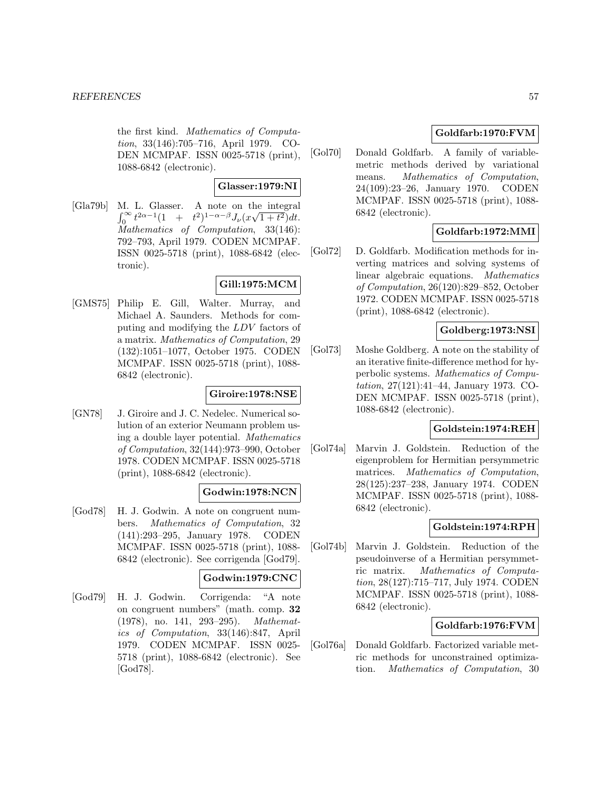the first kind. Mathematics of Computation, 33(146):705–716, April 1979. CO-DEN MCMPAF. ISSN 0025-5718 (print), 1088-6842 (electronic).

#### **Glasser:1979:NI**

[Gla79b] M. L. Glasser. A note on the integral  $\int_0^\infty t^{2\alpha-1}(1 + t^2)^{1-\alpha-\beta}J_\nu(x\sqrt{1+t^2})dt.$ Mathematics of Computation, 33(146): 792–793, April 1979. CODEN MCMPAF. ISSN 0025-5718 (print), 1088-6842 (electronic).

#### **Gill:1975:MCM**

[GMS75] Philip E. Gill, Walter. Murray, and Michael A. Saunders. Methods for computing and modifying the LDV factors of a matrix. Mathematics of Computation, 29 (132):1051–1077, October 1975. CODEN MCMPAF. ISSN 0025-5718 (print), 1088- 6842 (electronic).

## **Giroire:1978:NSE**

[GN78] J. Giroire and J. C. Nedelec. Numerical solution of an exterior Neumann problem using a double layer potential. Mathematics of Computation, 32(144):973–990, October 1978. CODEN MCMPAF. ISSN 0025-5718 (print), 1088-6842 (electronic).

## **Godwin:1978:NCN**

[God78] H. J. Godwin. A note on congruent numbers. Mathematics of Computation, 32 (141):293–295, January 1978. CODEN MCMPAF. ISSN 0025-5718 (print), 1088- 6842 (electronic). See corrigenda [God79].

#### **Godwin:1979:CNC**

[God79] H. J. Godwin. Corrigenda: "A note on congruent numbers" (math. comp. **32** (1978), no. 141, 293–295). Mathematics of Computation, 33(146):847, April 1979. CODEN MCMPAF. ISSN 0025- 5718 (print), 1088-6842 (electronic). See [God78].

## **Goldfarb:1970:FVM**

[Gol70] Donald Goldfarb. A family of variablemetric methods derived by variational means. Mathematics of Computation, 24(109):23–26, January 1970. CODEN MCMPAF. ISSN 0025-5718 (print), 1088- 6842 (electronic).

## **Goldfarb:1972:MMI**

[Gol72] D. Goldfarb. Modification methods for inverting matrices and solving systems of linear algebraic equations. Mathematics of Computation, 26(120):829–852, October 1972. CODEN MCMPAF. ISSN 0025-5718 (print), 1088-6842 (electronic).

## **Goldberg:1973:NSI**

[Gol73] Moshe Goldberg. A note on the stability of an iterative finite-difference method for hyperbolic systems. Mathematics of Computation, 27(121):41–44, January 1973. CO-DEN MCMPAF. ISSN 0025-5718 (print), 1088-6842 (electronic).

#### **Goldstein:1974:REH**

[Gol74a] Marvin J. Goldstein. Reduction of the eigenproblem for Hermitian persymmetric matrices. Mathematics of Computation, 28(125):237–238, January 1974. CODEN MCMPAF. ISSN 0025-5718 (print), 1088- 6842 (electronic).

## **Goldstein:1974:RPH**

[Gol74b] Marvin J. Goldstein. Reduction of the pseudoinverse of a Hermitian persymmetric matrix. Mathematics of Computation, 28(127):715–717, July 1974. CODEN MCMPAF. ISSN 0025-5718 (print), 1088- 6842 (electronic).

## **Goldfarb:1976:FVM**

[Gol76a] Donald Goldfarb. Factorized variable metric methods for unconstrained optimization. Mathematics of Computation, 30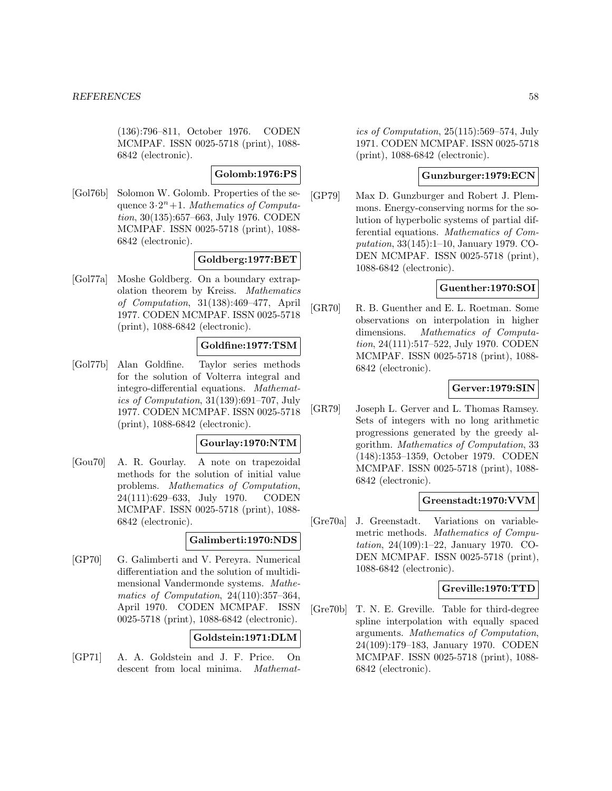(136):796–811, October 1976. CODEN MCMPAF. ISSN 0025-5718 (print), 1088- 6842 (electronic).

#### **Golomb:1976:PS**

[Gol76b] Solomon W. Golomb. Properties of the sequence  $3\cdot 2^n+1$ . Mathematics of Computation, 30(135):657–663, July 1976. CODEN MCMPAF. ISSN 0025-5718 (print), 1088- 6842 (electronic).

## **Goldberg:1977:BET**

[Gol77a] Moshe Goldberg. On a boundary extrapolation theorem by Kreiss. Mathematics of Computation, 31(138):469–477, April 1977. CODEN MCMPAF. ISSN 0025-5718 (print), 1088-6842 (electronic).

## **Goldfine:1977:TSM**

[Gol77b] Alan Goldfine. Taylor series methods for the solution of Volterra integral and integro-differential equations. Mathematics of Computation, 31(139):691–707, July 1977. CODEN MCMPAF. ISSN 0025-5718 (print), 1088-6842 (electronic).

## **Gourlay:1970:NTM**

[Gou70] A. R. Gourlay. A note on trapezoidal methods for the solution of initial value problems. Mathematics of Computation, 24(111):629–633, July 1970. CODEN MCMPAF. ISSN 0025-5718 (print), 1088- 6842 (electronic).

## **Galimberti:1970:NDS**

[GP70] G. Galimberti and V. Pereyra. Numerical differentiation and the solution of multidimensional Vandermonde systems. Mathematics of Computation, 24(110):357–364, April 1970. CODEN MCMPAF. ISSN 0025-5718 (print), 1088-6842 (electronic).

## **Goldstein:1971:DLM**

[GP71] A. A. Goldstein and J. F. Price. On descent from local minima. Mathemat-

ics of Computation, 25(115):569–574, July 1971. CODEN MCMPAF. ISSN 0025-5718 (print), 1088-6842 (electronic).

#### **Gunzburger:1979:ECN**

[GP79] Max D. Gunzburger and Robert J. Plemmons. Energy-conserving norms for the solution of hyperbolic systems of partial differential equations. Mathematics of Computation, 33(145):1–10, January 1979. CO-DEN MCMPAF. ISSN 0025-5718 (print), 1088-6842 (electronic).

## **Guenther:1970:SOI**

[GR70] R. B. Guenther and E. L. Roetman. Some observations on interpolation in higher dimensions. Mathematics of Computation, 24(111):517–522, July 1970. CODEN MCMPAF. ISSN 0025-5718 (print), 1088- 6842 (electronic).

## **Gerver:1979:SIN**

[GR79] Joseph L. Gerver and L. Thomas Ramsey. Sets of integers with no long arithmetic progressions generated by the greedy algorithm. Mathematics of Computation, 33 (148):1353–1359, October 1979. CODEN MCMPAF. ISSN 0025-5718 (print), 1088- 6842 (electronic).

## **Greenstadt:1970:VVM**

[Gre70a] J. Greenstadt. Variations on variablemetric methods. Mathematics of Computation, 24(109):1–22, January 1970. CO-DEN MCMPAF. ISSN 0025-5718 (print), 1088-6842 (electronic).

## **Greville:1970:TTD**

[Gre70b] T. N. E. Greville. Table for third-degree spline interpolation with equally spaced arguments. Mathematics of Computation, 24(109):179–183, January 1970. CODEN MCMPAF. ISSN 0025-5718 (print), 1088- 6842 (electronic).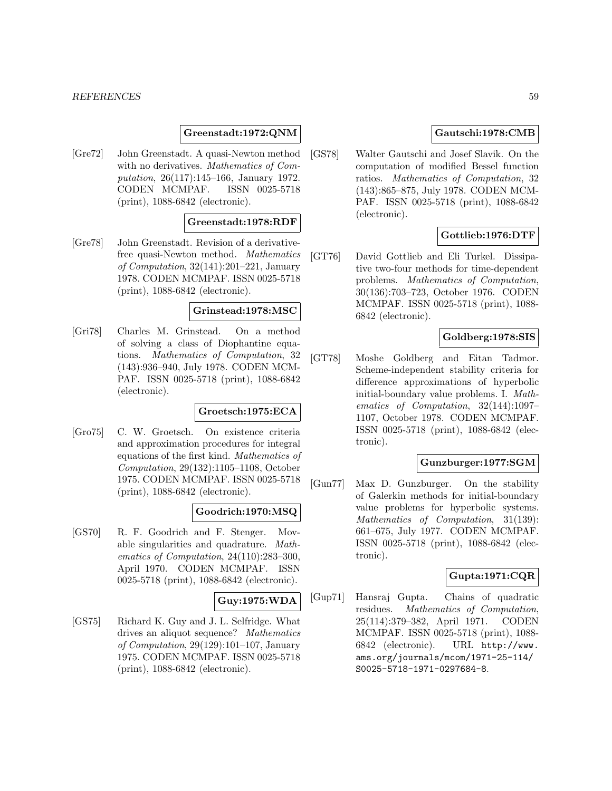#### *REFERENCES* 59

## **Greenstadt:1972:QNM**

[Gre72] John Greenstadt. A quasi-Newton method with no derivatives. Mathematics of Computation, 26(117):145–166, January 1972. CODEN MCMPAF. ISSN 0025-5718 (print), 1088-6842 (electronic).

#### **Greenstadt:1978:RDF**

[Gre78] John Greenstadt. Revision of a derivativefree quasi-Newton method. Mathematics of Computation, 32(141):201–221, January 1978. CODEN MCMPAF. ISSN 0025-5718 (print), 1088-6842 (electronic).

#### **Grinstead:1978:MSC**

[Gri78] Charles M. Grinstead. On a method of solving a class of Diophantine equations. Mathematics of Computation, 32 (143):936–940, July 1978. CODEN MCM-PAF. ISSN 0025-5718 (print), 1088-6842 (electronic).

## **Groetsch:1975:ECA**

[Gro75] C. W. Groetsch. On existence criteria and approximation procedures for integral equations of the first kind. Mathematics of Computation, 29(132):1105–1108, October 1975. CODEN MCMPAF. ISSN 0025-5718 (print), 1088-6842 (electronic).

#### **Goodrich:1970:MSQ**

[GS70] R. F. Goodrich and F. Stenger. Movable singularities and quadrature. Mathematics of Computation, 24(110):283–300, April 1970. CODEN MCMPAF. ISSN 0025-5718 (print), 1088-6842 (electronic).

#### **Guy:1975:WDA**

[GS75] Richard K. Guy and J. L. Selfridge. What drives an aliquot sequence? Mathematics of Computation, 29(129):101–107, January 1975. CODEN MCMPAF. ISSN 0025-5718 (print), 1088-6842 (electronic).

## **Gautschi:1978:CMB**

[GS78] Walter Gautschi and Josef Slavik. On the computation of modified Bessel function ratios. Mathematics of Computation, 32 (143):865–875, July 1978. CODEN MCM-PAF. ISSN 0025-5718 (print), 1088-6842 (electronic).

## **Gottlieb:1976:DTF**

[GT76] David Gottlieb and Eli Turkel. Dissipative two-four methods for time-dependent problems. Mathematics of Computation, 30(136):703–723, October 1976. CODEN MCMPAF. ISSN 0025-5718 (print), 1088- 6842 (electronic).

#### **Goldberg:1978:SIS**

[GT78] Moshe Goldberg and Eitan Tadmor. Scheme-independent stability criteria for difference approximations of hyperbolic initial-boundary value problems. I. Mathematics of Computation, 32(144):1097– 1107, October 1978. CODEN MCMPAF. ISSN 0025-5718 (print), 1088-6842 (electronic).

## **Gunzburger:1977:SGM**

[Gun77] Max D. Gunzburger. On the stability of Galerkin methods for initial-boundary value problems for hyperbolic systems. Mathematics of Computation, 31(139): 661–675, July 1977. CODEN MCMPAF. ISSN 0025-5718 (print), 1088-6842 (electronic).

# **Gupta:1971:CQR**

[Gup71] Hansraj Gupta. Chains of quadratic residues. Mathematics of Computation, 25(114):379–382, April 1971. CODEN MCMPAF. ISSN 0025-5718 (print), 1088- 6842 (electronic). URL http://www. ams.org/journals/mcom/1971-25-114/ S0025-5718-1971-0297684-8.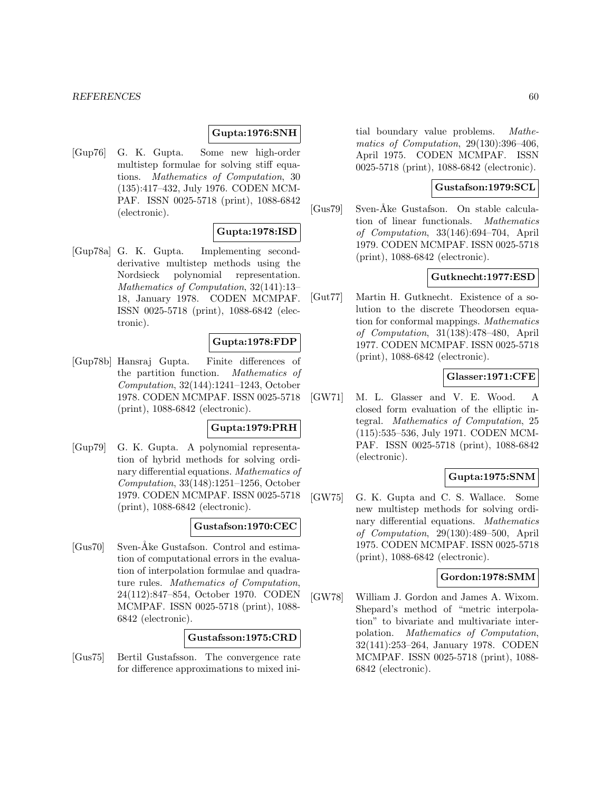#### **Gupta:1976:SNH**

[Gup76] G. K. Gupta. Some new high-order multistep formulae for solving stiff equations. Mathematics of Computation, 30 (135):417–432, July 1976. CODEN MCM-PAF. ISSN 0025-5718 (print), 1088-6842 (electronic).

## **Gupta:1978:ISD**

[Gup78a] G. K. Gupta. Implementing secondderivative multistep methods using the Nordsieck polynomial representation. Mathematics of Computation, 32(141):13– 18, January 1978. CODEN MCMPAF. ISSN 0025-5718 (print), 1088-6842 (electronic).

#### **Gupta:1978:FDP**

[Gup78b] Hansraj Gupta. Finite differences of the partition function. Mathematics of Computation, 32(144):1241–1243, October 1978. CODEN MCMPAF. ISSN 0025-5718 (print), 1088-6842 (electronic).

#### **Gupta:1979:PRH**

[Gup79] G. K. Gupta. A polynomial representation of hybrid methods for solving ordinary differential equations. Mathematics of Computation, 33(148):1251–1256, October 1979. CODEN MCMPAF. ISSN 0025-5718 (print), 1088-6842 (electronic).

#### **Gustafson:1970:CEC**

[Gus70] Sven-Åke Gustafson. Control and estimation of computational errors in the evaluation of interpolation formulae and quadrature rules. Mathematics of Computation, 24(112):847–854, October 1970. CODEN MCMPAF. ISSN 0025-5718 (print), 1088- 6842 (electronic).

#### **Gustafsson:1975:CRD**

[Gus75] Bertil Gustafsson. The convergence rate for difference approximations to mixed ini-

tial boundary value problems. Mathematics of Computation, 29(130):396–406, April 1975. CODEN MCMPAF. ISSN 0025-5718 (print), 1088-6842 (electronic).

#### **Gustafson:1979:SCL**

[Gus79] Sven-Åke Gustafson. On stable calculation of linear functionals. Mathematics of Computation, 33(146):694–704, April 1979. CODEN MCMPAF. ISSN 0025-5718 (print), 1088-6842 (electronic).

## **Gutknecht:1977:ESD**

[Gut77] Martin H. Gutknecht. Existence of a solution to the discrete Theodorsen equation for conformal mappings. Mathematics of Computation, 31(138):478–480, April 1977. CODEN MCMPAF. ISSN 0025-5718 (print), 1088-6842 (electronic).

#### **Glasser:1971:CFE**

[GW71] M. L. Glasser and V. E. Wood. A closed form evaluation of the elliptic integral. Mathematics of Computation, 25 (115):535–536, July 1971. CODEN MCM-PAF. ISSN 0025-5718 (print), 1088-6842 (electronic).

## **Gupta:1975:SNM**

[GW75] G. K. Gupta and C. S. Wallace. Some new multistep methods for solving ordinary differential equations. Mathematics of Computation, 29(130):489–500, April 1975. CODEN MCMPAF. ISSN 0025-5718 (print), 1088-6842 (electronic).

## **Gordon:1978:SMM**

[GW78] William J. Gordon and James A. Wixom. Shepard's method of "metric interpolation" to bivariate and multivariate interpolation. Mathematics of Computation, 32(141):253–264, January 1978. CODEN MCMPAF. ISSN 0025-5718 (print), 1088- 6842 (electronic).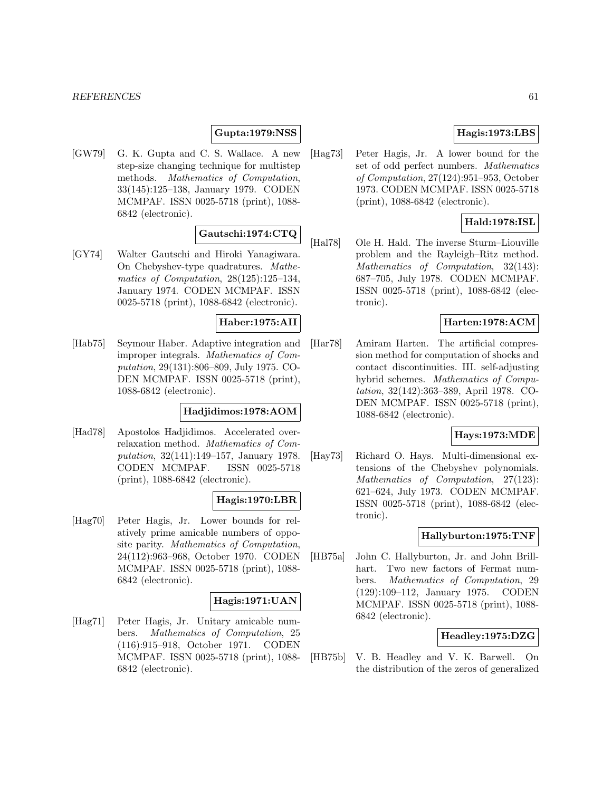## **Gupta:1979:NSS**

[GW79] G. K. Gupta and C. S. Wallace. A new step-size changing technique for multistep methods. Mathematics of Computation, 33(145):125–138, January 1979. CODEN MCMPAF. ISSN 0025-5718 (print), 1088- 6842 (electronic).

# **Gautschi:1974:CTQ**

[GY74] Walter Gautschi and Hiroki Yanagiwara. On Chebyshev-type quadratures. Mathematics of Computation, 28(125):125–134, January 1974. CODEN MCMPAF. ISSN 0025-5718 (print), 1088-6842 (electronic).

## **Haber:1975:AII**

[Hab75] Seymour Haber. Adaptive integration and improper integrals. Mathematics of Computation, 29(131):806–809, July 1975. CO-DEN MCMPAF. ISSN 0025-5718 (print), 1088-6842 (electronic).

## **Hadjidimos:1978:AOM**

[Had78] Apostolos Hadjidimos. Accelerated overrelaxation method. Mathematics of Computation, 32(141):149–157, January 1978. CODEN MCMPAF. ISSN 0025-5718 (print), 1088-6842 (electronic).

## **Hagis:1970:LBR**

[Hag70] Peter Hagis, Jr. Lower bounds for relatively prime amicable numbers of opposite parity. Mathematics of Computation, 24(112):963–968, October 1970. CODEN MCMPAF. ISSN 0025-5718 (print), 1088- 6842 (electronic).

## **Hagis:1971:UAN**

[Hag71] Peter Hagis, Jr. Unitary amicable numbers. Mathematics of Computation, 25 (116):915–918, October 1971. CODEN MCMPAF. ISSN 0025-5718 (print), 1088- 6842 (electronic).

# **Hagis:1973:LBS**

[Hag73] Peter Hagis, Jr. A lower bound for the set of odd perfect numbers. Mathematics of Computation, 27(124):951–953, October 1973. CODEN MCMPAF. ISSN 0025-5718 (print), 1088-6842 (electronic).

# **Hald:1978:ISL**

[Hal78] Ole H. Hald. The inverse Sturm–Liouville problem and the Rayleigh–Ritz method. Mathematics of Computation, 32(143): 687–705, July 1978. CODEN MCMPAF. ISSN 0025-5718 (print), 1088-6842 (electronic).

## **Harten:1978:ACM**

[Har78] Amiram Harten. The artificial compression method for computation of shocks and contact discontinuities. III. self-adjusting hybrid schemes. Mathematics of Computation, 32(142):363–389, April 1978. CO-DEN MCMPAF. ISSN 0025-5718 (print), 1088-6842 (electronic).

## **Hays:1973:MDE**

[Hay73] Richard O. Hays. Multi-dimensional extensions of the Chebyshev polynomials. Mathematics of Computation, 27(123): 621–624, July 1973. CODEN MCMPAF. ISSN 0025-5718 (print), 1088-6842 (electronic).

## **Hallyburton:1975:TNF**

[HB75a] John C. Hallyburton, Jr. and John Brillhart. Two new factors of Fermat numbers. Mathematics of Computation, 29 (129):109–112, January 1975. CODEN MCMPAF. ISSN 0025-5718 (print), 1088- 6842 (electronic).

## **Headley:1975:DZG**

[HB75b] V. B. Headley and V. K. Barwell. On the distribution of the zeros of generalized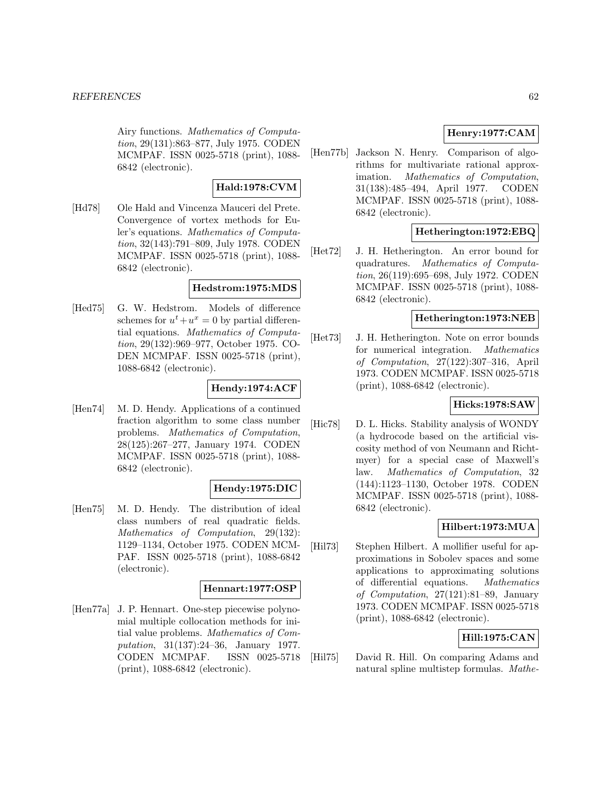Airy functions. Mathematics of Computation, 29(131):863–877, July 1975. CODEN MCMPAF. ISSN 0025-5718 (print), 1088- 6842 (electronic).

## **Hald:1978:CVM**

[Hd78] Ole Hald and Vincenza Mauceri del Prete. Convergence of vortex methods for Euler's equations. Mathematics of Computation, 32(143):791–809, July 1978. CODEN MCMPAF. ISSN 0025-5718 (print), 1088- 6842 (electronic).

## **Hedstrom:1975:MDS**

[Hed75] G. W. Hedstrom. Models of difference schemes for  $u^t + u^x = 0$  by partial differential equations. Mathematics of Computation, 29(132):969–977, October 1975. CO-DEN MCMPAF. ISSN 0025-5718 (print), 1088-6842 (electronic).

## **Hendy:1974:ACF**

[Hen74] M. D. Hendy. Applications of a continued fraction algorithm to some class number problems. Mathematics of Computation, 28(125):267–277, January 1974. CODEN MCMPAF. ISSN 0025-5718 (print), 1088- 6842 (electronic).

## **Hendy:1975:DIC**

[Hen75] M. D. Hendy. The distribution of ideal class numbers of real quadratic fields. Mathematics of Computation, 29(132): 1129–1134, October 1975. CODEN MCM-PAF. ISSN 0025-5718 (print), 1088-6842 (electronic).

#### **Hennart:1977:OSP**

[Hen77a] J. P. Hennart. One-step piecewise polynomial multiple collocation methods for initial value problems. Mathematics of Computation, 31(137):24–36, January 1977. CODEN MCMPAF. ISSN 0025-5718 (print), 1088-6842 (electronic).

# **Henry:1977:CAM**

[Hen77b] Jackson N. Henry. Comparison of algorithms for multivariate rational approximation. Mathematics of Computation, 31(138):485–494, April 1977. CODEN MCMPAF. ISSN 0025-5718 (print), 1088- 6842 (electronic).

# **Hetherington:1972:EBQ**

[Het72] J. H. Hetherington. An error bound for quadratures. Mathematics of Computation, 26(119):695–698, July 1972. CODEN MCMPAF. ISSN 0025-5718 (print), 1088- 6842 (electronic).

## **Hetherington:1973:NEB**

[Het73] J. H. Hetherington. Note on error bounds for numerical integration. Mathematics of Computation, 27(122):307–316, April 1973. CODEN MCMPAF. ISSN 0025-5718 (print), 1088-6842 (electronic).

# **Hicks:1978:SAW**

[Hic78] D. L. Hicks. Stability analysis of WONDY (a hydrocode based on the artificial viscosity method of von Neumann and Richtmyer) for a special case of Maxwell's law. Mathematics of Computation, 32 (144):1123–1130, October 1978. CODEN MCMPAF. ISSN 0025-5718 (print), 1088- 6842 (electronic).

# **Hilbert:1973:MUA**

[Hil73] Stephen Hilbert. A mollifier useful for approximations in Sobolev spaces and some applications to approximating solutions of differential equations. Mathematics of Computation, 27(121):81–89, January 1973. CODEN MCMPAF. ISSN 0025-5718 (print), 1088-6842 (electronic).

## **Hill:1975:CAN**

[Hil75] David R. Hill. On comparing Adams and natural spline multistep formulas. Mathe-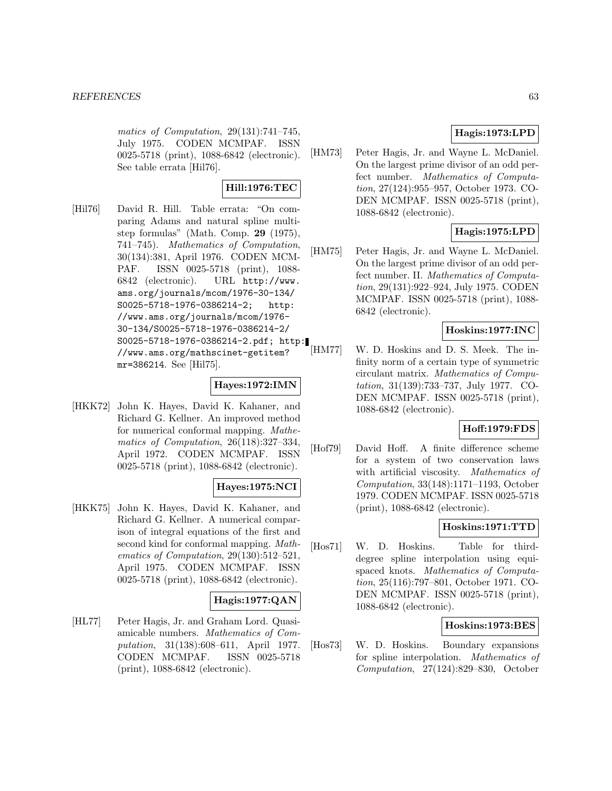matics of Computation, 29(131):741–745, July 1975. CODEN MCMPAF. ISSN 0025-5718 (print), 1088-6842 (electronic). See table errata [Hil76].

## **Hill:1976:TEC**

[Hil76] David R. Hill. Table errata: "On comparing Adams and natural spline multistep formulas" (Math. Comp. **29** (1975), 741–745). Mathematics of Computation, 30(134):381, April 1976. CODEN MCM-PAF. ISSN 0025-5718 (print), 1088- 6842 (electronic). URL http://www. ams.org/journals/mcom/1976-30-134/ S0025-5718-1976-0386214-2; http: //www.ams.org/journals/mcom/1976- 30-134/S0025-5718-1976-0386214-2/ S0025-5718-1976-0386214-2.pdf; http: //www.ams.org/mathscinet-getitem? mr=386214. See [Hil75].

## **Hayes:1972:IMN**

[HKK72] John K. Hayes, David K. Kahaner, and Richard G. Kellner. An improved method for numerical conformal mapping. Mathematics of Computation, 26(118):327–334, April 1972. CODEN MCMPAF. ISSN 0025-5718 (print), 1088-6842 (electronic).

## **Hayes:1975:NCI**

[HKK75] John K. Hayes, David K. Kahaner, and Richard G. Kellner. A numerical comparison of integral equations of the first and second kind for conformal mapping. Mathematics of Computation, 29(130):512–521, April 1975. CODEN MCMPAF. ISSN 0025-5718 (print), 1088-6842 (electronic).

## **Hagis:1977:QAN**

[HL77] Peter Hagis, Jr. and Graham Lord. Quasiamicable numbers. Mathematics of Computation, 31(138):608–611, April 1977. CODEN MCMPAF. ISSN 0025-5718 (print), 1088-6842 (electronic).

# **Hagis:1973:LPD**

[HM73] Peter Hagis, Jr. and Wayne L. McDaniel. On the largest prime divisor of an odd perfect number. Mathematics of Computation, 27(124):955–957, October 1973. CO-DEN MCMPAF. ISSN 0025-5718 (print), 1088-6842 (electronic).

# **Hagis:1975:LPD**

[HM75] Peter Hagis, Jr. and Wayne L. McDaniel. On the largest prime divisor of an odd perfect number. II. Mathematics of Computation, 29(131):922–924, July 1975. CODEN MCMPAF. ISSN 0025-5718 (print), 1088- 6842 (electronic).

# **Hoskins:1977:INC**

[HM77] W. D. Hoskins and D. S. Meek. The infinity norm of a certain type of symmetric circulant matrix. Mathematics of Computation, 31(139):733–737, July 1977. CO-DEN MCMPAF. ISSN 0025-5718 (print), 1088-6842 (electronic).

## **Hoff:1979:FDS**

[Hof79] David Hoff. A finite difference scheme for a system of two conservation laws with artificial viscosity. Mathematics of Computation, 33(148):1171–1193, October 1979. CODEN MCMPAF. ISSN 0025-5718 (print), 1088-6842 (electronic).

## **Hoskins:1971:TTD**

[Hos71] W. D. Hoskins. Table for thirddegree spline interpolation using equispaced knots. Mathematics of Computation, 25(116):797–801, October 1971. CO-DEN MCMPAF. ISSN 0025-5718 (print), 1088-6842 (electronic).

## **Hoskins:1973:BES**

[Hos73] W. D. Hoskins. Boundary expansions for spline interpolation. Mathematics of Computation, 27(124):829–830, October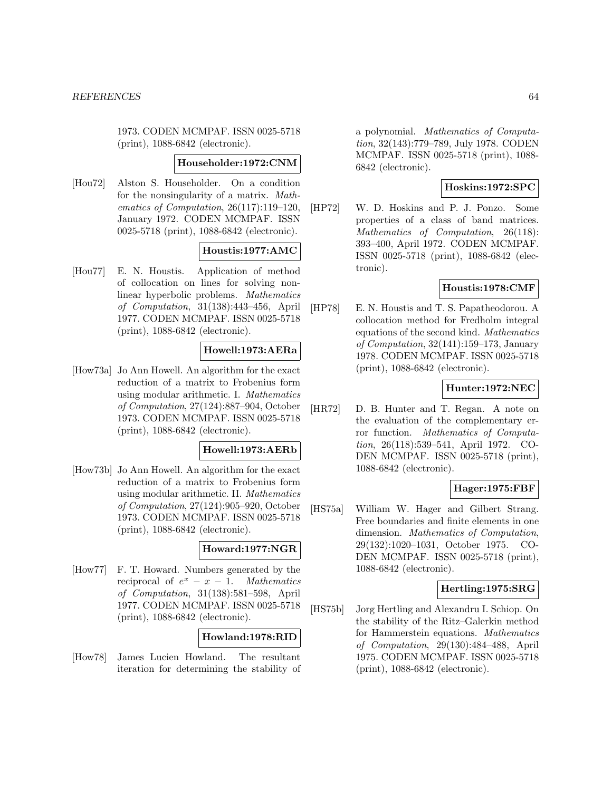1973. CODEN MCMPAF. ISSN 0025-5718 (print), 1088-6842 (electronic).

## **Householder:1972:CNM**

[Hou72] Alston S. Householder. On a condition for the nonsingularity of a matrix. Mathematics of Computation, 26(117):119–120, January 1972. CODEN MCMPAF. ISSN 0025-5718 (print), 1088-6842 (electronic).

# **Houstis:1977:AMC**

[Hou77] E. N. Houstis. Application of method of collocation on lines for solving nonlinear hyperbolic problems. Mathematics of Computation, 31(138):443–456, April 1977. CODEN MCMPAF. ISSN 0025-5718 (print), 1088-6842 (electronic).

## **Howell:1973:AERa**

[How73a] Jo Ann Howell. An algorithm for the exact reduction of a matrix to Frobenius form using modular arithmetic. I. Mathematics of Computation, 27(124):887–904, October 1973. CODEN MCMPAF. ISSN 0025-5718 (print), 1088-6842 (electronic).

#### **Howell:1973:AERb**

[How73b] Jo Ann Howell. An algorithm for the exact reduction of a matrix to Frobenius form using modular arithmetic. II. Mathematics of Computation, 27(124):905–920, October 1973. CODEN MCMPAF. ISSN 0025-5718 (print), 1088-6842 (electronic).

## **Howard:1977:NGR**

[How77] F. T. Howard. Numbers generated by the reciprocal of  $e^x - x - 1$ . Mathematics of Computation, 31(138):581–598, April 1977. CODEN MCMPAF. ISSN 0025-5718 (print), 1088-6842 (electronic).

## **Howland:1978:RID**

[How78] James Lucien Howland. The resultant iteration for determining the stability of a polynomial. Mathematics of Computation, 32(143):779–789, July 1978. CODEN MCMPAF. ISSN 0025-5718 (print), 1088- 6842 (electronic).

## **Hoskins:1972:SPC**

[HP72] W. D. Hoskins and P. J. Ponzo. Some properties of a class of band matrices. Mathematics of Computation, 26(118): 393–400, April 1972. CODEN MCMPAF. ISSN 0025-5718 (print), 1088-6842 (electronic).

## **Houstis:1978:CMF**

[HP78] E. N. Houstis and T. S. Papatheodorou. A collocation method for Fredholm integral equations of the second kind. Mathematics of Computation, 32(141):159–173, January 1978. CODEN MCMPAF. ISSN 0025-5718 (print), 1088-6842 (electronic).

## **Hunter:1972:NEC**

[HR72] D. B. Hunter and T. Regan. A note on the evaluation of the complementary error function. Mathematics of Computation, 26(118):539–541, April 1972. CO-DEN MCMPAF. ISSN 0025-5718 (print), 1088-6842 (electronic).

# **Hager:1975:FBF**

[HS75a] William W. Hager and Gilbert Strang. Free boundaries and finite elements in one dimension. Mathematics of Computation, 29(132):1020–1031, October 1975. CO-DEN MCMPAF. ISSN 0025-5718 (print), 1088-6842 (electronic).

## **Hertling:1975:SRG**

[HS75b] Jorg Hertling and Alexandru I. Schiop. On the stability of the Ritz–Galerkin method for Hammerstein equations. Mathematics of Computation, 29(130):484–488, April 1975. CODEN MCMPAF. ISSN 0025-5718 (print), 1088-6842 (electronic).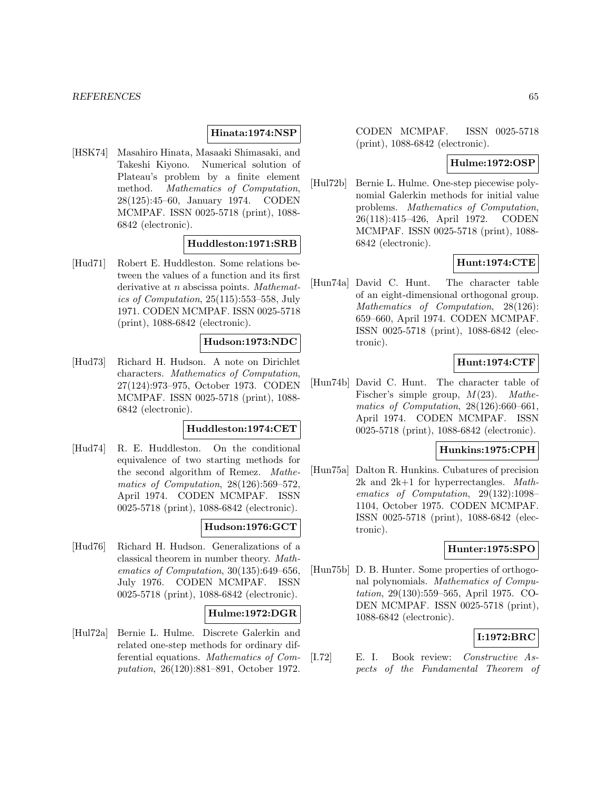#### **Hinata:1974:NSP**

[HSK74] Masahiro Hinata, Masaaki Shimasaki, and Takeshi Kiyono. Numerical solution of Plateau's problem by a finite element method. Mathematics of Computation, 28(125):45–60, January 1974. CODEN MCMPAF. ISSN 0025-5718 (print), 1088- 6842 (electronic).

#### **Huddleston:1971:SRB**

[Hud71] Robert E. Huddleston. Some relations between the values of a function and its first derivative at *n* abscissa points. Mathematics of Computation, 25(115):553–558, July 1971. CODEN MCMPAF. ISSN 0025-5718 (print), 1088-6842 (electronic).

#### **Hudson:1973:NDC**

[Hud73] Richard H. Hudson. A note on Dirichlet characters. Mathematics of Computation, 27(124):973–975, October 1973. CODEN MCMPAF. ISSN 0025-5718 (print), 1088- 6842 (electronic).

#### **Huddleston:1974:CET**

[Hud74] R. E. Huddleston. On the conditional equivalence of two starting methods for the second algorithm of Remez. Mathematics of Computation, 28(126):569–572, April 1974. CODEN MCMPAF. ISSN 0025-5718 (print), 1088-6842 (electronic).

#### **Hudson:1976:GCT**

[Hud76] Richard H. Hudson. Generalizations of a classical theorem in number theory. Mathematics of Computation, 30(135):649–656, July 1976. CODEN MCMPAF. ISSN 0025-5718 (print), 1088-6842 (electronic).

## **Hulme:1972:DGR**

[Hul72a] Bernie L. Hulme. Discrete Galerkin and related one-step methods for ordinary differential equations. Mathematics of Computation, 26(120):881–891, October 1972.

CODEN MCMPAF. ISSN 0025-5718 (print), 1088-6842 (electronic).

## **Hulme:1972:OSP**

[Hul72b] Bernie L. Hulme. One-step piecewise polynomial Galerkin methods for initial value problems. Mathematics of Computation, 26(118):415–426, April 1972. CODEN MCMPAF. ISSN 0025-5718 (print), 1088- 6842 (electronic).

# **Hunt:1974:CTE**

[Hun74a] David C. Hunt. The character table of an eight-dimensional orthogonal group. Mathematics of Computation, 28(126): 659–660, April 1974. CODEN MCMPAF. ISSN 0025-5718 (print), 1088-6842 (electronic).

# **Hunt:1974:CTF**

[Hun74b] David C. Hunt. The character table of Fischer's simple group,  $M(23)$ . Mathematics of Computation, 28(126):660–661, April 1974. CODEN MCMPAF. ISSN 0025-5718 (print), 1088-6842 (electronic).

#### **Hunkins:1975:CPH**

[Hun75a] Dalton R. Hunkins. Cubatures of precision 2k and 2k+1 for hyperrectangles. Mathematics of Computation, 29(132):1098– 1104, October 1975. CODEN MCMPAF. ISSN 0025-5718 (print), 1088-6842 (electronic).

## **Hunter:1975:SPO**

[Hun75b] D. B. Hunter. Some properties of orthogonal polynomials. Mathematics of Computation, 29(130):559–565, April 1975. CO-DEN MCMPAF. ISSN 0025-5718 (print), 1088-6842 (electronic).

## **I:1972:BRC**

[I.72] E. I. Book review: Constructive Aspects of the Fundamental Theorem of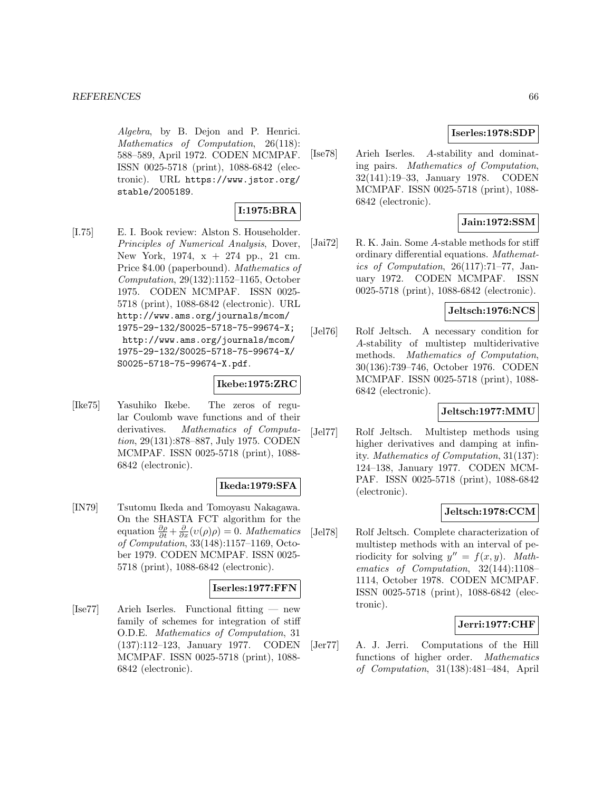Algebra, by B. Dejon and P. Henrici. Mathematics of Computation, 26(118): 588–589, April 1972. CODEN MCMPAF. ISSN 0025-5718 (print), 1088-6842 (electronic). URL https://www.jstor.org/ stable/2005189.

# **I:1975:BRA**

[I.75] E. I. Book review: Alston S. Householder. Principles of Numerical Analysis, Dover, New York, 1974, x + 274 pp., 21 cm. Price \$4.00 (paperbound). Mathematics of Computation, 29(132):1152–1165, October 1975. CODEN MCMPAF. ISSN 0025- 5718 (print), 1088-6842 (electronic). URL http://www.ams.org/journals/mcom/ 1975-29-132/S0025-5718-75-99674-X; http://www.ams.org/journals/mcom/ 1975-29-132/S0025-5718-75-99674-X/ S0025-5718-75-99674-X.pdf.

#### **Ikebe:1975:ZRC**

[Ike75] Yasuhiko Ikebe. The zeros of regular Coulomb wave functions and of their derivatives. Mathematics of Computation, 29(131):878–887, July 1975. CODEN MCMPAF. ISSN 0025-5718 (print), 1088- 6842 (electronic).

#### **Ikeda:1979:SFA**

[IN79] Tsutomu Ikeda and Tomoyasu Nakagawa. On the SHASTA FCT algorithm for the equation  $\frac{\partial \rho}{\partial t} + \frac{\partial}{\partial x}(v(\rho)\rho) = 0$ . *Mathematics* of Computation, 33(148):1157–1169, October 1979. CODEN MCMPAF. ISSN 0025- 5718 (print), 1088-6842 (electronic).

## **Iserles:1977:FFN**

[Ise77] Arieh Iserles. Functional fitting — new family of schemes for integration of stiff O.D.E. Mathematics of Computation, 31 (137):112–123, January 1977. CODEN MCMPAF. ISSN 0025-5718 (print), 1088- 6842 (electronic).

## **Iserles:1978:SDP**

[Ise78] Arieh Iserles. A-stability and dominating pairs. Mathematics of Computation, 32(141):19–33, January 1978. CODEN MCMPAF. ISSN 0025-5718 (print), 1088- 6842 (electronic).

## **Jain:1972:SSM**

[Jai72] R. K. Jain. Some A-stable methods for stiff ordinary differential equations. Mathematics of Computation, 26(117):71–77, January 1972. CODEN MCMPAF. ISSN 0025-5718 (print), 1088-6842 (electronic).

## **Jeltsch:1976:NCS**

[Jel76] Rolf Jeltsch. A necessary condition for A-stability of multistep multiderivative methods. Mathematics of Computation, 30(136):739–746, October 1976. CODEN MCMPAF. ISSN 0025-5718 (print), 1088- 6842 (electronic).

## **Jeltsch:1977:MMU**

[Jel77] Rolf Jeltsch. Multistep methods using higher derivatives and damping at infinity. Mathematics of Computation, 31(137): 124–138, January 1977. CODEN MCM-PAF. ISSN 0025-5718 (print), 1088-6842 (electronic).

## **Jeltsch:1978:CCM**

[Jel78] Rolf Jeltsch. Complete characterization of multistep methods with an interval of periodicity for solving  $y'' = f(x, y)$ . Mathematics of Computation, 32(144):1108– 1114, October 1978. CODEN MCMPAF. ISSN 0025-5718 (print), 1088-6842 (electronic).

## **Jerri:1977:CHF**

[Jer77] A. J. Jerri. Computations of the Hill functions of higher order. Mathematics of Computation, 31(138):481–484, April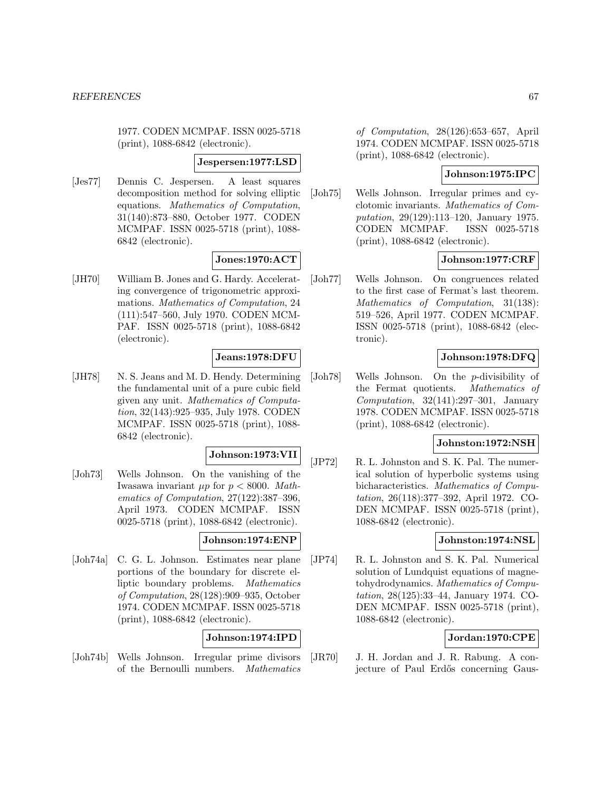1977. CODEN MCMPAF. ISSN 0025-5718 (print), 1088-6842 (electronic).

#### **Jespersen:1977:LSD**

[Jes77] Dennis C. Jespersen. A least squares decomposition method for solving elliptic equations. Mathematics of Computation, 31(140):873–880, October 1977. CODEN MCMPAF. ISSN 0025-5718 (print), 1088- 6842 (electronic).

# **Jones:1970:ACT**

[JH70] William B. Jones and G. Hardy. Accelerating convergence of trigonometric approximations. Mathematics of Computation, 24 (111):547–560, July 1970. CODEN MCM-PAF. ISSN 0025-5718 (print), 1088-6842 (electronic).

## **Jeans:1978:DFU**

[JH78] N. S. Jeans and M. D. Hendy. Determining the fundamental unit of a pure cubic field given any unit. Mathematics of Computation, 32(143):925–935, July 1978. CODEN MCMPAF. ISSN 0025-5718 (print), 1088- 6842 (electronic).

## **Johnson:1973:VII**

[Joh73] Wells Johnson. On the vanishing of the Iwasawa invariant  $\mu p$  for  $p < 8000$ . Mathematics of Computation, 27(122):387–396, April 1973. CODEN MCMPAF. ISSN 0025-5718 (print), 1088-6842 (electronic).

#### **Johnson:1974:ENP**

[Joh74a] C. G. L. Johnson. Estimates near plane portions of the boundary for discrete elliptic boundary problems. Mathematics of Computation, 28(128):909–935, October 1974. CODEN MCMPAF. ISSN 0025-5718 (print), 1088-6842 (electronic).

#### **Johnson:1974:IPD**

[Joh74b] Wells Johnson. Irregular prime divisors of the Bernoulli numbers. Mathematics

of Computation, 28(126):653–657, April 1974. CODEN MCMPAF. ISSN 0025-5718 (print), 1088-6842 (electronic).

## **Johnson:1975:IPC**

[Joh75] Wells Johnson. Irregular primes and cyclotomic invariants. Mathematics of Computation, 29(129):113–120, January 1975. CODEN MCMPAF. ISSN 0025-5718 (print), 1088-6842 (electronic).

## **Johnson:1977:CRF**

[Joh77] Wells Johnson. On congruences related to the first case of Fermat's last theorem. Mathematics of Computation, 31(138): 519–526, April 1977. CODEN MCMPAF. ISSN 0025-5718 (print), 1088-6842 (electronic).

#### **Johnson:1978:DFQ**

[Joh78] Wells Johnson. On the p-divisibility of the Fermat quotients. Mathematics of Computation, 32(141):297–301, January 1978. CODEN MCMPAF. ISSN 0025-5718 (print), 1088-6842 (electronic).

#### **Johnston:1972:NSH**

[JP72] R. L. Johnston and S. K. Pal. The numerical solution of hyperbolic systems using bicharacteristics. Mathematics of Computation, 26(118):377–392, April 1972. CO-DEN MCMPAF. ISSN 0025-5718 (print), 1088-6842 (electronic).

## **Johnston:1974:NSL**

[JP74] R. L. Johnston and S. K. Pal. Numerical solution of Lundquist equations of magnetohydrodynamics. Mathematics of Computation, 28(125):33–44, January 1974. CO-DEN MCMPAF. ISSN 0025-5718 (print), 1088-6842 (electronic).

## **Jordan:1970:CPE**

[JR70] J. H. Jordan and J. R. Rabung. A conjecture of Paul Erdős concerning Gaus-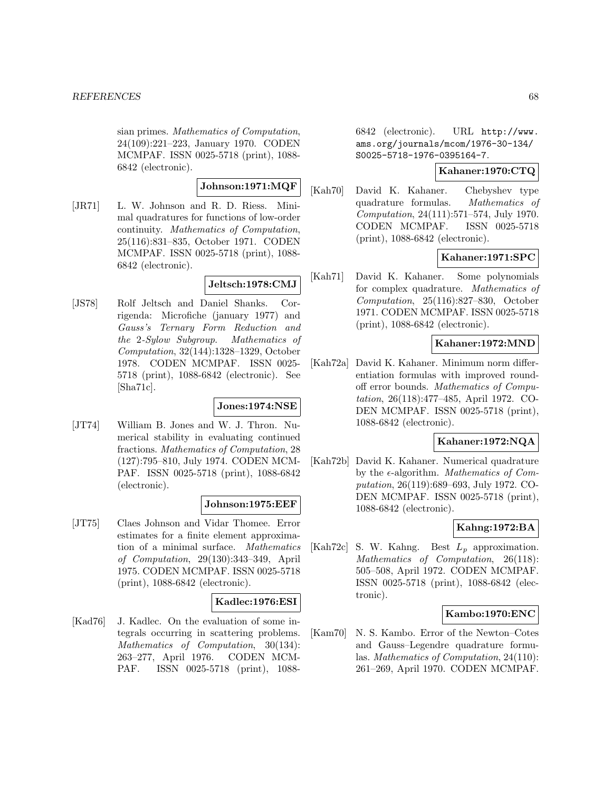sian primes. Mathematics of Computation, 24(109):221–223, January 1970. CODEN MCMPAF. ISSN 0025-5718 (print), 1088- 6842 (electronic).

# **Johnson:1971:MQF**

[JR71] L. W. Johnson and R. D. Riess. Minimal quadratures for functions of low-order continuity. Mathematics of Computation, 25(116):831–835, October 1971. CODEN MCMPAF. ISSN 0025-5718 (print), 1088- 6842 (electronic).

# **Jeltsch:1978:CMJ**

[JS78] Rolf Jeltsch and Daniel Shanks. Corrigenda: Microfiche (january 1977) and Gauss's Ternary Form Reduction and the 2-Sylow Subgroup. Mathematics of Computation, 32(144):1328–1329, October 1978. CODEN MCMPAF. ISSN 0025- 5718 (print), 1088-6842 (electronic). See [Sha71c].

## **Jones:1974:NSE**

[JT74] William B. Jones and W. J. Thron. Numerical stability in evaluating continued fractions. Mathematics of Computation, 28 (127):795–810, July 1974. CODEN MCM-PAF. ISSN 0025-5718 (print), 1088-6842 (electronic).

## **Johnson:1975:EEF**

[JT75] Claes Johnson and Vidar Thomee. Error estimates for a finite element approximation of a minimal surface. Mathematics of Computation, 29(130):343–349, April 1975. CODEN MCMPAF. ISSN 0025-5718 (print), 1088-6842 (electronic).

# **Kadlec:1976:ESI**

[Kad76] J. Kadlec. On the evaluation of some integrals occurring in scattering problems. Mathematics of Computation, 30(134): 263–277, April 1976. CODEN MCM-PAF. ISSN 0025-5718 (print), 10886842 (electronic). URL http://www. ams.org/journals/mcom/1976-30-134/ S0025-5718-1976-0395164-7.

## **Kahaner:1970:CTQ**

[Kah70] David K. Kahaner. Chebyshev type quadrature formulas. Mathematics of Computation, 24(111):571–574, July 1970. CODEN MCMPAF. ISSN 0025-5718 (print), 1088-6842 (electronic).

# **Kahaner:1971:SPC**

[Kah71] David K. Kahaner. Some polynomials for complex quadrature. Mathematics of Computation, 25(116):827–830, October 1971. CODEN MCMPAF. ISSN 0025-5718 (print), 1088-6842 (electronic).

# **Kahaner:1972:MND**

[Kah72a] David K. Kahaner. Minimum norm differentiation formulas with improved roundoff error bounds. Mathematics of Computation, 26(118):477–485, April 1972. CO-DEN MCMPAF. ISSN 0025-5718 (print), 1088-6842 (electronic).

# **Kahaner:1972:NQA**

[Kah72b] David K. Kahaner. Numerical quadrature by the  $\epsilon$ -algorithm. *Mathematics of Com*putation, 26(119):689–693, July 1972. CO-DEN MCMPAF. ISSN 0025-5718 (print), 1088-6842 (electronic).

# **Kahng:1972:BA**

[Kah72c] S. W. Kahng. Best  $L_p$  approximation. Mathematics of Computation, 26(118): 505–508, April 1972. CODEN MCMPAF. ISSN 0025-5718 (print), 1088-6842 (electronic).

# **Kambo:1970:ENC**

[Kam70] N. S. Kambo. Error of the Newton–Cotes and Gauss–Legendre quadrature formulas. Mathematics of Computation, 24(110): 261–269, April 1970. CODEN MCMPAF.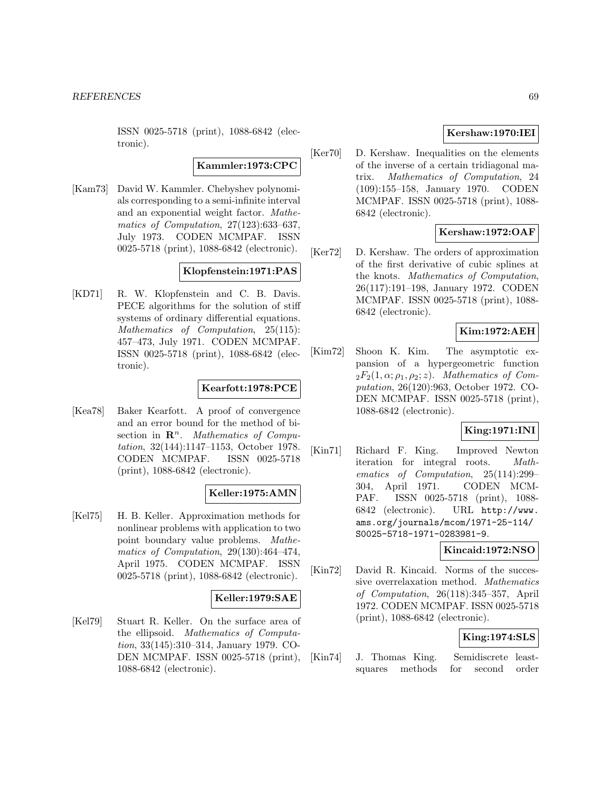ISSN 0025-5718 (print), 1088-6842 (electronic).

## **Kammler:1973:CPC**

[Kam73] David W. Kammler. Chebyshev polynomials corresponding to a semi-infinite interval and an exponential weight factor. Mathematics of Computation, 27(123):633–637, July 1973. CODEN MCMPAF. ISSN 0025-5718 (print), 1088-6842 (electronic).

## **Klopfenstein:1971:PAS**

[KD71] R. W. Klopfenstein and C. B. Davis. PECE algorithms for the solution of stiff systems of ordinary differential equations. Mathematics of Computation, 25(115): 457–473, July 1971. CODEN MCMPAF. ISSN 0025-5718 (print), 1088-6842 (electronic).

## **Kearfott:1978:PCE**

[Kea78] Baker Kearfott. A proof of convergence and an error bound for the method of bisection in  $\mathbb{R}^n$ . Mathematics of Computation, 32(144):1147–1153, October 1978. CODEN MCMPAF. ISSN 0025-5718 (print), 1088-6842 (electronic).

## **Keller:1975:AMN**

[Kel75] H. B. Keller. Approximation methods for nonlinear problems with application to two point boundary value problems. Mathematics of Computation, 29(130):464–474, April 1975. CODEN MCMPAF. ISSN 0025-5718 (print), 1088-6842 (electronic).

## **Keller:1979:SAE**

[Kel79] Stuart R. Keller. On the surface area of the ellipsoid. Mathematics of Computation, 33(145):310–314, January 1979. CO-DEN MCMPAF. ISSN 0025-5718 (print), 1088-6842 (electronic).

## **Kershaw:1970:IEI**

[Ker70] D. Kershaw. Inequalities on the elements of the inverse of a certain tridiagonal matrix. Mathematics of Computation, 24 (109):155–158, January 1970. CODEN MCMPAF. ISSN 0025-5718 (print), 1088- 6842 (electronic).

## **Kershaw:1972:OAF**

[Ker72] D. Kershaw. The orders of approximation of the first derivative of cubic splines at the knots. Mathematics of Computation, 26(117):191–198, January 1972. CODEN MCMPAF. ISSN 0025-5718 (print), 1088- 6842 (electronic).

## **Kim:1972:AEH**

[Kim72] Shoon K. Kim. The asymptotic expansion of a hypergeometric function  $_2F_2(1,\alpha;\rho_1,\rho_2;z)$ . Mathematics of Computation, 26(120):963, October 1972. CO-DEN MCMPAF. ISSN 0025-5718 (print), 1088-6842 (electronic).

## **King:1971:INI**

[Kin71] Richard F. King. Improved Newton iteration for integral roots. Mathematics of Computation, 25(114):299– 304, April 1971. CODEN MCM-PAF. ISSN 0025-5718 (print), 1088- 6842 (electronic). URL http://www. ams.org/journals/mcom/1971-25-114/ S0025-5718-1971-0283981-9.

## **Kincaid:1972:NSO**

[Kin72] David R. Kincaid. Norms of the successive overrelaxation method. Mathematics of Computation, 26(118):345–357, April 1972. CODEN MCMPAF. ISSN 0025-5718 (print), 1088-6842 (electronic).

# **King:1974:SLS**

[Kin74] J. Thomas King. Semidiscrete leastsquares methods for second order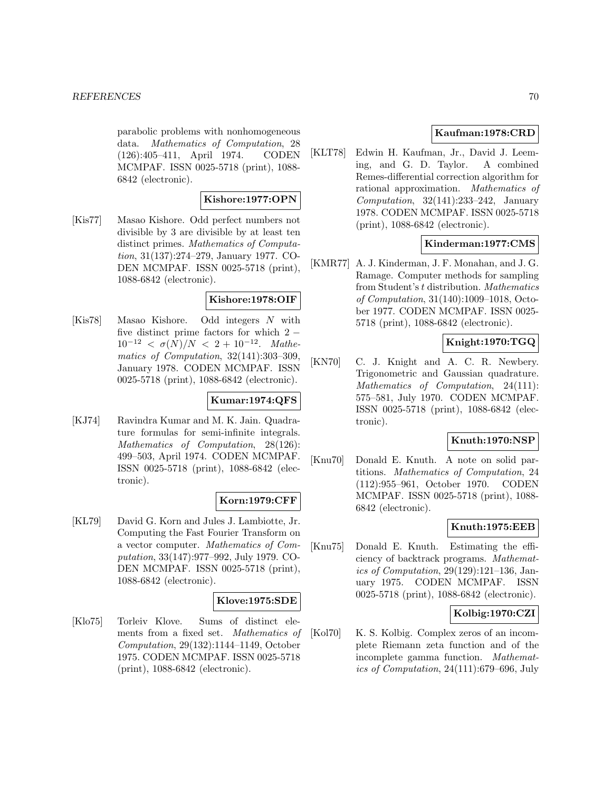parabolic problems with nonhomogeneous data. Mathematics of Computation, 28 (126):405–411, April 1974. CODEN MCMPAF. ISSN 0025-5718 (print), 1088- 6842 (electronic).

## **Kishore:1977:OPN**

[Kis77] Masao Kishore. Odd perfect numbers not divisible by 3 are divisible by at least ten distinct primes. Mathematics of Computation, 31(137):274–279, January 1977. CO-DEN MCMPAF. ISSN 0025-5718 (print), 1088-6842 (electronic).

## **Kishore:1978:OIF**

[Kis78] Masao Kishore. Odd integers N with five distinct prime factors for which  $2 10^{-12} < \sigma(N)/N < 2 + 10^{-12}$ . Mathematics of Computation, 32(141):303–309, January 1978. CODEN MCMPAF. ISSN 0025-5718 (print), 1088-6842 (electronic).

#### **Kumar:1974:QFS**

[KJ74] Ravindra Kumar and M. K. Jain. Quadrature formulas for semi-infinite integrals. Mathematics of Computation, 28(126): 499–503, April 1974. CODEN MCMPAF. ISSN 0025-5718 (print), 1088-6842 (electronic).

## **Korn:1979:CFF**

[KL79] David G. Korn and Jules J. Lambiotte, Jr. Computing the Fast Fourier Transform on a vector computer. Mathematics of Computation, 33(147):977–992, July 1979. CO-DEN MCMPAF. ISSN 0025-5718 (print), 1088-6842 (electronic).

#### **Klove:1975:SDE**

[Klo75] Torleiv Klove. Sums of distinct elements from a fixed set. Mathematics of Computation, 29(132):1144–1149, October 1975. CODEN MCMPAF. ISSN 0025-5718 (print), 1088-6842 (electronic).

## **Kaufman:1978:CRD**

[KLT78] Edwin H. Kaufman, Jr., David J. Leeming, and G. D. Taylor. A combined Remes-differential correction algorithm for rational approximation. Mathematics of Computation, 32(141):233–242, January 1978. CODEN MCMPAF. ISSN 0025-5718 (print), 1088-6842 (electronic).

## **Kinderman:1977:CMS**

[KMR77] A. J. Kinderman, J. F. Monahan, and J. G. Ramage. Computer methods for sampling from Student's t distribution. Mathematics of Computation, 31(140):1009–1018, October 1977. CODEN MCMPAF. ISSN 0025- 5718 (print), 1088-6842 (electronic).

# **Knight:1970:TGQ**

[KN70] C. J. Knight and A. C. R. Newbery. Trigonometric and Gaussian quadrature. Mathematics of Computation, 24(111): 575–581, July 1970. CODEN MCMPAF. ISSN 0025-5718 (print), 1088-6842 (electronic).

## **Knuth:1970:NSP**

[Knu70] Donald E. Knuth. A note on solid partitions. Mathematics of Computation, 24 (112):955–961, October 1970. CODEN MCMPAF. ISSN 0025-5718 (print), 1088- 6842 (electronic).

# **Knuth:1975:EEB**

[Knu75] Donald E. Knuth. Estimating the efficiency of backtrack programs. Mathematics of Computation, 29(129):121–136, January 1975. CODEN MCMPAF. ISSN 0025-5718 (print), 1088-6842 (electronic).

## **Kolbig:1970:CZI**

[Kol70] K. S. Kolbig. Complex zeros of an incomplete Riemann zeta function and of the incomplete gamma function. Mathematics of Computation, 24(111):679–696, July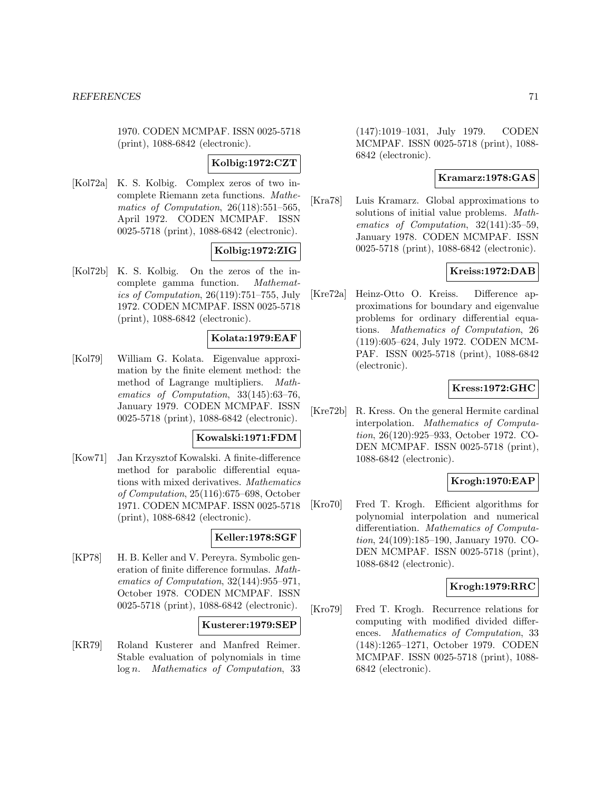1970. CODEN MCMPAF. ISSN 0025-5718 (print), 1088-6842 (electronic).

## **Kolbig:1972:CZT**

[Kol72a] K. S. Kolbig. Complex zeros of two incomplete Riemann zeta functions. Mathematics of Computation, 26(118):551–565, April 1972. CODEN MCMPAF. ISSN 0025-5718 (print), 1088-6842 (electronic).

# **Kolbig:1972:ZIG**

[Kol72b] K. S. Kolbig. On the zeros of the incomplete gamma function. Mathematics of Computation, 26(119):751–755, July 1972. CODEN MCMPAF. ISSN 0025-5718 (print), 1088-6842 (electronic).

## **Kolata:1979:EAF**

[Kol79] William G. Kolata. Eigenvalue approximation by the finite element method: the method of Lagrange multipliers. Mathematics of Computation, 33(145):63–76, January 1979. CODEN MCMPAF. ISSN 0025-5718 (print), 1088-6842 (electronic).

## **Kowalski:1971:FDM**

[Kow71] Jan Krzysztof Kowalski. A finite-difference method for parabolic differential equations with mixed derivatives. Mathematics of Computation, 25(116):675–698, October 1971. CODEN MCMPAF. ISSN 0025-5718 (print), 1088-6842 (electronic).

## **Keller:1978:SGF**

[KP78] H. B. Keller and V. Pereyra. Symbolic generation of finite difference formulas. Mathematics of Computation, 32(144):955–971, October 1978. CODEN MCMPAF. ISSN 0025-5718 (print), 1088-6842 (electronic).

#### **Kusterer:1979:SEP**

[KR79] Roland Kusterer and Manfred Reimer. Stable evaluation of polynomials in time log n. Mathematics of Computation, 33

(147):1019–1031, July 1979. CODEN MCMPAF. ISSN 0025-5718 (print), 1088- 6842 (electronic).

#### **Kramarz:1978:GAS**

[Kra78] Luis Kramarz. Global approximations to solutions of initial value problems. Mathematics of Computation, 32(141):35–59, January 1978. CODEN MCMPAF. ISSN 0025-5718 (print), 1088-6842 (electronic).

# **Kreiss:1972:DAB**

[Kre72a] Heinz-Otto O. Kreiss. Difference approximations for boundary and eigenvalue problems for ordinary differential equations. Mathematics of Computation, 26 (119):605–624, July 1972. CODEN MCM-PAF. ISSN 0025-5718 (print), 1088-6842 (electronic).

## **Kress:1972:GHC**

[Kre72b] R. Kress. On the general Hermite cardinal interpolation. Mathematics of Computation, 26(120):925–933, October 1972. CO-DEN MCMPAF. ISSN 0025-5718 (print), 1088-6842 (electronic).

## **Krogh:1970:EAP**

[Kro70] Fred T. Krogh. Efficient algorithms for polynomial interpolation and numerical differentiation. Mathematics of Computation, 24(109):185–190, January 1970. CO-DEN MCMPAF. ISSN 0025-5718 (print), 1088-6842 (electronic).

## **Krogh:1979:RRC**

[Kro79] Fred T. Krogh. Recurrence relations for computing with modified divided differences. Mathematics of Computation, 33 (148):1265–1271, October 1979. CODEN MCMPAF. ISSN 0025-5718 (print), 1088- 6842 (electronic).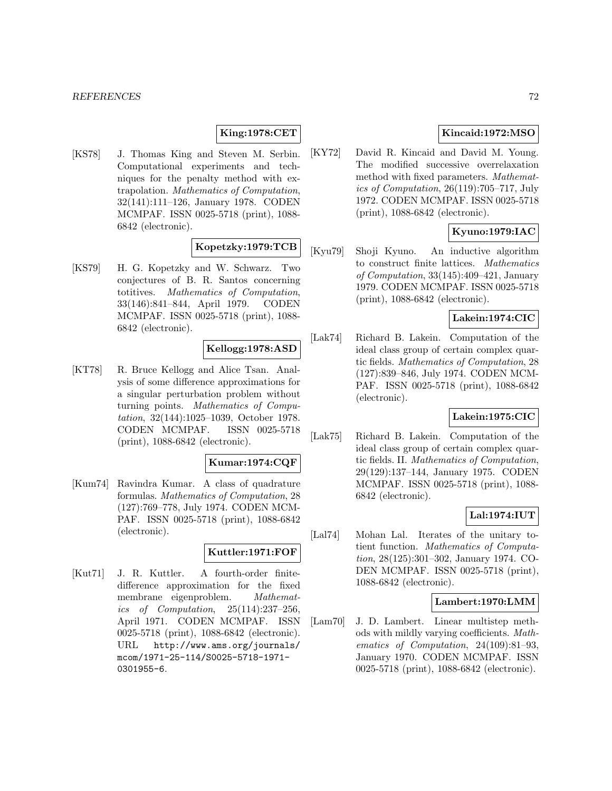## **King:1978:CET**

[KS78] J. Thomas King and Steven M. Serbin. Computational experiments and techniques for the penalty method with extrapolation. Mathematics of Computation, 32(141):111–126, January 1978. CODEN MCMPAF. ISSN 0025-5718 (print), 1088- 6842 (electronic).

# **Kopetzky:1979:TCB**

[KS79] H. G. Kopetzky and W. Schwarz. Two conjectures of B. R. Santos concerning totitives. Mathematics of Computation, 33(146):841–844, April 1979. CODEN MCMPAF. ISSN 0025-5718 (print), 1088- 6842 (electronic).

## **Kellogg:1978:ASD**

[KT78] R. Bruce Kellogg and Alice Tsan. Analysis of some difference approximations for a singular perturbation problem without turning points. Mathematics of Computation, 32(144):1025–1039, October 1978. CODEN MCMPAF. ISSN 0025-5718 (print), 1088-6842 (electronic).

#### **Kumar:1974:CQF**

[Kum74] Ravindra Kumar. A class of quadrature formulas. Mathematics of Computation, 28 (127):769–778, July 1974. CODEN MCM-PAF. ISSN 0025-5718 (print), 1088-6842 (electronic).

## **Kuttler:1971:FOF**

[Kut71] J. R. Kuttler. A fourth-order finitedifference approximation for the fixed membrane eigenproblem. Mathematics of Computation, 25(114):237–256, April 1971. CODEN MCMPAF. ISSN 0025-5718 (print), 1088-6842 (electronic). URL http://www.ams.org/journals/ mcom/1971-25-114/S0025-5718-1971- 0301955-6.

# **Kincaid:1972:MSO**

[KY72] David R. Kincaid and David M. Young. The modified successive overrelaxation method with fixed parameters. Mathematics of Computation, 26(119):705–717, July 1972. CODEN MCMPAF. ISSN 0025-5718 (print), 1088-6842 (electronic).

## **Kyuno:1979:IAC**

[Kyu79] Shoji Kyuno. An inductive algorithm to construct finite lattices. Mathematics of Computation, 33(145):409–421, January 1979. CODEN MCMPAF. ISSN 0025-5718 (print), 1088-6842 (electronic).

## **Lakein:1974:CIC**

[Lak74] Richard B. Lakein. Computation of the ideal class group of certain complex quartic fields. Mathematics of Computation, 28 (127):839–846, July 1974. CODEN MCM-PAF. ISSN 0025-5718 (print), 1088-6842 (electronic).

## **Lakein:1975:CIC**

[Lak75] Richard B. Lakein. Computation of the ideal class group of certain complex quartic fields. II. Mathematics of Computation, 29(129):137–144, January 1975. CODEN MCMPAF. ISSN 0025-5718 (print), 1088- 6842 (electronic).

## **Lal:1974:IUT**

[Lal74] Mohan Lal. Iterates of the unitary totient function. Mathematics of Computation, 28(125):301–302, January 1974. CO-DEN MCMPAF. ISSN 0025-5718 (print), 1088-6842 (electronic).

## **Lambert:1970:LMM**

[Lam70] J. D. Lambert. Linear multistep methods with mildly varying coefficients. Mathematics of Computation, 24(109):81–93, January 1970. CODEN MCMPAF. ISSN 0025-5718 (print), 1088-6842 (electronic).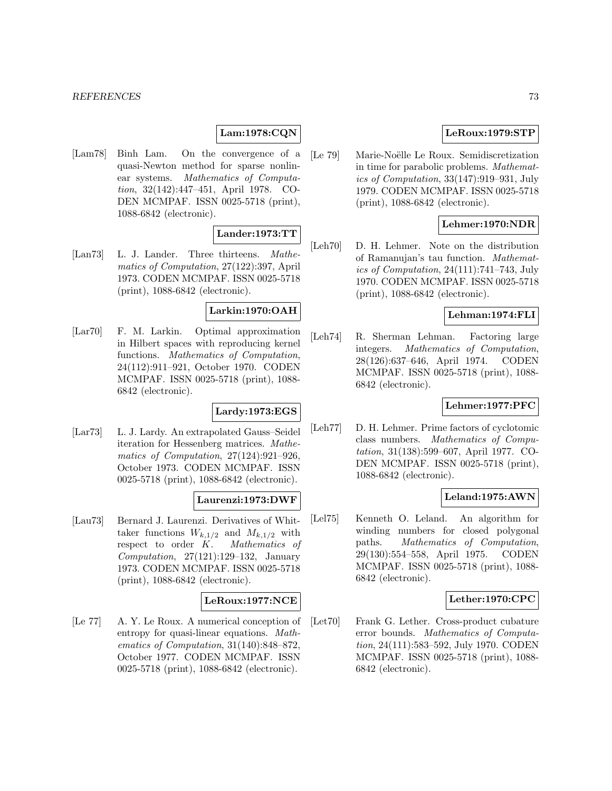# **Lam:1978:CQN**

[Lam78] Binh Lam. On the convergence of a quasi-Newton method for sparse nonlinear systems. Mathematics of Computation, 32(142):447–451, April 1978. CO-DEN MCMPAF. ISSN 0025-5718 (print), 1088-6842 (electronic).

# **Lander:1973:TT**

[Lan73] L. J. Lander. Three thirteens. Mathematics of Computation, 27(122):397, April 1973. CODEN MCMPAF. ISSN 0025-5718 (print), 1088-6842 (electronic).

# **Larkin:1970:OAH**

[Lar70] F. M. Larkin. Optimal approximation in Hilbert spaces with reproducing kernel functions. Mathematics of Computation, 24(112):911–921, October 1970. CODEN MCMPAF. ISSN 0025-5718 (print), 1088- 6842 (electronic).

# **Lardy:1973:EGS**

[Lar73] L. J. Lardy. An extrapolated Gauss–Seidel iteration for Hessenberg matrices. Mathematics of Computation, 27(124):921–926, October 1973. CODEN MCMPAF. ISSN 0025-5718 (print), 1088-6842 (electronic).

# **Laurenzi:1973:DWF**

[Lau73] Bernard J. Laurenzi. Derivatives of Whittaker functions  $W_{k,1/2}$  and  $M_{k,1/2}$  with respect to order K. Mathematics of Computation, 27(121):129–132, January 1973. CODEN MCMPAF. ISSN 0025-5718 (print), 1088-6842 (electronic).

# **LeRoux:1977:NCE**

[Le 77] A. Y. Le Roux. A numerical conception of entropy for quasi-linear equations. Mathematics of Computation, 31(140):848–872, October 1977. CODEN MCMPAF. ISSN 0025-5718 (print), 1088-6842 (electronic).

# **LeRoux:1979:STP**

[Le 79] Marie-Noëlle Le Roux. Semidiscretization in time for parabolic problems. Mathematics of Computation, 33(147):919–931, July 1979. CODEN MCMPAF. ISSN 0025-5718 (print), 1088-6842 (electronic).

# **Lehmer:1970:NDR**

[Leh70] D. H. Lehmer. Note on the distribution of Ramanujan's tau function. Mathematics of Computation, 24(111):741–743, July 1970. CODEN MCMPAF. ISSN 0025-5718 (print), 1088-6842 (electronic).

# **Lehman:1974:FLI**

[Leh74] R. Sherman Lehman. Factoring large integers. Mathematics of Computation, 28(126):637–646, April 1974. CODEN MCMPAF. ISSN 0025-5718 (print), 1088- 6842 (electronic).

# **Lehmer:1977:PFC**

[Leh77] D. H. Lehmer. Prime factors of cyclotomic class numbers. Mathematics of Computation, 31(138):599–607, April 1977. CO-DEN MCMPAF. ISSN 0025-5718 (print), 1088-6842 (electronic).

# **Leland:1975:AWN**

[Lel75] Kenneth O. Leland. An algorithm for winding numbers for closed polygonal paths. Mathematics of Computation, 29(130):554–558, April 1975. CODEN MCMPAF. ISSN 0025-5718 (print), 1088- 6842 (electronic).

# **Lether:1970:CPC**

[Let70] Frank G. Lether. Cross-product cubature error bounds. Mathematics of Computation, 24(111):583–592, July 1970. CODEN MCMPAF. ISSN 0025-5718 (print), 1088- 6842 (electronic).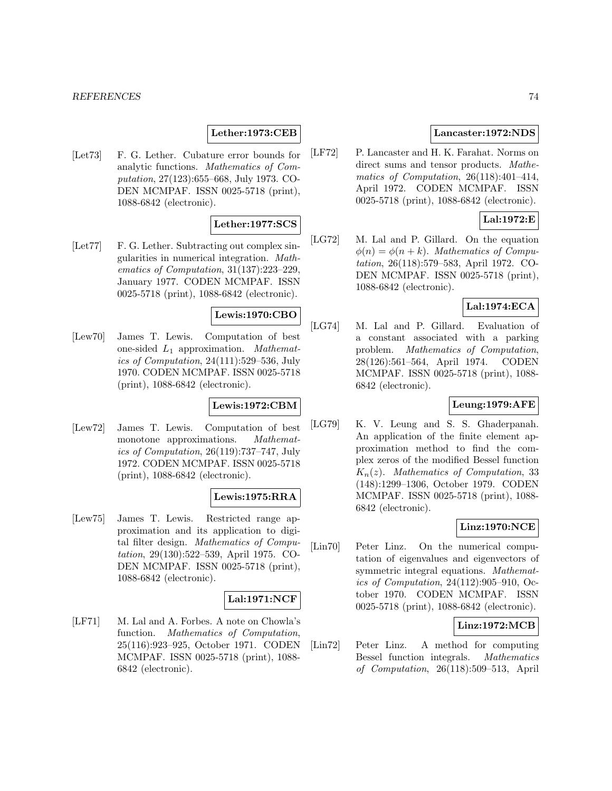#### *REFERENCES* 74

# **Lether:1973:CEB**

[Let73] F. G. Lether. Cubature error bounds for analytic functions. Mathematics of Computation, 27(123):655–668, July 1973. CO-DEN MCMPAF. ISSN 0025-5718 (print), 1088-6842 (electronic).

# **Lether:1977:SCS**

[Let77] F. G. Lether. Subtracting out complex singularities in numerical integration. Mathematics of Computation, 31(137):223–229, January 1977. CODEN MCMPAF. ISSN 0025-5718 (print), 1088-6842 (electronic).

# **Lewis:1970:CBO**

[Lew70] James T. Lewis. Computation of best one-sided  $L_1$  approximation. Mathematics of Computation, 24(111):529–536, July 1970. CODEN MCMPAF. ISSN 0025-5718 (print), 1088-6842 (electronic).

# **Lewis:1972:CBM**

[Lew72] James T. Lewis. Computation of best monotone approximations. *Mathemat*ics of Computation, 26(119):737–747, July 1972. CODEN MCMPAF. ISSN 0025-5718 (print), 1088-6842 (electronic).

# **Lewis:1975:RRA**

[Lew75] James T. Lewis. Restricted range approximation and its application to digital filter design. Mathematics of Computation, 29(130):522–539, April 1975. CO-DEN MCMPAF. ISSN 0025-5718 (print), 1088-6842 (electronic).

# **Lal:1971:NCF**

[LF71] M. Lal and A. Forbes. A note on Chowla's function. Mathematics of Computation, 25(116):923–925, October 1971. CODEN MCMPAF. ISSN 0025-5718 (print), 1088- 6842 (electronic).

# **Lancaster:1972:NDS**

[LF72] P. Lancaster and H. K. Farahat. Norms on direct sums and tensor products. Mathematics of Computation, 26(118):401–414, April 1972. CODEN MCMPAF. ISSN 0025-5718 (print), 1088-6842 (electronic).

# **Lal:1972:E**

[LG72] M. Lal and P. Gillard. On the equation  $\phi(n) = \phi(n+k)$ . Mathematics of Computation, 26(118):579–583, April 1972. CO-DEN MCMPAF. ISSN 0025-5718 (print), 1088-6842 (electronic).

# **Lal:1974:ECA**

[LG74] M. Lal and P. Gillard. Evaluation of a constant associated with a parking problem. Mathematics of Computation, 28(126):561–564, April 1974. CODEN MCMPAF. ISSN 0025-5718 (print), 1088- 6842 (electronic).

# **Leung:1979:AFE**

[LG79] K. V. Leung and S. S. Ghaderpanah. An application of the finite element approximation method to find the complex zeros of the modified Bessel function  $K_n(z)$ . Mathematics of Computation, 33 (148):1299–1306, October 1979. CODEN MCMPAF. ISSN 0025-5718 (print), 1088- 6842 (electronic).

# **Linz:1970:NCE**

[Lin70] Peter Linz. On the numerical computation of eigenvalues and eigenvectors of symmetric integral equations. Mathematics of Computation, 24(112):905–910, October 1970. CODEN MCMPAF. ISSN 0025-5718 (print), 1088-6842 (electronic).

# **Linz:1972:MCB**

[Lin72] Peter Linz. A method for computing Bessel function integrals. Mathematics of Computation, 26(118):509–513, April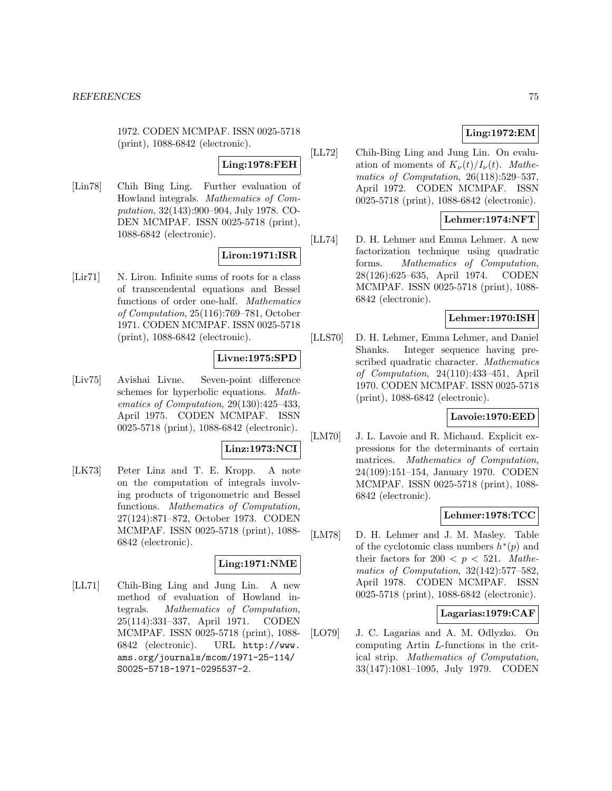1972. CODEN MCMPAF. ISSN 0025-5718 (print), 1088-6842 (electronic).

# **Ling:1978:FEH**

[Lin78] Chih Bing Ling. Further evaluation of Howland integrals. Mathematics of Computation, 32(143):900–904, July 1978. CO-DEN MCMPAF. ISSN 0025-5718 (print), 1088-6842 (electronic).

# **Liron:1971:ISR**

[Lir71] N. Liron. Infinite sums of roots for a class of transcendental equations and Bessel functions of order one-half. Mathematics of Computation, 25(116):769–781, October 1971. CODEN MCMPAF. ISSN 0025-5718 (print), 1088-6842 (electronic).

# **Livne:1975:SPD**

[Liv75] Avishai Livne. Seven-point difference schemes for hyperbolic equations. Mathematics of Computation, 29(130):425–433, April 1975. CODEN MCMPAF. ISSN 0025-5718 (print), 1088-6842 (electronic).

# **Linz:1973:NCI**

[LK73] Peter Linz and T. E. Kropp. A note on the computation of integrals involving products of trigonometric and Bessel functions. Mathematics of Computation, 27(124):871–872, October 1973. CODEN MCMPAF. ISSN 0025-5718 (print), 1088- 6842 (electronic).

# **Ling:1971:NME**

[LL71] Chih-Bing Ling and Jung Lin. A new method of evaluation of Howland integrals. Mathematics of Computation, 25(114):331–337, April 1971. CODEN MCMPAF. ISSN 0025-5718 (print), 1088- 6842 (electronic). URL http://www. ams.org/journals/mcom/1971-25-114/ S0025-5718-1971-0295537-2.

[LL72] Chih-Bing Ling and Jung Lin. On evaluation of moments of  $K_{\nu}(t)/I_{\nu}(t)$ . Mathematics of Computation, 26(118):529–537, April 1972. CODEN MCMPAF. ISSN 0025-5718 (print), 1088-6842 (electronic).

# **Lehmer:1974:NFT**

[LL74] D. H. Lehmer and Emma Lehmer. A new factorization technique using quadratic forms. Mathematics of Computation, 28(126):625–635, April 1974. CODEN MCMPAF. ISSN 0025-5718 (print), 1088- 6842 (electronic).

# **Lehmer:1970:ISH**

[LLS70] D. H. Lehmer, Emma Lehmer, and Daniel Shanks. Integer sequence having prescribed quadratic character. Mathematics of Computation, 24(110):433–451, April 1970. CODEN MCMPAF. ISSN 0025-5718 (print), 1088-6842 (electronic).

# **Lavoie:1970:EED**

[LM70] J. L. Lavoie and R. Michaud. Explicit expressions for the determinants of certain matrices. Mathematics of Computation, 24(109):151–154, January 1970. CODEN MCMPAF. ISSN 0025-5718 (print), 1088- 6842 (electronic).

### **Lehmer:1978:TCC**

[LM78] D. H. Lehmer and J. M. Masley. Table of the cyclotomic class numbers  $h^*(p)$  and their factors for  $200 < p < 521$ . Mathematics of Computation, 32(142):577–582, April 1978. CODEN MCMPAF. ISSN 0025-5718 (print), 1088-6842 (electronic).

# **Lagarias:1979:CAF**

[LO79] J. C. Lagarias and A. M. Odlyzko. On computing Artin L-functions in the critical strip. Mathematics of Computation, 33(147):1081–1095, July 1979. CODEN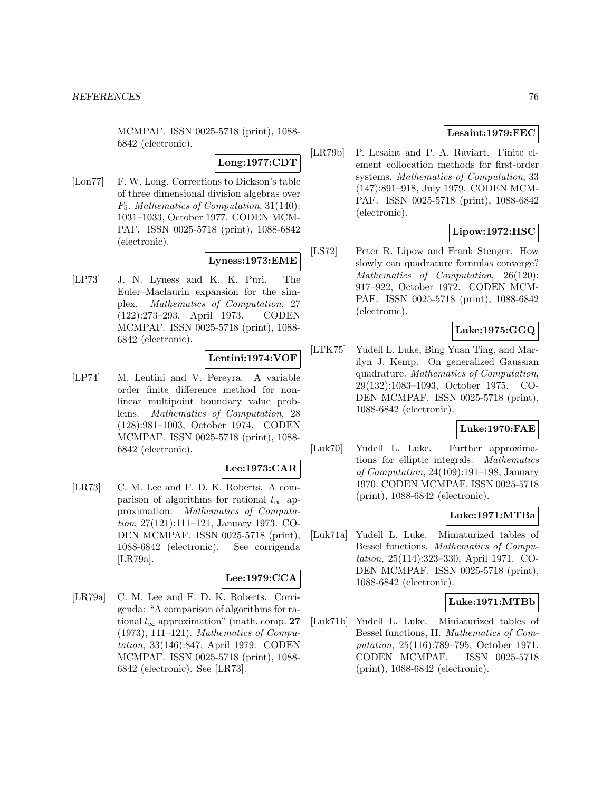MCMPAF. ISSN 0025-5718 (print), 1088- 6842 (electronic).

**Long:1977:CDT**

[Lon77] F. W. Long. Corrections to Dickson's table of three dimensional division algebras over F5. Mathematics of Computation, 31(140): 1031–1033, October 1977. CODEN MCM-PAF. ISSN 0025-5718 (print), 1088-6842 (electronic).

# **Lyness:1973:EME**

[LP73] J. N. Lyness and K. K. Puri. The Euler–Maclaurin expansion for the simplex. Mathematics of Computation, 27 (122):273–293, April 1973. CODEN MCMPAF. ISSN 0025-5718 (print), 1088- 6842 (electronic).

# **Lentini:1974:VOF**

[LP74] M. Lentini and V. Pereyra. A variable order finite difference method for nonlinear multipoint boundary value problems. Mathematics of Computation, 28 (128):981–1003, October 1974. CODEN MCMPAF. ISSN 0025-5718 (print), 1088- 6842 (electronic).

#### **Lee:1973:CAR**

[LR73] C. M. Lee and F. D. K. Roberts. A comparison of algorithms for rational  $l_{\infty}$  approximation. Mathematics of Computation, 27(121):111–121, January 1973. CO-DEN MCMPAF. ISSN 0025-5718 (print), 1088-6842 (electronic). See corrigenda [LR79a].

# **Lee:1979:CCA**

[LR79a] C. M. Lee and F. D. K. Roberts. Corrigenda: "A comparison of algorithms for rational  $l_{\infty}$  approximation" (math. comp. 27 (1973), 111–121). Mathematics of Computation, 33(146):847, April 1979. CODEN MCMPAF. ISSN 0025-5718 (print), 1088- 6842 (electronic). See [LR73].

# **Lesaint:1979:FEC**

[LR79b] P. Lesaint and P. A. Raviart. Finite element collocation methods for first-order systems. Mathematics of Computation, 33 (147):891–918, July 1979. CODEN MCM-PAF. ISSN 0025-5718 (print), 1088-6842 (electronic).

# **Lipow:1972:HSC**

[LS72] Peter R. Lipow and Frank Stenger. How slowly can quadrature formulas converge? Mathematics of Computation, 26(120): 917–922, October 1972. CODEN MCM-PAF. ISSN 0025-5718 (print), 1088-6842 (electronic).

# **Luke:1975:GGQ**

[LTK75] Yudell L. Luke, Bing Yuan Ting, and Marilyn J. Kemp. On generalized Gaussian quadrature. Mathematics of Computation, 29(132):1083–1093, October 1975. CO-DEN MCMPAF. ISSN 0025-5718 (print), 1088-6842 (electronic).

### **Luke:1970:FAE**

[Luk70] Yudell L. Luke. Further approximations for elliptic integrals. Mathematics of Computation, 24(109):191–198, January 1970. CODEN MCMPAF. ISSN 0025-5718 (print), 1088-6842 (electronic).

# **Luke:1971:MTBa**

[Luk71a] Yudell L. Luke. Miniaturized tables of Bessel functions. Mathematics of Computation, 25(114):323–330, April 1971. CO-DEN MCMPAF. ISSN 0025-5718 (print), 1088-6842 (electronic).

# **Luke:1971:MTBb**

[Luk71b] Yudell L. Luke. Miniaturized tables of Bessel functions, II. Mathematics of Computation, 25(116):789–795, October 1971. CODEN MCMPAF. ISSN 0025-5718 (print), 1088-6842 (electronic).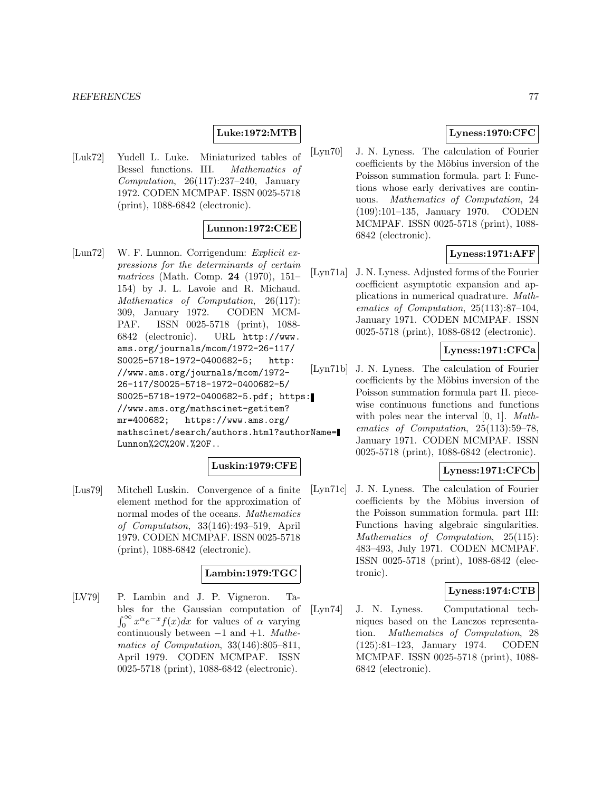# **Luke:1972:MTB**

[Luk72] Yudell L. Luke. Miniaturized tables of Bessel functions. III. Mathematics of Computation,  $26(117):237-240$ , January 1972. CODEN MCMPAF. ISSN 0025-5718 (print), 1088-6842 (electronic).

### **Lunnon:1972:CEE**

[Lun72] W. F. Lunnon. Corrigendum: Explicit expressions for the determinants of certain matrices (Math. Comp. **24** (1970), 151– 154) by J. L. Lavoie and R. Michaud. Mathematics of Computation, 26(117): 309, January 1972. CODEN MCM-PAF. ISSN 0025-5718 (print), 1088- 6842 (electronic). URL http://www. ams.org/journals/mcom/1972-26-117/ S0025-5718-1972-0400682-5; http: //www.ams.org/journals/mcom/1972- 26-117/S0025-5718-1972-0400682-5/ S0025-5718-1972-0400682-5.pdf; https: //www.ams.org/mathscinet-getitem? mr=400682; https://www.ams.org/ mathscinet/search/authors.html?authorName= Lunnon%2C%20W.%20F..

# **Luskin:1979:CFE**

[Lus79] Mitchell Luskin. Convergence of a finite element method for the approximation of normal modes of the oceans. Mathematics of Computation, 33(146):493–519, April 1979. CODEN MCMPAF. ISSN 0025-5718 (print), 1088-6842 (electronic).

#### **Lambin:1979:TGC**

[LV79] P. Lambin and J. P. Vigneron. Tables for the Gaussian computation of  $\int_0^\infty x^\alpha e^{-x} f(x) dx$  for values of  $\alpha$  varying continuously between  $-1$  and  $+1$ . Mathematics of Computation, 33(146):805–811, April 1979. CODEN MCMPAF. ISSN 0025-5718 (print), 1088-6842 (electronic).

# **Lyness:1970:CFC**

[Lyn70] J. N. Lyness. The calculation of Fourier coefficients by the Möbius inversion of the Poisson summation formula. part I: Functions whose early derivatives are continuous. Mathematics of Computation, 24 (109):101–135, January 1970. CODEN MCMPAF. ISSN 0025-5718 (print), 1088- 6842 (electronic).

# **Lyness:1971:AFF**

[Lyn71a] J. N. Lyness. Adjusted forms of the Fourier coefficient asymptotic expansion and applications in numerical quadrature. Mathematics of Computation, 25(113):87–104, January 1971. CODEN MCMPAF. ISSN 0025-5718 (print), 1088-6842 (electronic).

# **Lyness:1971:CFCa**

[Lyn71b] J. N. Lyness. The calculation of Fourier coefficients by the Möbius inversion of the Poisson summation formula part II. piecewise continuous functions and functions with poles near the interval [0, 1]. *Math*ematics of Computation, 25(113):59–78, January 1971. CODEN MCMPAF. ISSN 0025-5718 (print), 1088-6842 (electronic).

# **Lyness:1971:CFCb**

[Lyn71c] J. N. Lyness. The calculation of Fourier coefficients by the Möbius inversion of the Poisson summation formula. part III: Functions having algebraic singularities. Mathematics of Computation, 25(115): 483–493, July 1971. CODEN MCMPAF. ISSN 0025-5718 (print), 1088-6842 (electronic).

### **Lyness:1974:CTB**

[Lyn74] J. N. Lyness. Computational techniques based on the Lanczos representation. Mathematics of Computation, 28 (125):81–123, January 1974. CODEN MCMPAF. ISSN 0025-5718 (print), 1088- 6842 (electronic).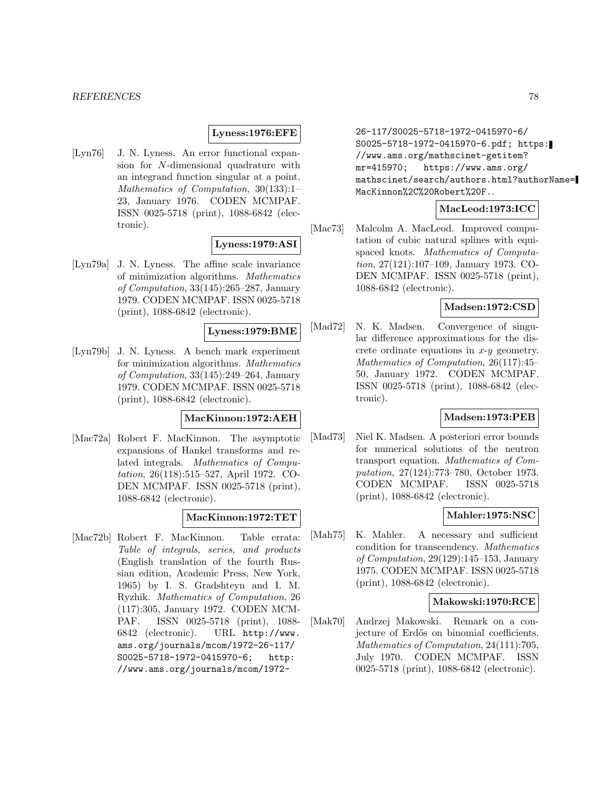### **Lyness:1976:EFE**

[Lyn76] J. N. Lyness. An error functional expansion for N-dimensional quadrature with an integrand function singular at a point. Mathematics of Computation, 30(133):1– 23, January 1976. CODEN MCMPAF. ISSN 0025-5718 (print), 1088-6842 (electronic).

# **Lyness:1979:ASI**

[Lyn79a] J. N. Lyness. The affine scale invariance of minimization algorithms. Mathematics of Computation, 33(145):265–287, January 1979. CODEN MCMPAF. ISSN 0025-5718 (print), 1088-6842 (electronic).

# **Lyness:1979:BME**

[Lyn79b] J. N. Lyness. A bench mark experiment for minimization algorithms. Mathematics of Computation, 33(145):249–264, January 1979. CODEN MCMPAF. ISSN 0025-5718 (print), 1088-6842 (electronic).

# **MacKinnon:1972:AEH**

[Mac72a] Robert F. MacKinnon. The asymptotic expansions of Hankel transforms and related integrals. Mathematics of Computation, 26(118):515–527, April 1972. CO-DEN MCMPAF. ISSN 0025-5718 (print), 1088-6842 (electronic).

# **MacKinnon:1972:TET**

[Mac72b] Robert F. MacKinnon. Table errata: Table of integrals, series, and products (English translation of the fourth Russian edition, Academic Press, New York, 1965) by I. S. Gradshteyn and I. M. Ryzhik. Mathematics of Computation, 26 (117):305, January 1972. CODEN MCM-PAF. ISSN 0025-5718 (print), 1088- 6842 (electronic). URL http://www. ams.org/journals/mcom/1972-26-117/ S0025-5718-1972-0415970-6; http: //www.ams.org/journals/mcom/1972-

26-117/S0025-5718-1972-0415970-6/ S0025-5718-1972-0415970-6.pdf; https: //www.ams.org/mathscinet-getitem? mr=415970; https://www.ams.org/ mathscinet/search/authors.html?authorName= MacKinnon%2C%20Robert%20F..

# **MacLeod:1973:ICC**

[Mac73] Malcolm A. MacLeod. Improved computation of cubic natural splines with equispaced knots. Mathematics of Computation, 27(121):107–109, January 1973. CO-DEN MCMPAF. ISSN 0025-5718 (print), 1088-6842 (electronic).

# **Madsen:1972:CSD**

[Mad72] N. K. Madsen. Convergence of singular difference approximations for the discrete ordinate equations in  $x-y$  geometry. Mathematics of Computation, 26(117):45– 50, January 1972. CODEN MCMPAF. ISSN 0025-5718 (print), 1088-6842 (electronic).

# **Madsen:1973:PEB**

[Mad73] Niel K. Madsen. A posteriori error bounds for numerical solutions of the neutron transport equation. Mathematics of Computation, 27(124):773–780, October 1973. CODEN MCMPAF. ISSN 0025-5718 (print), 1088-6842 (electronic).

#### **Mahler:1975:NSC**

[Mah75] K. Mahler. A necessary and sufficient condition for transcendency. Mathematics of Computation, 29(129):145–153, January 1975. CODEN MCMPAF. ISSN 0025-5718 (print), 1088-6842 (electronic).

# **Makowski:1970:RCE**

[Mak70] Andrzej Makowski. Remark on a conjecture of Erdős on binomial coefficients. Mathematics of Computation, 24(111):705, July 1970. CODEN MCMPAF. ISSN 0025-5718 (print), 1088-6842 (electronic).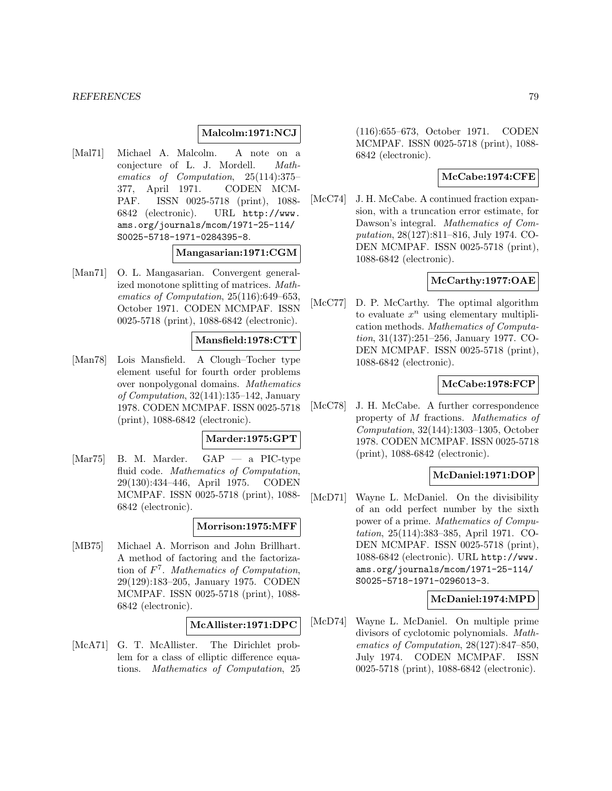# **Malcolm:1971:NCJ**

[Mal71] Michael A. Malcolm. A note on a conjecture of L. J. Mordell. Mathematics of Computation, 25(114):375– 377, April 1971. CODEN MCM-PAF. ISSN 0025-5718 (print), 1088- 6842 (electronic). URL http://www. ams.org/journals/mcom/1971-25-114/ S0025-5718-1971-0284395-8.

# **Mangasarian:1971:CGM**

[Man71] O. L. Mangasarian. Convergent generalized monotone splitting of matrices. Mathematics of Computation, 25(116):649–653, October 1971. CODEN MCMPAF. ISSN 0025-5718 (print), 1088-6842 (electronic).

### **Mansfield:1978:CTT**

[Man78] Lois Mansfield. A Clough–Tocher type element useful for fourth order problems over nonpolygonal domains. Mathematics of Computation, 32(141):135–142, January 1978. CODEN MCMPAF. ISSN 0025-5718 (print), 1088-6842 (electronic).

#### **Marder:1975:GPT**

[Mar75] B. M. Marder. GAP — a PIC-type fluid code. Mathematics of Computation, 29(130):434–446, April 1975. CODEN MCMPAF. ISSN 0025-5718 (print), 1088- 6842 (electronic).

#### **Morrison:1975:MFF**

[MB75] Michael A. Morrison and John Brillhart. A method of factoring and the factorization of  $F<sup>7</sup>$ . Mathematics of Computation, 29(129):183–205, January 1975. CODEN MCMPAF. ISSN 0025-5718 (print), 1088- 6842 (electronic).

# **McAllister:1971:DPC**

[McA71] G. T. McAllister. The Dirichlet problem for a class of elliptic difference equations. Mathematics of Computation, 25

(116):655–673, October 1971. CODEN MCMPAF. ISSN 0025-5718 (print), 1088- 6842 (electronic).

# **McCabe:1974:CFE**

[McC74] J. H. McCabe. A continued fraction expansion, with a truncation error estimate, for Dawson's integral. *Mathematics of Com*putation, 28(127):811–816, July 1974. CO-DEN MCMPAF. ISSN 0025-5718 (print), 1088-6842 (electronic).

# **McCarthy:1977:OAE**

[McC77] D. P. McCarthy. The optimal algorithm to evaluate  $x^n$  using elementary multiplication methods. Mathematics of Computation, 31(137):251–256, January 1977. CO-DEN MCMPAF. ISSN 0025-5718 (print), 1088-6842 (electronic).

### **McCabe:1978:FCP**

[McC78] J. H. McCabe. A further correspondence property of M fractions. Mathematics of Computation, 32(144):1303–1305, October 1978. CODEN MCMPAF. ISSN 0025-5718 (print), 1088-6842 (electronic).

# **McDaniel:1971:DOP**

[McD71] Wayne L. McDaniel. On the divisibility of an odd perfect number by the sixth power of a prime. Mathematics of Computation, 25(114):383–385, April 1971. CO-DEN MCMPAF. ISSN 0025-5718 (print), 1088-6842 (electronic). URL http://www. ams.org/journals/mcom/1971-25-114/ S0025-5718-1971-0296013-3.

# **McDaniel:1974:MPD**

[McD74] Wayne L. McDaniel. On multiple prime divisors of cyclotomic polynomials. Mathematics of Computation, 28(127):847–850, July 1974. CODEN MCMPAF. ISSN 0025-5718 (print), 1088-6842 (electronic).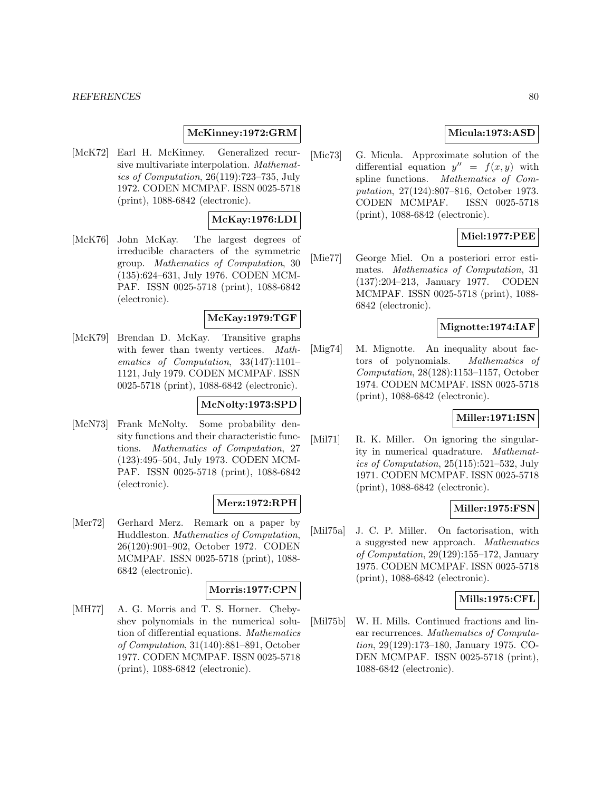#### **REFERENCES** 80

# **McKinney:1972:GRM**

[McK72] Earl H. McKinney. Generalized recursive multivariate interpolation. Mathematics of Computation, 26(119):723–735, July 1972. CODEN MCMPAF. ISSN 0025-5718 (print), 1088-6842 (electronic).

# **McKay:1976:LDI**

[McK76] John McKay. The largest degrees of irreducible characters of the symmetric group. Mathematics of Computation, 30 (135):624–631, July 1976. CODEN MCM-PAF. ISSN 0025-5718 (print), 1088-6842 (electronic).

# **McKay:1979:TGF**

[McK79] Brendan D. McKay. Transitive graphs with fewer than twenty vertices. Mathematics of Computation, 33(147):1101– 1121, July 1979. CODEN MCMPAF. ISSN 0025-5718 (print), 1088-6842 (electronic).

# **McNolty:1973:SPD**

[McN73] Frank McNolty. Some probability density functions and their characteristic functions. Mathematics of Computation, 27 (123):495–504, July 1973. CODEN MCM-PAF. ISSN 0025-5718 (print), 1088-6842 (electronic).

# **Merz:1972:RPH**

[Mer72] Gerhard Merz. Remark on a paper by Huddleston. Mathematics of Computation, 26(120):901–902, October 1972. CODEN MCMPAF. ISSN 0025-5718 (print), 1088- 6842 (electronic).

# **Morris:1977:CPN**

[MH77] A. G. Morris and T. S. Horner. Chebyshev polynomials in the numerical solution of differential equations. Mathematics of Computation, 31(140):881–891, October 1977. CODEN MCMPAF. ISSN 0025-5718 (print), 1088-6842 (electronic).

# **Micula:1973:ASD**

[Mic73] G. Micula. Approximate solution of the differential equation  $y'' = f(x, y)$  with spline functions. Mathematics of Computation, 27(124):807–816, October 1973. CODEN MCMPAF. ISSN 0025-5718 (print), 1088-6842 (electronic).

# **Miel:1977:PEE**

[Mie77] George Miel. On a posteriori error estimates. Mathematics of Computation, 31 (137):204–213, January 1977. CODEN MCMPAF. ISSN 0025-5718 (print), 1088- 6842 (electronic).

### **Mignotte:1974:IAF**

[Mig74] M. Mignotte. An inequality about factors of polynomials. Mathematics of Computation, 28(128):1153–1157, October 1974. CODEN MCMPAF. ISSN 0025-5718 (print), 1088-6842 (electronic).

# **Miller:1971:ISN**

[Mil71] R. K. Miller. On ignoring the singularity in numerical quadrature. Mathematics of Computation, 25(115):521–532, July 1971. CODEN MCMPAF. ISSN 0025-5718 (print), 1088-6842 (electronic).

# **Miller:1975:FSN**

[Mil75a] J. C. P. Miller. On factorisation, with a suggested new approach. Mathematics of Computation, 29(129):155–172, January 1975. CODEN MCMPAF. ISSN 0025-5718 (print), 1088-6842 (electronic).

### **Mills:1975:CFL**

[Mil75b] W. H. Mills. Continued fractions and linear recurrences. Mathematics of Computation, 29(129):173–180, January 1975. CO-DEN MCMPAF. ISSN 0025-5718 (print), 1088-6842 (electronic).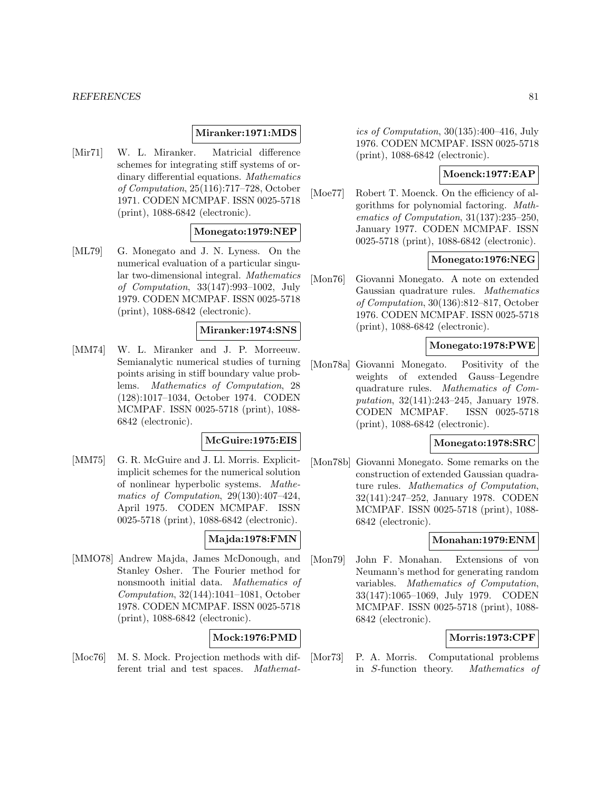#### *REFERENCES* 81

#### **Miranker:1971:MDS**

[Mir71] W. L. Miranker. Matricial difference schemes for integrating stiff systems of ordinary differential equations. Mathematics of Computation, 25(116):717–728, October 1971. CODEN MCMPAF. ISSN 0025-5718 (print), 1088-6842 (electronic).

# **Monegato:1979:NEP**

[ML79] G. Monegato and J. N. Lyness. On the numerical evaluation of a particular singular two-dimensional integral. Mathematics of Computation, 33(147):993–1002, July 1979. CODEN MCMPAF. ISSN 0025-5718 (print), 1088-6842 (electronic).

# **Miranker:1974:SNS**

[MM74] W. L. Miranker and J. P. Morreeuw. Semianalytic numerical studies of turning points arising in stiff boundary value problems. Mathematics of Computation, 28 (128):1017–1034, October 1974. CODEN MCMPAF. ISSN 0025-5718 (print), 1088- 6842 (electronic).

# **McGuire:1975:EIS**

[MM75] G. R. McGuire and J. Ll. Morris. Explicitimplicit schemes for the numerical solution of nonlinear hyperbolic systems. Mathematics of Computation, 29(130):407–424, April 1975. CODEN MCMPAF. ISSN 0025-5718 (print), 1088-6842 (electronic).

# **Majda:1978:FMN**

[MMO78] Andrew Majda, James McDonough, and Stanley Osher. The Fourier method for nonsmooth initial data. Mathematics of Computation, 32(144):1041–1081, October 1978. CODEN MCMPAF. ISSN 0025-5718 (print), 1088-6842 (electronic).

# **Mock:1976:PMD**

[Moc76] M. S. Mock. Projection methods with different trial and test spaces. Mathematics of Computation, 30(135):400–416, July 1976. CODEN MCMPAF. ISSN 0025-5718 (print), 1088-6842 (electronic).

# **Moenck:1977:EAP**

[Moe77] Robert T. Moenck. On the efficiency of algorithms for polynomial factoring. Mathematics of Computation, 31(137):235–250, January 1977. CODEN MCMPAF. ISSN 0025-5718 (print), 1088-6842 (electronic).

# **Monegato:1976:NEG**

[Mon76] Giovanni Monegato. A note on extended Gaussian quadrature rules. Mathematics of Computation, 30(136):812–817, October 1976. CODEN MCMPAF. ISSN 0025-5718 (print), 1088-6842 (electronic).

# **Monegato:1978:PWE**

[Mon78a] Giovanni Monegato. Positivity of the weights of extended Gauss–Legendre quadrature rules. Mathematics of Computation, 32(141):243–245, January 1978. CODEN MCMPAF. ISSN 0025-5718 (print), 1088-6842 (electronic).

# **Monegato:1978:SRC**

[Mon78b] Giovanni Monegato. Some remarks on the construction of extended Gaussian quadrature rules. Mathematics of Computation, 32(141):247–252, January 1978. CODEN MCMPAF. ISSN 0025-5718 (print), 1088- 6842 (electronic).

# **Monahan:1979:ENM**

[Mon79] John F. Monahan. Extensions of von Neumann's method for generating random variables. Mathematics of Computation, 33(147):1065–1069, July 1979. CODEN MCMPAF. ISSN 0025-5718 (print), 1088- 6842 (electronic).

# **Morris:1973:CPF**

[Mor73] P. A. Morris. Computational problems in S-function theory. Mathematics of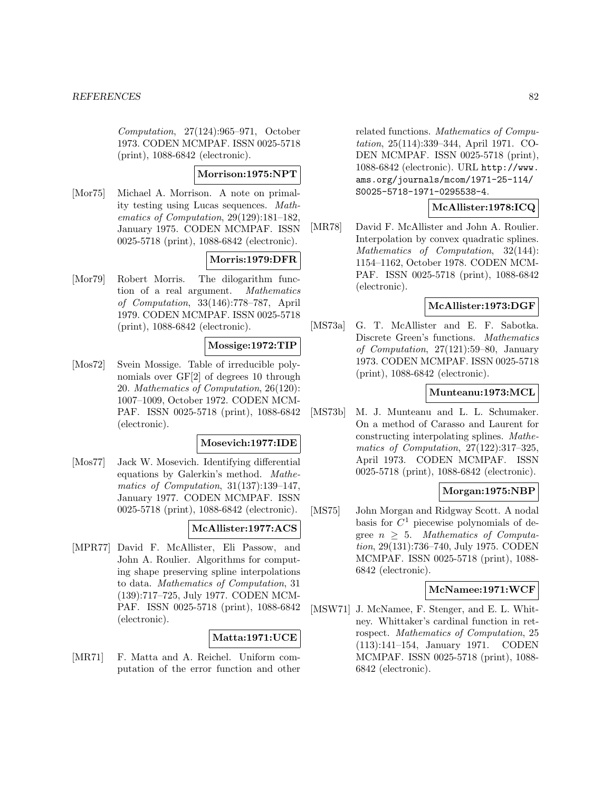Computation, 27(124):965–971, October 1973. CODEN MCMPAF. ISSN 0025-5718 (print), 1088-6842 (electronic).

### **Morrison:1975:NPT**

[Mor75] Michael A. Morrison. A note on primality testing using Lucas sequences. Mathematics of Computation, 29(129):181–182, January 1975. CODEN MCMPAF. ISSN 0025-5718 (print), 1088-6842 (electronic).

# **Morris:1979:DFR**

[Mor79] Robert Morris. The dilogarithm function of a real argument. Mathematics of Computation, 33(146):778–787, April 1979. CODEN MCMPAF. ISSN 0025-5718 (print), 1088-6842 (electronic).

# **Mossige:1972:TIP**

[Mos72] Svein Mossige. Table of irreducible polynomials over GF[2] of degrees 10 through 20. Mathematics of Computation, 26(120): 1007–1009, October 1972. CODEN MCM-PAF. ISSN 0025-5718 (print), 1088-6842 (electronic).

### **Mosevich:1977:IDE**

[Mos77] Jack W. Mosevich. Identifying differential equations by Galerkin's method. Mathematics of Computation, 31(137):139–147, January 1977. CODEN MCMPAF. ISSN 0025-5718 (print), 1088-6842 (electronic).

# **McAllister:1977:ACS**

[MPR77] David F. McAllister, Eli Passow, and John A. Roulier. Algorithms for computing shape preserving spline interpolations to data. Mathematics of Computation, 31 (139):717–725, July 1977. CODEN MCM-PAF. ISSN 0025-5718 (print), 1088-6842 (electronic).

# **Matta:1971:UCE**

[MR71] F. Matta and A. Reichel. Uniform computation of the error function and other

related functions. Mathematics of Computation, 25(114):339–344, April 1971. CO-DEN MCMPAF. ISSN 0025-5718 (print), 1088-6842 (electronic). URL http://www. ams.org/journals/mcom/1971-25-114/ S0025-5718-1971-0295538-4.

# **McAllister:1978:ICQ**

[MR78] David F. McAllister and John A. Roulier. Interpolation by convex quadratic splines. Mathematics of Computation, 32(144): 1154–1162, October 1978. CODEN MCM-PAF. ISSN 0025-5718 (print), 1088-6842 (electronic).

# **McAllister:1973:DGF**

[MS73a] G. T. McAllister and E. F. Sabotka. Discrete Green's functions. Mathematics of Computation, 27(121):59–80, January 1973. CODEN MCMPAF. ISSN 0025-5718 (print), 1088-6842 (electronic).

#### **Munteanu:1973:MCL**

[MS73b] M. J. Munteanu and L. L. Schumaker. On a method of Carasso and Laurent for constructing interpolating splines. Mathematics of Computation, 27(122):317–325, April 1973. CODEN MCMPAF. ISSN 0025-5718 (print), 1088-6842 (electronic).

# **Morgan:1975:NBP**

[MS75] John Morgan and Ridgway Scott. A nodal basis for  $C<sup>1</sup>$  piecewise polynomials of degree  $n > 5$ . Mathematics of Computation, 29(131):736–740, July 1975. CODEN MCMPAF. ISSN 0025-5718 (print), 1088- 6842 (electronic).

#### **McNamee:1971:WCF**

[MSW71] J. McNamee, F. Stenger, and E. L. Whitney. Whittaker's cardinal function in retrospect. Mathematics of Computation, 25 (113):141–154, January 1971. CODEN MCMPAF. ISSN 0025-5718 (print), 1088- 6842 (electronic).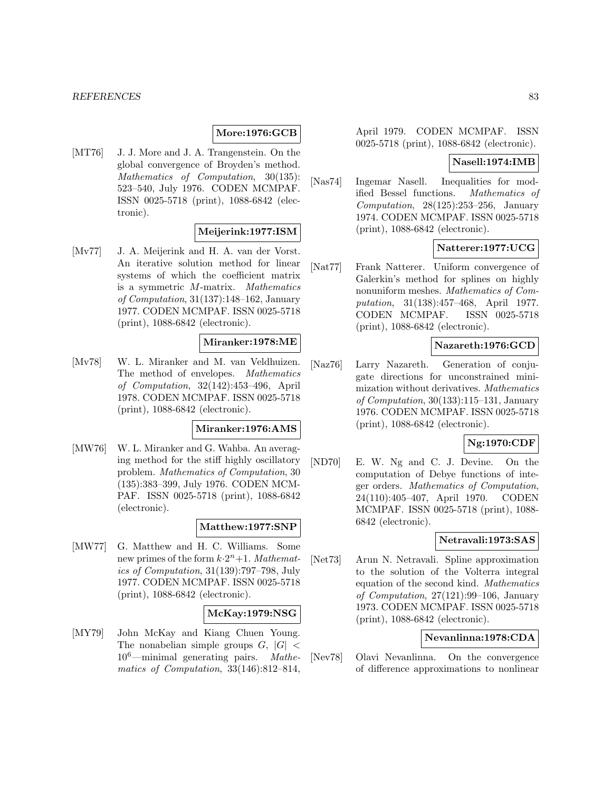#### **More:1976:GCB**

[MT76] J. J. More and J. A. Trangenstein. On the global convergence of Broyden's method. Mathematics of Computation, 30(135): 523–540, July 1976. CODEN MCMPAF. ISSN 0025-5718 (print), 1088-6842 (electronic).

# **Meijerink:1977:ISM**

[Mv77] J. A. Meijerink and H. A. van der Vorst. An iterative solution method for linear systems of which the coefficient matrix is a symmetric M-matrix. Mathematics of Computation, 31(137):148–162, January 1977. CODEN MCMPAF. ISSN 0025-5718 (print), 1088-6842 (electronic).

### **Miranker:1978:ME**

[Mv78] W. L. Miranker and M. van Veldhuizen. The method of envelopes. Mathematics of Computation, 32(142):453–496, April 1978. CODEN MCMPAF. ISSN 0025-5718 (print), 1088-6842 (electronic).

#### **Miranker:1976:AMS**

[MW76] W. L. Miranker and G. Wahba. An averaging method for the stiff highly oscillatory problem. Mathematics of Computation, 30 (135):383–399, July 1976. CODEN MCM-PAF. ISSN 0025-5718 (print), 1088-6842 (electronic).

#### **Matthew:1977:SNP**

[MW77] G. Matthew and H. C. Williams. Some new primes of the form  $k \cdot 2^n + 1$ . Mathematics of Computation, 31(139):797–798, July 1977. CODEN MCMPAF. ISSN 0025-5718 (print), 1088-6842 (electronic).

### **McKay:1979:NSG**

[MY79] John McKay and Kiang Chuen Young. The nonabelian simple groups  $G$ ,  $|G|$  <  $10^6$ —minimal generating pairs. *Mathe-* $10^6$ —minimal generating pairs. matics of Computation, 33(146):812–814,

April 1979. CODEN MCMPAF. ISSN 0025-5718 (print), 1088-6842 (electronic).

#### **Nasell:1974:IMB**

[Nas74] Ingemar Nasell. Inequalities for modified Bessel functions. Mathematics of Computation,  $28(125):253-256$ , January 1974. CODEN MCMPAF. ISSN 0025-5718 (print), 1088-6842 (electronic).

# **Natterer:1977:UCG**

[Nat77] Frank Natterer. Uniform convergence of Galerkin's method for splines on highly nonuniform meshes. Mathematics of Computation, 31(138):457–468, April 1977. CODEN MCMPAF. ISSN 0025-5718 (print), 1088-6842 (electronic).

# **Nazareth:1976:GCD**

[Naz76] Larry Nazareth. Generation of conjugate directions for unconstrained minimization without derivatives. Mathematics of Computation, 30(133):115–131, January 1976. CODEN MCMPAF. ISSN 0025-5718 (print), 1088-6842 (electronic).

# **Ng:1970:CDF**

[ND70] E. W. Ng and C. J. Devine. On the computation of Debye functions of integer orders. Mathematics of Computation, 24(110):405–407, April 1970. CODEN MCMPAF. ISSN 0025-5718 (print), 1088- 6842 (electronic).

# **Netravali:1973:SAS**

[Net73] Arun N. Netravali. Spline approximation to the solution of the Volterra integral equation of the second kind. Mathematics of Computation, 27(121):99–106, January 1973. CODEN MCMPAF. ISSN 0025-5718 (print), 1088-6842 (electronic).

### **Nevanlinna:1978:CDA**

[Nev78] Olavi Nevanlinna. On the convergence of difference approximations to nonlinear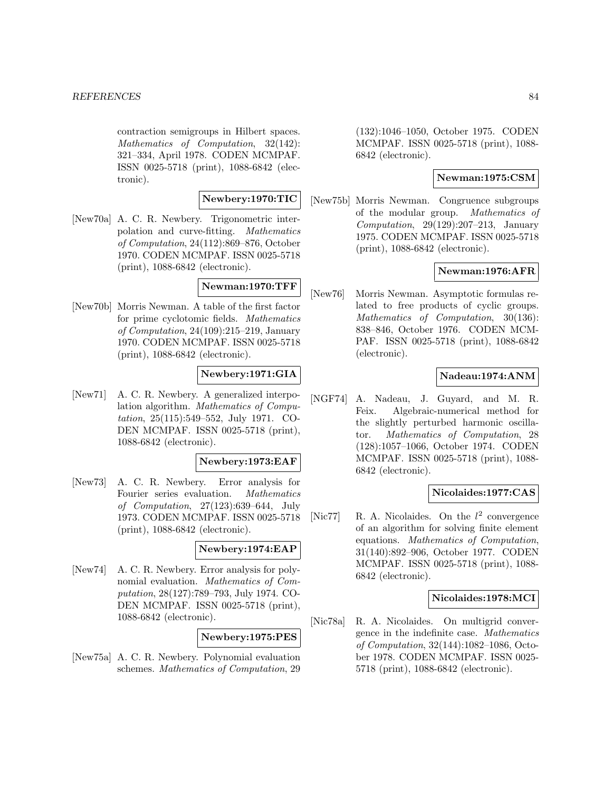contraction semigroups in Hilbert spaces. Mathematics of Computation, 32(142): 321–334, April 1978. CODEN MCMPAF. ISSN 0025-5718 (print), 1088-6842 (electronic).

# **Newbery:1970:TIC**

[New70a] A. C. R. Newbery. Trigonometric interpolation and curve-fitting. Mathematics of Computation, 24(112):869–876, October 1970. CODEN MCMPAF. ISSN 0025-5718 (print), 1088-6842 (electronic).

# **Newman:1970:TFF**

[New70b] Morris Newman. A table of the first factor for prime cyclotomic fields. Mathematics of Computation, 24(109):215–219, January 1970. CODEN MCMPAF. ISSN 0025-5718 (print), 1088-6842 (electronic).

# **Newbery:1971:GIA**

[New71] A. C. R. Newbery. A generalized interpolation algorithm. Mathematics of Computation, 25(115):549–552, July 1971. CO-DEN MCMPAF. ISSN 0025-5718 (print), 1088-6842 (electronic).

# **Newbery:1973:EAF**

[New73] A. C. R. Newbery. Error analysis for Fourier series evaluation. Mathematics of Computation, 27(123):639–644, July 1973. CODEN MCMPAF. ISSN 0025-5718 (print), 1088-6842 (electronic).

# **Newbery:1974:EAP**

[New74] A. C. R. Newbery. Error analysis for polynomial evaluation. Mathematics of Computation, 28(127):789–793, July 1974. CO-DEN MCMPAF. ISSN 0025-5718 (print), 1088-6842 (electronic).

# **Newbery:1975:PES**

[New75a] A. C. R. Newbery. Polynomial evaluation schemes. Mathematics of Computation, 29 (132):1046–1050, October 1975. CODEN MCMPAF. ISSN 0025-5718 (print), 1088- 6842 (electronic).

# **Newman:1975:CSM**

[New75b] Morris Newman. Congruence subgroups of the modular group. Mathematics of Computation, 29(129):207–213, January 1975. CODEN MCMPAF. ISSN 0025-5718 (print), 1088-6842 (electronic).

# **Newman:1976:AFR**

[New76] Morris Newman. Asymptotic formulas related to free products of cyclic groups. Mathematics of Computation, 30(136): 838–846, October 1976. CODEN MCM-PAF. ISSN 0025-5718 (print), 1088-6842 (electronic).

# **Nadeau:1974:ANM**

[NGF74] A. Nadeau, J. Guyard, and M. R. Feix. Algebraic-numerical method for the slightly perturbed harmonic oscillator. Mathematics of Computation, 28 (128):1057–1066, October 1974. CODEN MCMPAF. ISSN 0025-5718 (print), 1088- 6842 (electronic).

# **Nicolaides:1977:CAS**

[Nic77] R. A. Nicolaides. On the  $l^2$  convergence of an algorithm for solving finite element equations. Mathematics of Computation, 31(140):892–906, October 1977. CODEN MCMPAF. ISSN 0025-5718 (print), 1088- 6842 (electronic).

# **Nicolaides:1978:MCI**

[Nic78a] R. A. Nicolaides. On multigrid convergence in the indefinite case. Mathematics of Computation, 32(144):1082–1086, October 1978. CODEN MCMPAF. ISSN 0025- 5718 (print), 1088-6842 (electronic).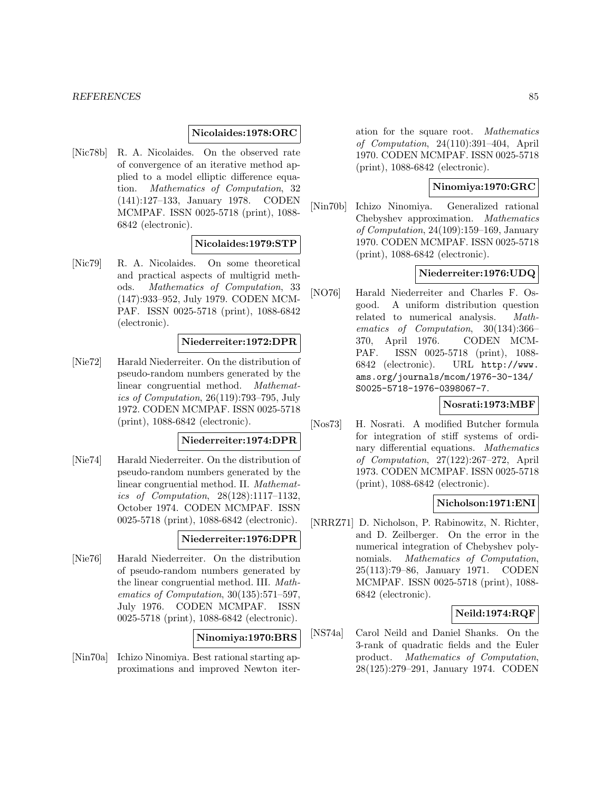### **Nicolaides:1978:ORC**

[Nic78b] R. A. Nicolaides. On the observed rate of convergence of an iterative method applied to a model elliptic difference equation. Mathematics of Computation, 32 (141):127–133, January 1978. CODEN MCMPAF. ISSN 0025-5718 (print), 1088- 6842 (electronic).

### **Nicolaides:1979:STP**

[Nic79] R. A. Nicolaides. On some theoretical and practical aspects of multigrid methods. Mathematics of Computation, 33 (147):933–952, July 1979. CODEN MCM-PAF. ISSN 0025-5718 (print), 1088-6842 (electronic).

#### **Niederreiter:1972:DPR**

[Nie72] Harald Niederreiter. On the distribution of pseudo-random numbers generated by the linear congruential method. Mathematics of Computation, 26(119):793–795, July 1972. CODEN MCMPAF. ISSN 0025-5718 (print), 1088-6842 (electronic).

#### **Niederreiter:1974:DPR**

[Nie74] Harald Niederreiter. On the distribution of pseudo-random numbers generated by the linear congruential method. II. Mathematics of Computation, 28(128):1117–1132, October 1974. CODEN MCMPAF. ISSN 0025-5718 (print), 1088-6842 (electronic).

# **Niederreiter:1976:DPR**

[Nie76] Harald Niederreiter. On the distribution of pseudo-random numbers generated by the linear congruential method. III. Mathematics of Computation, 30(135):571–597, July 1976. CODEN MCMPAF. ISSN 0025-5718 (print), 1088-6842 (electronic).

# **Ninomiya:1970:BRS**

[Nin70a] Ichizo Ninomiya. Best rational starting approximations and improved Newton iteration for the square root. Mathematics of Computation, 24(110):391–404, April 1970. CODEN MCMPAF. ISSN 0025-5718 (print), 1088-6842 (electronic).

# **Ninomiya:1970:GRC**

[Nin70b] Ichizo Ninomiya. Generalized rational Chebyshev approximation. Mathematics of Computation, 24(109):159–169, January 1970. CODEN MCMPAF. ISSN 0025-5718 (print), 1088-6842 (electronic).

# **Niederreiter:1976:UDQ**

[NO76] Harald Niederreiter and Charles F. Osgood. A uniform distribution question related to numerical analysis. Mathematics of Computation, 30(134):366– 370, April 1976. CODEN MCM-PAF. ISSN 0025-5718 (print), 1088- 6842 (electronic). URL http://www. ams.org/journals/mcom/1976-30-134/ S0025-5718-1976-0398067-7.

# **Nosrati:1973:MBF**

[Nos73] H. Nosrati. A modified Butcher formula for integration of stiff systems of ordinary differential equations. Mathematics of Computation, 27(122):267–272, April 1973. CODEN MCMPAF. ISSN 0025-5718 (print), 1088-6842 (electronic).

# **Nicholson:1971:ENI**

[NRRZ71] D. Nicholson, P. Rabinowitz, N. Richter, and D. Zeilberger. On the error in the numerical integration of Chebyshev polynomials. Mathematics of Computation, 25(113):79–86, January 1971. CODEN MCMPAF. ISSN 0025-5718 (print), 1088- 6842 (electronic).

# **Neild:1974:RQF**

[NS74a] Carol Neild and Daniel Shanks. On the 3-rank of quadratic fields and the Euler product. Mathematics of Computation, 28(125):279–291, January 1974. CODEN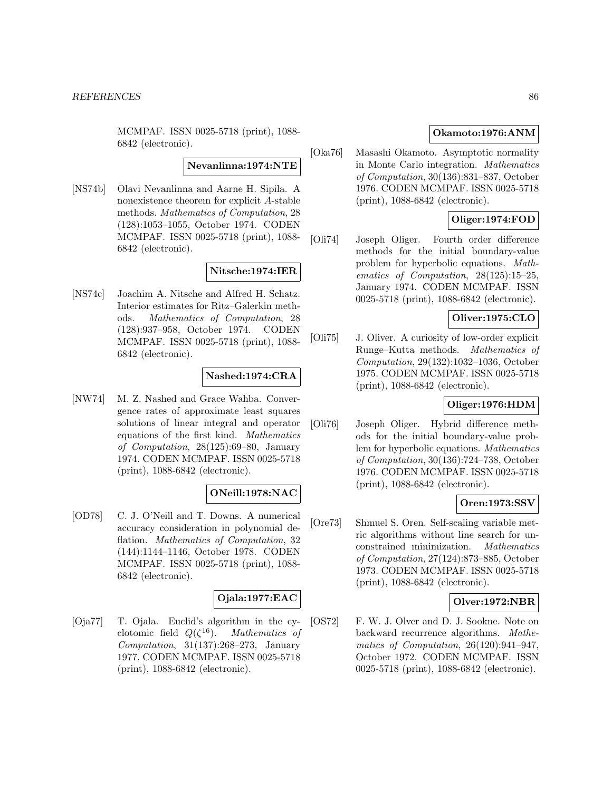MCMPAF. ISSN 0025-5718 (print), 1088- 6842 (electronic).

# **Nevanlinna:1974:NTE**

[NS74b] Olavi Nevanlinna and Aarne H. Sipila. A nonexistence theorem for explicit A-stable methods. Mathematics of Computation, 28 (128):1053–1055, October 1974. CODEN MCMPAF. ISSN 0025-5718 (print), 1088- 6842 (electronic).

# **Nitsche:1974:IER**

[NS74c] Joachim A. Nitsche and Alfred H. Schatz. Interior estimates for Ritz–Galerkin methods. Mathematics of Computation, 28 (128):937–958, October 1974. CODEN MCMPAF. ISSN 0025-5718 (print), 1088- 6842 (electronic).

# **Nashed:1974:CRA**

[NW74] M. Z. Nashed and Grace Wahba. Convergence rates of approximate least squares solutions of linear integral and operator equations of the first kind. Mathematics of Computation, 28(125):69–80, January 1974. CODEN MCMPAF. ISSN 0025-5718 (print), 1088-6842 (electronic).

# **ONeill:1978:NAC**

[OD78] C. J. O'Neill and T. Downs. A numerical accuracy consideration in polynomial deflation. *Mathematics* of *Computation*, 32 (144):1144–1146, October 1978. CODEN MCMPAF. ISSN 0025-5718 (print), 1088- 6842 (electronic).

# **Ojala:1977:EAC**

[Oja77] T. Ojala. Euclid's algorithm in the cyclotomic field  $Q(\zeta^{16})$ . Mathematics of Computation, 31(137):268–273, January 1977. CODEN MCMPAF. ISSN 0025-5718 (print), 1088-6842 (electronic).

# **Okamoto:1976:ANM**

[Oka76] Masashi Okamoto. Asymptotic normality in Monte Carlo integration. Mathematics of Computation, 30(136):831–837, October 1976. CODEN MCMPAF. ISSN 0025-5718 (print), 1088-6842 (electronic).

# **Oliger:1974:FOD**

[Oli74] Joseph Oliger. Fourth order difference methods for the initial boundary-value problem for hyperbolic equations. Mathematics of Computation, 28(125):15–25, January 1974. CODEN MCMPAF. ISSN 0025-5718 (print), 1088-6842 (electronic).

# **Oliver:1975:CLO**

[Oli75] J. Oliver. A curiosity of low-order explicit Runge–Kutta methods. Mathematics of Computation, 29(132):1032–1036, October 1975. CODEN MCMPAF. ISSN 0025-5718 (print), 1088-6842 (electronic).

# **Oliger:1976:HDM**

[Oli76] Joseph Oliger. Hybrid difference methods for the initial boundary-value problem for hyperbolic equations. Mathematics of Computation, 30(136):724–738, October 1976. CODEN MCMPAF. ISSN 0025-5718 (print), 1088-6842 (electronic).

# **Oren:1973:SSV**

[Ore73] Shmuel S. Oren. Self-scaling variable metric algorithms without line search for unconstrained minimization. Mathematics of Computation, 27(124):873–885, October 1973. CODEN MCMPAF. ISSN 0025-5718 (print), 1088-6842 (electronic).

# **Olver:1972:NBR**

[OS72] F. W. J. Olver and D. J. Sookne. Note on backward recurrence algorithms. Mathematics of Computation, 26(120):941–947, October 1972. CODEN MCMPAF. ISSN 0025-5718 (print), 1088-6842 (electronic).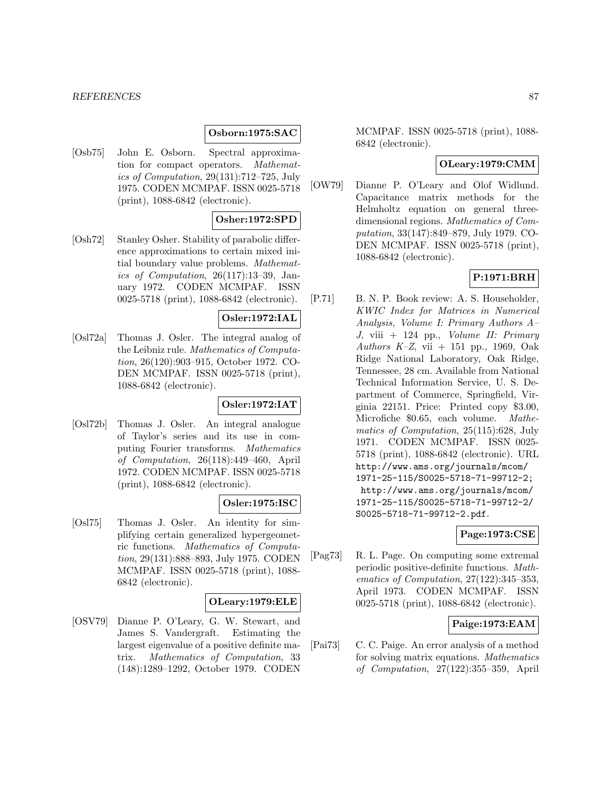### **Osborn:1975:SAC**

[Osb75] John E. Osborn. Spectral approximation for compact operators. Mathematics of Computation, 29(131):712–725, July 1975. CODEN MCMPAF. ISSN 0025-5718 (print), 1088-6842 (electronic).

# **Osher:1972:SPD**

[Osh72] Stanley Osher. Stability of parabolic difference approximations to certain mixed initial boundary value problems. Mathematics of Computation, 26(117):13–39, January 1972. CODEN MCMPAF. ISSN 0025-5718 (print), 1088-6842 (electronic).

# **Osler:1972:IAL**

[Osl72a] Thomas J. Osler. The integral analog of the Leibniz rule. Mathematics of Computation, 26(120):903–915, October 1972. CO-DEN MCMPAF. ISSN 0025-5718 (print), 1088-6842 (electronic).

# **Osler:1972:IAT**

[Osl72b] Thomas J. Osler. An integral analogue of Taylor's series and its use in computing Fourier transforms. Mathematics of Computation, 26(118):449–460, April 1972. CODEN MCMPAF. ISSN 0025-5718 (print), 1088-6842 (electronic).

#### **Osler:1975:ISC**

[Osl75] Thomas J. Osler. An identity for simplifying certain generalized hypergeometric functions. Mathematics of Computation, 29(131):888–893, July 1975. CODEN MCMPAF. ISSN 0025-5718 (print), 1088- 6842 (electronic).

# **OLeary:1979:ELE**

[OSV79] Dianne P. O'Leary, G. W. Stewart, and James S. Vandergraft. Estimating the largest eigenvalue of a positive definite matrix. Mathematics of Computation, 33 (148):1289–1292, October 1979. CODEN

MCMPAF. ISSN 0025-5718 (print), 1088- 6842 (electronic).

# **OLeary:1979:CMM**

[OW79] Dianne P. O'Leary and Olof Widlund. Capacitance matrix methods for the Helmholtz equation on general threedimensional regions. Mathematics of Computation, 33(147):849–879, July 1979. CO-DEN MCMPAF. ISSN 0025-5718 (print), 1088-6842 (electronic).

# **P:1971:BRH**

[P.71] B. N. P. Book review: A. S. Householder, KWIC Index for Matrices in Numerical Analysis, Volume I: Primary Authors A–  $J$ , viii + 124 pp., *Volume II: Primary* Authors K-Z, vii + 151 pp., 1969, Oak Ridge National Laboratory, Oak Ridge, Tennessee, 28 cm. Available from National Technical Information Service, U. S. Department of Commerce, Springfield, Virginia 22151. Price: Printed copy \$3.00, Microfiche \$0.65, each volume. Mathematics of Computation, 25(115):628, July 1971. CODEN MCMPAF. ISSN 0025- 5718 (print), 1088-6842 (electronic). URL http://www.ams.org/journals/mcom/ 1971-25-115/S0025-5718-71-99712-2; http://www.ams.org/journals/mcom/ 1971-25-115/S0025-5718-71-99712-2/ S0025-5718-71-99712-2.pdf.

# **Page:1973:CSE**

[Pag73] R. L. Page. On computing some extremal periodic positive-definite functions. Mathematics of Computation, 27(122):345–353, April 1973. CODEN MCMPAF. ISSN 0025-5718 (print), 1088-6842 (electronic).

# **Paige:1973:EAM**

[Pai73] C. C. Paige. An error analysis of a method for solving matrix equations. Mathematics of Computation, 27(122):355–359, April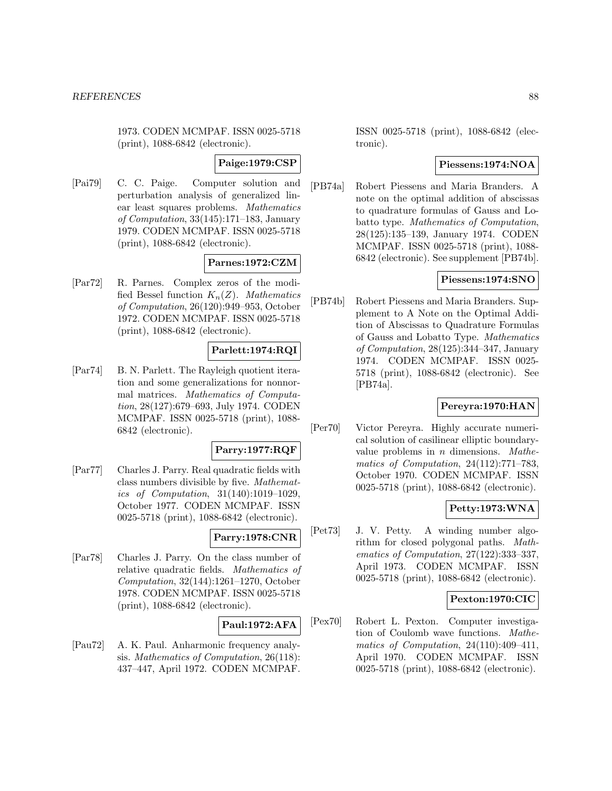1973. CODEN MCMPAF. ISSN 0025-5718 (print), 1088-6842 (electronic).

# **Paige:1979:CSP**

[Pai79] C. C. Paige. Computer solution and perturbation analysis of generalized linear least squares problems. Mathematics of Computation, 33(145):171–183, January 1979. CODEN MCMPAF. ISSN 0025-5718 (print), 1088-6842 (electronic).

# **Parnes:1972:CZM**

[Par72] R. Parnes. Complex zeros of the modified Bessel function  $K_n(Z)$ . Mathematics of Computation, 26(120):949–953, October 1972. CODEN MCMPAF. ISSN 0025-5718 (print), 1088-6842 (electronic).

# **Parlett:1974:RQI**

[Par74] B. N. Parlett. The Rayleigh quotient iteration and some generalizations for nonnormal matrices. Mathematics of Computation, 28(127):679–693, July 1974. CODEN MCMPAF. ISSN 0025-5718 (print), 1088- 6842 (electronic).

# **Parry:1977:RQF**

[Par77] Charles J. Parry. Real quadratic fields with class numbers divisible by five. Mathematics of Computation, 31(140):1019–1029, October 1977. CODEN MCMPAF. ISSN 0025-5718 (print), 1088-6842 (electronic).

# **Parry:1978:CNR**

[Par78] Charles J. Parry. On the class number of relative quadratic fields. Mathematics of Computation, 32(144):1261–1270, October 1978. CODEN MCMPAF. ISSN 0025-5718 (print), 1088-6842 (electronic).

# **Paul:1972:AFA**

[Pau72] A. K. Paul. Anharmonic frequency analysis. Mathematics of Computation, 26(118): 437–447, April 1972. CODEN MCMPAF.

ISSN 0025-5718 (print), 1088-6842 (electronic).

# **Piessens:1974:NOA**

[PB74a] Robert Piessens and Maria Branders. A note on the optimal addition of abscissas to quadrature formulas of Gauss and Lobatto type. Mathematics of Computation, 28(125):135–139, January 1974. CODEN MCMPAF. ISSN 0025-5718 (print), 1088- 6842 (electronic). See supplement [PB74b].

# **Piessens:1974:SNO**

[PB74b] Robert Piessens and Maria Branders. Supplement to A Note on the Optimal Addition of Abscissas to Quadrature Formulas of Gauss and Lobatto Type. Mathematics of Computation, 28(125):344–347, January 1974. CODEN MCMPAF. ISSN 0025- 5718 (print), 1088-6842 (electronic). See [PB74a].

# **Pereyra:1970:HAN**

[Per70] Victor Pereyra. Highly accurate numerical solution of casilinear elliptic boundaryvalue problems in  $n$  dimensions. *Mathe*matics of Computation, 24(112):771–783, October 1970. CODEN MCMPAF. ISSN 0025-5718 (print), 1088-6842 (electronic).

# **Petty:1973:WNA**

[Pet73] J. V. Petty. A winding number algorithm for closed polygonal paths. Mathematics of Computation, 27(122):333–337, April 1973. CODEN MCMPAF. ISSN 0025-5718 (print), 1088-6842 (electronic).

# **Pexton:1970:CIC**

[Pex70] Robert L. Pexton. Computer investigation of Coulomb wave functions. Mathematics of Computation, 24(110):409–411, April 1970. CODEN MCMPAF. ISSN 0025-5718 (print), 1088-6842 (electronic).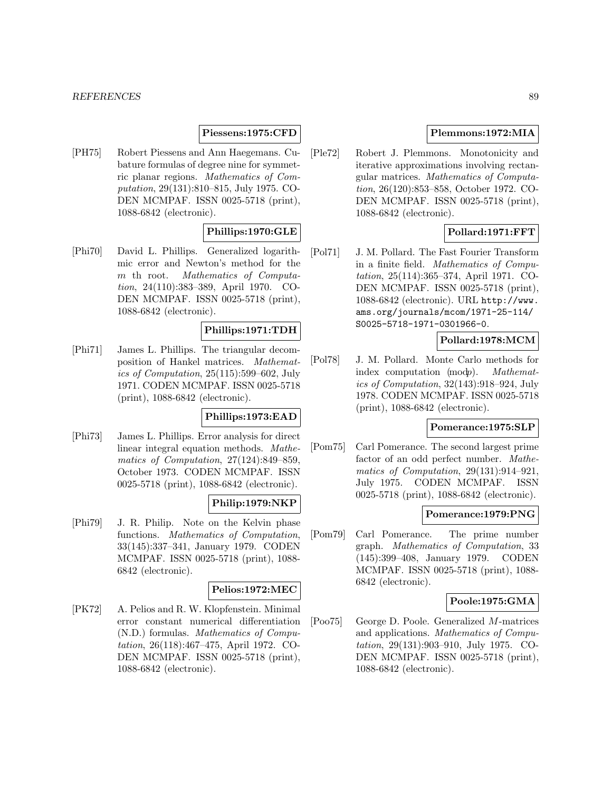# **Piessens:1975:CFD**

[PH75] Robert Piessens and Ann Haegemans. Cubature formulas of degree nine for symmetric planar regions. Mathematics of Computation, 29(131):810–815, July 1975. CO-DEN MCMPAF. ISSN 0025-5718 (print), 1088-6842 (electronic).

# **Phillips:1970:GLE**

[Phi70] David L. Phillips. Generalized logarithmic error and Newton's method for the m th root. Mathematics of Computation, 24(110):383–389, April 1970. CO-DEN MCMPAF. ISSN 0025-5718 (print), 1088-6842 (electronic).

# **Phillips:1971:TDH**

[Phi71] James L. Phillips. The triangular decomposition of Hankel matrices. Mathematics of Computation, 25(115):599–602, July 1971. CODEN MCMPAF. ISSN 0025-5718 (print), 1088-6842 (electronic).

### **Phillips:1973:EAD**

[Phi73] James L. Phillips. Error analysis for direct linear integral equation methods. Mathematics of Computation, 27(124):849–859, October 1973. CODEN MCMPAF. ISSN 0025-5718 (print), 1088-6842 (electronic).

# **Philip:1979:NKP**

[Phi79] J. R. Philip. Note on the Kelvin phase functions. Mathematics of Computation, 33(145):337–341, January 1979. CODEN MCMPAF. ISSN 0025-5718 (print), 1088- 6842 (electronic).

# **Pelios:1972:MEC**

[PK72] A. Pelios and R. W. Klopfenstein. Minimal error constant numerical differentiation (N.D.) formulas. Mathematics of Computation, 26(118):467–475, April 1972. CO-DEN MCMPAF. ISSN 0025-5718 (print), 1088-6842 (electronic).

# **Plemmons:1972:MIA**

[Ple72] Robert J. Plemmons. Monotonicity and iterative approximations involving rectangular matrices. Mathematics of Computation, 26(120):853–858, October 1972. CO-DEN MCMPAF. ISSN 0025-5718 (print), 1088-6842 (electronic).

# **Pollard:1971:FFT**

[Pol71] J. M. Pollard. The Fast Fourier Transform in a finite field. Mathematics of Computation, 25(114):365–374, April 1971. CO-DEN MCMPAF. ISSN 0025-5718 (print), 1088-6842 (electronic). URL http://www. ams.org/journals/mcom/1971-25-114/ S0025-5718-1971-0301966-0.

# **Pollard:1978:MCM**

[Pol78] J. M. Pollard. Monte Carlo methods for index computation (modp). Mathematics of Computation, 32(143):918–924, July 1978. CODEN MCMPAF. ISSN 0025-5718 (print), 1088-6842 (electronic).

### **Pomerance:1975:SLP**

[Pom75] Carl Pomerance. The second largest prime factor of an odd perfect number. Mathematics of Computation, 29(131):914–921, July 1975. CODEN MCMPAF. ISSN 0025-5718 (print), 1088-6842 (electronic).

# **Pomerance:1979:PNG**

[Pom79] Carl Pomerance. The prime number graph. Mathematics of Computation, 33 (145):399–408, January 1979. CODEN MCMPAF. ISSN 0025-5718 (print), 1088- 6842 (electronic).

# **Poole:1975:GMA**

[Poo75] George D. Poole. Generalized M-matrices and applications. Mathematics of Computation, 29(131):903–910, July 1975. CO-DEN MCMPAF. ISSN 0025-5718 (print), 1088-6842 (electronic).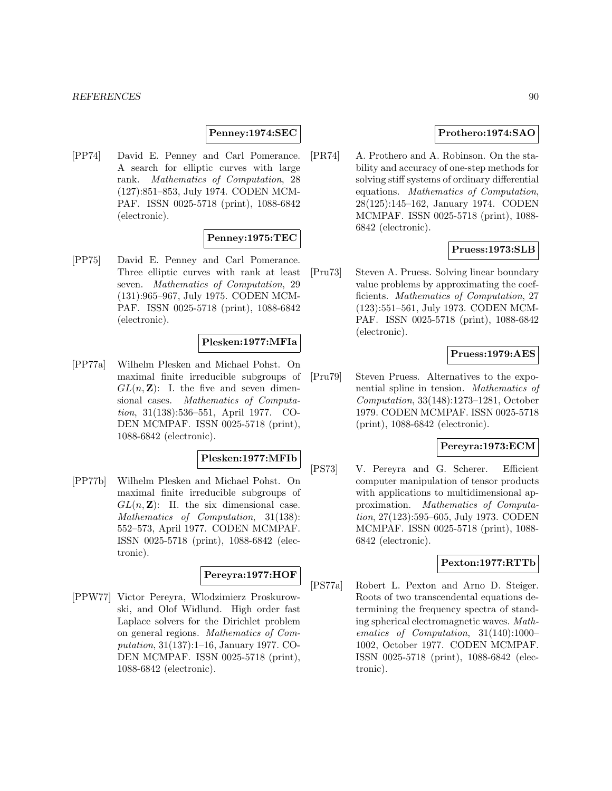#### *REFERENCES* 90

### **Penney:1974:SEC**

[PP74] David E. Penney and Carl Pomerance. A search for elliptic curves with large rank. Mathematics of Computation, 28 (127):851–853, July 1974. CODEN MCM-PAF. ISSN 0025-5718 (print), 1088-6842 (electronic).

### **Penney:1975:TEC**

[PP75] David E. Penney and Carl Pomerance. Three elliptic curves with rank at least seven. Mathematics of Computation, 29 (131):965–967, July 1975. CODEN MCM-PAF. ISSN 0025-5718 (print), 1088-6842 (electronic).

### **Plesken:1977:MFIa**

[PP77a] Wilhelm Plesken and Michael Pohst. On maximal finite irreducible subgroups of  $GL(n, \mathbb{Z})$ : I. the five and seven dimensional cases. Mathematics of Computation, 31(138):536–551, April 1977. CO-DEN MCMPAF. ISSN 0025-5718 (print), 1088-6842 (electronic).

#### **Plesken:1977:MFIb**

[PP77b] Wilhelm Plesken and Michael Pohst. On maximal finite irreducible subgroups of  $GL(n, \mathbb{Z})$ : II. the six dimensional case. Mathematics of Computation, 31(138): 552–573, April 1977. CODEN MCMPAF. ISSN 0025-5718 (print), 1088-6842 (electronic).

# **Pereyra:1977:HOF**

[PPW77] Victor Pereyra, Wlodzimierz Proskurowski, and Olof Widlund. High order fast Laplace solvers for the Dirichlet problem on general regions. Mathematics of Computation, 31(137):1–16, January 1977. CO-DEN MCMPAF. ISSN 0025-5718 (print), 1088-6842 (electronic).

# **Prothero:1974:SAO**

[PR74] A. Prothero and A. Robinson. On the stability and accuracy of one-step methods for solving stiff systems of ordinary differential equations. Mathematics of Computation, 28(125):145–162, January 1974. CODEN MCMPAF. ISSN 0025-5718 (print), 1088- 6842 (electronic).

### **Pruess:1973:SLB**

[Pru73] Steven A. Pruess. Solving linear boundary value problems by approximating the coefficients. Mathematics of Computation, 27 (123):551–561, July 1973. CODEN MCM-PAF. ISSN 0025-5718 (print), 1088-6842 (electronic).

# **Pruess:1979:AES**

[Pru79] Steven Pruess. Alternatives to the exponential spline in tension. Mathematics of Computation, 33(148):1273–1281, October 1979. CODEN MCMPAF. ISSN 0025-5718 (print), 1088-6842 (electronic).

# **Pereyra:1973:ECM**

[PS73] V. Pereyra and G. Scherer. Efficient computer manipulation of tensor products with applications to multidimensional approximation. Mathematics of Computation, 27(123):595–605, July 1973. CODEN MCMPAF. ISSN 0025-5718 (print), 1088- 6842 (electronic).

# **Pexton:1977:RTTb**

[PS77a] Robert L. Pexton and Arno D. Steiger. Roots of two transcendental equations determining the frequency spectra of standing spherical electromagnetic waves. Mathematics of Computation, 31(140):1000– 1002, October 1977. CODEN MCMPAF. ISSN 0025-5718 (print), 1088-6842 (electronic).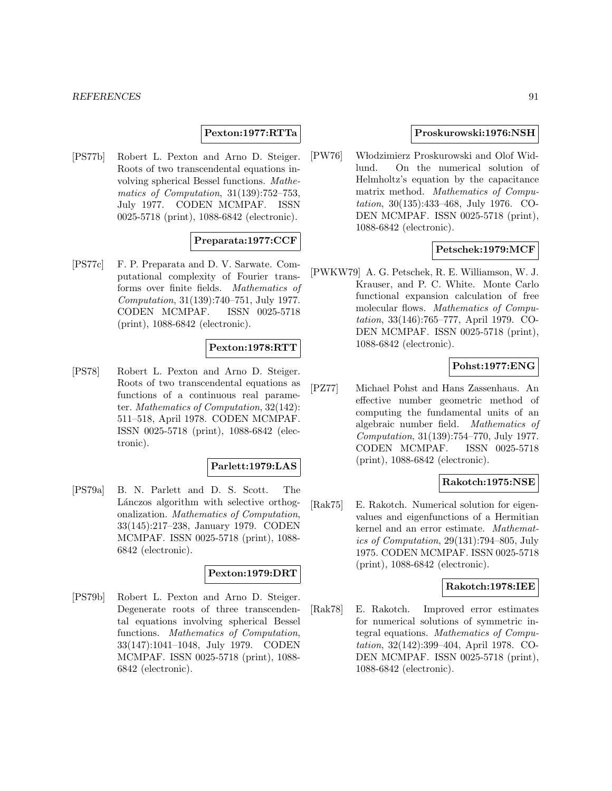#### *REFERENCES* 91

### **Pexton:1977:RTTa**

[PS77b] Robert L. Pexton and Arno D. Steiger. Roots of two transcendental equations involving spherical Bessel functions. Mathematics of Computation, 31(139):752–753, July 1977. CODEN MCMPAF. ISSN 0025-5718 (print), 1088-6842 (electronic).

# **Preparata:1977:CCF**

[PS77c] F. P. Preparata and D. V. Sarwate. Computational complexity of Fourier transforms over finite fields. Mathematics of Computation, 31(139):740–751, July 1977. CODEN MCMPAF. ISSN 0025-5718 (print), 1088-6842 (electronic).

### **Pexton:1978:RTT**

[PS78] Robert L. Pexton and Arno D. Steiger. Roots of two transcendental equations as functions of a continuous real parameter. Mathematics of Computation, 32(142): 511–518, April 1978. CODEN MCMPAF. ISSN 0025-5718 (print), 1088-6842 (electronic).

# **Parlett:1979:LAS**

[PS79a] B. N. Parlett and D. S. Scott. The Lánczos algorithm with selective orthogonalization. Mathematics of Computation, 33(145):217–238, January 1979. CODEN MCMPAF. ISSN 0025-5718 (print), 1088- 6842 (electronic).

#### **Pexton:1979:DRT**

[PS79b] Robert L. Pexton and Arno D. Steiger. Degenerate roots of three transcendental equations involving spherical Bessel functions. Mathematics of Computation, 33(147):1041–1048, July 1979. CODEN MCMPAF. ISSN 0025-5718 (print), 1088- 6842 (electronic).

# **Proskurowski:1976:NSH**

[PW76] W lodzimierz Proskurowski and Olof Widlund. On the numerical solution of Helmholtz's equation by the capacitance matrix method. Mathematics of Computation, 30(135):433–468, July 1976. CO-DEN MCMPAF. ISSN 0025-5718 (print), 1088-6842 (electronic).

### **Petschek:1979:MCF**

[PWKW79] A. G. Petschek, R. E. Williamson, W. J. Krauser, and P. C. White. Monte Carlo functional expansion calculation of free molecular flows. Mathematics of Computation, 33(146):765–777, April 1979. CO-DEN MCMPAF. ISSN 0025-5718 (print), 1088-6842 (electronic).

# **Pohst:1977:ENG**

[PZ77] Michael Pohst and Hans Zassenhaus. An effective number geometric method of computing the fundamental units of an algebraic number field. Mathematics of Computation, 31(139):754–770, July 1977. CODEN MCMPAF. ISSN 0025-5718 (print), 1088-6842 (electronic).

### **Rakotch:1975:NSE**

[Rak75] E. Rakotch. Numerical solution for eigenvalues and eigenfunctions of a Hermitian kernel and an error estimate. Mathematics of Computation, 29(131):794–805, July 1975. CODEN MCMPAF. ISSN 0025-5718 (print), 1088-6842 (electronic).

# **Rakotch:1978:IEE**

[Rak78] E. Rakotch. Improved error estimates for numerical solutions of symmetric integral equations. Mathematics of Computation, 32(142):399–404, April 1978. CO-DEN MCMPAF. ISSN 0025-5718 (print), 1088-6842 (electronic).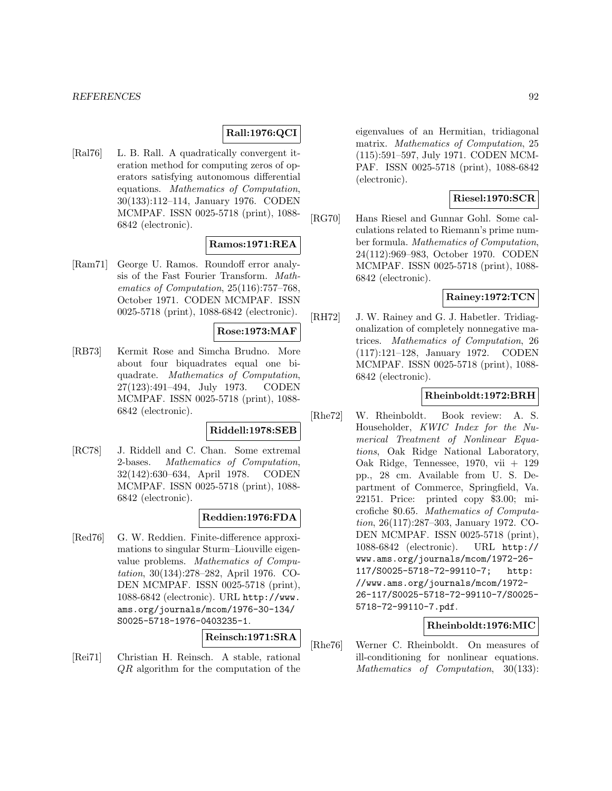# **Rall:1976:QCI**

[Ral76] L. B. Rall. A quadratically convergent iteration method for computing zeros of operators satisfying autonomous differential equations. Mathematics of Computation, 30(133):112–114, January 1976. CODEN MCMPAF. ISSN 0025-5718 (print), 1088- 6842 (electronic).

# **Ramos:1971:REA**

[Ram71] George U. Ramos. Roundoff error analysis of the Fast Fourier Transform. Mathematics of Computation, 25(116):757–768, October 1971. CODEN MCMPAF. ISSN 0025-5718 (print), 1088-6842 (electronic).

# **Rose:1973:MAF**

[RB73] Kermit Rose and Simcha Brudno. More about four biquadrates equal one biquadrate. Mathematics of Computation, 27(123):491–494, July 1973. CODEN MCMPAF. ISSN 0025-5718 (print), 1088- 6842 (electronic).

#### **Riddell:1978:SEB**

[RC78] J. Riddell and C. Chan. Some extremal 2-bases. Mathematics of Computation, 32(142):630–634, April 1978. CODEN MCMPAF. ISSN 0025-5718 (print), 1088- 6842 (electronic).

# **Reddien:1976:FDA**

[Red76] G. W. Reddien. Finite-difference approximations to singular Sturm–Liouville eigenvalue problems. Mathematics of Computation, 30(134):278–282, April 1976. CO-DEN MCMPAF. ISSN 0025-5718 (print), 1088-6842 (electronic). URL http://www. ams.org/journals/mcom/1976-30-134/ S0025-5718-1976-0403235-1.

# **Reinsch:1971:SRA**

[Rei71] Christian H. Reinsch. A stable, rational QR algorithm for the computation of the

eigenvalues of an Hermitian, tridiagonal matrix. Mathematics of Computation, 25 (115):591–597, July 1971. CODEN MCM-PAF. ISSN 0025-5718 (print), 1088-6842 (electronic).

# **Riesel:1970:SCR**

[RG70] Hans Riesel and Gunnar Gohl. Some calculations related to Riemann's prime number formula. Mathematics of Computation, 24(112):969–983, October 1970. CODEN MCMPAF. ISSN 0025-5718 (print), 1088- 6842 (electronic).

# **Rainey:1972:TCN**

[RH72] J. W. Rainey and G. J. Habetler. Tridiagonalization of completely nonnegative matrices. Mathematics of Computation, 26 (117):121–128, January 1972. CODEN MCMPAF. ISSN 0025-5718 (print), 1088- 6842 (electronic).

# **Rheinboldt:1972:BRH**

[Rhe72] W. Rheinboldt. Book review: A. S. Householder, KWIC Index for the Numerical Treatment of Nonlinear Equations, Oak Ridge National Laboratory, Oak Ridge, Tennessee, 1970, vii + 129 pp., 28 cm. Available from U. S. Department of Commerce, Springfield, Va. 22151. Price: printed copy \$3.00; microfiche \$0.65. Mathematics of Computation, 26(117):287–303, January 1972. CO-DEN MCMPAF. ISSN 0025-5718 (print), 1088-6842 (electronic). URL http:// www.ams.org/journals/mcom/1972-26- 117/S0025-5718-72-99110-7; http: //www.ams.org/journals/mcom/1972- 26-117/S0025-5718-72-99110-7/S0025- 5718-72-99110-7.pdf.

# **Rheinboldt:1976:MIC**

[Rhe76] Werner C. Rheinboldt. On measures of ill-conditioning for nonlinear equations. Mathematics of Computation, 30(133):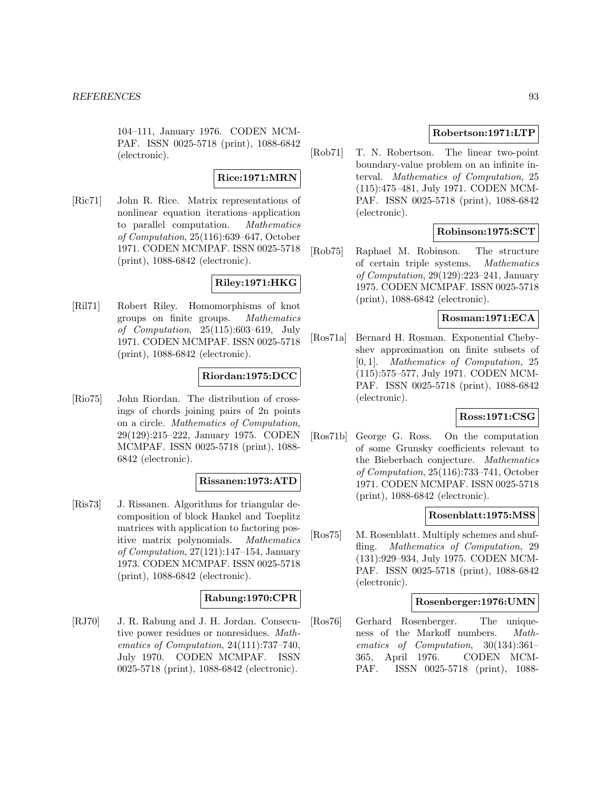104–111, January 1976. CODEN MCM-PAF. ISSN 0025-5718 (print), 1088-6842 (electronic).

### **Rice:1971:MRN**

[Ric71] John R. Rice. Matrix representations of nonlinear equation iterations–application to parallel computation. Mathematics of Computation, 25(116):639–647, October 1971. CODEN MCMPAF. ISSN 0025-5718 (print), 1088-6842 (electronic).

# **Riley:1971:HKG**

[Ril71] Robert Riley. Homomorphisms of knot groups on finite groups. Mathematics of Computation, 25(115):603–619, July 1971. CODEN MCMPAF. ISSN 0025-5718 (print), 1088-6842 (electronic).

# **Riordan:1975:DCC**

[Rio75] John Riordan. The distribution of crossings of chords joining pairs of 2n points on a circle. Mathematics of Computation, 29(129):215–222, January 1975. CODEN MCMPAF. ISSN 0025-5718 (print), 1088- 6842 (electronic).

#### **Rissanen:1973:ATD**

[Ris73] J. Rissanen. Algorithms for triangular decomposition of block Hankel and Toeplitz matrices with application to factoring positive matrix polynomials. Mathematics of Computation, 27(121):147–154, January 1973. CODEN MCMPAF. ISSN 0025-5718 (print), 1088-6842 (electronic).

# **Rabung:1970:CPR**

[RJ70] J. R. Rabung and J. H. Jordan. Consecutive power residues or nonresidues. Mathematics of Computation, 24(111):737–740, July 1970. CODEN MCMPAF. ISSN 0025-5718 (print), 1088-6842 (electronic).

# **Robertson:1971:LTP**

[Rob71] T. N. Robertson. The linear two-point boundary-value problem on an infinite interval. Mathematics of Computation, 25 (115):475–481, July 1971. CODEN MCM-PAF. ISSN 0025-5718 (print), 1088-6842 (electronic).

# **Robinson:1975:SCT**

[Rob75] Raphael M. Robinson. The structure of certain triple systems. Mathematics of Computation, 29(129):223–241, January 1975. CODEN MCMPAF. ISSN 0025-5718 (print), 1088-6842 (electronic).

# **Rosman:1971:ECA**

[Ros71a] Bernard H. Rosman. Exponential Chebyshev approximation on finite subsets of [0, 1]. Mathematics of Computation, 25 (115):575–577, July 1971. CODEN MCM-PAF. ISSN 0025-5718 (print), 1088-6842 (electronic).

# **Ross:1971:CSG**

[Ros71b] George G. Ross. On the computation of some Grunsky coefficients relevant to the Bieberbach conjecture. Mathematics of Computation, 25(116):733–741, October 1971. CODEN MCMPAF. ISSN 0025-5718 (print), 1088-6842 (electronic).

### **Rosenblatt:1975:MSS**

[Ros75] M. Rosenblatt. Multiply schemes and shuffling. Mathematics of Computation, 29 (131):929–934, July 1975. CODEN MCM-PAF. ISSN 0025-5718 (print), 1088-6842 (electronic).

# **Rosenberger:1976:UMN**

[Ros76] Gerhard Rosenberger. The uniqueness of the Markoff numbers. Mathematics of Computation, 30(134):361– 365, April 1976. CODEN MCM-PAF. ISSN 0025-5718 (print), 1088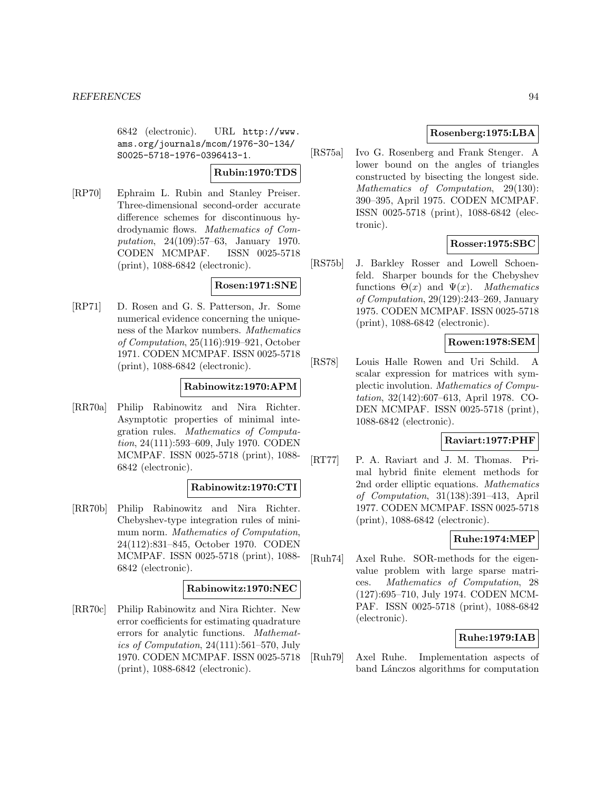6842 (electronic). URL http://www. ams.org/journals/mcom/1976-30-134/ S0025-5718-1976-0396413-1.

### **Rubin:1970:TDS**

[RP70] Ephraim L. Rubin and Stanley Preiser. Three-dimensional second-order accurate difference schemes for discontinuous hydrodynamic flows. Mathematics of Computation, 24(109):57–63, January 1970. CODEN MCMPAF. ISSN 0025-5718 (print), 1088-6842 (electronic).

# **Rosen:1971:SNE**

[RP71] D. Rosen and G. S. Patterson, Jr. Some numerical evidence concerning the uniqueness of the Markov numbers. Mathematics of Computation, 25(116):919–921, October 1971. CODEN MCMPAF. ISSN 0025-5718 (print), 1088-6842 (electronic).

### **Rabinowitz:1970:APM**

[RR70a] Philip Rabinowitz and Nira Richter. Asymptotic properties of minimal integration rules. Mathematics of Computation, 24(111):593–609, July 1970. CODEN MCMPAF. ISSN 0025-5718 (print), 1088- 6842 (electronic).

# **Rabinowitz:1970:CTI**

[RR70b] Philip Rabinowitz and Nira Richter. Chebyshev-type integration rules of minimum norm. Mathematics of Computation, 24(112):831–845, October 1970. CODEN MCMPAF. ISSN 0025-5718 (print), 1088- 6842 (electronic).

### **Rabinowitz:1970:NEC**

[RR70c] Philip Rabinowitz and Nira Richter. New error coefficients for estimating quadrature errors for analytic functions. Mathematics of Computation, 24(111):561–570, July 1970. CODEN MCMPAF. ISSN 0025-5718 (print), 1088-6842 (electronic).

# **Rosenberg:1975:LBA**

[RS75a] Ivo G. Rosenberg and Frank Stenger. A lower bound on the angles of triangles constructed by bisecting the longest side. Mathematics of Computation, 29(130): 390–395, April 1975. CODEN MCMPAF. ISSN 0025-5718 (print), 1088-6842 (electronic).

# **Rosser:1975:SBC**

[RS75b] J. Barkley Rosser and Lowell Schoenfeld. Sharper bounds for the Chebyshev functions  $\Theta(x)$  and  $\Psi(x)$ . *Mathematics* of Computation, 29(129):243–269, January 1975. CODEN MCMPAF. ISSN 0025-5718 (print), 1088-6842 (electronic).

# **Rowen:1978:SEM**

[RS78] Louis Halle Rowen and Uri Schild. A scalar expression for matrices with symplectic involution. Mathematics of Computation, 32(142):607–613, April 1978. CO-DEN MCMPAF. ISSN 0025-5718 (print), 1088-6842 (electronic).

### **Raviart:1977:PHF**

[RT77] P. A. Raviart and J. M. Thomas. Primal hybrid finite element methods for 2nd order elliptic equations. Mathematics of Computation, 31(138):391–413, April 1977. CODEN MCMPAF. ISSN 0025-5718 (print), 1088-6842 (electronic).

# **Ruhe:1974:MEP**

[Ruh74] Axel Ruhe. SOR-methods for the eigenvalue problem with large sparse matrices. Mathematics of Computation, 28 (127):695–710, July 1974. CODEN MCM-PAF. ISSN 0025-5718 (print), 1088-6842 (electronic).

# **Ruhe:1979:IAB**

[Ruh79] Axel Ruhe. Implementation aspects of band Lánczos algorithms for computation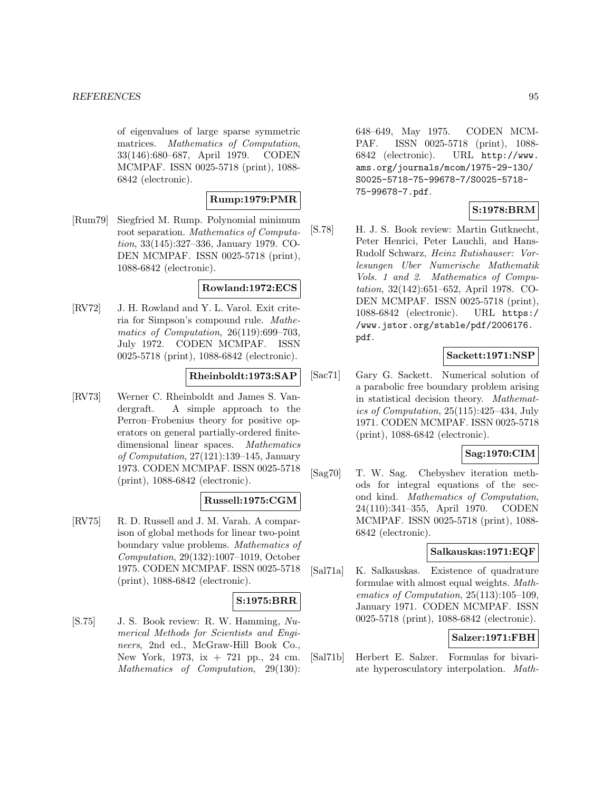of eigenvalues of large sparse symmetric matrices. Mathematics of Computation, 33(146):680–687, April 1979. CODEN MCMPAF. ISSN 0025-5718 (print), 1088- 6842 (electronic).

# **Rump:1979:PMR**

[Rum79] Siegfried M. Rump. Polynomial minimum root separation. Mathematics of Computation, 33(145):327–336, January 1979. CO-DEN MCMPAF. ISSN 0025-5718 (print), 1088-6842 (electronic).

### **Rowland:1972:ECS**

[RV72] J. H. Rowland and Y. L. Varol. Exit criteria for Simpson's compound rule. Mathematics of Computation, 26(119):699–703, July 1972. CODEN MCMPAF. ISSN 0025-5718 (print), 1088-6842 (electronic).

# **Rheinboldt:1973:SAP**

[RV73] Werner C. Rheinboldt and James S. Vandergraft. A simple approach to the Perron–Frobenius theory for positive operators on general partially-ordered finitedimensional linear spaces. Mathematics of Computation, 27(121):139–145, January 1973. CODEN MCMPAF. ISSN 0025-5718 (print), 1088-6842 (electronic).

# **Russell:1975:CGM**

[RV75] R. D. Russell and J. M. Varah. A comparison of global methods for linear two-point boundary value problems. Mathematics of Computation, 29(132):1007–1019, October 1975. CODEN MCMPAF. ISSN 0025-5718 (print), 1088-6842 (electronic).

# **S:1975:BRR**

[S.75] J. S. Book review: R. W. Hamming, Numerical Methods for Scientists and Engineers, 2nd ed., McGraw-Hill Book Co., New York, 1973, ix + 721 pp., 24 cm. Mathematics of Computation, 29(130): 648–649, May 1975. CODEN MCM-PAF. ISSN 0025-5718 (print), 1088- 6842 (electronic). URL http://www. ams.org/journals/mcom/1975-29-130/ S0025-5718-75-99678-7/S0025-5718- 75-99678-7.pdf.

# **S:1978:BRM**

[S.78] H. J. S. Book review: Martin Gutknecht, Peter Henrici, Peter Lauchli, and Hans-Rudolf Schwarz, Heinz Rutishauser: Vorlesungen Uber Numerische Mathematik Vols. 1 and 2. Mathematics of Computation, 32(142):651–652, April 1978. CO-DEN MCMPAF. ISSN 0025-5718 (print), 1088-6842 (electronic). URL https:/ /www.jstor.org/stable/pdf/2006176. pdf.

# **Sackett:1971:NSP**

[Sac71] Gary G. Sackett. Numerical solution of a parabolic free boundary problem arising in statistical decision theory. Mathematics of Computation, 25(115):425–434, July 1971. CODEN MCMPAF. ISSN 0025-5718 (print), 1088-6842 (electronic).

# **Sag:1970:CIM**

[Sag70] T. W. Sag. Chebyshev iteration methods for integral equations of the second kind. Mathematics of Computation, 24(110):341–355, April 1970. CODEN MCMPAF. ISSN 0025-5718 (print), 1088- 6842 (electronic).

# **Salkauskas:1971:EQF**

[Sal71a] K. Salkauskas. Existence of quadrature formulae with almost equal weights. Mathematics of Computation, 25(113):105–109, January 1971. CODEN MCMPAF. ISSN 0025-5718 (print), 1088-6842 (electronic).

# **Salzer:1971:FBH**

[Sal71b] Herbert E. Salzer. Formulas for bivariate hyperosculatory interpolation. Math-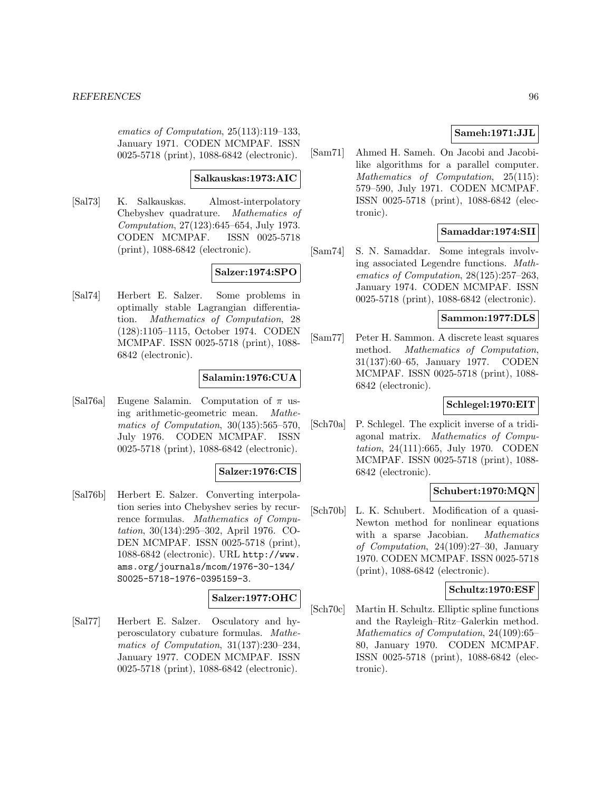ematics of Computation, 25(113):119–133, January 1971. CODEN MCMPAF. ISSN 0025-5718 (print), 1088-6842 (electronic).

#### **Salkauskas:1973:AIC**

[Sal73] K. Salkauskas. Almost-interpolatory Chebyshev quadrature. Mathematics of Computation, 27(123):645–654, July 1973. CODEN MCMPAF. ISSN 0025-5718 (print), 1088-6842 (electronic).

# **Salzer:1974:SPO**

[Sal74] Herbert E. Salzer. Some problems in optimally stable Lagrangian differentiation. Mathematics of Computation, 28 (128):1105–1115, October 1974. CODEN MCMPAF. ISSN 0025-5718 (print), 1088- 6842 (electronic).

# **Salamin:1976:CUA**

[Sal76a] Eugene Salamin. Computation of  $\pi$  using arithmetic-geometric mean. Mathematics of Computation, 30(135):565–570, July 1976. CODEN MCMPAF. ISSN 0025-5718 (print), 1088-6842 (electronic).

#### **Salzer:1976:CIS**

[Sal76b] Herbert E. Salzer. Converting interpolation series into Chebyshev series by recurrence formulas. Mathematics of Computation, 30(134):295–302, April 1976. CO-DEN MCMPAF. ISSN 0025-5718 (print), 1088-6842 (electronic). URL http://www. ams.org/journals/mcom/1976-30-134/ S0025-5718-1976-0395159-3.

### **Salzer:1977:OHC**

[Sal77] Herbert E. Salzer. Osculatory and hyperosculatory cubature formulas. Mathematics of Computation, 31(137):230–234, January 1977. CODEN MCMPAF. ISSN 0025-5718 (print), 1088-6842 (electronic).

# **Sameh:1971:JJL**

[Sam71] Ahmed H. Sameh. On Jacobi and Jacobilike algorithms for a parallel computer. Mathematics of Computation, 25(115): 579–590, July 1971. CODEN MCMPAF. ISSN 0025-5718 (print), 1088-6842 (electronic).

# **Samaddar:1974:SII**

[Sam74] S. N. Samaddar. Some integrals involving associated Legendre functions. Mathematics of Computation, 28(125):257–263, January 1974. CODEN MCMPAF. ISSN 0025-5718 (print), 1088-6842 (electronic).

#### **Sammon:1977:DLS**

[Sam77] Peter H. Sammon. A discrete least squares method. Mathematics of Computation, 31(137):60–65, January 1977. CODEN MCMPAF. ISSN 0025-5718 (print), 1088- 6842 (electronic).

# **Schlegel:1970:EIT**

[Sch70a] P. Schlegel. The explicit inverse of a tridiagonal matrix. Mathematics of Computation, 24(111):665, July 1970. CODEN MCMPAF. ISSN 0025-5718 (print), 1088- 6842 (electronic).

### **Schubert:1970:MQN**

[Sch70b] L. K. Schubert. Modification of a quasi-Newton method for nonlinear equations with a sparse Jacobian. *Mathematics* of Computation, 24(109):27–30, January 1970. CODEN MCMPAF. ISSN 0025-5718 (print), 1088-6842 (electronic).

#### **Schultz:1970:ESF**

[Sch70c] Martin H. Schultz. Elliptic spline functions and the Rayleigh–Ritz–Galerkin method. Mathematics of Computation, 24(109):65– 80, January 1970. CODEN MCMPAF. ISSN 0025-5718 (print), 1088-6842 (electronic).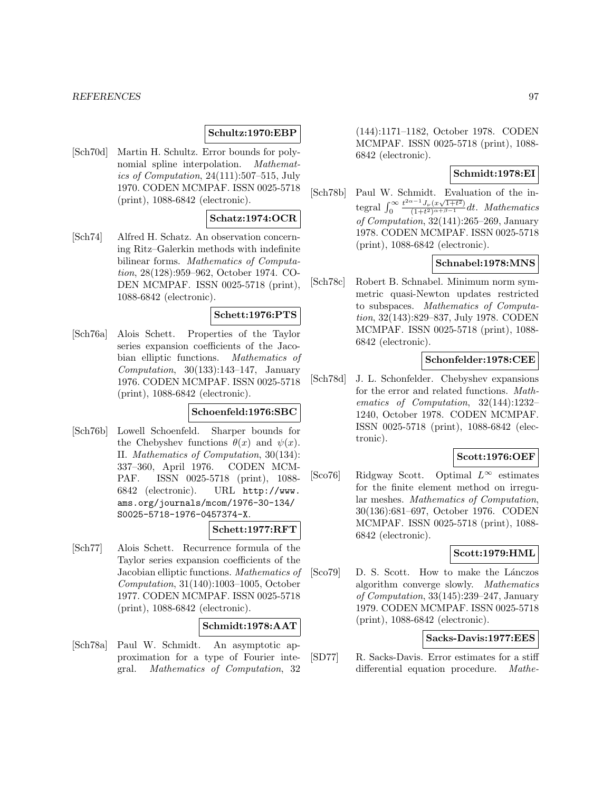#### *REFERENCES* 97

### **Schultz:1970:EBP**

[Sch70d] Martin H. Schultz. Error bounds for polynomial spline interpolation. Mathematics of Computation, 24(111):507–515, July 1970. CODEN MCMPAF. ISSN 0025-5718 (print), 1088-6842 (electronic).

# **Schatz:1974:OCR**

[Sch74] Alfred H. Schatz. An observation concerning Ritz–Galerkin methods with indefinite bilinear forms. Mathematics of Computation, 28(128):959–962, October 1974. CO-DEN MCMPAF. ISSN 0025-5718 (print), 1088-6842 (electronic).

#### **Schett:1976:PTS**

[Sch76a] Alois Schett. Properties of the Taylor series expansion coefficients of the Jacobian elliptic functions. Mathematics of Computation,  $30(133):143-147$ , January 1976. CODEN MCMPAF. ISSN 0025-5718 (print), 1088-6842 (electronic).

# **Schoenfeld:1976:SBC**

[Sch76b] Lowell Schoenfeld. Sharper bounds for the Chebyshev functions  $\theta(x)$  and  $\psi(x)$ . II. Mathematics of Computation, 30(134): 337–360, April 1976. CODEN MCM-PAF. ISSN 0025-5718 (print), 1088- 6842 (electronic). URL http://www. ams.org/journals/mcom/1976-30-134/ S0025-5718-1976-0457374-X.

#### **Schett:1977:RFT**

[Sch77] Alois Schett. Recurrence formula of the Taylor series expansion coefficients of the Jacobian elliptic functions. Mathematics of Computation, 31(140):1003–1005, October 1977. CODEN MCMPAF. ISSN 0025-5718 (print), 1088-6842 (electronic).

# **Schmidt:1978:AAT**

[Sch78a] Paul W. Schmidt. An asymptotic approximation for a type of Fourier integral. Mathematics of Computation, 32

(144):1171–1182, October 1978. CODEN MCMPAF. ISSN 0025-5718 (print), 1088- 6842 (electronic).

#### **Schmidt:1978:EI**

[Sch78b] Paul W. Schmidt. Evaluation of the integral  $\int_0^\infty$  $\frac{t^{2\alpha-1}J_{\nu}(x\sqrt{1+t^2})}{(1+t^2)^{\alpha+\beta-1}}dt$ . Mathematics of Computation, 32(141):265–269, January 1978. CODEN MCMPAF. ISSN 0025-5718 (print), 1088-6842 (electronic).

# **Schnabel:1978:MNS**

[Sch78c] Robert B. Schnabel. Minimum norm symmetric quasi-Newton updates restricted to subspaces. Mathematics of Computation, 32(143):829–837, July 1978. CODEN MCMPAF. ISSN 0025-5718 (print), 1088- 6842 (electronic).

### **Schonfelder:1978:CEE**

[Sch78d] J. L. Schonfelder. Chebyshev expansions for the error and related functions. Mathematics of Computation, 32(144):1232– 1240, October 1978. CODEN MCMPAF. ISSN 0025-5718 (print), 1088-6842 (electronic).

#### **Scott:1976:OEF**

[Sco76] Ridgway Scott. Optimal  $L^{\infty}$  estimates for the finite element method on irregular meshes. Mathematics of Computation, 30(136):681–697, October 1976. CODEN MCMPAF. ISSN 0025-5718 (print), 1088- 6842 (electronic).

#### **Scott:1979:HML**

[Sco79] D. S. Scott. How to make the Lánczos algorithm converge slowly. Mathematics of Computation, 33(145):239–247, January 1979. CODEN MCMPAF. ISSN 0025-5718 (print), 1088-6842 (electronic).

### **Sacks-Davis:1977:EES**

[SD77] R. Sacks-Davis. Error estimates for a stiff differential equation procedure. Mathe-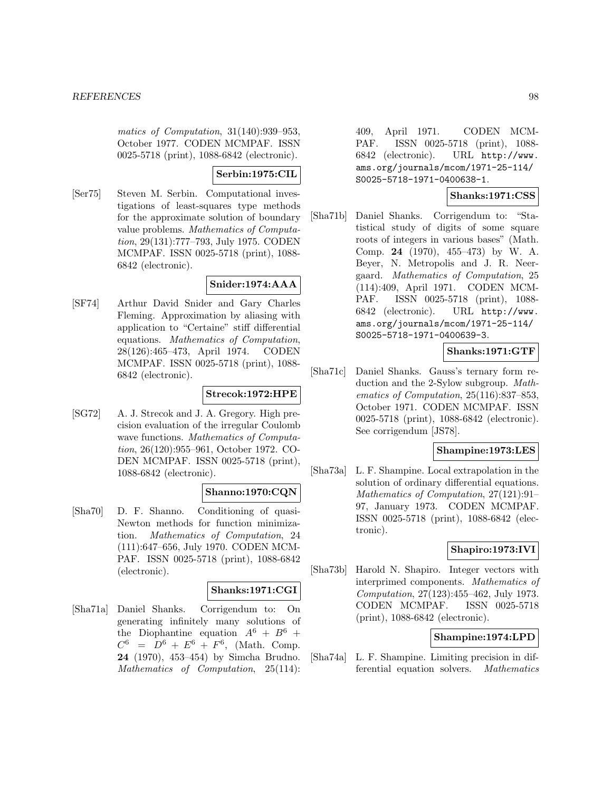matics of Computation, 31(140):939–953, October 1977. CODEN MCMPAF. ISSN 0025-5718 (print), 1088-6842 (electronic).

# **Serbin:1975:CIL**

[Ser75] Steven M. Serbin. Computational investigations of least-squares type methods for the approximate solution of boundary value problems. Mathematics of Computation, 29(131):777–793, July 1975. CODEN MCMPAF. ISSN 0025-5718 (print), 1088- 6842 (electronic).

# **Snider:1974:AAA**

[SF74] Arthur David Snider and Gary Charles Fleming. Approximation by aliasing with application to "Certaine" stiff differential equations. Mathematics of Computation, 28(126):465–473, April 1974. CODEN MCMPAF. ISSN 0025-5718 (print), 1088- 6842 (electronic).

# **Strecok:1972:HPE**

[SG72] A. J. Strecok and J. A. Gregory. High precision evaluation of the irregular Coulomb wave functions. *Mathematics of Computa*tion, 26(120):955–961, October 1972. CO-DEN MCMPAF. ISSN 0025-5718 (print), 1088-6842 (electronic).

# **Shanno:1970:CQN**

[Sha70] D. F. Shanno. Conditioning of quasi-Newton methods for function minimization. Mathematics of Computation, 24 (111):647–656, July 1970. CODEN MCM-PAF. ISSN 0025-5718 (print), 1088-6842 (electronic).

#### **Shanks:1971:CGI**

[Sha71a] Daniel Shanks. Corrigendum to: On generating infinitely many solutions of the Diophantine equation  $A^6 + B^6 +$  $C^6 = D^6 + E^6 + F^6$ , (Math. Comp. **24** (1970), 453–454) by Simcha Brudno. Mathematics of Computation, 25(114):

409, April 1971. CODEN MCM-PAF. ISSN 0025-5718 (print), 1088- 6842 (electronic). URL http://www. ams.org/journals/mcom/1971-25-114/ S0025-5718-1971-0400638-1.

# **Shanks:1971:CSS**

[Sha71b] Daniel Shanks. Corrigendum to: "Statistical study of digits of some square roots of integers in various bases" (Math. Comp. **24** (1970), 455–473) by W. A. Beyer, N. Metropolis and J. R. Neergaard. Mathematics of Computation, 25 (114):409, April 1971. CODEN MCM-PAF. ISSN 0025-5718 (print), 1088- 6842 (electronic). URL http://www. ams.org/journals/mcom/1971-25-114/ S0025-5718-1971-0400639-3.

# **Shanks:1971:GTF**

[Sha71c] Daniel Shanks. Gauss's ternary form reduction and the 2-Sylow subgroup. Mathematics of Computation, 25(116):837–853, October 1971. CODEN MCMPAF. ISSN 0025-5718 (print), 1088-6842 (electronic). See corrigendum [JS78].

# **Shampine:1973:LES**

[Sha73a] L. F. Shampine. Local extrapolation in the solution of ordinary differential equations. Mathematics of Computation, 27(121):91– 97, January 1973. CODEN MCMPAF. ISSN 0025-5718 (print), 1088-6842 (electronic).

# **Shapiro:1973:IVI**

[Sha73b] Harold N. Shapiro. Integer vectors with interprimed components. Mathematics of Computation, 27(123):455–462, July 1973. CODEN MCMPAF. ISSN 0025-5718 (print), 1088-6842 (electronic).

# **Shampine:1974:LPD**

[Sha74a] L. F. Shampine. Limiting precision in differential equation solvers. Mathematics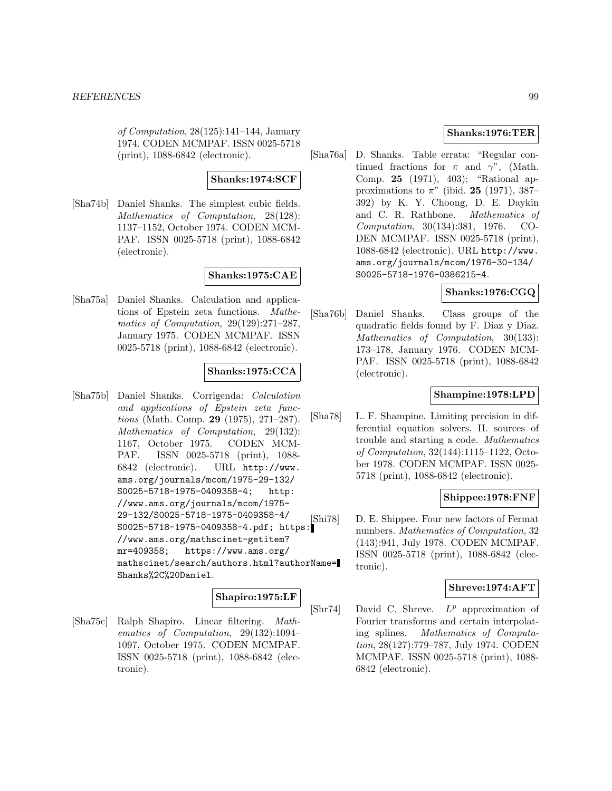of Computation, 28(125):141–144, January 1974. CODEN MCMPAF. ISSN 0025-5718 (print), 1088-6842 (electronic).

# **Shanks:1974:SCF**

[Sha74b] Daniel Shanks. The simplest cubic fields. Mathematics of Computation, 28(128): 1137–1152, October 1974. CODEN MCM-PAF. ISSN 0025-5718 (print), 1088-6842 (electronic).

**Shanks:1975:CAE**

[Sha75a] Daniel Shanks. Calculation and applications of Epstein zeta functions. Mathematics of Computation, 29(129):271–287, January 1975. CODEN MCMPAF. ISSN 0025-5718 (print), 1088-6842 (electronic).

# **Shanks:1975:CCA**

[Sha75b] Daniel Shanks. Corrigenda: Calculation and applications of Epstein zeta functions (Math. Comp. **29** (1975), 271–287). Mathematics of Computation, 29(132): 1167, October 1975. CODEN MCM-PAF. ISSN 0025-5718 (print), 1088- 6842 (electronic). URL http://www. ams.org/journals/mcom/1975-29-132/ S0025-5718-1975-0409358-4; http: //www.ams.org/journals/mcom/1975- 29-132/S0025-5718-1975-0409358-4/ S0025-5718-1975-0409358-4.pdf; https: //www.ams.org/mathscinet-getitem? mr=409358; https://www.ams.org/ mathscinet/search/authors.html?authorName= Shanks%2C%20Daniel.

# **Shapiro:1975:LF**

[Sha75c] Ralph Shapiro. Linear filtering. Mathematics of Computation, 29(132):1094– 1097, October 1975. CODEN MCMPAF. ISSN 0025-5718 (print), 1088-6842 (electronic).

# **Shanks:1976:TER**

[Sha76a] D. Shanks. Table errata: "Regular continued fractions for  $\pi$  and  $\gamma$ ", (Math. Comp. **25** (1971), 403); "Rational approximations to  $\pi$ " (ibid. **25** (1971), 387– 392) by K. Y. Choong, D. E. Daykin and C. R. Rathbone. Mathematics of Computation, 30(134):381, 1976. CO-DEN MCMPAF. ISSN 0025-5718 (print), 1088-6842 (electronic). URL http://www. ams.org/journals/mcom/1976-30-134/ S0025-5718-1976-0386215-4.

# **Shanks:1976:CGQ**

[Sha76b] Daniel Shanks. Class groups of the quadratic fields found by F. Diaz y Diaz. Mathematics of Computation, 30(133): 173–178, January 1976. CODEN MCM-PAF. ISSN 0025-5718 (print), 1088-6842 (electronic).

# **Shampine:1978:LPD**

[Sha78] L. F. Shampine. Limiting precision in differential equation solvers. II. sources of trouble and starting a code. Mathematics of Computation, 32(144):1115–1122, October 1978. CODEN MCMPAF. ISSN 0025- 5718 (print), 1088-6842 (electronic).

# **Shippee:1978:FNF**

[Shi78] D. E. Shippee. Four new factors of Fermat numbers. Mathematics of Computation, 32 (143):941, July 1978. CODEN MCMPAF. ISSN 0025-5718 (print), 1088-6842 (electronic).

# **Shreve:1974:AFT**

[Shr74] David C. Shreve.  $L^p$  approximation of Fourier transforms and certain interpolating splines. Mathematics of Computation, 28(127):779–787, July 1974. CODEN MCMPAF. ISSN 0025-5718 (print), 1088- 6842 (electronic).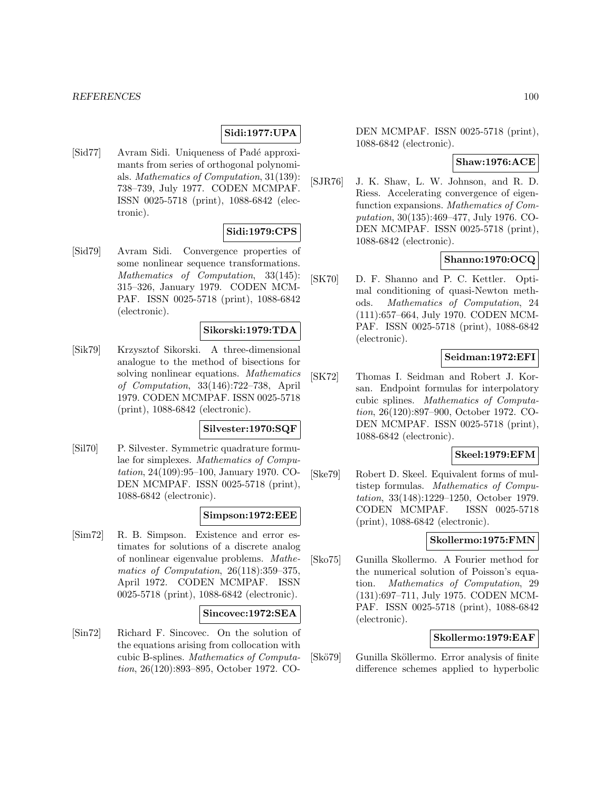# **Sidi:1977:UPA**

[Sid77] Avram Sidi. Uniqueness of Padé approximants from series of orthogonal polynomials. Mathematics of Computation, 31(139): 738–739, July 1977. CODEN MCMPAF. ISSN 0025-5718 (print), 1088-6842 (electronic).

### **Sidi:1979:CPS**

[Sid79] Avram Sidi. Convergence properties of some nonlinear sequence transformations. Mathematics of Computation, 33(145): 315–326, January 1979. CODEN MCM-PAF. ISSN 0025-5718 (print), 1088-6842 (electronic).

# **Sikorski:1979:TDA**

[Sik79] Krzysztof Sikorski. A three-dimensional analogue to the method of bisections for solving nonlinear equations. Mathematics of Computation, 33(146):722–738, April 1979. CODEN MCMPAF. ISSN 0025-5718 (print), 1088-6842 (electronic).

#### **Silvester:1970:SQF**

[Sil70] P. Silvester. Symmetric quadrature formulae for simplexes. Mathematics of Computation, 24(109):95–100, January 1970. CO-DEN MCMPAF. ISSN 0025-5718 (print), 1088-6842 (electronic).

### **Simpson:1972:EEE**

[Sim72] R. B. Simpson. Existence and error estimates for solutions of a discrete analog of nonlinear eigenvalue problems. Mathematics of Computation, 26(118):359–375, April 1972. CODEN MCMPAF. ISSN 0025-5718 (print), 1088-6842 (electronic).

### **Sincovec:1972:SEA**

[Sin72] Richard F. Sincovec. On the solution of the equations arising from collocation with cubic B-splines. Mathematics of Computation, 26(120):893–895, October 1972. CO-

DEN MCMPAF. ISSN 0025-5718 (print), 1088-6842 (electronic).

# **Shaw:1976:ACE**

[SJR76] J. K. Shaw, L. W. Johnson, and R. D. Riess. Accelerating convergence of eigenfunction expansions. Mathematics of Computation, 30(135):469–477, July 1976. CO-DEN MCMPAF. ISSN 0025-5718 (print), 1088-6842 (electronic).

### **Shanno:1970:OCQ**

[SK70] D. F. Shanno and P. C. Kettler. Optimal conditioning of quasi-Newton methods. Mathematics of Computation, 24 (111):657–664, July 1970. CODEN MCM-PAF. ISSN 0025-5718 (print), 1088-6842 (electronic).

#### **Seidman:1972:EFI**

[SK72] Thomas I. Seidman and Robert J. Korsan. Endpoint formulas for interpolatory cubic splines. Mathematics of Computation, 26(120):897–900, October 1972. CO-DEN MCMPAF. ISSN 0025-5718 (print), 1088-6842 (electronic).

#### **Skeel:1979:EFM**

[Ske79] Robert D. Skeel. Equivalent forms of multistep formulas. Mathematics of Computation, 33(148):1229–1250, October 1979. CODEN MCMPAF. ISSN 0025-5718 (print), 1088-6842 (electronic).

# **Skollermo:1975:FMN**

[Sko75] Gunilla Skollermo. A Fourier method for the numerical solution of Poisson's equation. Mathematics of Computation, 29 (131):697–711, July 1975. CODEN MCM-PAF. ISSN 0025-5718 (print), 1088-6842 (electronic).

### **Skollermo:1979:EAF**

[Skö79] Gunilla Sköllermo. Error analysis of finite difference schemes applied to hyperbolic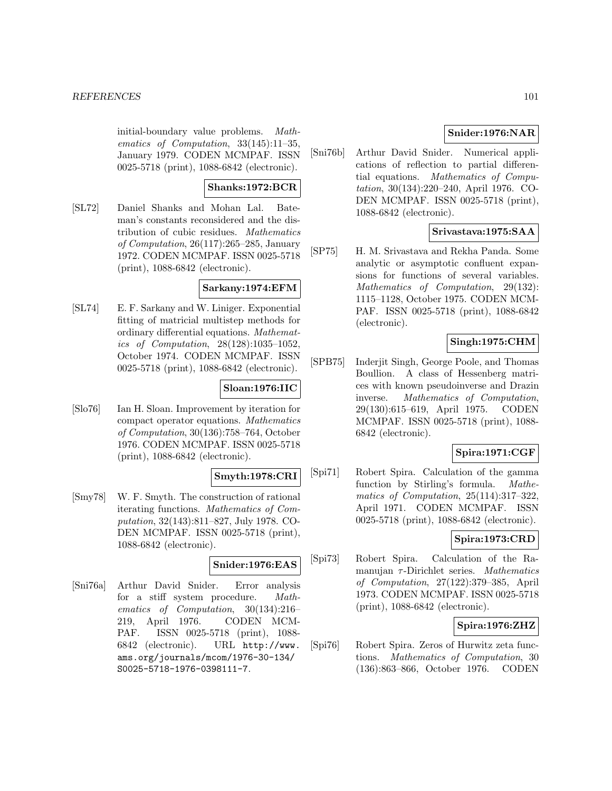initial-boundary value problems. Mathematics of Computation, 33(145):11–35, January 1979. CODEN MCMPAF. ISSN 0025-5718 (print), 1088-6842 (electronic).

# **Shanks:1972:BCR**

[SL72] Daniel Shanks and Mohan Lal. Bateman's constants reconsidered and the distribution of cubic residues. Mathematics of Computation, 26(117):265–285, January 1972. CODEN MCMPAF. ISSN 0025-5718 (print), 1088-6842 (electronic).

# **Sarkany:1974:EFM**

[SL74] E. F. Sarkany and W. Liniger. Exponential fitting of matricial multistep methods for ordinary differential equations. Mathematics of Computation, 28(128):1035–1052, October 1974. CODEN MCMPAF. ISSN 0025-5718 (print), 1088-6842 (electronic).

# **Sloan:1976:IIC**

[Slo76] Ian H. Sloan. Improvement by iteration for compact operator equations. Mathematics of Computation, 30(136):758–764, October 1976. CODEN MCMPAF. ISSN 0025-5718 (print), 1088-6842 (electronic).

# **Smyth:1978:CRI**

[Smy78] W. F. Smyth. The construction of rational iterating functions. Mathematics of Computation, 32(143):811–827, July 1978. CO-DEN MCMPAF. ISSN 0025-5718 (print), 1088-6842 (electronic).

# **Snider:1976:EAS**

[Sni76a] Arthur David Snider. Error analysis for a stiff system procedure. Mathematics of Computation, 30(134):216– 219, April 1976. CODEN MCM-PAF. ISSN 0025-5718 (print), 1088- 6842 (electronic). URL http://www. ams.org/journals/mcom/1976-30-134/ S0025-5718-1976-0398111-7.

# **Snider:1976:NAR**

[Sni76b] Arthur David Snider. Numerical applications of reflection to partial differential equations. Mathematics of Computation, 30(134):220–240, April 1976. CO-DEN MCMPAF. ISSN 0025-5718 (print), 1088-6842 (electronic).

# **Srivastava:1975:SAA**

[SP75] H. M. Srivastava and Rekha Panda. Some analytic or asymptotic confluent expansions for functions of several variables. Mathematics of Computation, 29(132): 1115–1128, October 1975. CODEN MCM-PAF. ISSN 0025-5718 (print), 1088-6842 (electronic).

# **Singh:1975:CHM**

[SPB75] Inderjit Singh, George Poole, and Thomas Boullion. A class of Hessenberg matrices with known pseudoinverse and Drazin inverse. Mathematics of Computation, 29(130):615–619, April 1975. CODEN MCMPAF. ISSN 0025-5718 (print), 1088- 6842 (electronic).

# **Spira:1971:CGF**

[Spi71] Robert Spira. Calculation of the gamma function by Stirling's formula. Mathematics of Computation, 25(114):317–322, April 1971. CODEN MCMPAF. ISSN 0025-5718 (print), 1088-6842 (electronic).

# **Spira:1973:CRD**

[Spi73] Robert Spira. Calculation of the Ramanujan  $\tau$ -Dirichlet series. *Mathematics* of Computation, 27(122):379–385, April 1973. CODEN MCMPAF. ISSN 0025-5718 (print), 1088-6842 (electronic).

# **Spira:1976:ZHZ**

[Spi76] Robert Spira. Zeros of Hurwitz zeta functions. Mathematics of Computation, 30 (136):863–866, October 1976. CODEN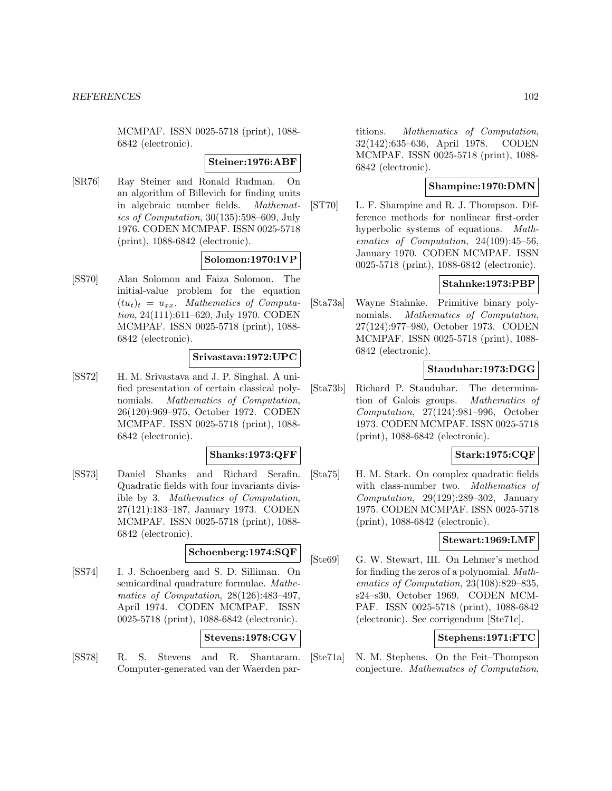MCMPAF. ISSN 0025-5718 (print), 1088- 6842 (electronic).

#### **Steiner:1976:ABF**

[SR76] Ray Steiner and Ronald Rudman. On an algorithm of Billevich for finding units in algebraic number fields. Mathematics of Computation, 30(135):598–609, July 1976. CODEN MCMPAF. ISSN 0025-5718 (print), 1088-6842 (electronic).

# **Solomon:1970:IVP**

[SS70] Alan Solomon and Faiza Solomon. The initial-value problem for the equation  $(tu_t)_t = u_{xx}$ . Mathematics of Computation, 24(111):611–620, July 1970. CODEN MCMPAF. ISSN 0025-5718 (print), 1088- 6842 (electronic).

# **Srivastava:1972:UPC**

[SS72] H. M. Srivastava and J. P. Singhal. A unified presentation of certain classical polynomials. Mathematics of Computation, 26(120):969–975, October 1972. CODEN MCMPAF. ISSN 0025-5718 (print), 1088- 6842 (electronic).

# **Shanks:1973:QFF**

[SS73] Daniel Shanks and Richard Serafin. Quadratic fields with four invariants divisible by 3. Mathematics of Computation, 27(121):183–187, January 1973. CODEN MCMPAF. ISSN 0025-5718 (print), 1088- 6842 (electronic).

# **Schoenberg:1974:SQF**

[SS74] I. J. Schoenberg and S. D. Silliman. On semicardinal quadrature formulae. Mathematics of Computation, 28(126):483–497, April 1974. CODEN MCMPAF. ISSN 0025-5718 (print), 1088-6842 (electronic).

# **Stevens:1978:CGV**

[SS78] R. S. Stevens and R. Shantaram. Computer-generated van der Waerden par-

titions. Mathematics of Computation, 32(142):635–636, April 1978. CODEN MCMPAF. ISSN 0025-5718 (print), 1088- 6842 (electronic).

# **Shampine:1970:DMN**

[ST70] L. F. Shampine and R. J. Thompson. Difference methods for nonlinear first-order hyperbolic systems of equations. Mathematics of Computation, 24(109):45–56, January 1970. CODEN MCMPAF. ISSN 0025-5718 (print), 1088-6842 (electronic).

# **Stahnke:1973:PBP**

[Sta73a] Wayne Stahnke. Primitive binary polynomials. Mathematics of Computation, 27(124):977–980, October 1973. CODEN MCMPAF. ISSN 0025-5718 (print), 1088- 6842 (electronic).

# **Stauduhar:1973:DGG**

[Sta73b] Richard P. Stauduhar. The determination of Galois groups. Mathematics of Computation, 27(124):981–996, October 1973. CODEN MCMPAF. ISSN 0025-5718 (print), 1088-6842 (electronic).

# **Stark:1975:CQF**

[Sta75] H. M. Stark. On complex quadratic fields with class-number two. Mathematics of  $Computation, 29(129):289-302, January$ 1975. CODEN MCMPAF. ISSN 0025-5718 (print), 1088-6842 (electronic).

# **Stewart:1969:LMF**

[Ste69] G. W. Stewart, III. On Lehmer's method for finding the zeros of a polynomial. Mathematics of Computation, 23(108):829–835, s24–s30, October 1969. CODEN MCM-PAF. ISSN 0025-5718 (print), 1088-6842 (electronic). See corrigendum [Ste71c].

# **Stephens:1971:FTC**

[Ste71a] N. M. Stephens. On the Feit–Thompson conjecture. Mathematics of Computation,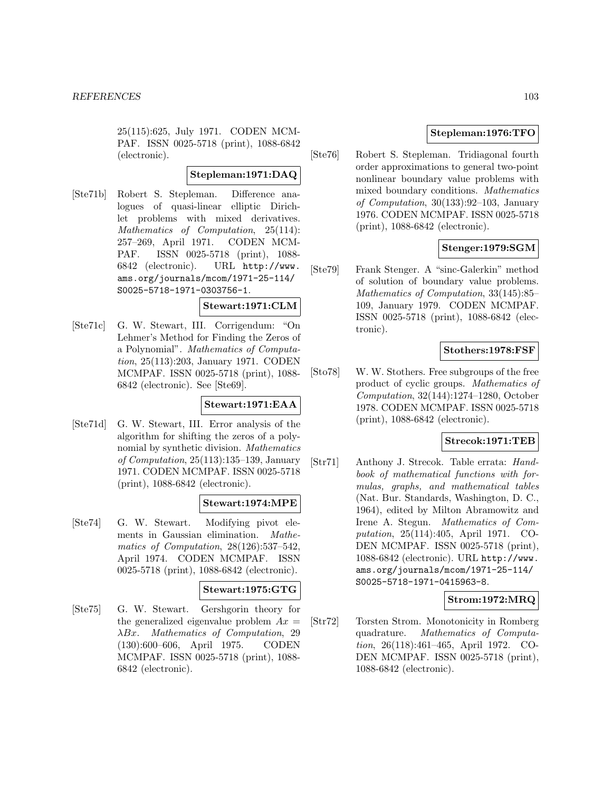25(115):625, July 1971. CODEN MCM-PAF. ISSN 0025-5718 (print), 1088-6842 (electronic).

# **Stepleman:1971:DAQ**

[Ste71b] Robert S. Stepleman. Difference analogues of quasi-linear elliptic Dirichlet problems with mixed derivatives. Mathematics of Computation, 25(114): 257–269, April 1971. CODEN MCM-PAF. ISSN 0025-5718 (print), 1088- 6842 (electronic). URL http://www. ams.org/journals/mcom/1971-25-114/ S0025-5718-1971-0303756-1.

### **Stewart:1971:CLM**

[Ste71c] G. W. Stewart, III. Corrigendum: "On Lehmer's Method for Finding the Zeros of a Polynomial". Mathematics of Computation, 25(113):203, January 1971. CODEN MCMPAF. ISSN 0025-5718 (print), 1088- 6842 (electronic). See [Ste69].

# **Stewart:1971:EAA**

[Ste71d] G. W. Stewart, III. Error analysis of the algorithm for shifting the zeros of a polynomial by synthetic division. Mathematics of Computation, 25(113):135–139, January 1971. CODEN MCMPAF. ISSN 0025-5718 (print), 1088-6842 (electronic).

# **Stewart:1974:MPE**

[Ste74] G. W. Stewart. Modifying pivot elements in Gaussian elimination. Mathematics of Computation, 28(126):537–542, April 1974. CODEN MCMPAF. ISSN 0025-5718 (print), 1088-6842 (electronic).

#### **Stewart:1975:GTG**

[Ste75] G. W. Stewart. Gershgorin theory for the generalized eigenvalue problem  $Ax =$ λBx. Mathematics of Computation, 29 (130):600–606, April 1975. CODEN MCMPAF. ISSN 0025-5718 (print), 1088- 6842 (electronic).

# **Stepleman:1976:TFO**

[Ste76] Robert S. Stepleman. Tridiagonal fourth order approximations to general two-point nonlinear boundary value problems with mixed boundary conditions. Mathematics of Computation, 30(133):92–103, January 1976. CODEN MCMPAF. ISSN 0025-5718 (print), 1088-6842 (electronic).

# **Stenger:1979:SGM**

[Ste79] Frank Stenger. A "sinc-Galerkin" method of solution of boundary value problems. Mathematics of Computation, 33(145):85– 109, January 1979. CODEN MCMPAF. ISSN 0025-5718 (print), 1088-6842 (electronic).

# **Stothers:1978:FSF**

[Sto78] W. W. Stothers. Free subgroups of the free product of cyclic groups. Mathematics of Computation, 32(144):1274–1280, October 1978. CODEN MCMPAF. ISSN 0025-5718 (print), 1088-6842 (electronic).

# **Strecok:1971:TEB**

[Str71] Anthony J. Strecok. Table errata: Handbook of mathematical functions with formulas, graphs, and mathematical tables (Nat. Bur. Standards, Washington, D. C., 1964), edited by Milton Abramowitz and Irene A. Stegun. Mathematics of Computation, 25(114):405, April 1971. CO-DEN MCMPAF. ISSN 0025-5718 (print), 1088-6842 (electronic). URL http://www. ams.org/journals/mcom/1971-25-114/ S0025-5718-1971-0415963-8.

# **Strom:1972:MRQ**

[Str72] Torsten Strom. Monotonicity in Romberg quadrature. Mathematics of Computation, 26(118):461–465, April 1972. CO-DEN MCMPAF. ISSN 0025-5718 (print), 1088-6842 (electronic).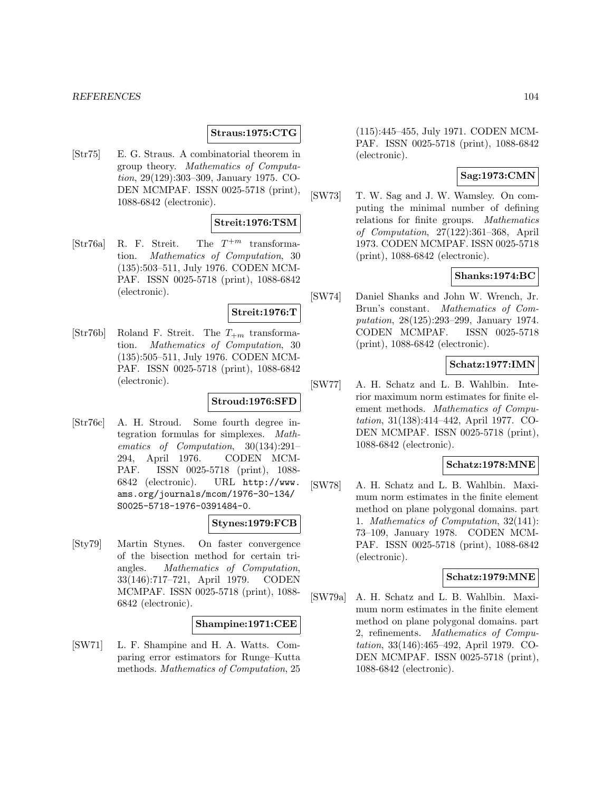### **Straus:1975:CTG**

[Str75] E. G. Straus. A combinatorial theorem in group theory. Mathematics of Computation, 29(129):303–309, January 1975. CO-DEN MCMPAF. ISSN 0025-5718 (print), 1088-6842 (electronic).

# **Streit:1976:TSM**

[Str76a] R. F. Streit. The  $T^{+m}$  transformation. Mathematics of Computation, 30 (135):503–511, July 1976. CODEN MCM-PAF. ISSN 0025-5718 (print), 1088-6842 (electronic).

# **Streit:1976:T**

[Str76b] Roland F. Streit. The  $T_{+m}$  transformation. Mathematics of Computation, 30 (135):505–511, July 1976. CODEN MCM-PAF. ISSN 0025-5718 (print), 1088-6842 (electronic).

# **Stroud:1976:SFD**

[Str76c] A. H. Stroud. Some fourth degree integration formulas for simplexes. Mathematics of Computation, 30(134):291– 294, April 1976. CODEN MCM-PAF. ISSN 0025-5718 (print), 1088- 6842 (electronic). URL http://www. ams.org/journals/mcom/1976-30-134/ S0025-5718-1976-0391484-0.

# **Stynes:1979:FCB**

[Sty79] Martin Stynes. On faster convergence of the bisection method for certain triangles. Mathematics of Computation, 33(146):717–721, April 1979. CODEN MCMPAF. ISSN 0025-5718 (print), 1088- 6842 (electronic).

# **Shampine:1971:CEE**

[SW71] L. F. Shampine and H. A. Watts. Comparing error estimators for Runge–Kutta methods. Mathematics of Computation, 25

(115):445–455, July 1971. CODEN MCM-PAF. ISSN 0025-5718 (print), 1088-6842 (electronic).

# **Sag:1973:CMN**

[SW73] T. W. Sag and J. W. Wamsley. On computing the minimal number of defining relations for finite groups. Mathematics of Computation, 27(122):361–368, April 1973. CODEN MCMPAF. ISSN 0025-5718 (print), 1088-6842 (electronic).

# **Shanks:1974:BC**

[SW74] Daniel Shanks and John W. Wrench, Jr. Brun's constant. Mathematics of Computation, 28(125):293–299, January 1974. CODEN MCMPAF. ISSN 0025-5718 (print), 1088-6842 (electronic).

# **Schatz:1977:IMN**

[SW77] A. H. Schatz and L. B. Wahlbin. Interior maximum norm estimates for finite element methods. Mathematics of Computation, 31(138):414–442, April 1977. CO-DEN MCMPAF. ISSN 0025-5718 (print), 1088-6842 (electronic).

# **Schatz:1978:MNE**

[SW78] A. H. Schatz and L. B. Wahlbin. Maximum norm estimates in the finite element method on plane polygonal domains. part 1. Mathematics of Computation, 32(141): 73–109, January 1978. CODEN MCM-PAF. ISSN 0025-5718 (print), 1088-6842 (electronic).

# **Schatz:1979:MNE**

[SW79a] A. H. Schatz and L. B. Wahlbin. Maximum norm estimates in the finite element method on plane polygonal domains. part 2, refinements. Mathematics of Computation, 33(146):465–492, April 1979. CO-DEN MCMPAF. ISSN 0025-5718 (print), 1088-6842 (electronic).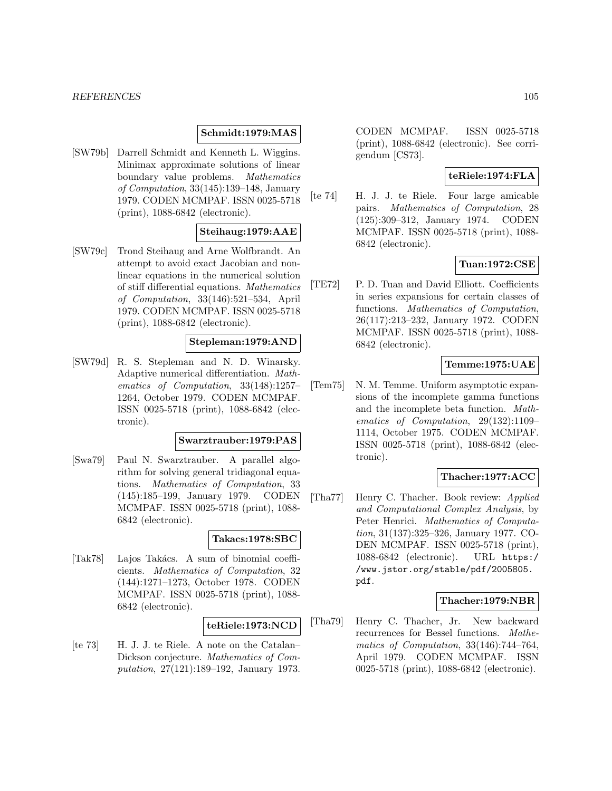# **Schmidt:1979:MAS**

[SW79b] Darrell Schmidt and Kenneth L. Wiggins. Minimax approximate solutions of linear boundary value problems. Mathematics of Computation, 33(145):139–148, January 1979. CODEN MCMPAF. ISSN 0025-5718 (print), 1088-6842 (electronic).

# **Steihaug:1979:AAE**

[SW79c] Trond Steihaug and Arne Wolfbrandt. An attempt to avoid exact Jacobian and nonlinear equations in the numerical solution of stiff differential equations. Mathematics of Computation, 33(146):521–534, April 1979. CODEN MCMPAF. ISSN 0025-5718 (print), 1088-6842 (electronic).

# **Stepleman:1979:AND**

[SW79d] R. S. Stepleman and N. D. Winarsky. Adaptive numerical differentiation. Mathematics of Computation, 33(148):1257– 1264, October 1979. CODEN MCMPAF. ISSN 0025-5718 (print), 1088-6842 (electronic).

#### **Swarztrauber:1979:PAS**

[Swa79] Paul N. Swarztrauber. A parallel algorithm for solving general tridiagonal equations. Mathematics of Computation, 33 (145):185–199, January 1979. CODEN MCMPAF. ISSN 0025-5718 (print), 1088- 6842 (electronic).

# **Takacs:1978:SBC**

[Tak78] Lajos Takács. A sum of binomial coefficients. Mathematics of Computation, 32 (144):1271–1273, October 1978. CODEN MCMPAF. ISSN 0025-5718 (print), 1088- 6842 (electronic).

### **teRiele:1973:NCD**

[te 73] H. J. J. te Riele. A note on the Catalan– Dickson conjecture. Mathematics of Computation, 27(121):189–192, January 1973.

CODEN MCMPAF. ISSN 0025-5718 (print), 1088-6842 (electronic). See corrigendum [CS73].

### **teRiele:1974:FLA**

[te 74] H. J. J. te Riele. Four large amicable pairs. Mathematics of Computation, 28 (125):309–312, January 1974. CODEN MCMPAF. ISSN 0025-5718 (print), 1088- 6842 (electronic).

# **Tuan:1972:CSE**

[TE72] P. D. Tuan and David Elliott. Coefficients in series expansions for certain classes of functions. Mathematics of Computation, 26(117):213–232, January 1972. CODEN MCMPAF. ISSN 0025-5718 (print), 1088- 6842 (electronic).

# **Temme:1975:UAE**

[Tem75] N. M. Temme. Uniform asymptotic expansions of the incomplete gamma functions and the incomplete beta function. Mathematics of Computation, 29(132):1109– 1114, October 1975. CODEN MCMPAF. ISSN 0025-5718 (print), 1088-6842 (electronic).

# **Thacher:1977:ACC**

[Tha77] Henry C. Thacher. Book review: Applied and Computational Complex Analysis, by Peter Henrici. Mathematics of Computation, 31(137):325–326, January 1977. CO-DEN MCMPAF. ISSN 0025-5718 (print), 1088-6842 (electronic). URL https:/ /www.jstor.org/stable/pdf/2005805. pdf.

#### **Thacher:1979:NBR**

[Tha79] Henry C. Thacher, Jr. New backward recurrences for Bessel functions. Mathematics of Computation, 33(146):744–764, April 1979. CODEN MCMPAF. ISSN 0025-5718 (print), 1088-6842 (electronic).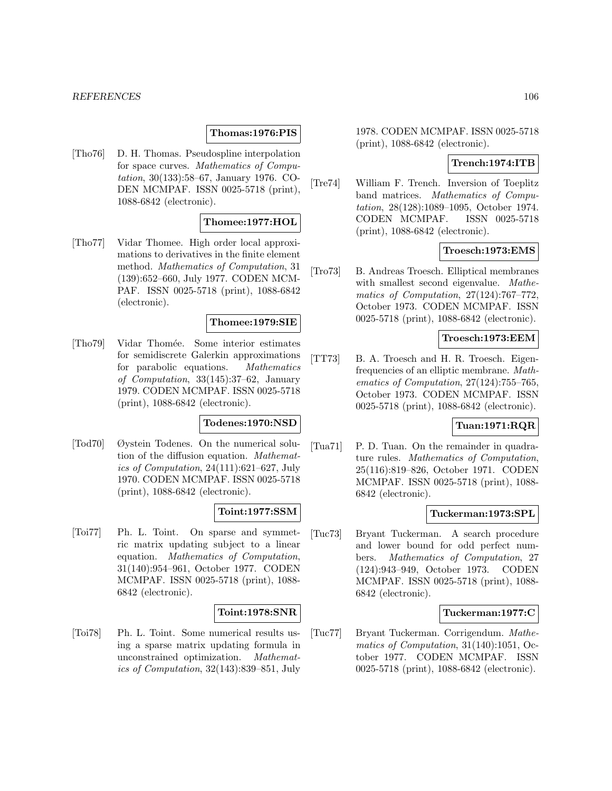#### **Thomas:1976:PIS**

[Tho76] D. H. Thomas. Pseudospline interpolation for space curves. Mathematics of Computation, 30(133):58–67, January 1976. CO-DEN MCMPAF. ISSN 0025-5718 (print), 1088-6842 (electronic).

# **Thomee:1977:HOL**

[Tho77] Vidar Thomee. High order local approximations to derivatives in the finite element method. Mathematics of Computation, 31 (139):652–660, July 1977. CODEN MCM-PAF. ISSN 0025-5718 (print), 1088-6842 (electronic).

#### **Thomee:1979:SIE**

[Tho79] Vidar Thom´ee. Some interior estimates for semidiscrete Galerkin approximations for parabolic equations. Mathematics of Computation, 33(145):37–62, January 1979. CODEN MCMPAF. ISSN 0025-5718 (print), 1088-6842 (electronic).

#### **Todenes:1970:NSD**

[Tod70] Øystein Todenes. On the numerical solution of the diffusion equation. Mathematics of Computation, 24(111):621–627, July 1970. CODEN MCMPAF. ISSN 0025-5718 (print), 1088-6842 (electronic).

# **Toint:1977:SSM**

[Toi77] Ph. L. Toint. On sparse and symmetric matrix updating subject to a linear equation. Mathematics of Computation, 31(140):954–961, October 1977. CODEN MCMPAF. ISSN 0025-5718 (print), 1088- 6842 (electronic).

# **Toint:1978:SNR**

[Toi78] Ph. L. Toint. Some numerical results using a sparse matrix updating formula in unconstrained optimization. Mathematics of Computation, 32(143):839–851, July 1978. CODEN MCMPAF. ISSN 0025-5718 (print), 1088-6842 (electronic).

# **Trench:1974:ITB**

[Tre74] William F. Trench. Inversion of Toeplitz band matrices. Mathematics of Computation, 28(128):1089–1095, October 1974. CODEN MCMPAF. ISSN 0025-5718 (print), 1088-6842 (electronic).

### **Troesch:1973:EMS**

[Tro73] B. Andreas Troesch. Elliptical membranes with smallest second eigenvalue. Mathematics of Computation, 27(124):767–772, October 1973. CODEN MCMPAF. ISSN 0025-5718 (print), 1088-6842 (electronic).

### **Troesch:1973:EEM**

[TT73] B. A. Troesch and H. R. Troesch. Eigenfrequencies of an elliptic membrane. Mathematics of Computation, 27(124):755–765, October 1973. CODEN MCMPAF. ISSN 0025-5718 (print), 1088-6842 (electronic).

# **Tuan:1971:RQR**

[Tua71] P. D. Tuan. On the remainder in quadrature rules. Mathematics of Computation, 25(116):819–826, October 1971. CODEN MCMPAF. ISSN 0025-5718 (print), 1088- 6842 (electronic).

#### **Tuckerman:1973:SPL**

[Tuc73] Bryant Tuckerman. A search procedure and lower bound for odd perfect numbers. Mathematics of Computation, 27 (124):943–949, October 1973. CODEN MCMPAF. ISSN 0025-5718 (print), 1088- 6842 (electronic).

### **Tuckerman:1977:C**

[Tuc77] Bryant Tuckerman. Corrigendum. Mathematics of Computation, 31(140):1051, October 1977. CODEN MCMPAF. ISSN 0025-5718 (print), 1088-6842 (electronic).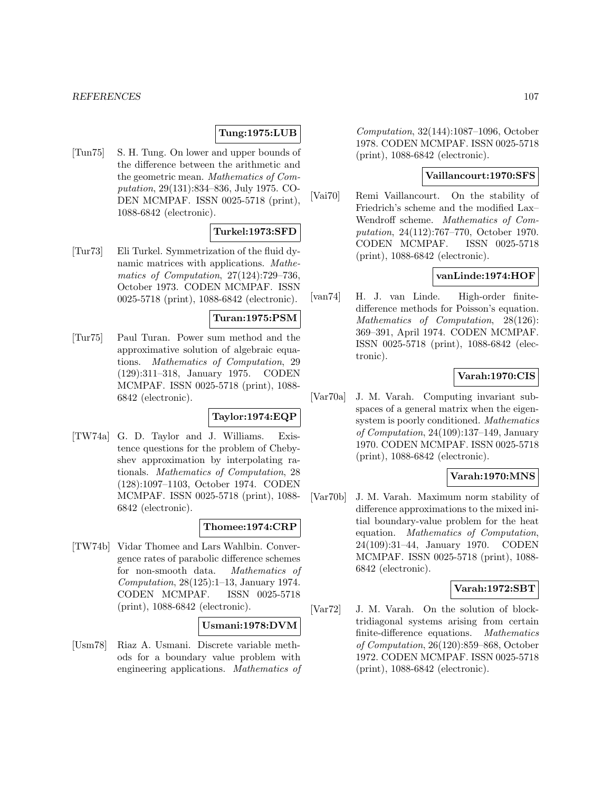### **Tung:1975:LUB**

[Tun75] S. H. Tung. On lower and upper bounds of the difference between the arithmetic and the geometric mean. Mathematics of Computation, 29(131):834–836, July 1975. CO-DEN MCMPAF. ISSN 0025-5718 (print), 1088-6842 (electronic).

### **Turkel:1973:SFD**

[Tur73] Eli Turkel. Symmetrization of the fluid dynamic matrices with applications. Mathematics of Computation, 27(124):729–736, October 1973. CODEN MCMPAF. ISSN 0025-5718 (print), 1088-6842 (electronic).

### **Turan:1975:PSM**

[Tur75] Paul Turan. Power sum method and the approximative solution of algebraic equations. Mathematics of Computation, 29 (129):311–318, January 1975. CODEN MCMPAF. ISSN 0025-5718 (print), 1088- 6842 (electronic).

# **Taylor:1974:EQP**

[TW74a] G. D. Taylor and J. Williams. Existence questions for the problem of Chebyshev approximation by interpolating rationals. Mathematics of Computation, 28 (128):1097–1103, October 1974. CODEN MCMPAF. ISSN 0025-5718 (print), 1088- 6842 (electronic).

#### **Thomee:1974:CRP**

[TW74b] Vidar Thomee and Lars Wahlbin. Convergence rates of parabolic difference schemes for non-smooth data. Mathematics of Computation, 28(125):1–13, January 1974. CODEN MCMPAF. ISSN 0025-5718 (print), 1088-6842 (electronic).

# **Usmani:1978:DVM**

[Usm78] Riaz A. Usmani. Discrete variable methods for a boundary value problem with engineering applications. Mathematics of

Computation, 32(144):1087–1096, October 1978. CODEN MCMPAF. ISSN 0025-5718 (print), 1088-6842 (electronic).

# **Vaillancourt:1970:SFS**

[Vai70] Remi Vaillancourt. On the stability of Friedrich's scheme and the modified Lax– Wendroff scheme. Mathematics of Computation, 24(112):767–770, October 1970. CODEN MCMPAF. ISSN 0025-5718 (print), 1088-6842 (electronic).

### **vanLinde:1974:HOF**

[van74] H. J. van Linde. High-order finitedifference methods for Poisson's equation. Mathematics of Computation, 28(126): 369–391, April 1974. CODEN MCMPAF. ISSN 0025-5718 (print), 1088-6842 (electronic).

# **Varah:1970:CIS**

[Var70a] J. M. Varah. Computing invariant subspaces of a general matrix when the eigensystem is poorly conditioned. Mathematics of Computation, 24(109):137–149, January 1970. CODEN MCMPAF. ISSN 0025-5718 (print), 1088-6842 (electronic).

# **Varah:1970:MNS**

[Var70b] J. M. Varah. Maximum norm stability of difference approximations to the mixed initial boundary-value problem for the heat equation. Mathematics of Computation, 24(109):31–44, January 1970. CODEN MCMPAF. ISSN 0025-5718 (print), 1088- 6842 (electronic).

### **Varah:1972:SBT**

[Var72] J. M. Varah. On the solution of blocktridiagonal systems arising from certain finite-difference equations. Mathematics of Computation, 26(120):859–868, October 1972. CODEN MCMPAF. ISSN 0025-5718 (print), 1088-6842 (electronic).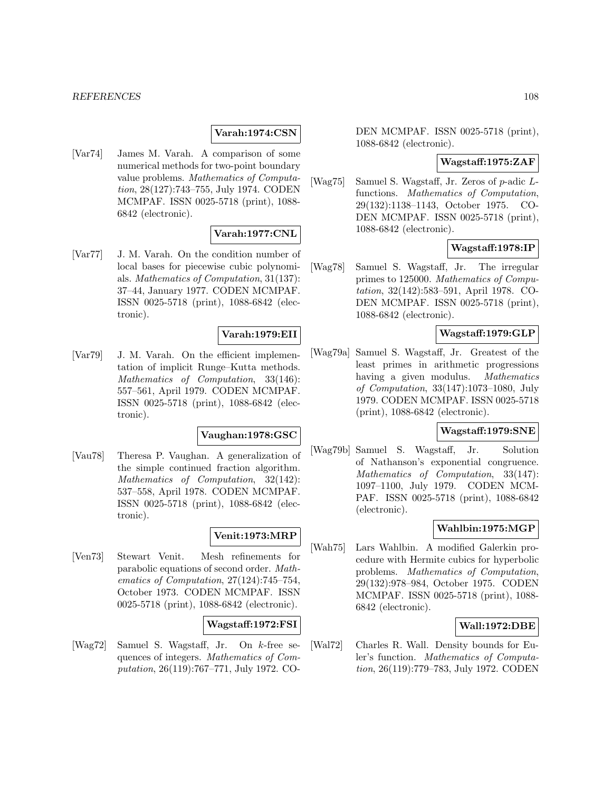#### *REFERENCES* 108

# **Varah:1974:CSN**

[Var74] James M. Varah. A comparison of some numerical methods for two-point boundary value problems. Mathematics of Computation, 28(127):743–755, July 1974. CODEN MCMPAF. ISSN 0025-5718 (print), 1088- 6842 (electronic).

# **Varah:1977:CNL**

[Var77] J. M. Varah. On the condition number of local bases for piecewise cubic polynomials. Mathematics of Computation, 31(137): 37–44, January 1977. CODEN MCMPAF. ISSN 0025-5718 (print), 1088-6842 (electronic).

### **Varah:1979:EII**

[Var79] J. M. Varah. On the efficient implementation of implicit Runge–Kutta methods. Mathematics of Computation, 33(146): 557–561, April 1979. CODEN MCMPAF. ISSN 0025-5718 (print), 1088-6842 (electronic).

#### **Vaughan:1978:GSC**

[Vau78] Theresa P. Vaughan. A generalization of the simple continued fraction algorithm. Mathematics of Computation, 32(142): 537–558, April 1978. CODEN MCMPAF. ISSN 0025-5718 (print), 1088-6842 (electronic).

# **Venit:1973:MRP**

[Ven73] Stewart Venit. Mesh refinements for parabolic equations of second order. Mathematics of Computation, 27(124):745–754, October 1973. CODEN MCMPAF. ISSN 0025-5718 (print), 1088-6842 (electronic).

### **Wagstaff:1972:FSI**

[Wag72] Samuel S. Wagstaff, Jr. On k-free sequences of integers. Mathematics of Computation, 26(119):767–771, July 1972. CO- DEN MCMPAF. ISSN 0025-5718 (print), 1088-6842 (electronic).

### **Wagstaff:1975:ZAF**

[Wag75] Samuel S. Wagstaff, Jr. Zeros of p-adic Lfunctions. Mathematics of Computation, 29(132):1138–1143, October 1975. CO-DEN MCMPAF. ISSN 0025-5718 (print), 1088-6842 (electronic).

# **Wagstaff:1978:IP**

[Wag78] Samuel S. Wagstaff, Jr. The irregular primes to 125000. Mathematics of Computation, 32(142):583–591, April 1978. CO-DEN MCMPAF. ISSN 0025-5718 (print), 1088-6842 (electronic).

# **Wagstaff:1979:GLP**

[Wag79a] Samuel S. Wagstaff, Jr. Greatest of the least primes in arithmetic progressions having a given modulus. *Mathematics* of Computation, 33(147):1073–1080, July 1979. CODEN MCMPAF. ISSN 0025-5718 (print), 1088-6842 (electronic).

#### **Wagstaff:1979:SNE**

[Wag79b] Samuel S. Wagstaff, Jr. Solution of Nathanson's exponential congruence. Mathematics of Computation, 33(147): 1097–1100, July 1979. CODEN MCM-PAF. ISSN 0025-5718 (print), 1088-6842 (electronic).

### **Wahlbin:1975:MGP**

[Wah75] Lars Wahlbin. A modified Galerkin procedure with Hermite cubics for hyperbolic problems. Mathematics of Computation, 29(132):978–984, October 1975. CODEN MCMPAF. ISSN 0025-5718 (print), 1088- 6842 (electronic).

# **Wall:1972:DBE**

[Wal72] Charles R. Wall. Density bounds for Euler's function. Mathematics of Computation, 26(119):779–783, July 1972. CODEN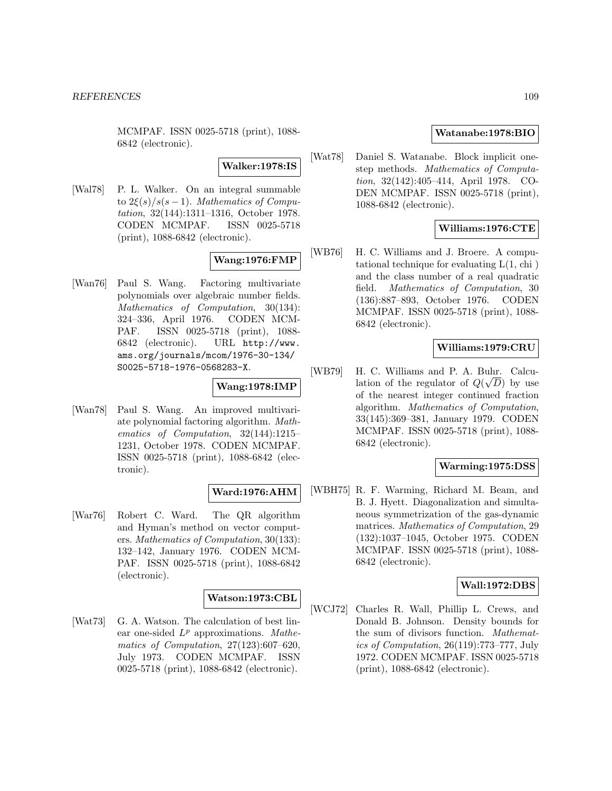MCMPAF. ISSN 0025-5718 (print), 1088- 6842 (electronic).

**Walker:1978:IS**

[Wal78] P. L. Walker. On an integral summable to  $2\xi(s)/s(s-1)$ . Mathematics of Computation, 32(144):1311–1316, October 1978. CODEN MCMPAF. ISSN 0025-5718 (print), 1088-6842 (electronic).

# **Wang:1976:FMP**

[Wan76] Paul S. Wang. Factoring multivariate polynomials over algebraic number fields. Mathematics of Computation, 30(134): 324–336, April 1976. CODEN MCM-PAF. ISSN 0025-5718 (print), 1088- 6842 (electronic). URL http://www. ams.org/journals/mcom/1976-30-134/ S0025-5718-1976-0568283-X.

## **Wang:1978:IMP**

[Wan78] Paul S. Wang. An improved multivariate polynomial factoring algorithm. Mathematics of Computation, 32(144):1215– 1231, October 1978. CODEN MCMPAF. ISSN 0025-5718 (print), 1088-6842 (electronic).

### **Ward:1976:AHM**

[War76] Robert C. Ward. The QR algorithm and Hyman's method on vector computers. Mathematics of Computation, 30(133): 132–142, January 1976. CODEN MCM-PAF. ISSN 0025-5718 (print), 1088-6842 (electronic).

#### **Watson:1973:CBL**

[Wat73] G. A. Watson. The calculation of best linear one-sided  $L^p$  approximations. Mathematics of Computation, 27(123):607–620, July 1973. CODEN MCMPAF. ISSN 0025-5718 (print), 1088-6842 (electronic).

#### **Watanabe:1978:BIO**

[Wat78] Daniel S. Watanabe. Block implicit onestep methods. Mathematics of Computation, 32(142):405–414, April 1978. CO-DEN MCMPAF. ISSN 0025-5718 (print), 1088-6842 (electronic).

#### **Williams:1976:CTE**

[WB76] H. C. Williams and J. Broere. A computational technique for evaluating  $L(1, chi)$ and the class number of a real quadratic field. Mathematics of Computation, 30 (136):887–893, October 1976. CODEN MCMPAF. ISSN 0025-5718 (print), 1088- 6842 (electronic).

#### **Williams:1979:CRU**

[WB79] H. C. Williams and P. A. Buhr. Calcu-Let in the regulator of  $Q(\sqrt{D})$  by use of the nearest integer continued fraction algorithm. Mathematics of Computation, 33(145):369–381, January 1979. CODEN MCMPAF. ISSN 0025-5718 (print), 1088- 6842 (electronic).

### **Warming:1975:DSS**

[WBH75] R. F. Warming, Richard M. Beam, and B. J. Hyett. Diagonalization and simultaneous symmetrization of the gas-dynamic matrices. Mathematics of Computation, 29 (132):1037–1045, October 1975. CODEN MCMPAF. ISSN 0025-5718 (print), 1088- 6842 (electronic).

#### **Wall:1972:DBS**

[WCJ72] Charles R. Wall, Phillip L. Crews, and Donald B. Johnson. Density bounds for the sum of divisors function. Mathematics of Computation, 26(119):773–777, July 1972. CODEN MCMPAF. ISSN 0025-5718 (print), 1088-6842 (electronic).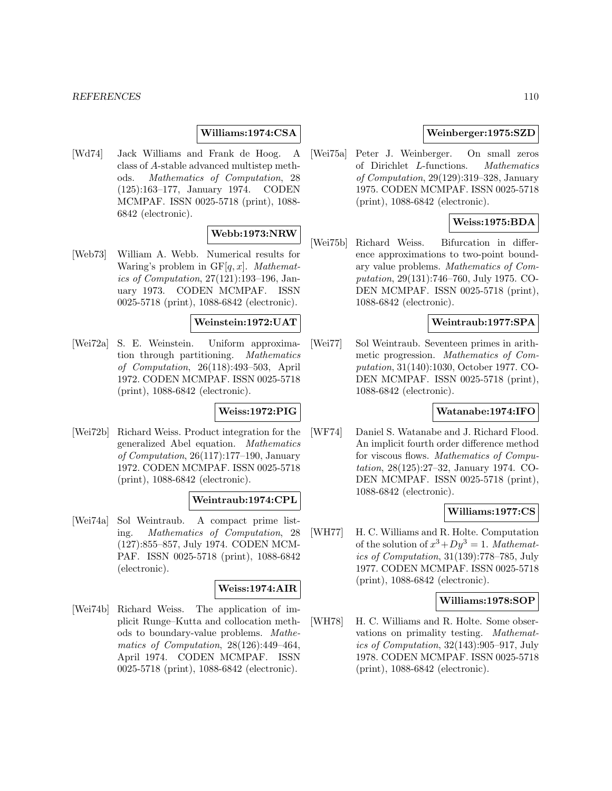#### *REFERENCES* 110

### **Williams:1974:CSA**

[Wd74] Jack Williams and Frank de Hoog. A class of A-stable advanced multistep methods. Mathematics of Computation, 28 (125):163–177, January 1974. CODEN MCMPAF. ISSN 0025-5718 (print), 1088- 6842 (electronic).

# **Webb:1973:NRW**

[Web73] William A. Webb. Numerical results for Waring's problem in  $GF[q, x]$ . Mathematics of Computation, 27(121):193–196, January 1973. CODEN MCMPAF. ISSN 0025-5718 (print), 1088-6842 (electronic).

#### **Weinstein:1972:UAT**

[Wei72a] S. E. Weinstein. Uniform approximation through partitioning. Mathematics of Computation, 26(118):493–503, April 1972. CODEN MCMPAF. ISSN 0025-5718 (print), 1088-6842 (electronic).

# **Weiss:1972:PIG**

[Wei72b] Richard Weiss. Product integration for the generalized Abel equation. Mathematics of Computation, 26(117):177–190, January 1972. CODEN MCMPAF. ISSN 0025-5718 (print), 1088-6842 (electronic).

# **Weintraub:1974:CPL**

[Wei74a] Sol Weintraub. A compact prime listing. Mathematics of Computation, 28 (127):855–857, July 1974. CODEN MCM-PAF. ISSN 0025-5718 (print), 1088-6842 (electronic).

### **Weiss:1974:AIR**

[Wei74b] Richard Weiss. The application of implicit Runge–Kutta and collocation methods to boundary-value problems. Mathematics of Computation, 28(126):449–464, April 1974. CODEN MCMPAF. ISSN 0025-5718 (print), 1088-6842 (electronic).

## **Weinberger:1975:SZD**

[Wei75a] Peter J. Weinberger. On small zeros of Dirichlet L-functions. Mathematics of Computation, 29(129):319–328, January 1975. CODEN MCMPAF. ISSN 0025-5718 (print), 1088-6842 (electronic).

# **Weiss:1975:BDA**

[Wei75b] Richard Weiss. Bifurcation in difference approximations to two-point boundary value problems. Mathematics of Computation, 29(131):746–760, July 1975. CO-DEN MCMPAF. ISSN 0025-5718 (print), 1088-6842 (electronic).

### **Weintraub:1977:SPA**

[Wei77] Sol Weintraub. Seventeen primes in arithmetic progression. Mathematics of Computation, 31(140):1030, October 1977. CO-DEN MCMPAF. ISSN 0025-5718 (print), 1088-6842 (electronic).

### **Watanabe:1974:IFO**

[WF74] Daniel S. Watanabe and J. Richard Flood. An implicit fourth order difference method for viscous flows. Mathematics of Computation, 28(125):27–32, January 1974. CO-DEN MCMPAF. ISSN 0025-5718 (print), 1088-6842 (electronic).

### **Williams:1977:CS**

[WH77] H. C. Williams and R. Holte. Computation of the solution of  $x^3 + Dy^3 = 1$ . Mathematics of Computation, 31(139):778–785, July 1977. CODEN MCMPAF. ISSN 0025-5718 (print), 1088-6842 (electronic).

# **Williams:1978:SOP**

[WH78] H. C. Williams and R. Holte. Some observations on primality testing. Mathematics of Computation, 32(143):905–917, July 1978. CODEN MCMPAF. ISSN 0025-5718 (print), 1088-6842 (electronic).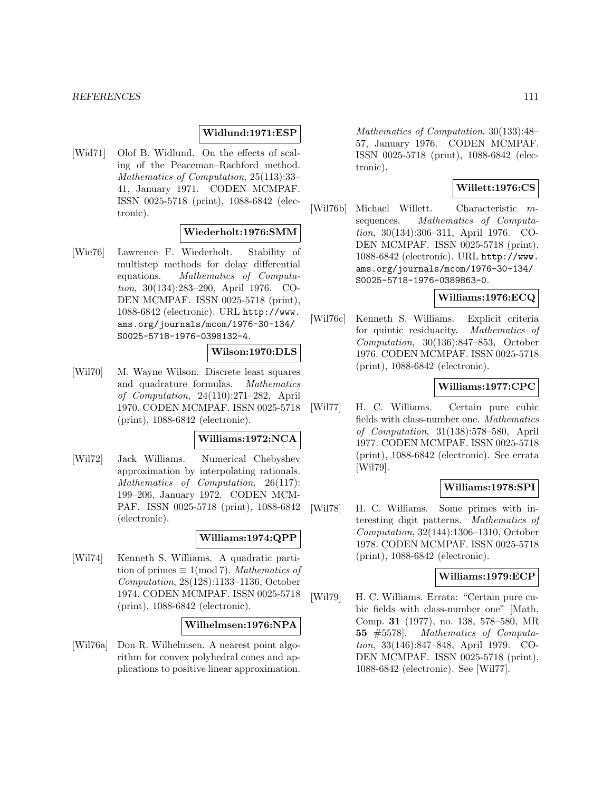#### *REFERENCES* 111

#### **Widlund:1971:ESP**

[Wid71] Olof B. Widlund. On the effects of scaling of the Peaceman–Rachford method. Mathematics of Computation, 25(113):33– 41, January 1971. CODEN MCMPAF. ISSN 0025-5718 (print), 1088-6842 (electronic).

# **Wiederholt:1976:SMM**

[Wie76] Lawrence F. Wiederholt. Stability of multistep methods for delay differential equations. Mathematics of Computation, 30(134):283–290, April 1976. CO-DEN MCMPAF. ISSN 0025-5718 (print), 1088-6842 (electronic). URL http://www. ams.org/journals/mcom/1976-30-134/ S0025-5718-1976-0398132-4.

#### **Wilson:1970:DLS**

[Wil70] M. Wayne Wilson. Discrete least squares and quadrature formulas. Mathematics of Computation, 24(110):271–282, April 1970. CODEN MCMPAF. ISSN 0025-5718 (print), 1088-6842 (electronic).

#### **Williams:1972:NCA**

[Wil72] Jack Williams. Numerical Chebyshev approximation by interpolating rationals. Mathematics of Computation, 26(117): 199–206, January 1972. CODEN MCM-PAF. ISSN 0025-5718 (print), 1088-6842 (electronic).

### **Williams:1974:QPP**

[Wil74] Kenneth S. Williams. A quadratic partition of primes  $\equiv 1 \pmod{7}$ . Mathematics of Computation, 28(128):1133–1136, October 1974. CODEN MCMPAF. ISSN 0025-5718 (print), 1088-6842 (electronic).

### **Wilhelmsen:1976:NPA**

[Wil76a] Don R. Wilhelmsen. A nearest point algorithm for convex polyhedral cones and applications to positive linear approximation.

Mathematics of Computation, 30(133):48– 57, January 1976. CODEN MCMPAF. ISSN 0025-5718 (print), 1088-6842 (electronic).

### **Willett:1976:CS**

[Wil76b] Michael Willett. Characteristic msequences. Mathematics of Computation, 30(134):306–311, April 1976. CO-DEN MCMPAF. ISSN 0025-5718 (print), 1088-6842 (electronic). URL http://www. ams.org/journals/mcom/1976-30-134/ S0025-5718-1976-0389863-0.

### **Williams:1976:ECQ**

[Wil76c] Kenneth S. Williams. Explicit criteria for quintic residuacity. Mathematics of Computation, 30(136):847–853, October 1976. CODEN MCMPAF. ISSN 0025-5718 (print), 1088-6842 (electronic).

### **Williams:1977:CPC**

[Wil77] H. C. Williams. Certain pure cubic fields with class-number one. Mathematics of Computation, 31(138):578–580, April 1977. CODEN MCMPAF. ISSN 0025-5718 (print), 1088-6842 (electronic). See errata [Wil79].

### **Williams:1978:SPI**

[Wil78] H. C. Williams. Some primes with interesting digit patterns. Mathematics of Computation, 32(144):1306–1310, October 1978. CODEN MCMPAF. ISSN 0025-5718 (print), 1088-6842 (electronic).

### **Williams:1979:ECP**

[Wil79] H. C. Williams. Errata: "Certain pure cubic fields with class-number one" [Math. Comp. **31** (1977), no. 138, 578–580, MR **55** #5578]. Mathematics of Computation, 33(146):847–848, April 1979. CO-DEN MCMPAF. ISSN 0025-5718 (print), 1088-6842 (electronic). See [Wil77].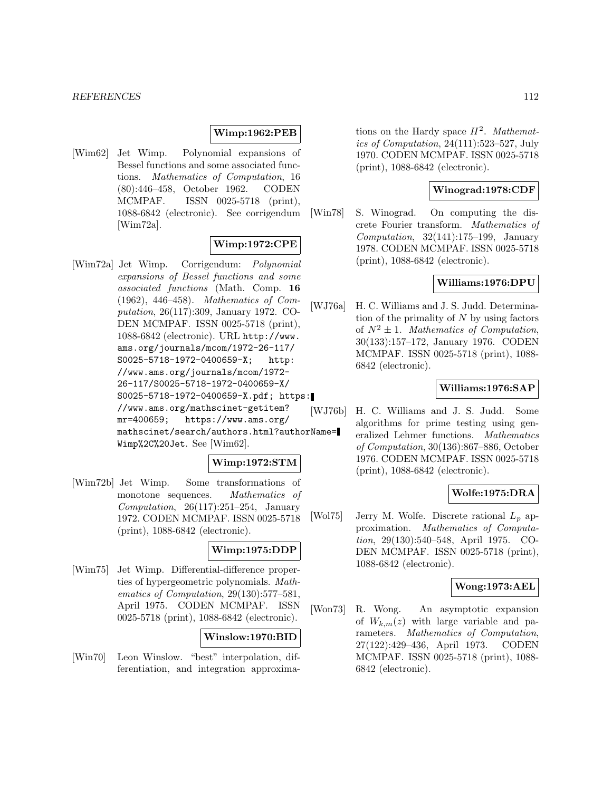### **Wimp:1962:PEB**

[Wim62] Jet Wimp. Polynomial expansions of Bessel functions and some associated functions. Mathematics of Computation, 16 (80):446–458, October 1962. CODEN MCMPAF. ISSN 0025-5718 (print), 1088-6842 (electronic). See corrigendum [Wim72a].

# **Wimp:1972:CPE**

[Wim72a] Jet Wimp. Corrigendum: Polynomial expansions of Bessel functions and some associated functions (Math. Comp. **16** (1962), 446–458). Mathematics of Computation, 26(117):309, January 1972. CO-DEN MCMPAF. ISSN 0025-5718 (print), 1088-6842 (electronic). URL http://www. ams.org/journals/mcom/1972-26-117/ S0025-5718-1972-0400659-X; http: //www.ams.org/journals/mcom/1972- 26-117/S0025-5718-1972-0400659-X/ S0025-5718-1972-0400659-X.pdf; https: //www.ams.org/mathscinet-getitem? mr=400659; https://www.ams.org/ mathscinet/search/authors.html?authorName= Wimp%2C%20Jet. See [Wim62].

### **Wimp:1972:STM**

[Wim72b] Jet Wimp. Some transformations of monotone sequences. Mathematics of Computation,  $26(117):251-254$ , January 1972. CODEN MCMPAF. ISSN 0025-5718 (print), 1088-6842 (electronic).

### **Wimp:1975:DDP**

[Wim75] Jet Wimp. Differential-difference properties of hypergeometric polynomials. Mathematics of Computation, 29(130):577–581, April 1975. CODEN MCMPAF. ISSN 0025-5718 (print), 1088-6842 (electronic).

### **Winslow:1970:BID**

[Win70] Leon Winslow. "best" interpolation, differentiation, and integration approximations on the Hardy space  $H^2$ . Mathematics of Computation, 24(111):523–527, July 1970. CODEN MCMPAF. ISSN 0025-5718 (print), 1088-6842 (electronic).

### **Winograd:1978:CDF**

[Win78] S. Winograd. On computing the discrete Fourier transform. Mathematics of Computation, 32(141):175–199, January 1978. CODEN MCMPAF. ISSN 0025-5718 (print), 1088-6842 (electronic).

### **Williams:1976:DPU**

[WJ76a] H. C. Williams and J. S. Judd. Determination of the primality of  $N$  by using factors of  $N^2 \pm 1$ . Mathematics of Computation, 30(133):157–172, January 1976. CODEN MCMPAF. ISSN 0025-5718 (print), 1088- 6842 (electronic).

### **Williams:1976:SAP**

[WJ76b] H. C. Williams and J. S. Judd. Some algorithms for prime testing using generalized Lehmer functions. Mathematics of Computation, 30(136):867–886, October 1976. CODEN MCMPAF. ISSN 0025-5718 (print), 1088-6842 (electronic).

### **Wolfe:1975:DRA**

[Wol75] Jerry M. Wolfe. Discrete rational  $L_p$  approximation. Mathematics of Computation, 29(130):540–548, April 1975. CO-DEN MCMPAF. ISSN 0025-5718 (print), 1088-6842 (electronic).

### **Wong:1973:AEL**

[Won73] R. Wong. An asymptotic expansion of  $W_{k,m}(z)$  with large variable and parameters. Mathematics of Computation, 27(122):429–436, April 1973. CODEN MCMPAF. ISSN 0025-5718 (print), 1088- 6842 (electronic).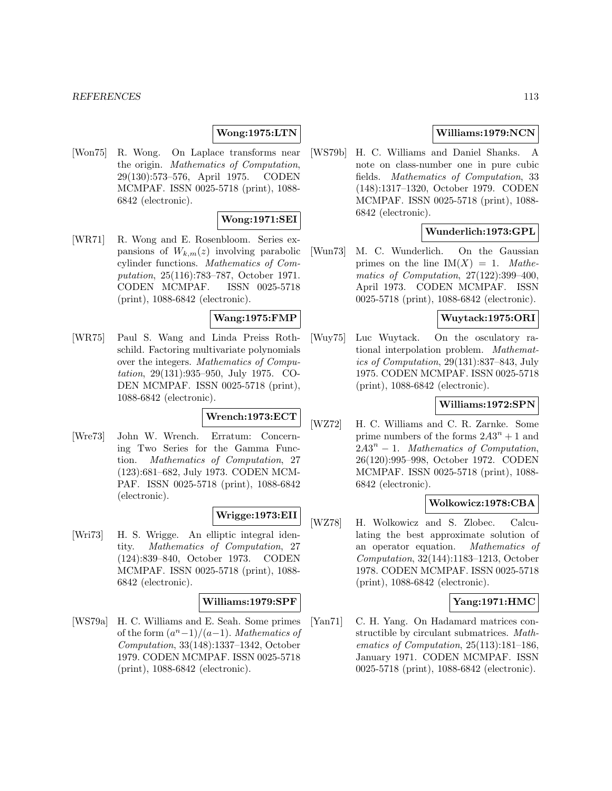## **Wong:1975:LTN**

[Won75] R. Wong. On Laplace transforms near the origin. Mathematics of Computation, 29(130):573–576, April 1975. CODEN MCMPAF. ISSN 0025-5718 (print), 1088- 6842 (electronic).

### **Wong:1971:SEI**

[WR71] R. Wong and E. Rosenbloom. Series expansions of  $W_{k,m}(z)$  involving parabolic cylinder functions. Mathematics of Computation, 25(116):783–787, October 1971. CODEN MCMPAF. ISSN 0025-5718 (print), 1088-6842 (electronic).

#### **Wang:1975:FMP**

[WR75] Paul S. Wang and Linda Preiss Rothschild. Factoring multivariate polynomials over the integers. Mathematics of Computation, 29(131):935–950, July 1975. CO-DEN MCMPAF. ISSN 0025-5718 (print), 1088-6842 (electronic).

# **Wrench:1973:ECT**

[Wre73] John W. Wrench. Erratum: Concerning Two Series for the Gamma Function. Mathematics of Computation, 27 (123):681–682, July 1973. CODEN MCM-PAF. ISSN 0025-5718 (print), 1088-6842 (electronic).

# **Wrigge:1973:EII**

[Wri73] H. S. Wrigge. An elliptic integral identity. Mathematics of Computation, 27 (124):839–840, October 1973. CODEN MCMPAF. ISSN 0025-5718 (print), 1088- 6842 (electronic).

# **Williams:1979:SPF**

[WS79a] H. C. Williams and E. Seah. Some primes of the form  $\frac{a^n-1}{a-1}$ . Mathematics of Computation, 33(148):1337–1342, October 1979. CODEN MCMPAF. ISSN 0025-5718 (print), 1088-6842 (electronic).

# **Williams:1979:NCN**

[WS79b] H. C. Williams and Daniel Shanks. A note on class-number one in pure cubic fields. Mathematics of Computation, 33 (148):1317–1320, October 1979. CODEN MCMPAF. ISSN 0025-5718 (print), 1088- 6842 (electronic).

# **Wunderlich:1973:GPL**

[Wun73] M. C. Wunderlich. On the Gaussian primes on the line  $IM(X) = 1$ . Mathematics of Computation, 27(122):399–400, April 1973. CODEN MCMPAF. ISSN 0025-5718 (print), 1088-6842 (electronic).

### **Wuytack:1975:ORI**

[Wuy75] Luc Wuytack. On the osculatory rational interpolation problem. Mathematics of Computation, 29(131):837–843, July 1975. CODEN MCMPAF. ISSN 0025-5718 (print), 1088-6842 (electronic).

# **Williams:1972:SPN**

[WZ72] H. C. Williams and C. R. Zarnke. Some prime numbers of the forms  $2A3^n + 1$  and  $2A3^n - 1$ . Mathematics of Computation, 26(120):995–998, October 1972. CODEN MCMPAF. ISSN 0025-5718 (print), 1088- 6842 (electronic).

#### **Wolkowicz:1978:CBA**

[WZ78] H. Wolkowicz and S. Zlobec. Calculating the best approximate solution of an operator equation. Mathematics of Computation, 32(144):1183–1213, October 1978. CODEN MCMPAF. ISSN 0025-5718 (print), 1088-6842 (electronic).

# **Yang:1971:HMC**

[Yan71] C. H. Yang. On Hadamard matrices constructible by circulant submatrices. Mathematics of Computation, 25(113):181–186, January 1971. CODEN MCMPAF. ISSN 0025-5718 (print), 1088-6842 (electronic).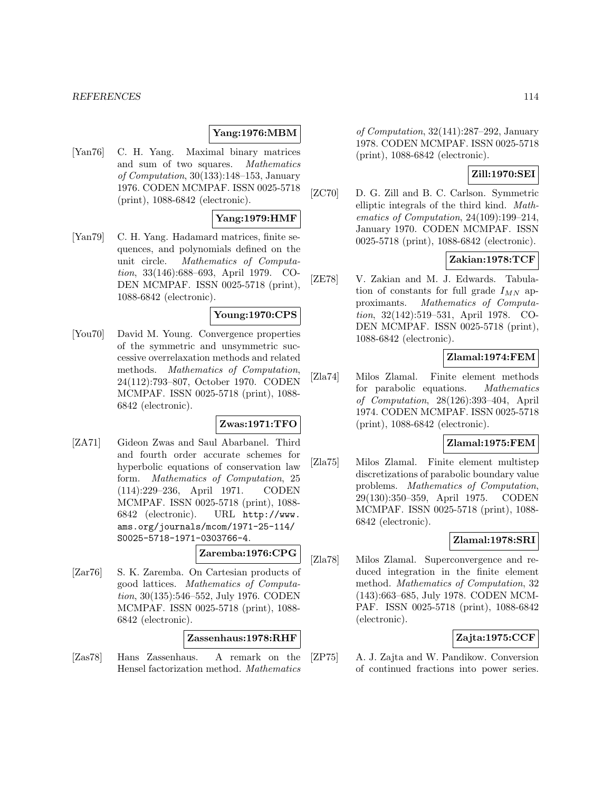#### *REFERENCES* 114

#### **Yang:1976:MBM**

[Yan76] C. H. Yang. Maximal binary matrices and sum of two squares. Mathematics of Computation, 30(133):148–153, January 1976. CODEN MCMPAF. ISSN 0025-5718 (print), 1088-6842 (electronic).

#### **Yang:1979:HMF**

[Yan79] C. H. Yang. Hadamard matrices, finite sequences, and polynomials defined on the unit circle. Mathematics of Computation, 33(146):688–693, April 1979. CO-DEN MCMPAF. ISSN 0025-5718 (print), 1088-6842 (electronic).

#### **Young:1970:CPS**

[You70] David M. Young. Convergence properties of the symmetric and unsymmetric successive overrelaxation methods and related methods. Mathematics of Computation, 24(112):793–807, October 1970. CODEN MCMPAF. ISSN 0025-5718 (print), 1088- 6842 (electronic).

#### **Zwas:1971:TFO**

[ZA71] Gideon Zwas and Saul Abarbanel. Third and fourth order accurate schemes for hyperbolic equations of conservation law form. Mathematics of Computation, 25 (114):229–236, April 1971. CODEN MCMPAF. ISSN 0025-5718 (print), 1088- 6842 (electronic). URL http://www. ams.org/journals/mcom/1971-25-114/ S0025-5718-1971-0303766-4.

# **Zaremba:1976:CPG**

[Zar76] S. K. Zaremba. On Cartesian products of good lattices. Mathematics of Computation, 30(135):546–552, July 1976. CODEN MCMPAF. ISSN 0025-5718 (print), 1088- 6842 (electronic).

#### **Zassenhaus:1978:RHF**

[Zas78] Hans Zassenhaus. A remark on the Hensel factorization method. Mathematics

of Computation, 32(141):287–292, January 1978. CODEN MCMPAF. ISSN 0025-5718 (print), 1088-6842 (electronic).

### **Zill:1970:SEI**

[ZC70] D. G. Zill and B. C. Carlson. Symmetric elliptic integrals of the third kind. Mathematics of Computation, 24(109):199–214, January 1970. CODEN MCMPAF. ISSN 0025-5718 (print), 1088-6842 (electronic).

# **Zakian:1978:TCF**

[ZE78] V. Zakian and M. J. Edwards. Tabulation of constants for full grade  $I_{MN}$  approximants. Mathematics of Computation, 32(142):519–531, April 1978. CO-DEN MCMPAF. ISSN 0025-5718 (print), 1088-6842 (electronic).

#### **Zlamal:1974:FEM**

[Zla74] Milos Zlamal. Finite element methods for parabolic equations. Mathematics of Computation, 28(126):393–404, April 1974. CODEN MCMPAF. ISSN 0025-5718 (print), 1088-6842 (electronic).

#### **Zlamal:1975:FEM**

[Zla75] Milos Zlamal. Finite element multistep discretizations of parabolic boundary value problems. Mathematics of Computation, 29(130):350–359, April 1975. CODEN MCMPAF. ISSN 0025-5718 (print), 1088- 6842 (electronic).

# **Zlamal:1978:SRI**

[Zla78] Milos Zlamal. Superconvergence and reduced integration in the finite element method. Mathematics of Computation, 32 (143):663–685, July 1978. CODEN MCM-PAF. ISSN 0025-5718 (print), 1088-6842 (electronic).

# **Zajta:1975:CCF**

[ZP75] A. J. Zajta and W. Pandikow. Conversion of continued fractions into power series.